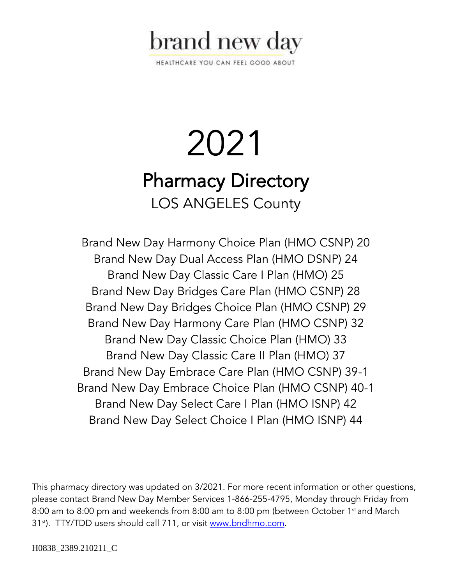

HEALTHCARE YOU CAN FEEL GOOD ABOUT

# 2021 Pharmacy Directory LOS ANGELES County

Brand New Day Harmony Choice Plan (HMO CSNP) 20 Brand New Day Dual Access Plan (HMO DSNP) 24 Brand New Day Classic Care I Plan (HMO) 25 Brand New Day Bridges Care Plan (HMO CSNP) 28 Brand New Day Bridges Choice Plan (HMO CSNP) 29 Brand New Day Harmony Care Plan (HMO CSNP) 32 Brand New Day Classic Choice Plan (HMO) 33 Brand New Day Classic Care II Plan (HMO) 37 Brand New Day Embrace Care Plan (HMO CSNP) 39-1 Brand New Day Embrace Choice Plan (HMO CSNP) 40-1 Brand New Day Select Care I Plan (HMO ISNP) 42 Brand New Day Select Choice I Plan (HMO ISNP) 44

This pharmacy directory was updated on 3/2021. For more recent information or other questions, please contact Brand New Day Member Services 1-866-255-4795, Monday through Friday from 8:00 am to 8:00 pm and weekends from 8:00 am to 8:00 pm (between October 1<sup>st</sup> and March 31<sup>st</sup>). TTY/TDD users should call 711, or visit [www.bndhmo.com.](http://www.bndhmo.com/)

H0838\_2389.210211\_C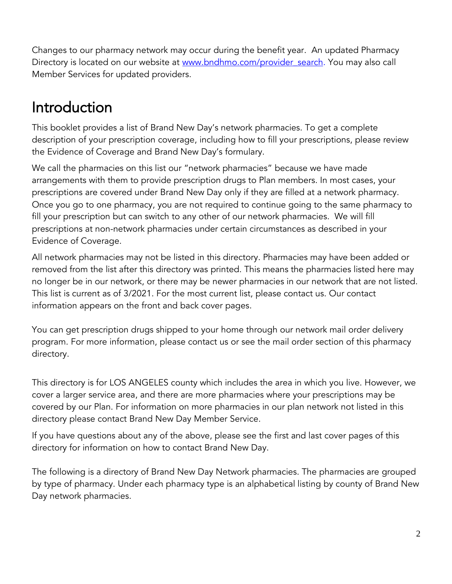Changes to our pharmacy network may occur during the benefit year. An updated Pharmacy Directory is located on our website at www.bndhmo.com/provider search. You may also call Member Services for updated providers.

### Introduction

This booklet provides a list of Brand New Day's network pharmacies. To get a complete description of your prescription coverage, including how to fill your prescriptions, please review the Evidence of Coverage and Brand New Day's formulary.

We call the pharmacies on this list our "network pharmacies" because we have made arrangements with them to provide prescription drugs to Plan members. In most cases, your prescriptions are covered under Brand New Day only if they are filled at a network pharmacy. Once you go to one pharmacy, you are not required to continue going to the same pharmacy to fill your prescription but can switch to any other of our network pharmacies. We will fill prescriptions at non-network pharmacies under certain circumstances as described in your Evidence of Coverage.

All network pharmacies may not be listed in this directory. Pharmacies may have been added or removed from the list after this directory was printed. This means the pharmacies listed here may no longer be in our network, or there may be newer pharmacies in our network that are not listed. This list is current as of 3/2021. For the most current list, please contact us. Our contact information appears on the front and back cover pages.

You can get prescription drugs shipped to your home through our network mail order delivery program. For more information, please contact us or see the mail order section of this pharmacy directory.

This directory is for LOS ANGELES county which includes the area in which you live. However, we cover a larger service area, and there are more pharmacies where your prescriptions may be covered by our Plan. For information on more pharmacies in our plan network not listed in this directory please contact Brand New Day Member Service.

If you have questions about any of the above, please see the first and last cover pages of this directory for information on how to contact Brand New Day.

The following is a directory of Brand New Day Network pharmacies. The pharmacies are grouped by type of pharmacy. Under each pharmacy type is an alphabetical listing by county of Brand New Day network pharmacies.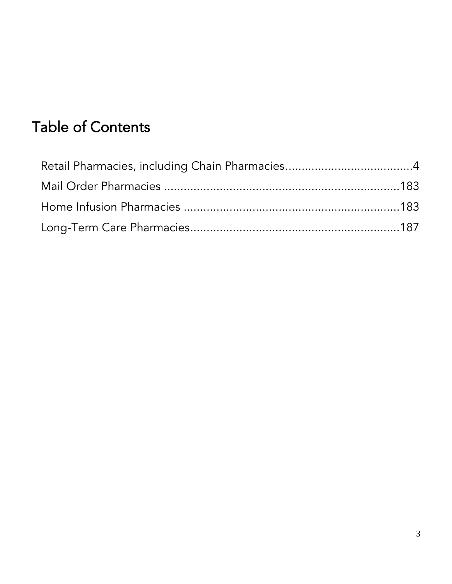## Table of Contents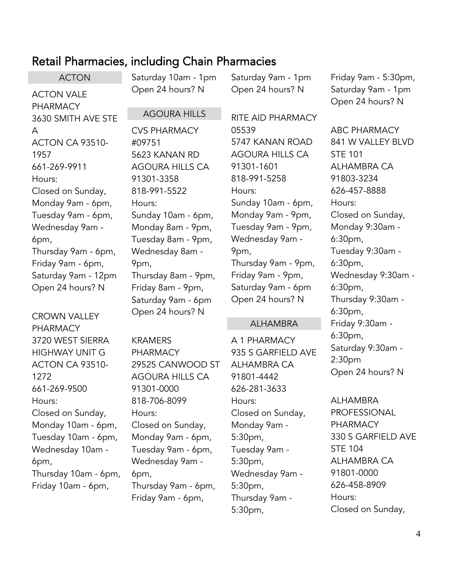### <span id="page-3-0"></span>Retail Pharmacies, including Chain Pharmacies

ACTON ACTON VALE PHARMACY 3630 SMITH AVE STE A ACTON CA 93510- 1957 661-269-9911 Hours: Closed on Sunday, Monday 9am - 6pm, Tuesday 9am - 6pm, Wednesday 9am - 6pm, Thursday 9am - 6pm, Friday 9am - 6pm, Saturday 9am - 12pm Open 24 hours? N

CROWN VALLEY PHARMACY 3720 WEST SIERRA HIGHWAY UNIT G ACTON CA 93510- 1272 661-269-9500 Hours: Closed on Sunday, Monday 10am - 6pm, Tuesday 10am - 6pm, Wednesday 10am - 6pm, Thursday 10am - 6pm, Friday 10am - 6pm,

Saturday 10am - 1pm Open 24 hours? N

AGOURA HILLS

CVS PHARMACY

Saturday 9am - 1pm Open 24 hours? N

RITE AID PHARMACY 05539 5747 KANAN ROAD AGOURA HILLS CA 91301-1601 818-991-5258 Hours: Sunday 10am - 6pm, Monday 9am - 9pm, Tuesday 9am - 9pm, Wednesday 9am - 9pm, Thursday 9am - 9pm, Friday 9am - 9pm, Saturday 9am - 6pm Open 24 hours? N

#### ALHAMBRA

A 1 PHARMACY 935 S GARFIELD AVE ALHAMBRA CA 91801-4442 626-281-3633 Hours: Closed on Sunday, Monday 9am - 5:30pm, Tuesday 9am - 5:30pm, Wednesday 9am - 5:30pm, Thursday 9am - 5:30pm,

Friday 9am - 5:30pm, Saturday 9am - 1pm Open 24 hours? N

ABC PHARMACY 841 W VALLEY BLVD STE 101 ALHAMBRA CA 91803-3234 626-457-8888 Hours: Closed on Sunday, Monday 9:30am - 6:30pm, Tuesday 9:30am - 6:30pm, Wednesday 9:30am - 6:30pm, Thursday 9:30am - 6:30pm, Friday 9:30am - 6:30pm, Saturday 9:30am - 2:30pm Open 24 hours? N

ALHAMBRA PROFESSIONAL PHARMACY 330 S GARFIELD AVE STE 104 ALHAMBRA CA 91801-0000 626-458-8909 Hours: Closed on Sunday,

#09751 5623 KANAN RD AGOURA HILLS CA 91301-3358 818-991-5522 Hours: Sunday 10am - 6pm, Monday 8am - 9pm, Tuesday 8am - 9pm, Wednesday 8am - 9pm, Thursday 8am - 9pm, Friday 8am - 9pm, Saturday 9am - 6pm Open 24 hours? N

KRAMERS PHARMACY 29525 CANWOOD ST AGOURA HILLS CA 91301-0000 818-706-8099 Hours: Closed on Sunday, Monday 9am - 6pm, Tuesday 9am - 6pm, Wednesday 9am - 6pm, Thursday 9am - 6pm, Friday 9am - 6pm,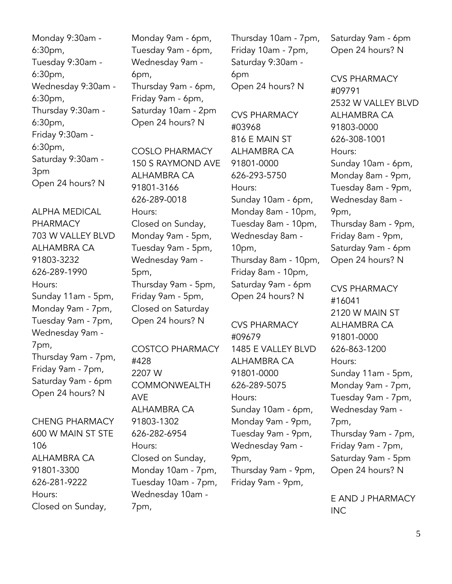Monday 9:30am - 6:30pm, Tuesday 9:30am - 6:30pm, Wednesday 9:30am - 6:30pm, Thursday 9:30am - 6:30pm, Friday 9:30am - 6:30pm, Saturday 9:30am - 3pm Open 24 hours? N

ALPHA MEDICAL PHARMACY 703 W VALLEY BLVD ALHAMBRA CA 91803-3232 626-289-1990 Hours: Sunday 11am - 5pm, Monday 9am - 7pm, Tuesday 9am - 7pm, Wednesday 9am - 7pm, Thursday 9am - 7pm, Friday 9am - 7pm, Saturday 9am - 6pm Open 24 hours? N

CHENG PHARMACY 600 W MAIN ST STE 106 ALHAMBRA CA 91801-3300 626-281-9222 Hours: Closed on Sunday,

Monday 9am - 6pm, Tuesday 9am - 6pm, Wednesday 9am - 6pm, Thursday 9am - 6pm, Friday 9am - 6pm, Saturday 10am - 2pm Open 24 hours? N

COSLO PHARMACY 150 S RAYMOND AVE ALHAMBRA CA 91801-3166 626-289-0018 Hours: Closed on Sunday, Monday 9am - 5pm, Tuesday 9am - 5pm, Wednesday 9am - 5pm, Thursday 9am - 5pm, Friday 9am - 5pm, Closed on Saturday Open 24 hours? N

#### COSTCO PHARMACY

#428 2207 W COMMONWEALTH AVE ALHAMBRA CA 91803-1302 626-282-6954 Hours: Closed on Sunday, Monday 10am - 7pm, Tuesday 10am - 7pm, Wednesday 10am - 7pm,

Thursday 10am - 7pm, Friday 10am - 7pm, Saturday 9:30am - 6pm Open 24 hours? N

CVS PHARMACY #03968 816 E MAIN ST ALHAMBRA CA 91801-0000 626-293-5750 Hours: Sunday 10am - 6pm, Monday 8am - 10pm, Tuesday 8am - 10pm, Wednesday 8am - 10pm, Thursday 8am - 10pm, Friday 8am - 10pm, Saturday 9am - 6pm Open 24 hours? N

CVS PHARMACY #09679 1485 E VALLEY BLVD ALHAMBRA CA 91801-0000 626-289-5075 Hours: Sunday 10am - 6pm, Monday 9am - 9pm, Tuesday 9am - 9pm, Wednesday 9am - 9pm, Thursday 9am - 9pm, Friday 9am - 9pm,

Saturday 9am - 6pm Open 24 hours? N

CVS PHARMACY #09791 2532 W VALLEY BLVD ALHAMBRA CA 91803-0000 626-308-1001 Hours: Sunday 10am - 6pm, Monday 8am - 9pm, Tuesday 8am - 9pm, Wednesday 8am - 9pm, Thursday 8am - 9pm, Friday 8am - 9pm, Saturday 9am - 6pm Open 24 hours? N

CVS PHARMACY #16041 2120 W MAIN ST ALHAMBRA CA 91801-0000 626-863-1200 Hours: Sunday 11am - 5pm, Monday 9am - 7pm, Tuesday 9am - 7pm, Wednesday 9am - 7pm, Thursday 9am - 7pm, Friday 9am - 7pm, Saturday 9am - 5pm Open 24 hours? N

E AND J PHARMACY INC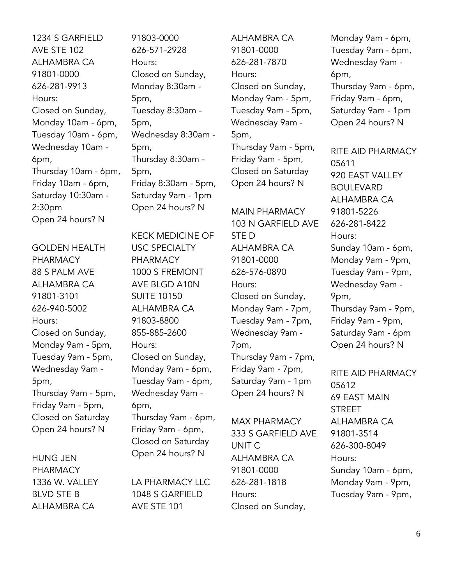1234 S GARFIELD AVE STE 102 ALHAMBRA CA 91801-0000 626-281-9913 Hours: Closed on Sunday, Monday 10am - 6pm, Tuesday 10am - 6pm, Wednesday 10am - 6pm, Thursday 10am - 6pm, Friday 10am - 6pm, Saturday 10:30am - 2:30pm Open 24 hours? N

GOLDEN HEALTH PHARMACY 88 S PALM AVE ALHAMBRA CA 91801-3101 626-940-5002 Hours: Closed on Sunday, Monday 9am - 5pm, Tuesday 9am - 5pm, Wednesday 9am - 5pm, Thursday 9am - 5pm, Friday 9am - 5pm, Closed on Saturday Open 24 hours? N

HUNG JEN PHARMACY 1336 W. VALLEY BLVD STE B ALHAMBRA CA

91803-0000 626-571-2928 Hours: Closed on Sunday, Monday 8:30am - 5pm, Tuesday 8:30am - 5pm, Wednesday 8:30am - 5pm, Thursday 8:30am - 5pm, Friday 8:30am - 5pm, Saturday 9am - 1pm Open 24 hours? N

KECK MEDICINE OF USC SPECIALTY PHARMACY 1000 S FREMONT AVE BLGD A10N SUITE 10150 ALHAMBRA CA 91803-8800 855-885-2600 Hours: Closed on Sunday, Monday 9am - 6pm, Tuesday 9am - 6pm, Wednesday 9am - 6pm, Thursday 9am - 6pm, Friday 9am - 6pm, Closed on Saturday Open 24 hours? N

LA PHARMACY LLC 1048 S GARFIELD AVE STE 101

ALHAMBRA CA 91801-0000 626-281-7870 Hours: Closed on Sunday, Monday 9am - 5pm, Tuesday 9am - 5pm, Wednesday 9am - 5pm, Thursday 9am - 5pm, Friday 9am - 5pm, Closed on Saturday Open 24 hours? N

MAIN PHARMACY 103 N GARFIELD AVE STE D ALHAMBRA CA 91801-0000 626-576-0890 Hours: Closed on Sunday, Monday 9am - 7pm, Tuesday 9am - 7pm, Wednesday 9am - 7pm, Thursday 9am - 7pm, Friday 9am - 7pm, Saturday 9am - 1pm Open 24 hours? N

MAX PHARMACY 333 S GARFIELD AVE UNIT C ALHAMBRA CA 91801-0000 626-281-1818 Hours: Closed on Sunday,

Monday 9am - 6pm, Tuesday 9am - 6pm, Wednesday 9am - 6pm, Thursday 9am - 6pm, Friday 9am - 6pm, Saturday 9am - 1pm Open 24 hours? N

RITE AID PHARMACY 05611 920 EAST VALLEY BOULEVARD ALHAMBRA CA 91801-5226 626-281-8422 Hours: Sunday 10am - 6pm, Monday 9am - 9pm, Tuesday 9am - 9pm, Wednesday 9am - 9pm, Thursday 9am - 9pm, Friday 9am - 9pm, Saturday 9am - 6pm Open 24 hours? N

RITE AID PHARMACY 05612 69 EAST MAIN **STREET** ALHAMBRA CA 91801-3514 626-300-8049 Hours: Sunday 10am - 6pm, Monday 9am - 9pm, Tuesday 9am - 9pm,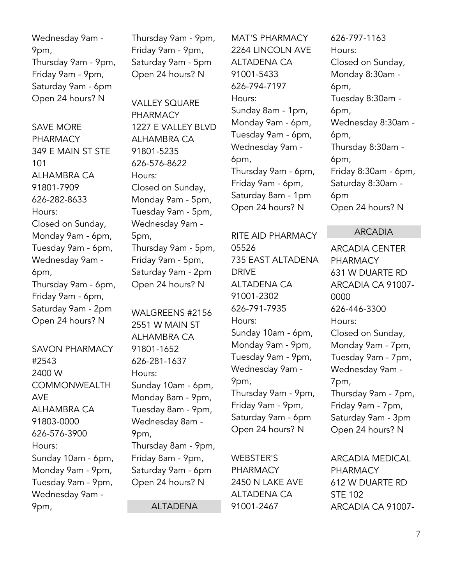Wednesday 9am - 9pm, Thursday 9am - 9pm, Friday 9am - 9pm, Saturday 9am - 6pm Open 24 hours? N

SAVE MORE PHARMACY 349 E MAIN ST STE 101 ALHAMBRA CA 91801-7909 626-282-8633 Hours: Closed on Sunday, Monday 9am - 6pm, Tuesday 9am - 6pm, Wednesday 9am - 6pm, Thursday 9am - 6pm, Friday 9am - 6pm, Saturday 9am - 2pm Open 24 hours? N

SAVON PHARMACY #2543 2400 W COMMONWEALTH AVE ALHAMBRA CA 91803-0000 626-576-3900 Hours: Sunday 10am - 6pm, Monday 9am - 9pm, Tuesday 9am - 9pm, Wednesday 9am - 9pm,

Thursday 9am - 9pm, Friday 9am - 9pm, Saturday 9am - 5pm Open 24 hours? N

VALLEY SQUARE PHARMACY 1227 E VALLEY BLVD ALHAMBRA CA 91801-5235 626-576-8622 Hours: Closed on Sunday, Monday 9am - 5pm, Tuesday 9am - 5pm, Wednesday 9am - 5pm, Thursday 9am - 5pm, Friday 9am - 5pm, Saturday 9am - 2pm Open 24 hours? N

WALGREENS #2156 2551 W MAIN ST ALHAMBRA CA 91801-1652 626-281-1637 Hours: Sunday 10am - 6pm, Monday 8am - 9pm, Tuesday 8am - 9pm, Wednesday 8am - 9pm, Thursday 8am - 9pm, Friday 8am - 9pm, Saturday 9am - 6pm Open 24 hours? N

ALTADENA

MAT'S PHARMACY 2264 LINCOLN AVE ALTADENA CA 91001-5433 626-794-7197 Hours: Sunday 8am - 1pm, Monday 9am - 6pm, Tuesday 9am - 6pm, Wednesday 9am - 6pm, Thursday 9am - 6pm, Friday 9am - 6pm, Saturday 8am - 1pm Open 24 hours? N

RITE AID PHARMACY 05526 735 EAST ALTADENA DRIVE ALTADENA CA 91001-2302 626-791-7935 Hours: Sunday 10am - 6pm, Monday 9am - 9pm, Tuesday 9am - 9pm, Wednesday 9am - 9pm, Thursday 9am - 9pm, Friday 9am - 9pm, Saturday 9am - 6pm Open 24 hours? N

WEBSTER'S PHARMACY 2450 N LAKE AVE ALTADENA CA 91001-2467

626-797-1163 Hours: Closed on Sunday, Monday 8:30am - 6pm, Tuesday 8:30am - 6pm, Wednesday 8:30am - 6pm, Thursday 8:30am - 6pm, Friday 8:30am - 6pm, Saturday 8:30am - 6pm Open 24 hours? N

ARCADIA

ARCADIA CENTER PHARMACY 631 W DUARTE RD ARCADIA CA 91007- 0000 626-446-3300 Hours: Closed on Sunday, Monday 9am - 7pm, Tuesday 9am - 7pm, Wednesday 9am - 7pm, Thursday 9am - 7pm, Friday 9am - 7pm, Saturday 9am - 3pm Open 24 hours? N

ARCADIA MEDICAL PHARMACY 612 W DUARTE RD STE 102 ARCADIA CA 91007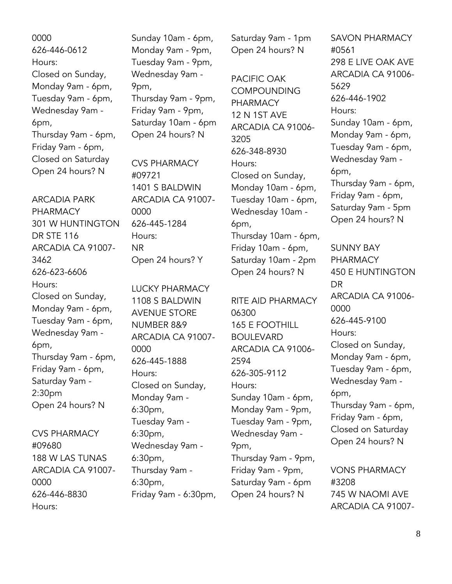0000 626-446-0612 Hours: Closed on Sunday, Monday 9am - 6pm, Tuesday 9am - 6pm, Wednesday 9am - 6pm, Thursday 9am - 6pm, Friday 9am - 6pm, Closed on Saturday Open 24 hours? N

ARCADIA PARK PHARMACY 301 W HUNTINGTON DR STE 116 ARCADIA CA 91007- 3462 626-623-6606 Hours: Closed on Sunday, Monday 9am - 6pm, Tuesday 9am - 6pm, Wednesday 9am - 6pm, Thursday 9am - 6pm, Friday 9am - 6pm, Saturday 9am - 2:30pm Open 24 hours? N

CVS PHARMACY #09680 188 W LAS TUNAS ARCADIA CA 91007- 0000 626-446-8830 Hours:

Sunday 10am - 6pm, Monday 9am - 9pm, Tuesday 9am - 9pm, Wednesday 9am - 9pm, Thursday 9am - 9pm, Friday 9am - 9pm, Saturday 10am - 6pm Open 24 hours? N

CVS PHARMACY #09721 1401 S BALDWIN ARCADIA CA 91007- 0000 626-445-1284 Hours: NR Open 24 hours? Y

LUCKY PHARMACY 1108 S BALDWIN AVENUE STORE NUMBER 8&9 ARCADIA CA 91007- 0000 626-445-1888 Hours: Closed on Sunday, Monday 9am - 6:30pm, Tuesday 9am - 6:30pm, Wednesday 9am - 6:30pm, Thursday 9am - 6:30pm, Friday 9am - 6:30pm,

Saturday 9am - 1pm Open 24 hours? N

PACIFIC OAK COMPOUNDING PHARMACY 12 N 1ST AVE ARCADIA CA 91006- 3205 626-348-8930 Hours: Closed on Sunday, Monday 10am - 6pm, Tuesday 10am - 6pm, Wednesday 10am - 6pm, Thursday 10am - 6pm, Friday 10am - 6pm, Saturday 10am - 2pm Open 24 hours? N

RITE AID PHARMACY 06300 165 E FOOTHILL BOULEVARD ARCADIA CA 91006- 2594 626-305-9112 Hours: Sunday 10am - 6pm, Monday 9am - 9pm, Tuesday 9am - 9pm, Wednesday 9am - 9pm, Thursday 9am - 9pm, Friday 9am - 9pm, Saturday 9am - 6pm Open 24 hours? N

SAVON PHARMACY #0561 298 E LIVE OAK AVE ARCADIA CA 91006- 5629 626-446-1902 Hours: Sunday 10am - 6pm, Monday 9am - 6pm, Tuesday 9am - 6pm, Wednesday 9am - 6pm, Thursday 9am - 6pm, Friday 9am - 6pm, Saturday 9am - 5pm Open 24 hours? N

SUNNY BAY PHARMACY 450 E HUNTINGTON DR ARCADIA CA 91006- 0000 626-445-9100 Hours: Closed on Sunday, Monday 9am - 6pm, Tuesday 9am - 6pm, Wednesday 9am - 6pm, Thursday 9am - 6pm, Friday 9am - 6pm, Closed on Saturday Open 24 hours? N VONS PHARMACY

#3208 745 W NAOMI AVE ARCADIA CA 91007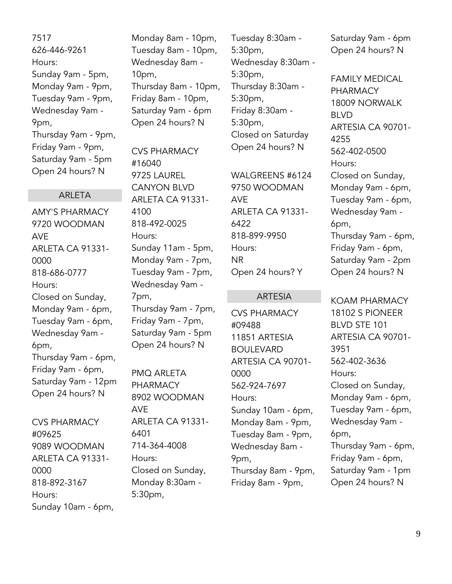7517 626-446-9261 Hours: Sunday 9am - 5pm, Monday 9am - 9pm, Tuesday 9am - 9pm, Wednesday 9am - 9pm, Thursday 9am - 9pm, Friday 9am - 9pm, Saturday 9am - 5pm Open 24 hours? N

#### ARLETA

AMY'S PHARMACY 9720 WOODMAN AVE ARLETA CA 91331- 0000 818-686-0777 Hours: Closed on Sunday, Monday 9am - 6pm, Tuesday 9am - 6pm, Wednesday 9am - 6pm, Thursday 9am - 6pm, Friday 9am - 6pm, Saturday 9am - 12pm Open 24 hours? N

CVS PHARMACY #09625 9089 WOODMAN ARLETA CA 91331- 0000 818-892-3167 Hours: Sunday 10am - 6pm, Monday 8am - 10pm, Tuesday 8am - 10pm, Wednesday 8am - 10pm, Thursday 8am - 10pm, Friday 8am - 10pm, Saturday 9am - 6pm Open 24 hours? N

CVS PHARMACY #16040 9725 LAUREL CANYON BLVD ARLETA CA 91331- 4100 818-492-0025 Hours: Sunday 11am - 5pm, Monday 9am - 7pm, Tuesday 9am - 7pm, Wednesday 9am - 7pm, Thursday 9am - 7pm, Friday 9am - 7pm, Saturday 9am - 5pm Open 24 hours? N

PMQ ARLETA PHARMACY 8902 WOODMAN AVE ARLETA CA 91331- 6401 714-364-4008 Hours: Closed on Sunday, Monday 8:30am - 5:30pm,

Tuesday 8:30am - 5:30pm, Wednesday 8:30am - 5:30pm, Thursday 8:30am - 5:30pm, Friday 8:30am - 5:30pm, Closed on Saturday Open 24 hours? N

WALGREENS #6124 9750 WOODMAN AVE ARLETA CA 91331- 6422 818-899-9950 Hours: NR Open 24 hours? Y

#### ARTESIA

CVS PHARMACY #09488 11851 ARTESIA BOULEVARD ARTESIA CA 90701- 0000 562-924-7697 Hours: Sunday 10am - 6pm, Monday 8am - 9pm, Tuesday 8am - 9pm, Wednesday 8am - 9pm, Thursday 8am - 9pm, Friday 8am - 9pm,

Saturday 9am - 6pm Open 24 hours? N

FAMILY MEDICAL PHARMACY 18009 NORWALK BLVD ARTESIA CA 90701- 4255 562-402-0500 Hours: Closed on Sunday, Monday 9am - 6pm, Tuesday 9am - 6pm, Wednesday 9am - 6pm, Thursday 9am - 6pm, Friday 9am - 6pm, Saturday 9am - 2pm Open 24 hours? N

KOAM PHARMACY 18102 S PIONEER BLVD STE 101 ARTESIA CA 90701- 3951 562-402-3636 Hours: Closed on Sunday, Monday 9am - 6pm, Tuesday 9am - 6pm, Wednesday 9am - 6pm, Thursday 9am - 6pm, Friday 9am - 6pm, Saturday 9am - 1pm Open 24 hours? N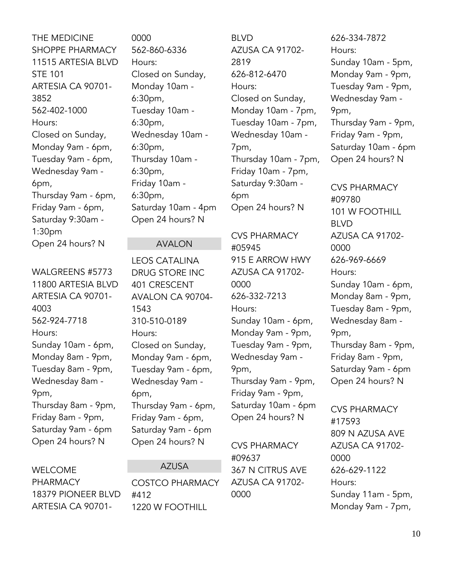THE MEDICINE SHOPPE PHARMACY 11515 ARTESIA BLVD STE 101 ARTESIA CA 90701- 3852 562-402-1000 Hours: Closed on Sunday, Monday 9am - 6pm, Tuesday 9am - 6pm, Wednesday 9am - 6pm, Thursday 9am - 6pm, Friday 9am - 6pm, Saturday 9:30am - 1:30pm Open 24 hours? N

WALGREENS #5773 11800 ARTESIA BLVD ARTESIA CA 90701- 4003 562-924-7718 Hours: Sunday 10am - 6pm, Monday 8am - 9pm, Tuesday 8am - 9pm, Wednesday 8am - 9pm, Thursday 8am - 9pm, Friday 8am - 9pm, Saturday 9am - 6pm Open 24 hours? N

WELCOME PHARMACY 18379 PIONEER BLVD ARTESIA CA 907010000 562-860-6336 Hours: Closed on Sunday, Monday 10am - 6:30pm, Tuesday 10am - 6:30pm, Wednesday 10am - 6:30pm, Thursday 10am - 6:30pm, Friday 10am - 6:30pm, Saturday 10am - 4pm Open 24 hours? N

#### AVALON

LEOS CATALINA DRUG STORE INC 401 CRESCENT AVALON CA 90704- 1543 310-510-0189 Hours: Closed on Sunday, Monday 9am - 6pm, Tuesday 9am - 6pm, Wednesday 9am - 6pm, Thursday 9am - 6pm, Friday 9am - 6pm, Saturday 9am - 6pm Open 24 hours? N

#### AZUSA

COSTCO PHARMACY #412 1220 W FOOTHILL

BLVD AZUSA CA 91702- 2819 626-812-6470 Hours: Closed on Sunday, Monday 10am - 7pm, Tuesday 10am - 7pm, Wednesday 10am - 7pm, Thursday 10am - 7pm, Friday 10am - 7pm, Saturday 9:30am - 6pm Open 24 hours? N

CVS PHARMACY #05945 915 E ARROW HWY AZUSA CA 91702- 0000 626-332-7213 Hours: Sunday 10am - 6pm, Monday 9am - 9pm, Tuesday 9am - 9pm, Wednesday 9am - 9pm, Thursday 9am - 9pm, Friday 9am - 9pm, Saturday 10am - 6pm Open 24 hours? N

CVS PHARMACY #09637 367 N CITRUS AVE AZUSA CA 91702- 0000

626-334-7872 Hours: Sunday 10am - 5pm, Monday 9am - 9pm, Tuesday 9am - 9pm, Wednesday 9am - 9pm, Thursday 9am - 9pm, Friday 9am - 9pm, Saturday 10am - 6pm Open 24 hours? N

CVS PHARMACY #09780 101 W FOOTHILL BLVD AZUSA CA 91702- 0000 626-969-6669 Hours: Sunday 10am - 6pm, Monday 8am - 9pm, Tuesday 8am - 9pm, Wednesday 8am - 9pm, Thursday 8am - 9pm, Friday 8am - 9pm, Saturday 9am - 6pm Open 24 hours? N

CVS PHARMACY #17593 809 N AZUSA AVE AZUSA CA 91702- 0000 626-629-1122 Hours: Sunday 11am - 5pm, Monday 9am - 7pm,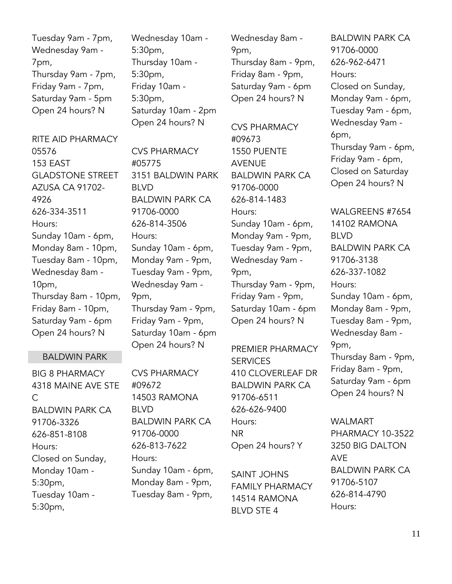Tuesday 9am - 7pm, Wednesday 9am - 7pm, Thursday 9am - 7pm, Friday 9am - 7pm, Saturday 9am - 5pm Open 24 hours? N

RITE AID PHARMACY 05576 153 EAST GLADSTONE STREET AZUSA CA 91702- 4926 626-334-3511 Hours: Sunday 10am - 6pm, Monday 8am - 10pm, Tuesday 8am - 10pm, Wednesday 8am - 10pm, Thursday 8am - 10pm, Friday 8am - 10pm, Saturday 9am - 6pm Open 24 hours? N

#### BALDWIN PARK

BIG 8 PHARMACY 4318 MAINE AVE STE C BALDWIN PARK CA 91706-3326 626-851-8108 Hours: Closed on Sunday, Monday 10am - 5:30pm, Tuesday 10am - 5:30pm,

Wednesday 10am - 5:30pm, Thursday 10am - 5:30pm, Friday 10am - 5:30pm, Saturday 10am - 2pm Open 24 hours? N

CVS PHARMACY #05775 3151 BALDWIN PARK BLVD BALDWIN PARK CA 91706-0000 626-814-3506 Hours: Sunday 10am - 6pm, Monday 9am - 9pm, Tuesday 9am - 9pm, Wednesday 9am - 9pm, Thursday 9am - 9pm, Friday 9am - 9pm, Saturday 10am - 6pm Open 24 hours? N

CVS PHARMACY #09672 14503 RAMONA BLVD BALDWIN PARK CA 91706-0000 626-813-7622 Hours: Sunday 10am - 6pm, Monday 8am - 9pm, Tuesday 8am - 9pm,

Wednesday 8am - 9pm, Thursday 8am - 9pm, Friday 8am - 9pm, Saturday 9am - 6pm Open 24 hours? N

CVS PHARMACY #09673 1550 PUENTE AVENUE BALDWIN PARK CA 91706-0000 626-814-1483 Hours: Sunday 10am - 6pm, Monday 9am - 9pm, Tuesday 9am - 9pm, Wednesday 9am - 9pm, Thursday 9am - 9pm, Friday 9am - 9pm, Saturday 10am - 6pm Open 24 hours? N

PREMIER PHARMACY **SERVICES** 410 CLOVERLEAF DR BALDWIN PARK CA 91706-6511 626-626-9400 Hours: NR Open 24 hours? Y

SAINT JOHNS FAMILY PHARMACY 14514 RAMONA BLVD STE 4

BALDWIN PARK CA 91706-0000 626-962-6471 Hours: Closed on Sunday, Monday 9am - 6pm, Tuesday 9am - 6pm, Wednesday 9am - 6pm, Thursday 9am - 6pm, Friday 9am - 6pm, Closed on Saturday Open 24 hours? N

WALGREENS #7654 14102 RAMONA BLVD BALDWIN PARK CA 91706-3138 626-337-1082 Hours: Sunday 10am - 6pm, Monday 8am - 9pm, Tuesday 8am - 9pm, Wednesday 8am - 9pm, Thursday 8am - 9pm, Friday 8am - 9pm, Saturday 9am - 6pm Open 24 hours? N

WALMART PHARMACY 10-3522 3250 BIG DALTON AVE BALDWIN PARK CA 91706-5107 626-814-4790 Hours: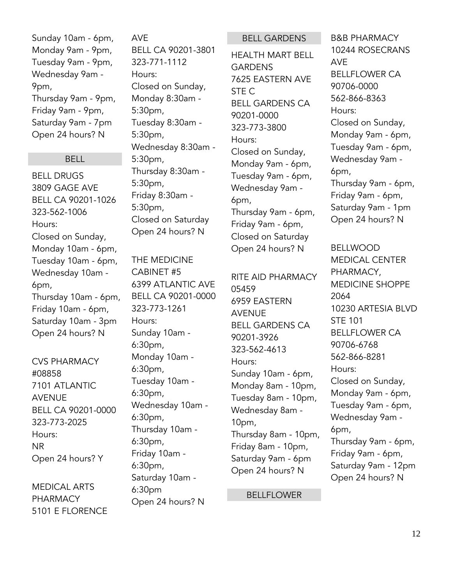Sunday 10am - 6pm, Monday 9am - 9pm, Tuesday 9am - 9pm, Wednesday 9am - 9pm, Thursday 9am - 9pm, Friday 9am - 9pm, Saturday 9am - 7pm Open 24 hours? N

#### **BELL**

BELL DRUGS 3809 GAGE AVE BELL CA 90201-1026 323-562-1006 Hours: Closed on Sunday, Monday 10am - 6pm, Tuesday 10am - 6pm, Wednesday 10am - 6pm, Thursday 10am - 6pm, Friday 10am - 6pm, Saturday 10am - 3pm Open 24 hours? N

CVS PHARMACY #08858 7101 ATLANTIC AVENUE BELL CA 90201-0000 323-773-2025 Hours: NR Open 24 hours? Y

MEDICAL ARTS PHARMACY 5101 E FLORENCE AVE BELL CA 90201-3801 323-771-1112 Hours: Closed on Sunday, Monday 8:30am - 5:30pm, Tuesday 8:30am - 5:30pm, Wednesday 8:30am - 5:30pm, Thursday 8:30am - 5:30pm, Friday 8:30am - 5:30pm, Closed on Saturday Open 24 hours? N

THE MEDICINE CABINET #5 6399 ATLANTIC AVE BELL CA 90201-0000 323-773-1261 Hours: Sunday 10am - 6:30pm, Monday 10am - 6:30pm, Tuesday 10am - 6:30pm, Wednesday 10am - 6:30pm, Thursday 10am - 6:30pm, Friday 10am - 6:30pm, Saturday 10am - 6:30pm Open 24 hours? N

#### BELL GARDENS

HEALTH MART BELL GARDENS 7625 EASTERN AVE STE C BELL GARDENS CA 90201-0000 323-773-3800 Hours: Closed on Sunday, Monday 9am - 6pm, Tuesday 9am - 6pm, Wednesday 9am - 6pm, Thursday 9am - 6pm, Friday 9am - 6pm, Closed on Saturday Open 24 hours? N

RITE AID PHARMACY 05459 6959 EASTERN AVENUE BELL GARDENS CA 90201-3926 323-562-4613 Hours: Sunday 10am - 6pm, Monday 8am - 10pm, Tuesday 8am - 10pm, Wednesday 8am - 10pm, Thursday 8am - 10pm, Friday 8am - 10pm, Saturday 9am - 6pm Open 24 hours? N

BELLFLOWER

B&B PHARMACY 10244 ROSECRANS AVE BELLFLOWER CA 90706-0000 562-866-8363 Hours: Closed on Sunday, Monday 9am - 6pm, Tuesday 9am - 6pm, Wednesday 9am - 6pm, Thursday 9am - 6pm, Friday 9am - 6pm, Saturday 9am - 1pm Open 24 hours? N

BELLWOOD MEDICAL CENTER PHARMACY, MEDICINE SHOPPE 2064 10230 ARTESIA BLVD STE 101 BELLFLOWER CA 90706-6768 562-866-8281 Hours: Closed on Sunday, Monday 9am - 6pm, Tuesday 9am - 6pm, Wednesday 9am - 6pm, Thursday 9am - 6pm, Friday 9am - 6pm, Saturday 9am - 12pm Open 24 hours? N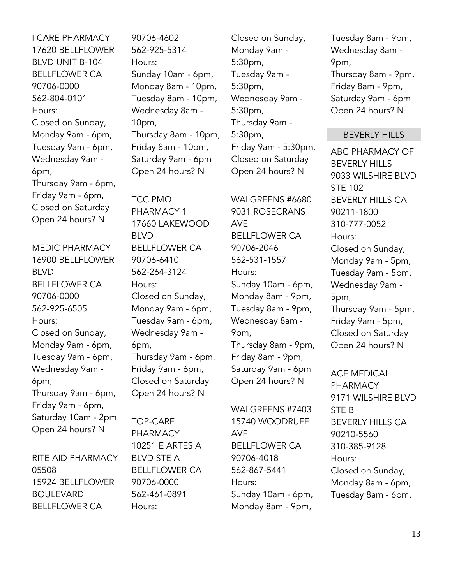I CARE PHARMACY 17620 BELLFLOWER BLVD UNIT B-104 BELLFLOWER CA 90706-0000 562-804-0101 Hours: Closed on Sunday, Monday 9am - 6pm, Tuesday 9am - 6pm, Wednesday 9am - 6pm, Thursday 9am - 6pm, Friday 9am - 6pm, Closed on Saturday Open 24 hours? N

MEDIC PHARMACY 16900 BELLFLOWER BLVD BELLFLOWER CA 90706-0000 562-925-6505 Hours: Closed on Sunday, Monday 9am - 6pm, Tuesday 9am - 6pm, Wednesday 9am - 6pm, Thursday 9am - 6pm, Friday 9am - 6pm, Saturday 10am - 2pm Open 24 hours? N

RITE AID PHARMACY 05508 15924 BELLFLOWER BOULEVARD BELLFLOWER CA

90706-4602 562-925-5314 Hours: Sunday 10am - 6pm, Monday 8am - 10pm, Tuesday 8am - 10pm, Wednesday 8am - 10pm, Thursday 8am - 10pm, Friday 8am - 10pm, Saturday 9am - 6pm Open 24 hours? N

TCC PMQ PHARMACY 1 17660 LAKEWOOD BLVD BELLFLOWER CA 90706-6410 562-264-3124 Hours: Closed on Sunday, Monday 9am - 6pm, Tuesday 9am - 6pm, Wednesday 9am - 6pm, Thursday 9am - 6pm, Friday 9am - 6pm, Closed on Saturday Open 24 hours? N

TOP-CARE PHARMACY 10251 E ARTESIA BLVD STE A BELLFLOWER CA 90706-0000 562-461-0891 Hours:

Closed on Sunday, Monday 9am - 5:30pm, Tuesday 9am - 5:30pm, Wednesday 9am - 5:30pm, Thursday 9am - 5:30pm, Friday 9am - 5:30pm, Closed on Saturday Open 24 hours? N

WALGREENS #6680 9031 ROSECRANS AVE BELLFLOWER CA 90706-2046 562-531-1557 Hours: Sunday 10am - 6pm, Monday 8am - 9pm, Tuesday 8am - 9pm, Wednesday 8am - 9pm, Thursday 8am - 9pm, Friday 8am - 9pm, Saturday 9am - 6pm Open 24 hours? N

WALGREENS #7403 15740 WOODRUFF AVE BELLFLOWER CA 90706-4018 562-867-5441 Hours: Sunday 10am - 6pm, Monday 8am - 9pm,

Tuesday 8am - 9pm, Wednesday 8am - 9pm, Thursday 8am - 9pm, Friday 8am - 9pm, Saturday 9am - 6pm Open 24 hours? N

#### BEVERLY HILLS

ABC PHARMACY OF BEVERLY HILLS 9033 WILSHIRE BLVD STE 102 BEVERLY HILLS CA 90211-1800 310-777-0052 Hours: Closed on Sunday, Monday 9am - 5pm, Tuesday 9am - 5pm, Wednesday 9am - 5pm, Thursday 9am - 5pm, Friday 9am - 5pm, Closed on Saturday Open 24 hours? N

ACE MEDICAL PHARMACY 9171 WILSHIRE BLVD STE B BEVERLY HILLS CA 90210-5560 310-385-9128 Hours: Closed on Sunday, Monday 8am - 6pm, Tuesday 8am - 6pm,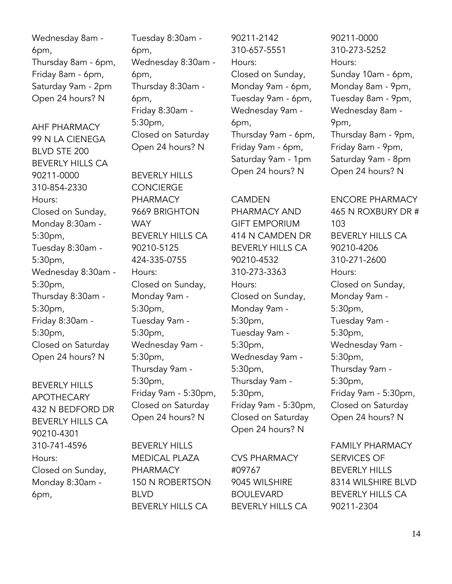Wednesday 8am - 6pm, Thursday 8am - 6pm, Friday 8am - 6pm, Saturday 9am - 2pm Open 24 hours? N

AHF PHARMACY 99 N LA CIENEGA BLVD STE 200 BEVERLY HILLS CA 90211-0000 310-854-2330 Hours: Closed on Sunday, Monday 8:30am - 5:30pm, Tuesday 8:30am - 5:30pm, Wednesday 8:30am - 5:30pm, Thursday 8:30am - 5:30pm, Friday 8:30am - 5:30pm, Closed on Saturday Open 24 hours? N

BEVERLY HILLS APOTHECARY 432 N BEDFORD DR BEVERLY HILLS CA 90210-4301 310-741-4596 Hours: Closed on Sunday, Monday 8:30am - 6pm,

Tuesday 8:30am - 6pm, Wednesday 8:30am - 6pm, Thursday 8:30am - 6pm, Friday 8:30am - 5:30pm, Closed on Saturday Open 24 hours? N

BEVERLY HILLS CONCIERGE PHARMACY 9669 BRIGHTON **WAY** BEVERLY HILLS CA 90210-5125 424-335-0755 Hours: Closed on Sunday, Monday 9am - 5:30pm, Tuesday 9am - 5:30pm, Wednesday 9am - 5:30pm, Thursday 9am - 5:30pm, Friday 9am - 5:30pm, Closed on Saturday Open 24 hours? N

BEVERLY HILLS MEDICAL PLAZA PHARMACY 150 N ROBERTSON BLVD BEVERLY HILLS CA

90211-2142 310-657-5551 Hours: Closed on Sunday, Monday 9am - 6pm, Tuesday 9am - 6pm, Wednesday 9am - 6pm, Thursday 9am - 6pm, Friday 9am - 6pm, Saturday 9am - 1pm Open 24 hours? N

#### CAMDEN

PHARMACY AND GIFT EMPORIUM 414 N CAMDEN DR BEVERLY HILLS CA 90210-4532 310-273-3363 Hours: Closed on Sunday, Monday 9am - 5:30pm, Tuesday 9am - 5:30pm, Wednesday 9am - 5:30pm, Thursday 9am - 5:30pm, Friday 9am - 5:30pm, Closed on Saturday Open 24 hours? N

CVS PHARMACY #09767 9045 WILSHIRE BOULEVARD BEVERLY HILLS CA

90211-0000 310-273-5252 Hours: Sunday 10am - 6pm, Monday 8am - 9pm, Tuesday 8am - 9pm, Wednesday 8am - 9pm, Thursday 8am - 9pm, Friday 8am - 9pm, Saturday 9am - 8pm Open 24 hours? N

ENCORE PHARMACY 465 N ROXBURY DR # 103 BEVERLY HILLS CA 90210-4206 310-271-2600 Hours: Closed on Sunday, Monday 9am - 5:30pm, Tuesday 9am - 5:30pm, Wednesday 9am - 5:30pm, Thursday 9am - 5:30pm, Friday 9am - 5:30pm, Closed on Saturday Open 24 hours? N

FAMILY PHARMACY SERVICES OF BEVERLY HILLS 8314 WILSHIRE BLVD BEVERLY HILLS CA 90211-2304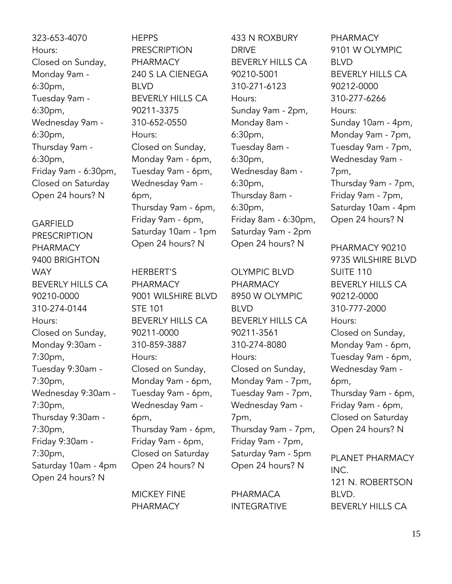323-653-4070 Hours: Closed on Sunday, Monday 9am - 6:30pm, Tuesday 9am - 6:30pm, Wednesday 9am - 6:30pm, Thursday 9am - 6:30pm, Friday 9am - 6:30pm, Closed on Saturday Open 24 hours? N

GARFIELD PRESCRIPTION PHARMACY 9400 BRIGHTON **WAY** BEVERLY HILLS CA 90210-0000 310-274-0144 Hours: Closed on Sunday, Monday 9:30am - 7:30pm, Tuesday 9:30am - 7:30pm, Wednesday 9:30am - 7:30pm, Thursday 9:30am - 7:30pm, Friday 9:30am - 7:30pm, Saturday 10am - 4pm Open 24 hours? N

**HEPPS** PRESCRIPTION PHARMACY 240 S LA CIENEGA BLVD BEVERLY HILLS CA 90211-3375 310-652-0550 Hours: Closed on Sunday, Monday 9am - 6pm, Tuesday 9am - 6pm, Wednesday 9am - 6pm, Thursday 9am - 6pm, Friday 9am - 6pm, Saturday 10am - 1pm Open 24 hours? N

HERBERT'S PHARMACY 9001 WILSHIRE BLVD STE 101 BEVERLY HILLS CA 90211-0000 310-859-3887 Hours: Closed on Sunday, Monday 9am - 6pm, Tuesday 9am - 6pm, Wednesday 9am - 6pm, Thursday 9am - 6pm, Friday 9am - 6pm, Closed on Saturday Open 24 hours? N

MICKEY FINE PHARMACY

433 N ROXBURY DRIVE BEVERLY HILLS CA 90210-5001 310-271-6123 Hours: Sunday 9am - 2pm, Monday 8am - 6:30pm, Tuesday 8am - 6:30pm, Wednesday 8am - 6:30pm, Thursday 8am - 6:30pm, Friday 8am - 6:30pm, Saturday 9am - 2pm Open 24 hours? N

OLYMPIC BLVD PHARMACY 8950 W OLYMPIC BLVD BEVERLY HILLS CA 90211-3561 310-274-8080 Hours: Closed on Sunday, Monday 9am - 7pm, Tuesday 9am - 7pm, Wednesday 9am - 7pm, Thursday 9am - 7pm, Friday 9am - 7pm, Saturday 9am - 5pm Open 24 hours? N

PHARMACA INTEGRATIVE

PHARMACY 9101 W OLYMPIC BLVD BEVERLY HILLS CA 90212-0000 310-277-6266 Hours: Sunday 10am - 4pm, Monday 9am - 7pm, Tuesday 9am - 7pm, Wednesday 9am - 7pm, Thursday 9am - 7pm, Friday 9am - 7pm, Saturday 10am - 4pm Open 24 hours? N

PHARMACY 90210 9735 WILSHIRE BLVD SUITE 110 BEVERLY HILLS CA 90212-0000 310-777-2000 Hours: Closed on Sunday, Monday 9am - 6pm, Tuesday 9am - 6pm, Wednesday 9am - 6pm, Thursday 9am - 6pm, Friday 9am - 6pm, Closed on Saturday Open 24 hours? N

PLANET PHARMACY INC. 121 N. ROBERTSON BLVD. BEVERLY HILLS CA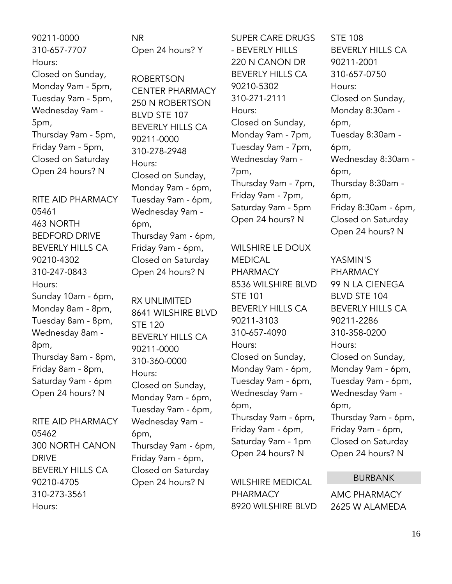90211-0000 310-657-7707 Hours: Closed on Sunday, Monday 9am - 5pm, Tuesday 9am - 5pm, Wednesday 9am - 5pm, Thursday 9am - 5pm, Friday 9am - 5pm, Closed on Saturday Open 24 hours? N

RITE AID PHARMACY 05461 463 NORTH BEDFORD DRIVE BEVERLY HILLS CA 90210-4302 310-247-0843 Hours: Sunday 10am - 6pm, Monday 8am - 8pm, Tuesday 8am - 8pm, Wednesday 8am - 8pm, Thursday 8am - 8pm, Friday 8am - 8pm, Saturday 9am - 6pm Open 24 hours? N

RITE AID PHARMACY 05462 300 NORTH CANON DRIVE BEVERLY HILLS CA 90210-4705 310-273-3561 Hours:

NR Open 24 hours? Y

ROBERTSON CENTER PHARMACY 250 N ROBERTSON BLVD STE 107 BEVERLY HILLS CA 90211-0000 310-278-2948 Hours: Closed on Sunday, Monday 9am - 6pm, Tuesday 9am - 6pm, Wednesday 9am - 6pm, Thursday 9am - 6pm, Friday 9am - 6pm, Closed on Saturday Open 24 hours? N

RX UNLIMITED 8641 WILSHIRE BLVD STE 120 BEVERLY HILLS CA 90211-0000 310-360-0000 Hours: Closed on Sunday, Monday 9am - 6pm, Tuesday 9am - 6pm, Wednesday 9am - 6pm, Thursday 9am - 6pm, Friday 9am - 6pm, Closed on Saturday Open 24 hours? N

SUPER CARE DRUGS - BEVERLY HILLS 220 N CANON DR BEVERLY HILLS CA 90210-5302 310-271-2111 Hours: Closed on Sunday, Monday 9am - 7pm, Tuesday 9am - 7pm, Wednesday 9am - 7pm, Thursday 9am - 7pm, Friday 9am - 7pm, Saturday 9am - 5pm Open 24 hours? N

WILSHIRE LE DOUX MEDICAL PHARMACY 8536 WILSHIRE BLVD STE 101 BEVERLY HILLS CA 90211-3103 310-657-4090 Hours: Closed on Sunday, Monday 9am - 6pm, Tuesday 9am - 6pm, Wednesday 9am - 6pm, Thursday 9am - 6pm, Friday 9am - 6pm, Saturday 9am - 1pm Open 24 hours? N

WILSHIRE MEDICAL PHARMACY 8920 WILSHIRE BLVD STE 108 BEVERLY HILLS CA 90211-2001 310-657-0750 Hours: Closed on Sunday, Monday 8:30am - 6pm, Tuesday 8:30am - 6pm, Wednesday 8:30am - 6pm, Thursday 8:30am - 6pm, Friday 8:30am - 6pm, Closed on Saturday Open 24 hours? N

YASMIN'S PHARMACY 99 N LA CIENEGA BLVD STE 104 BEVERLY HILLS CA 90211-2286 310-358-0200 Hours: Closed on Sunday, Monday 9am - 6pm, Tuesday 9am - 6pm, Wednesday 9am - 6pm, Thursday 9am - 6pm, Friday 9am - 6pm, Closed on Saturday Open 24 hours? N

#### BURBANK

AMC PHARMACY 2625 W ALAMEDA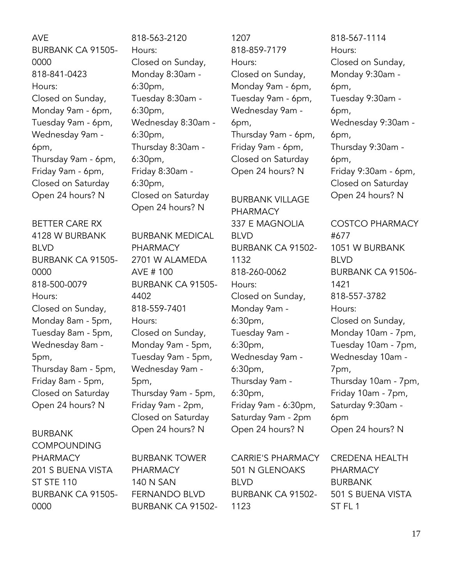AVE BURBANK CA 91505- 0000 818-841-0423 Hours: Closed on Sunday, Monday 9am - 6pm, Tuesday 9am - 6pm, Wednesday 9am - 6pm, Thursday 9am - 6pm, Friday 9am - 6pm, Closed on Saturday Open 24 hours? N

BETTER CARE RX 4128 W BURBANK BLVD BURBANK CA 91505- 0000 818-500-0079 Hours: Closed on Sunday, Monday 8am - 5pm, Tuesday 8am - 5pm, Wednesday 8am - 5pm, Thursday 8am - 5pm, Friday 8am - 5pm, Closed on Saturday Open 24 hours? N

#### BURBANK COMPOUNDING PHARMACY 201 S BUENA VISTA ST STE 110 BURBANK CA 91505- 0000

818-563-2120 Hours: Closed on Sunday, Monday 8:30am - 6:30pm, Tuesday 8:30am - 6:30pm, Wednesday 8:30am - 6:30pm, Thursday 8:30am - 6:30pm, Friday 8:30am - 6:30pm, Closed on Saturday Open 24 hours? N

BURBANK MEDICAL PHARMACY 2701 W ALAMEDA AVE # 100 BURBANK CA 91505- 4402 818-559-7401 Hours: Closed on Sunday, Monday 9am - 5pm, Tuesday 9am - 5pm, Wednesday 9am - 5pm, Thursday 9am - 5pm, Friday 9am - 2pm, Closed on Saturday Open 24 hours? N

BURBANK TOWER PHARMACY 140 N SAN FERNANDO BLVD BURBANK CA 91502-

1207 818-859-7179 Hours: Closed on Sunday, Monday 9am - 6pm, Tuesday 9am - 6pm, Wednesday 9am - 6pm, Thursday 9am - 6pm, Friday 9am - 6pm, Closed on Saturday Open 24 hours? N

BURBANK VILLAGE PHARMACY 337 E MAGNOLIA BLVD BURBANK CA 91502- 1132 818-260-0062 Hours: Closed on Sunday, Monday 9am - 6:30pm, Tuesday 9am - 6:30pm, Wednesday 9am - 6:30pm, Thursday 9am - 6:30pm, Friday 9am - 6:30pm, Saturday 9am - 2pm Open 24 hours? N

Tuesday 9:30am - 6pm, Wednesday 9:30am - 6pm, Thursday 9:30am - 6pm, Friday 9:30am - 6pm, Closed on Saturday Open 24 hours? N

818-567-1114

Closed on Sunday, Monday 9:30am -

Hours:

6pm,

COSTCO PHARMACY #677 1051 W BURBANK BLVD BURBANK CA 91506- 1421 818-557-3782 Hours: Closed on Sunday, Monday 10am - 7pm, Tuesday 10am - 7pm, Wednesday 10am - 7pm, Thursday 10am - 7pm, Friday 10am - 7pm, Saturday 9:30am - 6pm Open 24 hours? N

CARRIE'S PHARMACY 501 N GLENOAKS BLVD BURBANK CA 91502- 1123

CREDENA HEALTH PHARMACY BURBANK 501 S BUENA VISTA ST<sub>FL1</sub>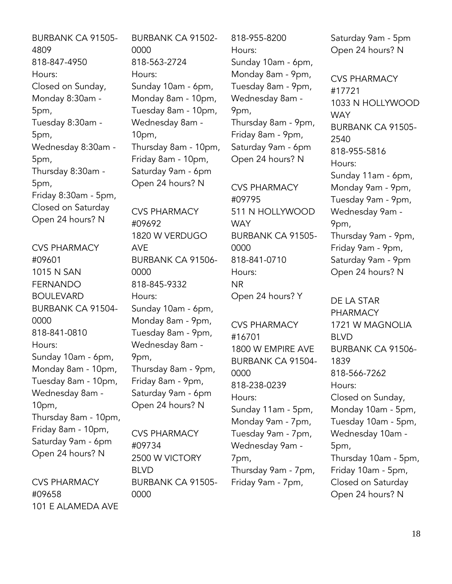BURBANK CA 91505- 4809 818-847-4950 Hours: Closed on Sunday, Monday 8:30am - 5pm, Tuesday 8:30am - 5pm, Wednesday 8:30am - 5pm, Thursday 8:30am - 5pm, Friday 8:30am - 5pm, Closed on Saturday Open 24 hours? N

CVS PHARMACY #09601 1015 N SAN FERNANDO BOULEVARD BURBANK CA 91504- 0000 818-841-0810 Hours: Sunday 10am - 6pm, Monday 8am - 10pm, Tuesday 8am - 10pm, Wednesday 8am - 10pm, Thursday 8am - 10pm, Friday 8am - 10pm, Saturday 9am - 6pm Open 24 hours? N

CVS PHARMACY #09658 101 E ALAMEDA AVE BURBANK CA 91502- 0000 818-563-2724 Hours: Sunday 10am - 6pm, Monday 8am - 10pm, Tuesday 8am - 10pm, Wednesday 8am - 10pm, Thursday 8am - 10pm, Friday 8am - 10pm, Saturday 9am - 6pm Open 24 hours? N

CVS PHARMACY #09692 1820 W VERDUGO AVE BURBANK CA 91506- 0000 818-845-9332 Hours: Sunday 10am - 6pm, Monday 8am - 9pm, Tuesday 8am - 9pm, Wednesday 8am - 9pm, Thursday 8am - 9pm, Friday 8am - 9pm, Saturday 9am - 6pm Open 24 hours? N

CVS PHARMACY #09734 2500 W VICTORY BLVD BURBANK CA 91505- 0000

818-955-8200 Hours: Sunday 10am - 6pm, Monday 8am - 9pm, Tuesday 8am - 9pm, Wednesday 8am - 9pm, Thursday 8am - 9pm, Friday 8am - 9pm, Saturday 9am - 6pm Open 24 hours? N

CVS PHARMACY #09795 511 N HOLLYWOOD **WAY** BURBANK CA 91505- 0000 818-841-0710 Hours: NR Open 24 hours? Y

CVS PHARMACY #16701 1800 W EMPIRE AVE BURBANK CA 91504- 0000 818-238-0239 Hours: Sunday 11am - 5pm, Monday 9am - 7pm, Tuesday 9am - 7pm, Wednesday 9am - 7pm, Thursday 9am - 7pm, Friday 9am - 7pm,

Saturday 9am - 5pm Open 24 hours? N

CVS PHARMACY #17721 1033 N HOLLYWOOD **WAY** BURBANK CA 91505- 2540 818-955-5816 Hours: Sunday 11am - 6pm, Monday 9am - 9pm, Tuesday 9am - 9pm, Wednesday 9am - 9pm, Thursday 9am - 9pm, Friday 9am - 9pm, Saturday 9am - 9pm Open 24 hours? N

DE LA STAR PHARMACY 1721 W MAGNOLIA BLVD BURBANK CA 91506- 1839 818-566-7262 Hours: Closed on Sunday, Monday 10am - 5pm, Tuesday 10am - 5pm, Wednesday 10am - 5pm, Thursday 10am - 5pm, Friday 10am - 5pm, Closed on Saturday Open 24 hours? N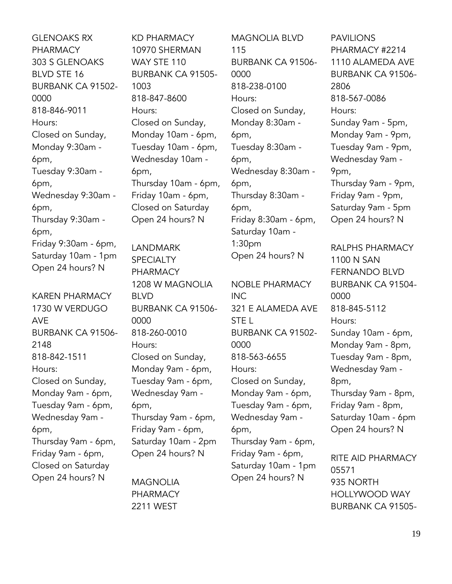GLENOAKS RX PHARMACY 303 S GLENOAKS BLVD STE 16 BURBANK CA 91502- 0000 818-846-9011 Hours: Closed on Sunday, Monday 9:30am - 6pm, Tuesday 9:30am - 6pm, Wednesday 9:30am - 6pm, Thursday 9:30am - 6pm, Friday 9:30am - 6pm, Saturday 10am - 1pm Open 24 hours? N

KAREN PHARMACY 1730 W VERDUGO AVE BURBANK CA 91506- 2148 818-842-1511 Hours: Closed on Sunday, Monday 9am - 6pm, Tuesday 9am - 6pm, Wednesday 9am - 6pm, Thursday 9am - 6pm, Friday 9am - 6pm, Closed on Saturday Open 24 hours? N

KD PHARMACY 10970 SHERMAN WAY STE 110 BURBANK CA 91505- 1003 818-847-8600 Hours: Closed on Sunday, Monday 10am - 6pm, Tuesday 10am - 6pm, Wednesday 10am - 6pm, Thursday 10am - 6pm, Friday 10am - 6pm, Closed on Saturday Open 24 hours? N

LANDMARK **SPECIALTY** PHARMACY 1208 W MAGNOLIA BLVD BURBANK CA 91506- 0000 818-260-0010 Hours: Closed on Sunday, Monday 9am - 6pm, Tuesday 9am - 6pm, Wednesday 9am - 6pm, Thursday 9am - 6pm, Friday 9am - 6pm, Saturday 10am - 2pm Open 24 hours? N

MAGNOLIA PHARMACY 2211 WEST

MAGNOLIA BLVD 115 BURBANK CA 91506- 0000 818-238-0100 Hours: Closed on Sunday, Monday 8:30am - 6pm, Tuesday 8:30am - 6pm, Wednesday 8:30am - 6pm, Thursday 8:30am - 6pm, Friday 8:30am - 6pm, Saturday 10am - 1:30pm Open 24 hours? N

NOBLE PHARMACY INC 321 E ALAMEDA AVE STE L BURBANK CA 91502- 0000 818-563-6655 Hours: Closed on Sunday, Monday 9am - 6pm, Tuesday 9am - 6pm, Wednesday 9am - 6pm, Thursday 9am - 6pm, Friday 9am - 6pm, Saturday 10am - 1pm

Open 24 hours? N

PAVILIONS PHARMACY #2214 1110 ALAMEDA AVE BURBANK CA 91506- 2806 818-567-0086 Hours: Sunday 9am - 5pm, Monday 9am - 9pm, Tuesday 9am - 9pm, Wednesday 9am - 9pm, Thursday 9am - 9pm, Friday 9am - 9pm, Saturday 9am - 5pm Open 24 hours? N RALPHS PHARMACY 1100 N SAN FERNANDO BLVD BURBANK CA 91504- 0000

818-845-5112 Hours: Sunday 10am - 6pm, Monday 9am - 8pm, Tuesday 9am - 8pm, Wednesday 9am - 8pm, Thursday 9am - 8pm, Friday 9am - 8pm, Saturday 10am - 6pm Open 24 hours? N

RITE AID PHARMACY 05571 935 NORTH HOLLYWOOD WAY BURBANK CA 91505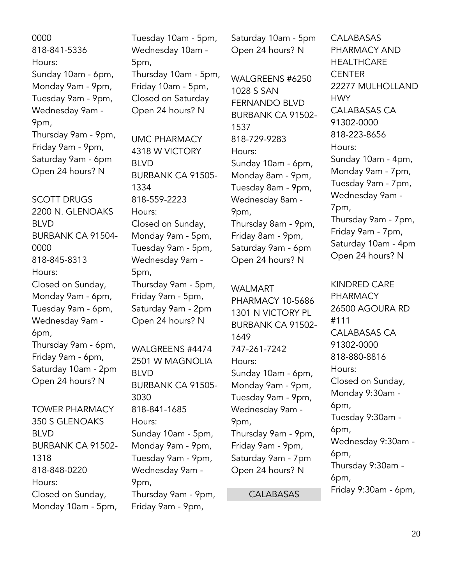0000 818-841-5336 Hours: Sunday 10am - 6pm, Monday 9am - 9pm, Tuesday 9am - 9pm, Wednesday 9am - 9pm, Thursday 9am - 9pm, Friday 9am - 9pm, Saturday 9am - 6pm Open 24 hours? N

SCOTT DRUGS 2200 N. GLENOAKS BLVD BURBANK CA 91504- 0000 818-845-8313 Hours: Closed on Sunday, Monday 9am - 6pm, Tuesday 9am - 6pm, Wednesday 9am - 6pm, Thursday 9am - 6pm, Friday 9am - 6pm, Saturday 10am - 2pm Open 24 hours? N TOWER PHARMACY

350 S GLENOAKS BLVD BURBANK CA 91502- 1318 818-848-0220 Hours: Closed on Sunday, Monday 10am - 5pm,

Tuesday 10am - 5pm, Wednesday 10am - 5pm, Thursday 10am - 5pm, Friday 10am - 5pm, Closed on Saturday Open 24 hours? N

UMC PHARMACY 4318 W VICTORY BLVD BURBANK CA 91505- 1334 818-559-2223 Hours: Closed on Sunday, Monday 9am - 5pm, Tuesday 9am - 5pm, Wednesday 9am - 5pm, Thursday 9am - 5pm, Friday 9am - 5pm, Saturday 9am - 2pm Open 24 hours? N

WALGREENS #4474 2501 W MAGNOLIA BLVD BURBANK CA 91505- 3030 818-841-1685 Hours: Sunday 10am - 5pm, Monday 9am - 9pm, Tuesday 9am - 9pm, Wednesday 9am - 9pm, Thursday 9am - 9pm, Friday 9am - 9pm,

Saturday 10am - 5pm Open 24 hours? N

WALGREENS #6250 1028 S SAN FERNANDO BLVD BURBANK CA 91502- 1537 818-729-9283 Hours: Sunday 10am - 6pm, Monday 8am - 9pm, Tuesday 8am - 9pm, Wednesday 8am - 9pm, Thursday 8am - 9pm, Friday 8am - 9pm, Saturday 9am - 6pm Open 24 hours? N

WALMART PHARMACY 10-5686 1301 N VICTORY PL BURBANK CA 91502- 1649 747-261-7242 Hours: Sunday 10am - 6pm, Monday 9am - 9pm, Tuesday 9am - 9pm, Wednesday 9am - 9pm, Thursday 9am - 9pm, Friday 9am - 9pm, Saturday 9am - 7pm Open 24 hours? N

**CALABASAS** 

**CALABASAS** PHARMACY AND **HEALTHCARE CENTER** 22277 MULHOLLAND HWY CALABASAS CA 91302-0000 818-223-8656 Hours: Sunday 10am - 4pm, Monday 9am - 7pm, Tuesday 9am - 7pm, Wednesday 9am - 7pm, Thursday 9am - 7pm, Friday 9am - 7pm, Saturday 10am - 4pm Open 24 hours? N

KINDRED CARE PHARMACY 26500 AGOURA RD #111 CALABASAS CA 91302-0000 818-880-8816 Hours: Closed on Sunday, Monday 9:30am - 6pm, Tuesday 9:30am - 6pm, Wednesday 9:30am - 6pm, Thursday 9:30am - 6pm, Friday 9:30am - 6pm,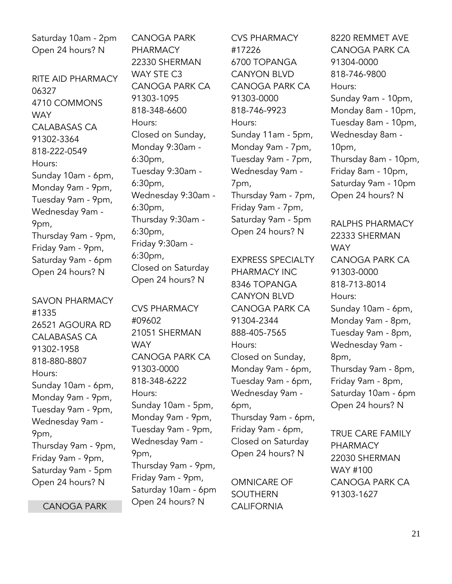Saturday 10am - 2pm Open 24 hours? N

RITE AID PHARMACY 06327 4710 COMMONS **WAY** CALABASAS CA 91302-3364 818-222-0549 Hours: Sunday 10am - 6pm, Monday 9am - 9pm, Tuesday 9am - 9pm, Wednesday 9am - 9pm, Thursday 9am - 9pm, Friday 9am - 9pm, Saturday 9am - 6pm Open 24 hours? N

SAVON PHARMACY #1335 26521 AGOURA RD CALABASAS CA 91302-1958 818-880-8807 Hours: Sunday 10am - 6pm, Monday 9am - 9pm, Tuesday 9am - 9pm, Wednesday 9am - 9pm, Thursday 9am - 9pm, Friday 9am - 9pm, Saturday 9am - 5pm Open 24 hours? N

CANOGA PARK

CANOGA PARK PHARMACY 22330 SHERMAN WAY STE C3 CANOGA PARK CA 91303-1095 818-348-6600 Hours: Closed on Sunday, Monday 9:30am - 6:30pm, Tuesday 9:30am - 6:30pm, Wednesday 9:30am - 6:30pm, Thursday 9:30am - 6:30pm, Friday 9:30am - 6:30pm, Closed on Saturday Open 24 hours? N

CVS PHARMACY #09602 21051 SHERMAN WAY CANOGA PARK CA 91303-0000 818-348-6222 Hours: Sunday 10am - 5pm, Monday 9am - 9pm, Tuesday 9am - 9pm, Wednesday 9am - 9pm, Thursday 9am - 9pm, Friday 9am - 9pm, Saturday 10am - 6pm Open 24 hours? N

CVS PHARMACY #17226 6700 TOPANGA CANYON BLVD CANOGA PARK CA 91303-0000 818-746-9923 Hours: Sunday 11am - 5pm, Monday 9am - 7pm, Tuesday 9am - 7pm, Wednesday 9am - 7pm, Thursday 9am - 7pm, Friday 9am - 7pm, Saturday 9am - 5pm Open 24 hours? N

EXPRESS SPECIALTY PHARMACY INC 8346 TOPANGA CANYON BLVD CANOGA PARK CA 91304-2344 888-405-7565 Hours: Closed on Sunday, Monday 9am - 6pm, Tuesday 9am - 6pm, Wednesday 9am - 6pm, Thursday 9am - 6pm, Friday 9am - 6pm, Closed on Saturday Open 24 hours? N

OMNICARE OF SOUTHERN CALIFORNIA

8220 REMMET AVE CANOGA PARK CA 91304-0000 818-746-9800 Hours: Sunday 9am - 10pm, Monday 8am - 10pm, Tuesday 8am - 10pm, Wednesday 8am - 10pm, Thursday 8am - 10pm, Friday 8am - 10pm, Saturday 9am - 10pm Open 24 hours? N

RALPHS PHARMACY 22333 SHERMAN **WAY** CANOGA PARK CA 91303-0000 818-713-8014 Hours: Sunday 10am - 6pm, Monday 9am - 8pm, Tuesday 9am - 8pm, Wednesday 9am - 8pm, Thursday 9am - 8pm, Friday 9am - 8pm, Saturday 10am - 6pm Open 24 hours? N

TRUE CARE FAMILY PHARMACY 22030 SHERMAN WAY #100 CANOGA PARK CA 91303-1627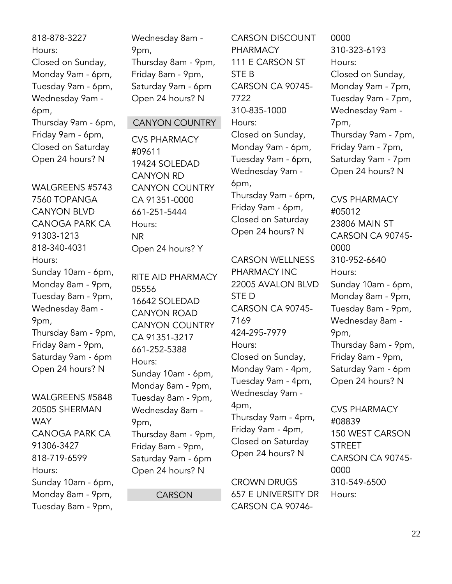818-878-3227 Hours: Closed on Sunday, Monday 9am - 6pm, Tuesday 9am - 6pm, Wednesday 9am - 6pm, Thursday 9am - 6pm, Friday 9am - 6pm, Closed on Saturday Open 24 hours? N

WALGREENS #5743 7560 TOPANGA CANYON BLVD CANOGA PARK CA 91303-1213 818-340-4031 Hours: Sunday 10am - 6pm, Monday 8am - 9pm, Tuesday 8am - 9pm, Wednesday 8am - 9pm, Thursday 8am - 9pm, Friday 8am - 9pm, Saturday 9am - 6pm Open 24 hours? N

WALGREENS #5848 20505 SHERMAN **WAY** CANOGA PARK CA 91306-3427 818-719-6599 Hours: Sunday 10am - 6pm, Monday 8am - 9pm, Tuesday 8am - 9pm,

Wednesday 8am - 9pm, Thursday 8am - 9pm, Friday 8am - 9pm, Saturday 9am - 6pm Open 24 hours? N

#### CANYON COUNTRY

CVS PHARMACY #09611 19424 SOLEDAD CANYON RD CANYON COUNTRY CA 91351-0000 661-251-5444 Hours: NR Open 24 hours? Y

RITE AID PHARMACY 05556 16642 SOLEDAD CANYON ROAD CANYON COUNTRY CA 91351-3217 661-252-5388 Hours: Sunday 10am - 6pm, Monday 8am - 9pm, Tuesday 8am - 9pm, Wednesday 8am - 9pm, Thursday 8am - 9pm, Friday 8am - 9pm, Saturday 9am - 6pm Open 24 hours? N

**CARSON** 

CARSON DISCOUNT PHARMACY 111 E CARSON ST STE B CARSON CA 90745- 7722 310-835-1000 Hours: Closed on Sunday, Monday 9am - 6pm, Tuesday 9am - 6pm, Wednesday 9am - 6pm, Thursday 9am - 6pm, Friday 9am - 6pm, Closed on Saturday Open 24 hours? N

CARSON WELLNESS PHARMACY INC 22005 AVALON BLVD STE D CARSON CA 90745- 7169 424-295-7979 Hours: Closed on Sunday, Monday 9am - 4pm, Tuesday 9am - 4pm, Wednesday 9am - 4pm, Thursday 9am - 4pm, Friday 9am - 4pm, Closed on Saturday Open 24 hours? N

CROWN DRUGS 657 E UNIVERSITY DR CARSON CA 90746-

0000 310-323-6193 Hours: Closed on Sunday, Monday 9am - 7pm, Tuesday 9am - 7pm, Wednesday 9am - 7pm, Thursday 9am - 7pm, Friday 9am - 7pm, Saturday 9am - 7pm Open 24 hours? N

CVS PHARMACY #05012 23806 MAIN ST CARSON CA 90745- 0000 310-952-6640 Hours: Sunday 10am - 6pm, Monday 8am - 9pm, Tuesday 8am - 9pm, Wednesday 8am - 9pm, Thursday 8am - 9pm, Friday 8am - 9pm, Saturday 9am - 6pm Open 24 hours? N

CVS PHARMACY #08839 150 WEST CARSON STREET CARSON CA 90745- 0000 310-549-6500 Hours: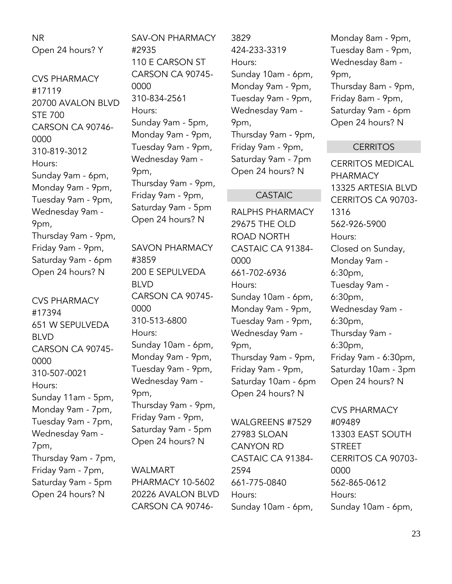NR Open 24 hours? Y

CVS PHARMACY #17119 20700 AVALON BLVD STE 700 CARSON CA 90746- 0000 310-819-3012 Hours: Sunday 9am - 6pm, Monday 9am - 9pm, Tuesday 9am - 9pm, Wednesday 9am - 9pm, Thursday 9am - 9pm, Friday 9am - 9pm, Saturday 9am - 6pm Open 24 hours? N

CVS PHARMACY #17394 651 W SEPULVEDA BLVD CARSON CA 90745- 0000 310-507-0021 Hours: Sunday 11am - 5pm, Monday 9am - 7pm, Tuesday 9am - 7pm, Wednesday 9am - 7pm, Thursday 9am - 7pm, Friday 9am - 7pm, Saturday 9am - 5pm Open 24 hours? N

SAV-ON PHARMACY #2935 110 E CARSON ST CARSON CA 90745- 0000 310-834-2561 Hours: Sunday 9am - 5pm, Monday 9am - 9pm, Tuesday 9am - 9pm, Wednesday 9am - 9pm, Thursday 9am - 9pm, Friday 9am - 9pm, Saturday 9am - 5pm Open 24 hours? N

SAVON PHARMACY #3859 200 E SEPULVEDA BLVD CARSON CA 90745- 0000 310-513-6800 Hours: Sunday 10am - 6pm, Monday 9am - 9pm, Tuesday 9am - 9pm, Wednesday 9am - 9pm, Thursday 9am - 9pm, Friday 9am - 9pm, Saturday 9am - 5pm Open 24 hours? N

WALMART PHARMACY 10-5602 20226 AVALON BLVD CARSON CA 907463829 424-233-3319 Hours: Sunday 10am - 6pm, Monday 9am - 9pm, Tuesday 9am - 9pm, Wednesday 9am - 9pm, Thursday 9am - 9pm, Friday 9am - 9pm, Saturday 9am - 7pm Open 24 hours? N

#### CASTAIC

RALPHS PHARMACY 29675 THE OLD ROAD NORTH CASTAIC CA 91384- 0000 661-702-6936 Hours: Sunday 10am - 6pm, Monday 9am - 9pm, Tuesday 9am - 9pm, Wednesday 9am - 9pm, Thursday 9am - 9pm, Friday 9am - 9pm, Saturday 10am - 6pm Open 24 hours? N

WALGREENS #7529 27983 SLOAN CANYON RD CASTAIC CA 91384- 2594 661-775-0840 Hours: Sunday 10am - 6pm, Monday 8am - 9pm, Tuesday 8am - 9pm, Wednesday 8am - 9pm, Thursday 8am - 9pm, Friday 8am - 9pm, Saturday 9am - 6pm Open 24 hours? N

#### **CERRITOS**

CERRITOS MEDICAL PHARMACY 13325 ARTESIA BLVD CERRITOS CA 90703- 1316 562-926-5900 Hours: Closed on Sunday, Monday 9am - 6:30pm, Tuesday 9am - 6:30pm, Wednesday 9am - 6:30pm, Thursday 9am - 6:30pm, Friday 9am - 6:30pm, Saturday 10am - 3pm Open 24 hours? N

CVS PHARMACY #09489 13303 EAST SOUTH STREET CERRITOS CA 90703- 0000 562-865-0612 Hours: Sunday 10am - 6pm,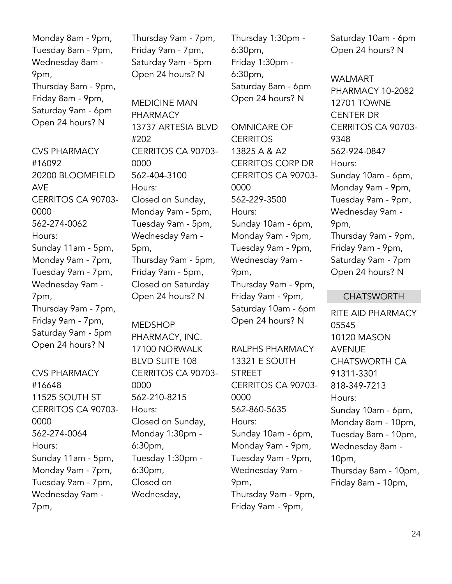Monday 8am - 9pm, Tuesday 8am - 9pm, Wednesday 8am - 9pm, Thursday 8am - 9pm, Friday 8am - 9pm, Saturday 9am - 6pm Open 24 hours? N

CVS PHARMACY #16092 20200 BLOOMFIELD AVE CERRITOS CA 90703- 0000 562-274-0062 Hours: Sunday 11am - 5pm, Monday 9am - 7pm, Tuesday 9am - 7pm, Wednesday 9am - 7pm, Thursday 9am - 7pm, Friday 9am - 7pm, Saturday 9am - 5pm Open 24 hours? N

CVS PHARMACY #16648 11525 SOUTH ST CERRITOS CA 90703- 0000 562-274-0064 Hours: Sunday 11am - 5pm, Monday 9am - 7pm, Tuesday 9am - 7pm, Wednesday 9am - 7pm,

Thursday 9am - 7pm, Friday 9am - 7pm, Saturday 9am - 5pm Open 24 hours? N

MEDICINE MAN PHARMACY 13737 ARTESIA BLVD #202 CERRITOS CA 90703- 0000 562-404-3100 Hours: Closed on Sunday, Monday 9am - 5pm, Tuesday 9am - 5pm, Wednesday 9am - 5pm, Thursday 9am - 5pm, Friday 9am - 5pm, Closed on Saturday Open 24 hours? N

MEDSHOP PHARMACY, INC. 17100 NORWALK BLVD SUITE 108 CERRITOS CA 90703- 0000 562-210-8215 Hours: Closed on Sunday, Monday 1:30pm - 6:30pm, Tuesday 1:30pm - 6:30pm, Closed on Wednesday,

Thursday 1:30pm - 6:30pm, Friday 1:30pm - 6:30pm, Saturday 8am - 6pm Open 24 hours? N

OMNICARE OF **CERRITOS** 13825 A & A2 CERRITOS CORP DR CERRITOS CA 90703- 0000 562-229-3500 Hours: Sunday 10am - 6pm, Monday 9am - 9pm, Tuesday 9am - 9pm, Wednesday 9am - 9pm, Thursday 9am - 9pm, Friday 9am - 9pm, Saturday 10am - 6pm Open 24 hours? N

RALPHS PHARMACY 13321 E SOUTH STREET CERRITOS CA 90703- 0000 562-860-5635 Hours: Sunday 10am - 6pm, Monday 9am - 9pm, Tuesday 9am - 9pm, Wednesday 9am - 9pm, Thursday 9am - 9pm, Friday 9am - 9pm,

Saturday 10am - 6pm Open 24 hours? N

WALMART PHARMACY 10-2082 12701 TOWNE CENTER DR CERRITOS CA 90703- 9348 562-924-0847 Hours: Sunday 10am - 6pm, Monday 9am - 9pm, Tuesday 9am - 9pm, Wednesday 9am - 9pm, Thursday 9am - 9pm, Friday 9am - 9pm, Saturday 9am - 7pm Open 24 hours? N

#### CHATSWORTH

RITE AID PHARMACY 05545 10120 MASON AVENUE CHATSWORTH CA 91311-3301 818-349-7213 Hours: Sunday 10am - 6pm, Monday 8am - 10pm, Tuesday 8am - 10pm, Wednesday 8am - 10pm, Thursday 8am - 10pm, Friday 8am - 10pm,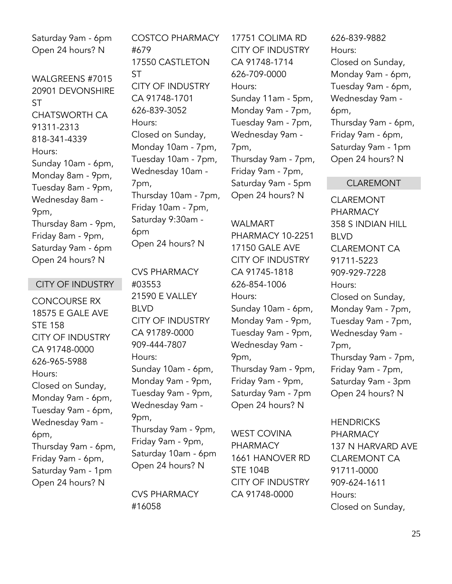Saturday 9am - 6pm Open 24 hours? N

WALGREENS #7015 20901 DEVONSHIRE ST CHATSWORTH CA 91311-2313 818-341-4339 Hours: Sunday 10am - 6pm, Monday 8am - 9pm, Tuesday 8am - 9pm, Wednesday 8am - 9pm, Thursday 8am - 9pm, Friday 8am - 9pm, Saturday 9am - 6pm Open 24 hours? N

#### CITY OF INDUSTRY

CONCOURSE RX 18575 E GALE AVE STE 158 CITY OF INDUSTRY CA 91748-0000 626-965-5988 Hours: Closed on Sunday, Monday 9am - 6pm, Tuesday 9am - 6pm, Wednesday 9am - 6pm, Thursday 9am - 6pm, Friday 9am - 6pm, Saturday 9am - 1pm Open 24 hours? N

COSTCO PHARMACY #679 17550 CASTLETON ST CITY OF INDUSTRY CA 91748-1701 626-839-3052 Hours: Closed on Sunday, Monday 10am - 7pm, Tuesday 10am - 7pm, Wednesday 10am - 7pm, Thursday 10am - 7pm, Friday 10am - 7pm, Saturday 9:30am - 6pm Open 24 hours? N

CVS PHARMACY #03553 21590 E VALLEY BLVD CITY OF INDUSTRY CA 91789-0000 909-444-7807 Hours: Sunday 10am - 6pm, Monday 9am - 9pm, Tuesday 9am - 9pm, Wednesday 9am - 9pm, Thursday 9am - 9pm, Friday 9am - 9pm, Saturday 10am - 6pm Open 24 hours? N

CVS PHARMACY #16058

17751 COLIMA RD CITY OF INDUSTRY CA 91748-1714 626-709-0000 Hours: Sunday 11am - 5pm, Monday 9am - 7pm, Tuesday 9am - 7pm, Wednesday 9am - 7pm, Thursday 9am - 7pm, Friday 9am - 7pm, Saturday 9am - 5pm Open 24 hours? N

WALMART PHARMACY 10-2251 17150 GALE AVE CITY OF INDUSTRY CA 91745-1818 626-854-1006 Hours: Sunday 10am - 6pm, Monday 9am - 9pm, Tuesday 9am - 9pm, Wednesday 9am - 9pm, Thursday 9am - 9pm, Friday 9am - 9pm, Saturday 9am - 7pm Open 24 hours? N

WEST COVINA PHARMACY 1661 HANOVER RD STE 104B CITY OF INDUSTRY CA 91748-0000

626-839-9882 Hours: Closed on Sunday, Monday 9am - 6pm, Tuesday 9am - 6pm, Wednesday 9am - 6pm, Thursday 9am - 6pm, Friday 9am - 6pm, Saturday 9am - 1pm Open 24 hours? N

#### CLAREMONT

CLAREMONT PHARMACY 358 S INDIAN HILL BLVD CLAREMONT CA 91711-5223 909-929-7228 Hours: Closed on Sunday, Monday 9am - 7pm, Tuesday 9am - 7pm, Wednesday 9am - 7pm, Thursday 9am - 7pm, Friday 9am - 7pm, Saturday 9am - 3pm Open 24 hours? N

**HENDRICKS** PHARMACY 137 N HARVARD AVE CLAREMONT CA 91711-0000 909-624-1611 Hours: Closed on Sunday,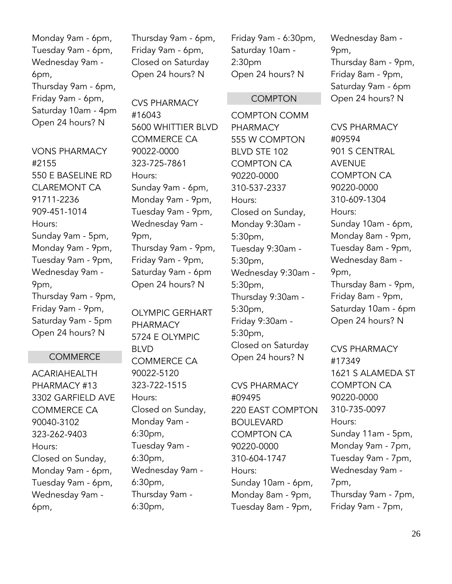Monday 9am - 6pm, Tuesday 9am - 6pm, Wednesday 9am - 6pm, Thursday 9am - 6pm, Friday 9am - 6pm, Saturday 10am - 4pm Open 24 hours? N

VONS PHARMACY #2155 550 E BASELINE RD CLAREMONT CA 91711-2236 909-451-1014 Hours: Sunday 9am - 5pm, Monday 9am - 9pm, Tuesday 9am - 9pm, Wednesday 9am - 9pm, Thursday 9am - 9pm, Friday 9am - 9pm, Saturday 9am - 5pm Open 24 hours? N

#### **COMMERCE**

ACARIAHEALTH PHARMACY #13 3302 GARFIELD AVE COMMERCE CA 90040-3102 323-262-9403 Hours: Closed on Sunday, Monday 9am - 6pm, Tuesday 9am - 6pm, Wednesday 9am - 6pm,

Thursday 9am - 6pm, Friday 9am - 6pm, Closed on Saturday Open 24 hours? N

CVS PHARMACY #16043 5600 WHITTIER BLVD COMMERCE CA 90022-0000 323-725-7861 Hours: Sunday 9am - 6pm, Monday 9am - 9pm, Tuesday 9am - 9pm, Wednesday 9am - 9pm, Thursday 9am - 9pm, Friday 9am - 9pm, Saturday 9am - 6pm Open 24 hours? N

OLYMPIC GERHART PHARMACY 5724 E OLYMPIC BLVD COMMERCE CA 90022-5120 323-722-1515 Hours: Closed on Sunday, Monday 9am - 6:30pm, Tuesday 9am - 6:30pm, Wednesday 9am - 6:30pm, Thursday 9am - 6:30pm,

Friday 9am - 6:30pm, Saturday 10am - 2:30pm Open 24 hours? N

#### COMPTON

COMPTON COMM PHARMACY 555 W COMPTON BLVD STE 102 COMPTON CA 90220-0000 310-537-2337 Hours: Closed on Sunday, Monday 9:30am - 5:30pm, Tuesday 9:30am - 5:30pm, Wednesday 9:30am - 5:30pm, Thursday 9:30am - 5:30pm, Friday 9:30am - 5:30pm, Closed on Saturday Open 24 hours? N

CVS PHARMACY #09495 220 EAST COMPTON BOULEVARD COMPTON CA 90220-0000 310-604-1747 Hours: Sunday 10am - 6pm, Monday 8am - 9pm, Tuesday 8am - 9pm,

Wednesday 8am - 9pm, Thursday 8am - 9pm, Friday 8am - 9pm, Saturday 9am - 6pm Open 24 hours? N

CVS PHARMACY #09594 901 S CENTRAL AVENUE COMPTON CA 90220-0000 310-609-1304 Hours: Sunday 10am - 6pm, Monday 8am - 9pm, Tuesday 8am - 9pm, Wednesday 8am - 9pm, Thursday 8am - 9pm, Friday 8am - 9pm, Saturday 10am - 6pm Open 24 hours? N

CVS PHARMACY #17349 1621 S ALAMEDA ST COMPTON CA 90220-0000 310-735-0097 Hours: Sunday 11am - 5pm, Monday 9am - 7pm, Tuesday 9am - 7pm, Wednesday 9am - 7pm, Thursday 9am - 7pm, Friday 9am - 7pm,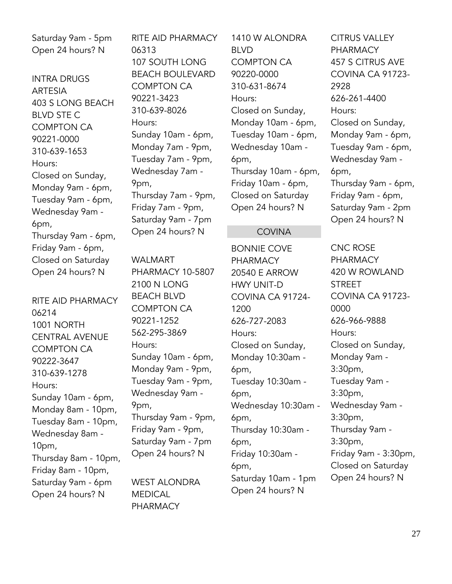Saturday 9am - 5pm Open 24 hours? N

INTRA DRUGS ARTESIA 403 S LONG BEACH BLVD STE C COMPTON CA 90221-0000 310-639-1653 Hours: Closed on Sunday, Monday 9am - 6pm, Tuesday 9am - 6pm, Wednesday 9am - 6pm, Thursday 9am - 6pm, Friday 9am - 6pm, Closed on Saturday Open 24 hours? N

RITE AID PHARMACY 06214 1001 NORTH CENTRAL AVENUE COMPTON CA 90222-3647 310-639-1278 Hours: Sunday 10am - 6pm, Monday 8am - 10pm, Tuesday 8am - 10pm, Wednesday 8am - 10pm, Thursday 8am - 10pm, Friday 8am - 10pm, Saturday 9am - 6pm Open 24 hours? N

RITE AID PHARMACY 06313 107 SOUTH LONG BEACH BOULEVARD COMPTON CA 90221-3423 310-639-8026 Hours: Sunday 10am - 6pm, Monday 7am - 9pm, Tuesday 7am - 9pm, Wednesday 7am - 9pm, Thursday 7am - 9pm, Friday 7am - 9pm, Saturday 9am - 7pm Open 24 hours? N

WALMART PHARMACY 10-5807 2100 N LONG BEACH BLVD COMPTON CA 90221-1252 562-295-3869 Hours: Sunday 10am - 6pm, Monday 9am - 9pm, Tuesday 9am - 9pm, Wednesday 9am - 9pm, Thursday 9am - 9pm, Friday 9am - 9pm, Saturday 9am - 7pm Open 24 hours? N

WEST ALONDRA MEDICAL PHARMACY

1410 W ALONDRA BLVD COMPTON CA 90220-0000 310-631-8674 Hours: Closed on Sunday, Monday 10am - 6pm, Tuesday 10am - 6pm, Wednesday 10am - 6pm, Thursday 10am - 6pm, Friday 10am - 6pm, Closed on Saturday Open 24 hours? N

#### **COVINA**

BONNIE COVE PHARMACY 20540 E ARROW HWY UNIT-D COVINA CA 91724- 1200 626-727-2083 Hours: Closed on Sunday, Monday 10:30am - 6pm, Tuesday 10:30am - 6pm, Wednesday 10:30am - 6pm, Thursday 10:30am - 6pm, Friday 10:30am - 6pm, Saturday 10am - 1pm Open 24 hours? N

CITRUS VALLEY **PHARMACY** 457 S CITRUS AVE COVINA CA 91723- 2928 626-261-4400 Hours: Closed on Sunday, Monday 9am - 6pm, Tuesday 9am - 6pm, Wednesday 9am - 6pm, Thursday 9am - 6pm, Friday 9am - 6pm, Saturday 9am - 2pm Open 24 hours? N

CNC ROSE PHARMACY 420 W ROWLAND STREET COVINA CA 91723- 0000 626-966-9888 Hours: Closed on Sunday, Monday 9am - 3:30pm, Tuesday 9am - 3:30pm, Wednesday 9am - 3:30pm, Thursday 9am - 3:30pm, Friday 9am - 3:30pm, Closed on Saturday Open 24 hours? N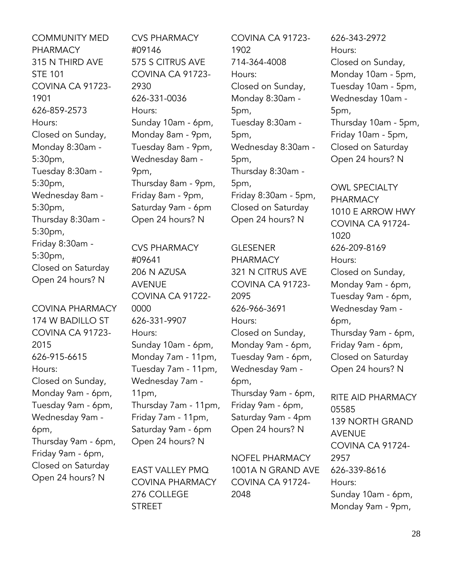COMMUNITY MED PHARMACY 315 N THIRD AVE STE 101 COVINA CA 91723- 1901 626-859-2573 Hours: Closed on Sunday, Monday 8:30am - 5:30pm, Tuesday 8:30am - 5:30pm, Wednesday 8am - 5:30pm, Thursday 8:30am - 5:30pm, Friday 8:30am - 5:30pm, Closed on Saturday Open 24 hours? N

COVINA PHARMACY 174 W BADILLO ST COVINA CA 91723- 2015 626-915-6615 Hours: Closed on Sunday, Monday 9am - 6pm, Tuesday 9am - 6pm, Wednesday 9am - 6pm, Thursday 9am - 6pm, Friday 9am - 6pm, Closed on Saturday Open 24 hours? N

CVS PHARMACY #09146 575 S CITRUS AVE COVINA CA 91723- 2930 626-331-0036 Hours: Sunday 10am - 6pm, Monday 8am - 9pm, Tuesday 8am - 9pm, Wednesday 8am - 9pm, Thursday 8am - 9pm, Friday 8am - 9pm, Saturday 9am - 6pm Open 24 hours? N

CVS PHARMACY #09641 206 N AZUSA AVENUE COVINA CA 91722- 0000 626-331-9907 Hours: Sunday 10am - 6pm, Monday 7am - 11pm, Tuesday 7am - 11pm, Wednesday 7am - 11pm, Thursday 7am - 11pm, Friday 7am - 11pm, Saturday 9am - 6pm Open 24 hours? N

EAST VALLEY PMQ COVINA PHARMACY 276 COLLEGE **STREET** 

COVINA CA 91723- 1902 714-364-4008 Hours: Closed on Sunday, Monday 8:30am - 5pm, Tuesday 8:30am - 5pm, Wednesday 8:30am - 5pm, Thursday 8:30am - 5pm, Friday 8:30am - 5pm, Closed on Saturday Open 24 hours? N

**GLESENER** PHARMACY 321 N CITRUS AVE COVINA CA 91723- 2095 626-966-3691 Hours: Closed on Sunday, Monday 9am - 6pm, Tuesday 9am - 6pm, Wednesday 9am - 6pm, Thursday 9am - 6pm, Friday 9am - 6pm, Saturday 9am - 4pm Open 24 hours? N

NOFEL PHARMACY 1001A N GRAND AVE COVINA CA 91724- 2048

626-343-2972 Hours: Closed on Sunday, Monday 10am - 5pm, Tuesday 10am - 5pm, Wednesday 10am - 5pm, Thursday 10am - 5pm, Friday 10am - 5pm, Closed on Saturday Open 24 hours? N

OWL SPECIALTY PHARMACY 1010 E ARROW HWY COVINA CA 91724- 1020 626-209-8169 Hours: Closed on Sunday, Monday 9am - 6pm, Tuesday 9am - 6pm, Wednesday 9am - 6pm, Thursday 9am - 6pm, Friday 9am - 6pm, Closed on Saturday Open 24 hours? N

RITE AID PHARMACY 05585 139 NORTH GRAND AVENUE COVINA CA 91724- 2957 626-339-8616 Hours: Sunday 10am - 6pm, Monday 9am - 9pm,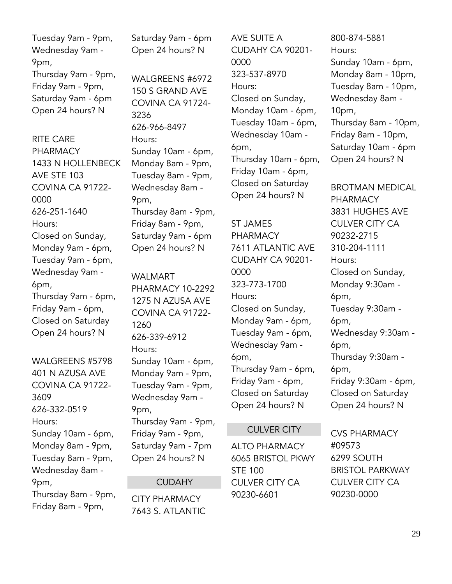Tuesday 9am - 9pm, Wednesday 9am - 9pm, Thursday 9am - 9pm, Friday 9am - 9pm, Saturday 9am - 6pm Open 24 hours? N

RITE CARE PHARMACY 1433 N HOLLENBECK AVE STE 103 COVINA CA 91722- 0000 626-251-1640 Hours: Closed on Sunday, Monday 9am - 6pm, Tuesday 9am - 6pm, Wednesday 9am - 6pm, Thursday 9am - 6pm, Friday 9am - 6pm, Closed on Saturday Open 24 hours? N

WALGREENS #5798 401 N AZUSA AVE COVINA CA 91722- 3609 626-332-0519 Hours: Sunday 10am - 6pm, Monday 8am - 9pm, Tuesday 8am - 9pm, Wednesday 8am - 9pm, Thursday 8am - 9pm, Friday 8am - 9pm,

Saturday 9am - 6pm Open 24 hours? N

WALGREENS #6972 150 S GRAND AVE COVINA CA 91724- 3236 626-966-8497 Hours: Sunday 10am - 6pm, Monday 8am - 9pm, Tuesday 8am - 9pm, Wednesday 8am - 9pm, Thursday 8am - 9pm, Friday 8am - 9pm, Saturday 9am - 6pm Open 24 hours? N

WALMART PHARMACY 10-2292 1275 N AZUSA AVE COVINA CA 91722- 1260 626-339-6912 Hours: Sunday 10am - 6pm, Monday 9am - 9pm, Tuesday 9am - 9pm, Wednesday 9am - 9pm, Thursday 9am - 9pm, Friday 9am - 9pm, Saturday 9am - 7pm Open 24 hours? N

#### **CUDAHY**

CITY PHARMACY 7643 S. ATLANTIC AVE SUITE A CUDAHY CA 90201- 0000 323-537-8970 Hours: Closed on Sunday, Monday 10am - 6pm, Tuesday 10am - 6pm, Wednesday 10am - 6pm, Thursday 10am - 6pm, Friday 10am - 6pm, Closed on Saturday Open 24 hours? N

ST JAMES PHARMACY 7611 ATLANTIC AVE CUDAHY CA 90201- 0000 323-773-1700 Hours: Closed on Sunday, Monday 9am - 6pm, Tuesday 9am - 6pm, Wednesday 9am - 6pm, Thursday 9am - 6pm, Friday 9am - 6pm, Closed on Saturday Open 24 hours? N

#### CULVER CITY

ALTO PHARMACY 6065 BRISTOL PKWY STE 100 CULVER CITY CA 90230-6601

800-874-5881 Hours: Sunday 10am - 6pm, Monday 8am - 10pm, Tuesday 8am - 10pm, Wednesday 8am - 10pm, Thursday 8am - 10pm, Friday 8am - 10pm, Saturday 10am - 6pm Open 24 hours? N

BROTMAN MEDICAL PHARMACY 3831 HUGHES AVE CULVER CITY CA 90232-2715 310-204-1111 Hours: Closed on Sunday, Monday 9:30am - 6pm, Tuesday 9:30am - 6pm, Wednesday 9:30am - 6pm, Thursday 9:30am - 6pm, Friday 9:30am - 6pm, Closed on Saturday Open 24 hours? N

CVS PHARMACY #09573 6299 SOUTH BRISTOL PARKWAY CULVER CITY CA 90230-0000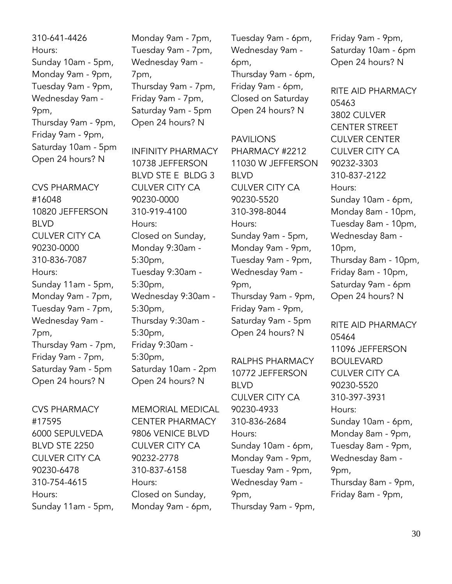310-641-4426 Hours: Sunday 10am - 5pm, Monday 9am - 9pm, Tuesday 9am - 9pm, Wednesday 9am - 9pm, Thursday 9am - 9pm, Friday 9am - 9pm, Saturday 10am - 5pm Open 24 hours? N

CVS PHARMACY #16048 10820 JEFFERSON BLVD CULVER CITY CA 90230-0000 310-836-7087 Hours: Sunday 11am - 5pm, Monday 9am - 7pm, Tuesday 9am - 7pm, Wednesday 9am - 7pm, Thursday 9am - 7pm, Friday 9am - 7pm, Saturday 9am - 5pm Open 24 hours? N

CVS PHARMACY #17595 6000 SEPULVEDA BLVD STE 2250 CULVER CITY CA 90230-6478 310-754-4615 Hours: Sunday 11am - 5pm, Monday 9am - 7pm, Tuesday 9am - 7pm, Wednesday 9am - 7pm, Thursday 9am - 7pm, Friday 9am - 7pm, Saturday 9am - 5pm Open 24 hours? N

INFINITY PHARMACY 10738 JEFFERSON BLVD STE E BLDG 3 CULVER CITY CA 90230-0000 310-919-4100 Hours: Closed on Sunday, Monday 9:30am - 5:30pm, Tuesday 9:30am - 5:30pm, Wednesday 9:30am - 5:30pm, Thursday 9:30am - 5:30pm, Friday 9:30am - 5:30pm, Saturday 10am - 2pm Open 24 hours? N

MEMORIAL MEDICAL CENTER PHARMACY 9806 VENICE BLVD CULVER CITY CA 90232-2778 310-837-6158 Hours: Closed on Sunday, Monday 9am - 6pm,

Tuesday 9am - 6pm, Wednesday 9am - 6pm, Thursday 9am - 6pm, Friday 9am - 6pm, Closed on Saturday Open 24 hours? N

PAVILIONS PHARMACY #2212 11030 W JEFFERSON BLVD CULVER CITY CA 90230-5520 310-398-8044 Hours: Sunday 9am - 5pm, Monday 9am - 9pm, Tuesday 9am - 9pm, Wednesday 9am - 9pm, Thursday 9am - 9pm, Friday 9am - 9pm, Saturday 9am - 5pm Open 24 hours? N

RALPHS PHARMACY 10772 JEFFERSON BLVD CULVER CITY CA 90230-4933 310-836-2684 Hours: Sunday 10am - 6pm, Monday 9am - 9pm, Tuesday 9am - 9pm, Wednesday 9am - 9pm, Thursday 9am - 9pm, Friday 9am - 9pm, Saturday 10am - 6pm Open 24 hours? N

RITE AID PHARMACY 05463 3802 CULVER CENTER STREET CULVER CENTER CULVER CITY CA 90232-3303 310-837-2122 Hours: Sunday 10am - 6pm, Monday 8am - 10pm, Tuesday 8am - 10pm, Wednesday 8am - 10pm, Thursday 8am - 10pm, Friday 8am - 10pm, Saturday 9am - 6pm Open 24 hours? N

RITE AID PHARMACY 05464 11096 JEFFERSON BOULEVARD CULVER CITY CA 90230-5520 310-397-3931 Hours: Sunday 10am - 6pm, Monday 8am - 9pm, Tuesday 8am - 9pm, Wednesday 8am - 9pm, Thursday 8am - 9pm, Friday 8am - 9pm,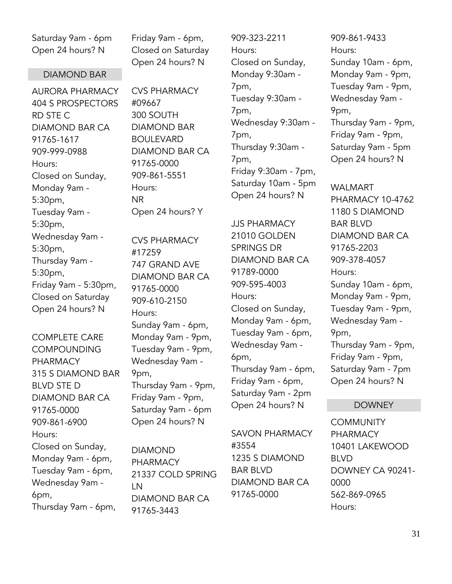Saturday 9am - 6pm Open 24 hours? N

#### DIAMOND BAR

AURORA PHARMACY 404 S PROSPECTORS RD STE C DIAMOND BAR CA 91765-1617 909-999-0988 Hours: Closed on Sunday, Monday 9am - 5:30pm, Tuesday 9am - 5:30pm, Wednesday 9am - 5:30pm, Thursday 9am - 5:30pm, Friday 9am - 5:30pm, Closed on Saturday Open 24 hours? N

COMPLETE CARE **COMPOUNDING** PHARMACY 315 S DIAMOND BAR BLVD STE D DIAMOND BAR CA 91765-0000 909-861-6900 Hours: Closed on Sunday, Monday 9am - 6pm, Tuesday 9am - 6pm, Wednesday 9am - 6pm, Thursday 9am - 6pm,

Friday 9am - 6pm, Closed on Saturday Open 24 hours? N

CVS PHARMACY #09667 300 SOUTH DIAMOND BAR BOULEVARD DIAMOND BAR CA 91765-0000 909-861-5551 Hours: NR Open 24 hours? Y

CVS PHARMACY #17259 747 GRAND AVE DIAMOND BAR CA 91765-0000 909-610-2150 Hours: Sunday 9am - 6pm, Monday 9am - 9pm, Tuesday 9am - 9pm, Wednesday 9am - 9pm, Thursday 9am - 9pm, Friday 9am - 9pm, Saturday 9am - 6pm Open 24 hours? N

DIAMOND PHARMACY 21337 COLD SPRING LN DIAMOND BAR CA 91765-3443

909-323-2211 Hours: Closed on Sunday, Monday 9:30am - 7pm, Tuesday 9:30am - 7pm, Wednesday 9:30am - 7pm, Thursday 9:30am - 7pm, Friday 9:30am - 7pm, Saturday 10am - 5pm Open 24 hours? N

JJS PHARMACY 21010 GOLDEN SPRINGS DR DIAMOND BAR CA 91789-0000 909-595-4003 Hours: Closed on Sunday, Monday 9am - 6pm, Tuesday 9am - 6pm, Wednesday 9am - 6pm, Thursday 9am - 6pm, Friday 9am - 6pm, Saturday 9am - 2pm Open 24 hours? N

SAVON PHARMACY #3554 1235 S DIAMOND BAR BLVD DIAMOND BAR CA 91765-0000

909-861-9433 Hours: Sunday 10am - 6pm, Monday 9am - 9pm, Tuesday 9am - 9pm, Wednesday 9am - 9pm, Thursday 9am - 9pm, Friday 9am - 9pm, Saturday 9am - 5pm Open 24 hours? N

WALMART PHARMACY 10-4762 1180 S DIAMOND BAR BLVD DIAMOND BAR CA 91765-2203 909-378-4057 Hours: Sunday 10am - 6pm, Monday 9am - 9pm, Tuesday 9am - 9pm, Wednesday 9am - 9pm, Thursday 9am - 9pm, Friday 9am - 9pm, Saturday 9am - 7pm Open 24 hours? N

#### DOWNEY

**COMMUNITY** PHARMACY 10401 LAKEWOOD BLVD DOWNEY CA 90241- 0000 562-869-0965 Hours: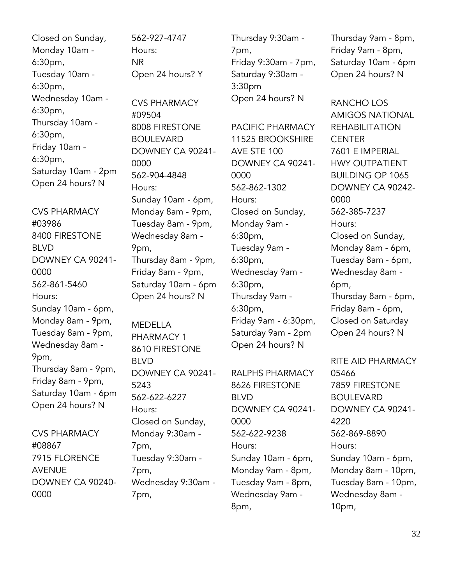Closed on Sunday, Monday 10am - 6:30pm, Tuesday 10am - 6:30pm, Wednesday 10am - 6:30pm, Thursday 10am - 6:30pm, Friday 10am - 6:30pm, Saturday 10am - 2pm Open 24 hours? N

CVS PHARMACY #03986 8400 FIRESTONE BLVD DOWNEY CA 90241- 0000 562-861-5460 Hours: Sunday 10am - 6pm, Monday 8am - 9pm, Tuesday 8am - 9pm, Wednesday 8am - 9pm, Thursday 8am - 9pm, Friday 8am - 9pm, Saturday 10am - 6pm Open 24 hours? N

CVS PHARMACY #08867 7915 FLORENCE AVENUE DOWNEY CA 90240- 0000

562-927-4747 Hours: NR Open 24 hours? Y CVS PHARMACY #09504 8008 FIRESTONE BOULEVARD DOWNEY CA 90241- 0000 562-904-4848 Hours: Sunday 10am - 6pm, Monday 8am - 9pm, Tuesday 8am - 9pm, Wednesday 8am -

9pm, Thursday 8am - 9pm, Friday 8am - 9pm, Saturday 10am - 6pm Open 24 hours? N

MEDELLA PHARMACY 1 8610 FIRESTONE BLVD DOWNEY CA 90241- 5243 562-622-6227 Hours: Closed on Sunday, Monday 9:30am - 7pm, Tuesday 9:30am - 7pm, Wednesday 9:30am - 7pm,

Thursday 9:30am - 7pm, Friday 9:30am - 7pm, Saturday 9:30am - 3:30pm Open 24 hours? N

PACIFIC PHARMACY 11525 BROOKSHIRE AVE STE 100 DOWNEY CA 90241- 0000 562-862-1302 Hours: Closed on Sunday, Monday 9am - 6:30pm, Tuesday 9am - 6:30pm, Wednesday 9am - 6:30pm, Thursday 9am - 6:30pm, Friday 9am - 6:30pm, Saturday 9am - 2pm Open 24 hours? N

RALPHS PHARMACY 8626 FIRESTONE BLVD DOWNEY CA 90241- 0000 562-622-9238 Hours: Sunday 10am - 6pm, Monday 9am - 8pm, Tuesday 9am - 8pm, Wednesday 9am - 8pm,

Thursday 9am - 8pm, Friday 9am - 8pm, Saturday 10am - 6pm Open 24 hours? N

RANCHO LOS AMIGOS NATIONAL REHABILITATION **CENTER** 7601 E IMPERIAL HWY OUTPATIENT BUILDING OP 1065 DOWNEY CA 90242- 0000 562-385-7237 Hours: Closed on Sunday, Monday 8am - 6pm, Tuesday 8am - 6pm, Wednesday 8am - 6pm, Thursday 8am - 6pm, Friday 8am - 6pm, Closed on Saturday Open 24 hours? N

RITE AID PHARMACY 05466 7859 FIRESTONE BOULEVARD DOWNEY CA 90241- 4220 562-869-8890 Hours: Sunday 10am - 6pm, Monday 8am - 10pm, Tuesday 8am - 10pm, Wednesday 8am - 10pm,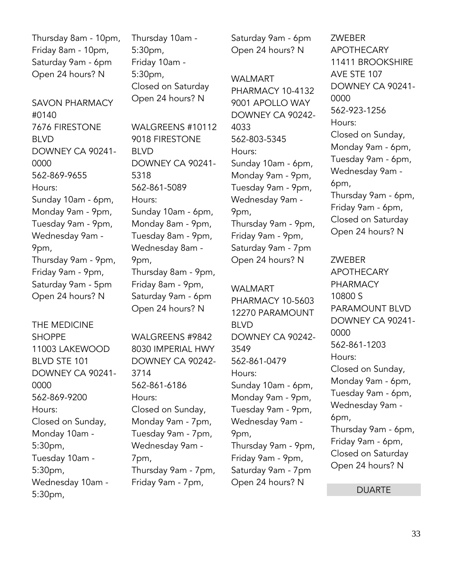Thursday 8am - 10pm, Friday 8am - 10pm, Saturday 9am - 6pm Open 24 hours? N

SAVON PHARMACY #0140 7676 FIRESTONE BLVD DOWNEY CA 90241- 0000 562-869-9655 Hours: Sunday 10am - 6pm, Monday 9am - 9pm, Tuesday 9am - 9pm, Wednesday 9am - 9pm, Thursday 9am - 9pm, Friday 9am - 9pm, Saturday 9am - 5pm Open 24 hours? N

THE MEDICINE SHOPPE 11003 LAKEWOOD BLVD STE 101 DOWNEY CA 90241- 0000 562-869-9200 Hours: Closed on Sunday, Monday 10am - 5:30pm, Tuesday 10am - 5:30pm, Wednesday 10am - 5:30pm,

Thursday 10am - 5:30pm, Friday 10am - 5:30pm, Closed on Saturday Open 24 hours? N

WALGREENS #10112 9018 FIRESTONE BLVD DOWNEY CA 90241- 5318 562-861-5089 Hours: Sunday 10am - 6pm, Monday 8am - 9pm, Tuesday 8am - 9pm, Wednesday 8am - 9pm, Thursday 8am - 9pm, Friday 8am - 9pm, Saturday 9am - 6pm Open 24 hours? N

WALGREENS #9842 8030 IMPERIAL HWY DOWNEY CA 90242- 3714 562-861-6186 Hours: Closed on Sunday, Monday 9am - 7pm, Tuesday 9am - 7pm, Wednesday 9am - 7pm, Thursday 9am - 7pm, Friday 9am - 7pm,

Saturday 9am - 6pm Open 24 hours? N

WALMART PHARMACY 10-4132 9001 APOLLO WAY DOWNEY CA 90242- 4033 562-803-5345 Hours: Sunday 10am - 6pm, Monday 9am - 9pm, Tuesday 9am - 9pm, Wednesday 9am - 9pm, Thursday 9am - 9pm, Friday 9am - 9pm, Saturday 9am - 7pm Open 24 hours? N

WALMART PHARMACY 10-5603 12270 PARAMOUNT BLVD DOWNEY CA 90242- 3549 562-861-0479 Hours: Sunday 10am - 6pm, Monday 9am - 9pm, Tuesday 9am - 9pm, Wednesday 9am - 9pm, Thursday 9am - 9pm, Friday 9am - 9pm, Saturday 9am - 7pm Open 24 hours? N

ZWEBER APOTHECARY 11411 BROOKSHIRE AVE STE 107 DOWNEY CA 90241- 0000 562-923-1256 Hours: Closed on Sunday, Monday 9am - 6pm, Tuesday 9am - 6pm, Wednesday 9am - 6pm, Thursday 9am - 6pm, Friday 9am - 6pm, Closed on Saturday Open 24 hours? N

ZWEBER APOTHECARY PHARMACY 10800 S PARAMOUNT BLVD DOWNEY CA 90241- 0000 562-861-1203 Hours: Closed on Sunday, Monday 9am - 6pm, Tuesday 9am - 6pm, Wednesday 9am - 6pm, Thursday 9am - 6pm, Friday 9am - 6pm, Closed on Saturday Open 24 hours? N

DUARTE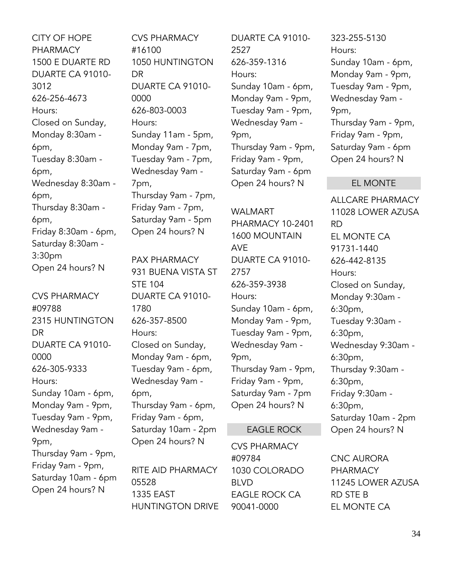CITY OF HOPE PHARMACY 1500 E DUARTE RD DUARTE CA 91010- 3012 626-256-4673 Hours: Closed on Sunday, Monday 8:30am - 6pm, Tuesday 8:30am - 6pm, Wednesday 8:30am - 6pm, Thursday 8:30am - 6pm, Friday 8:30am - 6pm, Saturday 8:30am - 3:30pm Open 24 hours? N

CVS PHARMACY #09788 2315 HUNTINGTON **DR** DUARTE CA 91010- 0000 626-305-9333 Hours: Sunday 10am - 6pm, Monday 9am - 9pm, Tuesday 9am - 9pm, Wednesday 9am - 9pm, Thursday 9am - 9pm, Friday 9am - 9pm, Saturday 10am - 6pm Open 24 hours? N

CVS PHARMACY #16100 1050 HUNTINGTON DR DUARTE CA 91010- 0000 626-803-0003 Hours: Sunday 11am - 5pm, Monday 9am - 7pm, Tuesday 9am - 7pm, Wednesday 9am - 7pm, Thursday 9am - 7pm, Friday 9am - 7pm, Saturday 9am - 5pm Open 24 hours? N

PAX PHARMACY 931 BUENA VISTA ST STE 104 DUARTE CA 91010- 1780 626-357-8500 Hours: Closed on Sunday, Monday 9am - 6pm, Tuesday 9am - 6pm, Wednesday 9am - 6pm, Thursday 9am - 6pm, Friday 9am - 6pm, Saturday 10am - 2pm Open 24 hours? N

RITE AID PHARMACY 05528 1335 EAST HUNTINGTON DRIVE DUARTE CA 91010- 2527 626-359-1316 Hours: Sunday 10am - 6pm, Monday 9am - 9pm, Tuesday 9am - 9pm, Wednesday 9am - 9pm, Thursday 9am - 9pm, Friday 9am - 9pm, Saturday 9am - 6pm Open 24 hours? N

WALMART PHARMACY 10-2401 1600 MOUNTAIN AVE DUARTE CA 91010- 2757 626-359-3938 Hours: Sunday 10am - 6pm, Monday 9am - 9pm, Tuesday 9am - 9pm, Wednesday 9am - 9pm, Thursday 9am - 9pm, Friday 9am - 9pm, Saturday 9am - 7pm Open 24 hours? N

#### EAGLE ROCK

CVS PHARMACY #09784 1030 COLORADO BLVD EAGLE ROCK CA 90041-0000

323-255-5130 Hours: Sunday 10am - 6pm, Monday 9am - 9pm, Tuesday 9am - 9pm, Wednesday 9am - 9pm, Thursday 9am - 9pm, Friday 9am - 9pm, Saturday 9am - 6pm Open 24 hours? N

#### EL MONTE

ALLCARE PHARMACY 11028 LOWER AZUSA RD EL MONTE CA 91731-1440 626-442-8135 Hours: Closed on Sunday, Monday 9:30am - 6:30pm, Tuesday 9:30am - 6:30pm, Wednesday 9:30am - 6:30pm, Thursday 9:30am - 6:30pm, Friday 9:30am - 6:30pm, Saturday 10am - 2pm Open 24 hours? N

CNC AURORA PHARMACY 11245 LOWER AZUSA RD STE B EL MONTE CA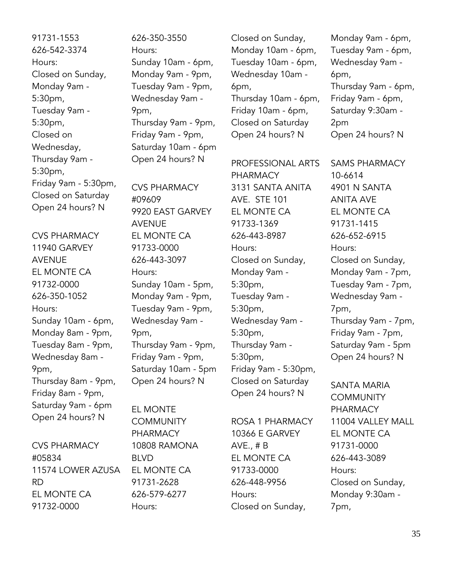91731-1553 626-542-3374 Hours: Closed on Sunday, Monday 9am - 5:30pm, Tuesday 9am - 5:30pm, Closed on Wednesday, Thursday 9am - 5:30pm, Friday 9am - 5:30pm, Closed on Saturday Open 24 hours? N

CVS PHARMACY 11940 GARVEY AVENUE EL MONTE CA 91732-0000 626-350-1052 Hours: Sunday 10am - 6pm, Monday 8am - 9pm, Tuesday 8am - 9pm, Wednesday 8am - 9pm, Thursday 8am - 9pm, Friday 8am - 9pm, Saturday 9am - 6pm Open 24 hours? N

CVS PHARMACY #05834 11574 LOWER AZUSA RD EL MONTE CA 91732-0000

626-350-3550 Hours: Sunday 10am - 6pm, Monday 9am - 9pm, Tuesday 9am - 9pm, Wednesday 9am - 9pm, Thursday 9am - 9pm, Friday 9am - 9pm, Saturday 10am - 6pm Open 24 hours? N

CVS PHARMACY #09609 9920 EAST GARVEY AVENUE EL MONTE CA 91733-0000 626-443-3097 Hours: Sunday 10am - 5pm, Monday 9am - 9pm, Tuesday 9am - 9pm, Wednesday 9am - 9pm, Thursday 9am - 9pm, Friday 9am - 9pm, Saturday 10am - 5pm Open 24 hours? N

EL MONTE **COMMUNITY** PHARMACY 10808 RAMONA BLVD EL MONTE CA 91731-2628 626-579-6277 Hours:

Closed on Sunday, Monday 10am - 6pm, Tuesday 10am - 6pm, Wednesday 10am - 6pm, Thursday 10am - 6pm, Friday 10am - 6pm, Closed on Saturday Open 24 hours? N

PROFESSIONAL ARTS PHARMACY 3131 SANTA ANITA AVE. STE 101 EL MONTE CA 91733-1369 626-443-8987 Hours: Closed on Sunday, Monday 9am - 5:30pm, Tuesday 9am - 5:30pm, Wednesday 9am - 5:30pm, Thursday 9am - 5:30pm, Friday 9am - 5:30pm, Closed on Saturday Open 24 hours? N

ROSA 1 PHARMACY 10366 E GARVEY AVE., # B EL MONTE CA 91733-0000 626-448-9956 Hours: Closed on Sunday,

Monday 9am - 6pm, Tuesday 9am - 6pm, Wednesday 9am - 6pm, Thursday 9am - 6pm, Friday 9am - 6pm, Saturday 9:30am - 2pm Open 24 hours? N

SAMS PHARMACY 10-6614 4901 N SANTA ANITA AVE EL MONTE CA 91731-1415 626-652-6915 Hours: Closed on Sunday, Monday 9am - 7pm, Tuesday 9am - 7pm, Wednesday 9am - 7pm, Thursday 9am - 7pm, Friday 9am - 7pm, Saturday 9am - 5pm Open 24 hours? N

SANTA MARIA **COMMUNITY** PHARMACY 11004 VALLEY MALL EL MONTE CA 91731-0000 626-443-3089 Hours: Closed on Sunday, Monday 9:30am - 7pm,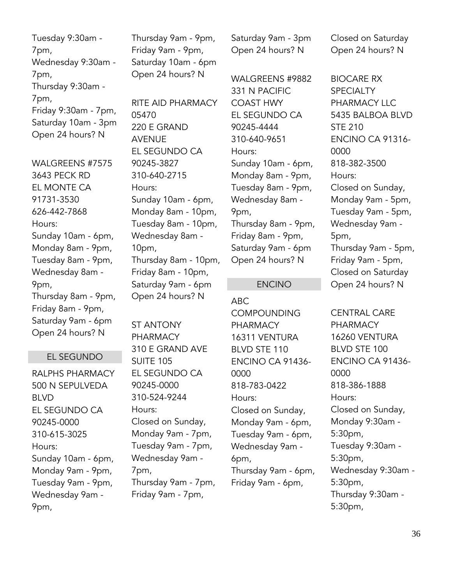Tuesday 9:30am - 7pm, Wednesday 9:30am - 7pm, Thursday 9:30am - 7pm, Friday 9:30am - 7pm, Saturday 10am - 3pm Open 24 hours? N

WAI GRFFNS #7575 3643 PECK RD EL MONTE CA 91731-3530 626-442-7868 Hours: Sunday 10am - 6pm, Monday 8am - 9pm, Tuesday 8am - 9pm, Wednesday 8am - 9pm, Thursday 8am - 9pm, Friday 8am - 9pm, Saturday 9am - 6pm Open 24 hours? N

#### EL SEGUNDO

RALPHS PHARMACY 500 N SEPULVEDA BLVD EL SEGUNDO CA 90245-0000 310-615-3025 Hours: Sunday 10am - 6pm, Monday 9am - 9pm, Tuesday 9am - 9pm, Wednesday 9am - 9pm,

Thursday 9am - 9pm, Friday 9am - 9pm, Saturday 10am - 6pm Open 24 hours? N

RITE AID PHARMACY 05470 220 E GRAND AVENUE EL SEGUNDO CA 90245-3827 310-640-2715 Hours: Sunday 10am - 6pm, Monday 8am - 10pm, Tuesday 8am - 10pm, Wednesday 8am - 10pm, Thursday 8am - 10pm, Friday 8am - 10pm, Saturday 9am - 6pm Open 24 hours? N

ST ANTONY PHARMACY 310 E GRAND AVE SUITE 105 EL SEGUNDO CA 90245-0000 310-524-9244 Hours: Closed on Sunday, Monday 9am - 7pm, Tuesday 9am - 7pm, Wednesday 9am - 7pm, Thursday 9am - 7pm, Friday 9am - 7pm,

Saturday 9am - 3pm Open 24 hours? N

WALGREENS #9882 331 N PACIFIC COAST HWY EL SEGUNDO CA 90245-4444 310-640-9651 Hours: Sunday 10am - 6pm, Monday 8am - 9pm, Tuesday 8am - 9pm, Wednesday 8am - 9pm, Thursday 8am - 9pm, Friday 8am - 9pm, Saturday 9am - 6pm Open 24 hours? N

#### ENCINO

ABC COMPOUNDING PHARMACY 16311 VENTURA BLVD STE 110 ENCINO CA 91436- 0000 818-783-0422 Hours: Closed on Sunday, Monday 9am - 6pm, Tuesday 9am - 6pm, Wednesday 9am - 6pm, Thursday 9am - 6pm, Friday 9am - 6pm,

Closed on Saturday Open 24 hours? N

BIOCARE RX **SPECIALTY** PHARMACY LLC 5435 BALBOA BLVD STE 210 ENCINO CA 91316- 0000 818-382-3500 Hours: Closed on Sunday, Monday 9am - 5pm, Tuesday 9am - 5pm, Wednesday 9am - 5pm, Thursday 9am - 5pm, Friday 9am - 5pm, Closed on Saturday Open 24 hours? N

CENTRAL CARE PHARMACY 16260 VENTURA BLVD STE 100 ENCINO CA 91436- 0000 818-386-1888 Hours: Closed on Sunday, Monday 9:30am - 5:30pm, Tuesday 9:30am - 5:30pm, Wednesday 9:30am - 5:30pm, Thursday 9:30am - 5:30pm,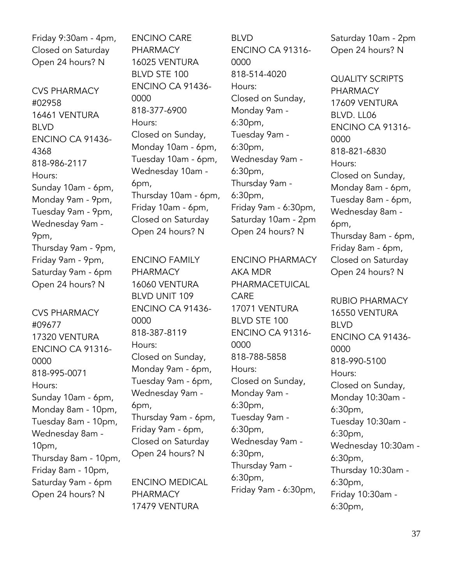Friday 9:30am - 4pm, Closed on Saturday Open 24 hours? N

CVS PHARMACY #02958 16461 VENTURA BLVD ENCINO CA 91436- 4368 818-986-2117 Hours: Sunday 10am - 6pm, Monday 9am - 9pm, Tuesday 9am - 9pm, Wednesday 9am - 9pm, Thursday 9am - 9pm, Friday 9am - 9pm, Saturday 9am - 6pm Open 24 hours? N

CVS PHARMACY #09677 17320 VENTURA ENCINO CA 91316- 0000 818-995-0071 Hours: Sunday 10am - 6pm, Monday 8am - 10pm, Tuesday 8am - 10pm, Wednesday 8am - 10pm, Thursday 8am - 10pm, Friday 8am - 10pm, Saturday 9am - 6pm Open 24 hours? N

ENCINO CARE PHARMACY 16025 VENTURA BLVD STE 100 ENCINO CA 91436- 0000 818-377-6900 Hours: Closed on Sunday, Monday 10am - 6pm, Tuesday 10am - 6pm, Wednesday 10am - 6pm, Thursday 10am - 6pm, Friday 10am - 6pm, Closed on Saturday Open 24 hours? N

ENCINO FAMILY PHARMACY 16060 VENTURA BLVD UNIT 109 ENCINO CA 91436- 0000 818-387-8119 Hours: Closed on Sunday, Monday 9am - 6pm, Tuesday 9am - 6pm, Wednesday 9am - 6pm, Thursday 9am - 6pm, Friday 9am - 6pm, Closed on Saturday Open 24 hours? N

ENCINO MEDICAL PHARMACY 17479 VENTURA

BLVD ENCINO CA 91316- 0000 818-514-4020 Hours: Closed on Sunday, Monday 9am - 6:30pm, Tuesday 9am - 6:30pm, Wednesday 9am - 6:30pm, Thursday 9am - 6:30pm, Friday 9am - 6:30pm, Saturday 10am - 2pm Open 24 hours? N

ENCINO PHARMACY AKA MDR PHARMACETUICAL CARE 17071 VENTURA BLVD STE 100 ENCINO CA 91316- 0000 818-788-5858 Hours: Closed on Sunday, Monday 9am - 6:30pm, Tuesday 9am - 6:30pm, Wednesday 9am - 6:30pm, Thursday 9am - 6:30pm, Friday 9am - 6:30pm,

Saturday 10am - 2pm Open 24 hours? N

QUALITY SCRIPTS PHARMACY 17609 VENTURA BLVD. LL06 ENCINO CA 91316- 0000 818-821-6830 Hours: Closed on Sunday, Monday 8am - 6pm, Tuesday 8am - 6pm, Wednesday 8am - 6pm, Thursday 8am - 6pm, Friday 8am - 6pm, Closed on Saturday Open 24 hours? N

RUBIO PHARMACY 16550 VENTURA BLVD ENCINO CA 91436- 0000 818-990-5100 Hours: Closed on Sunday, Monday 10:30am - 6:30pm, Tuesday 10:30am - 6:30pm, Wednesday 10:30am - 6:30pm, Thursday 10:30am - 6:30pm, Friday 10:30am - 6:30pm,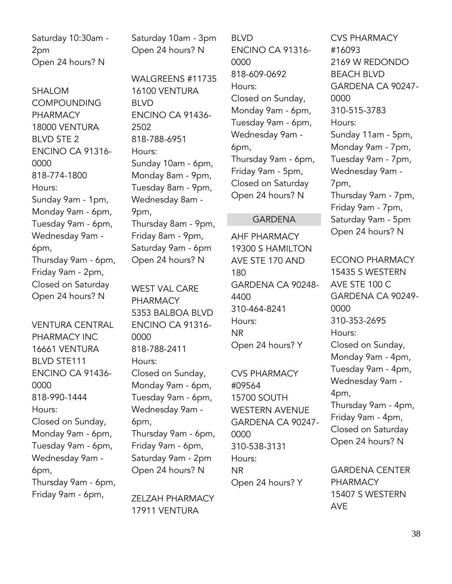Saturday 10:30am - 2pm Open 24 hours? N

SHALOM **COMPOUNDING** PHARMACY 18000 VENTURA BLVD STE 2 ENCINO CA 91316- 0000 818-774-1800 Hours: Sunday 9am - 1pm, Monday 9am - 6pm, Tuesday 9am - 6pm, Wednesday 9am - 6pm, Thursday 9am - 6pm, Friday 9am - 2pm, Closed on Saturday Open 24 hours? N

VENTURA CENTRAL PHARMACY INC 16661 VENTURA BLVD STE111 ENCINO CA 91436- 0000 818-990-1444 Hours: Closed on Sunday, Monday 9am - 6pm, Tuesday 9am - 6pm, Wednesday 9am - 6pm, Thursday 9am - 6pm, Friday 9am - 6pm,

Saturday 10am - 3pm Open 24 hours? N

WALGREENS #11735 16100 VENTURA BLVD ENCINO CA 91436- 2502 818-788-6951 Hours: Sunday 10am - 6pm, Monday 8am - 9pm, Tuesday 8am - 9pm, Wednesday 8am - 9pm, Thursday 8am - 9pm, Friday 8am - 9pm, Saturday 9am - 6pm Open 24 hours? N

WEST VAL CARE PHARMACY 5353 BALBOA BLVD ENCINO CA 91316- 0000 818-788-2411 Hours: Closed on Sunday, Monday 9am - 6pm, Tuesday 9am - 6pm, Wednesday 9am - 6pm, Thursday 9am - 6pm, Friday 9am - 6pm, Saturday 9am - 2pm Open 24 hours? N

ZELZAH PHARMACY 17911 VENTURA

BLVD ENCINO CA 91316- 0000 818-609-0692 Hours: Closed on Sunday, Monday 9am - 6pm, Tuesday 9am - 6pm, Wednesday 9am - 6pm, Thursday 9am - 6pm, Friday 9am - 5pm, Closed on Saturday Open 24 hours? N

#### GARDENA

AHF PHARMACY 19300 S HAMILTON AVE STE 170 AND 180 GARDENA CA 90248- 4400 310-464-8241 Hours: NR Open 24 hours? Y

CVS PHARMACY #09564 15700 SOUTH WESTERN AVENUE GARDENA CA 90247- 0000 310-538-3131 Hours: NR Open 24 hours? Y

CVS PHARMACY #16093 2169 W REDONDO BEACH BLVD GARDENA CA 90247- 0000 310-515-3783 Hours: Sunday 11am - 5pm, Monday 9am - 7pm, Tuesday 9am - 7pm, Wednesday 9am - 7pm, Thursday 9am - 7pm, Friday 9am - 7pm, Saturday 9am - 5pm Open 24 hours? N

ECONO PHARMACY 15435 S WESTERN AVE STE 100 C GARDENA CA 90249- 0000 310-353-2695 Hours: Closed on Sunday, Monday 9am - 4pm, Tuesday 9am - 4pm, Wednesday 9am - 4pm, Thursday 9am - 4pm, Friday 9am - 4pm, Closed on Saturday Open 24 hours? N GARDENA CENTER

PHARMACY 15407 S WESTERN AVE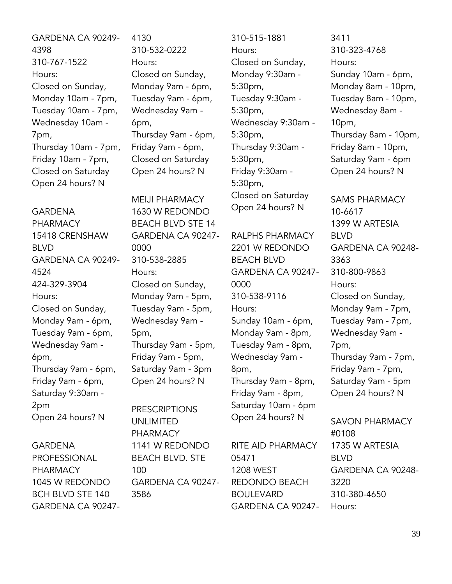GARDENA CA 90249- 4398 310-767-1522 Hours: Closed on Sunday, Monday 10am - 7pm, Tuesday 10am - 7pm, Wednesday 10am - 7pm, Thursday 10am - 7pm, Friday 10am - 7pm, Closed on Saturday Open 24 hours? N

GARDENA PHARMACY 15418 CRENSHAW BLVD GARDENA CA 90249- 4524 424-329-3904 Hours: Closed on Sunday, Monday 9am - 6pm, Tuesday 9am - 6pm, Wednesday 9am - 6pm, Thursday 9am - 6pm, Friday 9am - 6pm, Saturday 9:30am - 2pm Open 24 hours? N

GARDENA PROFESSIONAL PHARMACY 1045 W REDONDO BCH BLVD STE 140 GARDENA CA 902474130 310-532-0222 Hours: Closed on Sunday, Monday 9am - 6pm, Tuesday 9am - 6pm, Wednesday 9am - 6pm, Thursday 9am - 6pm, Friday 9am - 6pm, Closed on Saturday Open 24 hours? N

MEIJI PHARMACY 1630 W REDONDO BEACH BLVD STE 14 GARDENA CA 90247- 0000 310-538-2885 Hours: Closed on Sunday, Monday 9am - 5pm, Tuesday 9am - 5pm, Wednesday 9am - 5pm, Thursday 9am - 5pm, Friday 9am - 5pm, Saturday 9am - 3pm Open 24 hours? N

PRESCRIPTIONS UNLIMITED PHARMACY 1141 W REDONDO BEACH BLVD. STE 100 GARDENA CA 90247- 3586

310-515-1881 Hours: Closed on Sunday, Monday 9:30am - 5:30pm, Tuesday 9:30am - 5:30pm, Wednesday 9:30am - 5:30pm, Thursday 9:30am - 5:30pm, Friday 9:30am - 5:30pm, Closed on Saturday Open 24 hours? N

RALPHS PHARMACY 2201 W REDONDO BEACH BLVD GARDENA CA 90247- 0000 310-538-9116 Hours: Sunday 10am - 6pm, Monday 9am - 8pm, Tuesday 9am - 8pm, Wednesday 9am - 8pm, Thursday 9am - 8pm, Friday 9am - 8pm, Saturday 10am - 6pm Open 24 hours? N

RITE AID PHARMACY 05471 1208 WEST REDONDO BEACH BOULEVARD GARDENA CA 90247-

3411 310-323-4768 Hours: Sunday 10am - 6pm, Monday 8am - 10pm, Tuesday 8am - 10pm, Wednesday 8am - 10pm, Thursday 8am - 10pm, Friday 8am - 10pm, Saturday 9am - 6pm Open 24 hours? N SAMS PHARMACY

10-6617 1399 W ARTESIA BLVD GARDENA CA 90248- 3363 310-800-9863 Hours: Closed on Sunday, Monday 9am - 7pm, Tuesday 9am - 7pm, Wednesday 9am - 7pm, Thursday 9am - 7pm, Friday 9am - 7pm, Saturday 9am - 5pm Open 24 hours? N

SAVON PHARMACY #0108 1735 W ARTESIA BLVD GARDENA CA 90248- 3220 310-380-4650 Hours: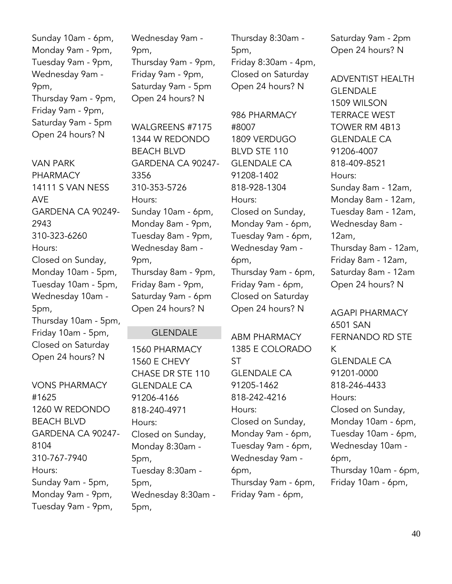Sunday 10am - 6pm, Monday 9am - 9pm, Tuesday 9am - 9pm, Wednesday 9am - 9pm, Thursday 9am - 9pm, Friday 9am - 9pm, Saturday 9am - 5pm Open 24 hours? N

VAN PARK PHARMACY 14111 S VAN NESS AVE GARDENA CA 90249- 2943 310-323-6260 Hours: Closed on Sunday, Monday 10am - 5pm, Tuesday 10am - 5pm, Wednesday 10am - 5pm, Thursday 10am - 5pm, Friday 10am - 5pm, Closed on Saturday Open 24 hours? N

VONS PHARMACY #1625 1260 W REDONDO BEACH BLVD GARDENA CA 90247- 8104 310-767-7940 Hours: Sunday 9am - 5pm, Monday 9am - 9pm, Tuesday 9am - 9pm,

Wednesday 9am - 9pm, Thursday 9am - 9pm, Friday 9am - 9pm, Saturday 9am - 5pm Open 24 hours? N

WAI GREENS #7175 1344 W REDONDO BEACH BLVD GARDENA CA 90247- 3356 310-353-5726 Hours: Sunday 10am - 6pm, Monday 8am - 9pm, Tuesday 8am - 9pm, Wednesday 8am - 9pm, Thursday 8am - 9pm, Friday 8am - 9pm, Saturday 9am - 6pm Open 24 hours? N

# GLENDALE

1560 PHARMACY 1560 E CHEVY CHASE DR STE 110 GLENDALE CA 91206-4166 818-240-4971 Hours: Closed on Sunday, Monday 8:30am - 5pm, Tuesday 8:30am - 5pm, Wednesday 8:30am - 5pm,

Thursday 8:30am - 5pm, Friday 8:30am - 4pm, Closed on Saturday Open 24 hours? N

986 PHARMACY #8007 1809 VERDUGO BLVD STE 110 **GLENDALE CA** 91208-1402 818-928-1304 Hours: Closed on Sunday, Monday 9am - 6pm, Tuesday 9am - 6pm, Wednesday 9am - 6pm, Thursday 9am - 6pm, Friday 9am - 6pm, Closed on Saturday Open 24 hours? N

ABM PHARMACY 1385 E COLORADO ST GLENDALE CA 91205-1462 818-242-4216 Hours: Closed on Sunday, Monday 9am - 6pm, Tuesday 9am - 6pm, Wednesday 9am - 6pm, Thursday 9am - 6pm, Friday 9am - 6pm,

Saturday 9am - 2pm Open 24 hours? N

ADVENTIST HEALTH GLENDALE 1509 WILSON TERRACE WEST TOWER RM 4B13 GLENDALE CA 91206-4007 818-409-8521 Hours: Sunday 8am - 12am, Monday 8am - 12am, Tuesday 8am - 12am, Wednesday 8am - 12am, Thursday 8am - 12am, Friday 8am - 12am, Saturday 8am - 12am Open 24 hours? N

AGAPI PHARMACY 6501 SAN FERNANDO RD STE K GLENDALE CA 91201-0000 818-246-4433 Hours: Closed on Sunday, Monday 10am - 6pm, Tuesday 10am - 6pm, Wednesday 10am - 6pm, Thursday 10am - 6pm, Friday 10am - 6pm,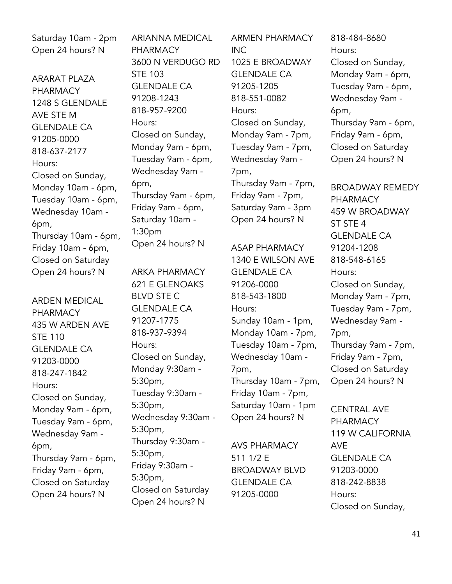Saturday 10am - 2pm Open 24 hours? N

ARARAT PLAZA PHARMACY 1248 S GLENDALE AVE STE M GLENDALE CA 91205-0000 818-637-2177 Hours: Closed on Sunday, Monday 10am - 6pm, Tuesday 10am - 6pm, Wednesday 10am - 6pm, Thursday 10am - 6pm, Friday 10am - 6pm, Closed on Saturday Open 24 hours? N

ARDEN MEDICAL PHARMACY 435 W ARDEN AVE STE 110 GLENDALE CA 91203-0000 818-247-1842 Hours: Closed on Sunday, Monday 9am - 6pm, Tuesday 9am - 6pm, Wednesday 9am - 6pm, Thursday 9am - 6pm, Friday 9am - 6pm, Closed on Saturday Open 24 hours? N

ARIANNA MEDICAL PHARMACY 3600 N VERDUGO RD STE 103 GLENDALE CA 91208-1243 818-957-9200 Hours: Closed on Sunday, Monday 9am - 6pm, Tuesday 9am - 6pm, Wednesday 9am - 6pm, Thursday 9am - 6pm, Friday 9am - 6pm, Saturday 10am - 1:30pm Open 24 hours? N

ARKA PHARMACY 621 E GLENOAKS BLVD STE C GLENDALE CA 91207-1775 818-937-9394 Hours: Closed on Sunday, Monday 9:30am - 5:30pm, Tuesday 9:30am - 5:30pm, Wednesday 9:30am - 5:30pm, Thursday 9:30am - 5:30pm, Friday 9:30am - 5:30pm, Closed on Saturday Open 24 hours? N

ARMEN PHARMACY INC 1025 E BROADWAY GLENDALE CA 91205-1205 818-551-0082 Hours: Closed on Sunday, Monday 9am - 7pm, Tuesday 9am - 7pm, Wednesday 9am - 7pm, Thursday 9am - 7pm, Friday 9am - 7pm, Saturday 9am - 3pm Open 24 hours? N

ASAP PHARMACY 1340 E WILSON AVE GLENDALE CA 91206-0000 818-543-1800 Hours: Sunday 10am - 1pm, Monday 10am - 7pm, Tuesday 10am - 7pm, Wednesday 10am - 7pm, Thursday 10am - 7pm, Friday 10am - 7pm, Saturday 10am - 1pm Open 24 hours? N

AVS PHARMACY 511 1/2 E BROADWAY BLVD GLENDALE CA 91205-0000

818-484-8680 Hours: Closed on Sunday, Monday 9am - 6pm, Tuesday 9am - 6pm, Wednesday 9am - 6pm, Thursday 9am - 6pm, Friday 9am - 6pm, Closed on Saturday Open 24 hours? N

BROADWAY REMEDY PHARMACY 459 W BROADWAY ST STE 4 GLENDALE CA 91204-1208 818-548-6165 Hours: Closed on Sunday, Monday 9am - 7pm, Tuesday 9am - 7pm, Wednesday 9am - 7pm, Thursday 9am - 7pm, Friday 9am - 7pm, Closed on Saturday Open 24 hours? N

CENTRAL AVE PHARMACY 119 W CALIFORNIA AVE GLENDALE CA 91203-0000 818-242-8838 Hours: Closed on Sunday,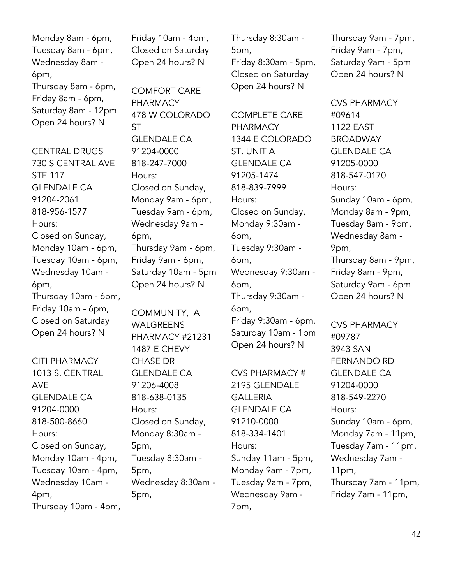Monday 8am - 6pm, Tuesday 8am - 6pm, Wednesday 8am - 6pm, Thursday 8am - 6pm, Friday 8am - 6pm, Saturday 8am - 12pm Open 24 hours? N

CENTRAL DRUGS 730 S CENTRAL AVE STE 117 GLENDALE CA 91204-2061 818-956-1577 Hours: Closed on Sunday, Monday 10am - 6pm, Tuesday 10am - 6pm, Wednesday 10am - 6pm, Thursday 10am - 6pm, Friday 10am - 6pm, Closed on Saturday Open 24 hours? N

CITI PHARMACY 1013 S. CENTRAL AVE GLENDALE CA 91204-0000 818-500-8660 Hours: Closed on Sunday, Monday 10am - 4pm, Tuesday 10am - 4pm, Wednesday 10am - 4pm, Thursday 10am - 4pm, Friday 10am - 4pm, Closed on Saturday Open 24 hours? N

COMFORT CARE PHARMACY 478 W COLORADO **ST** GLENDALE CA 91204-0000 818-247-7000 Hours: Closed on Sunday, Monday 9am - 6pm, Tuesday 9am - 6pm, Wednesday 9am - 6pm, Thursday 9am - 6pm, Friday 9am - 6pm, Saturday 10am - 5pm Open 24 hours? N

COMMUNITY, A WALGREENS PHARMACY #21231 1487 E CHEVY CHASE DR GLENDALE CA 91206-4008 818-638-0135 Hours: Closed on Sunday, Monday 8:30am - 5pm, Tuesday 8:30am - 5pm, Wednesday 8:30am - 5pm,

Thursday 8:30am - 5pm, Friday 8:30am - 5pm, Closed on Saturday Open 24 hours? N

COMPLETE CARE PHARMACY 1344 E COLORADO ST. UNIT A **GLENDALE CA** 91205-1474 818-839-7999 Hours: Closed on Sunday, Monday 9:30am - 6pm, Tuesday 9:30am - 6pm, Wednesday 9:30am - 6pm, Thursday 9:30am - 6pm, Friday 9:30am - 6pm, Saturday 10am - 1pm Open 24 hours? N

CVS PHARMACY # 2195 GLENDALE GALLERIA GLENDALE CA 91210-0000 818-334-1401 Hours: Sunday 11am - 5pm, Monday 9am - 7pm, Tuesday 9am - 7pm, Wednesday 9am - 7pm,

Thursday 9am - 7pm, Friday 9am - 7pm, Saturday 9am - 5pm Open 24 hours? N

CVS PHARMACY #09614 1122 EAST BROADWAY GLENDALE CA 91205-0000 818-547-0170 Hours: Sunday 10am - 6pm, Monday 8am - 9pm, Tuesday 8am - 9pm, Wednesday 8am - 9pm, Thursday 8am - 9pm, Friday 8am - 9pm, Saturday 9am - 6pm Open 24 hours? N

CVS PHARMACY #09787 3943 SAN FERNANDO RD GLENDALE CA 91204-0000 818-549-2270 Hours: Sunday 10am - 6pm, Monday 7am - 11pm, Tuesday 7am - 11pm, Wednesday 7am - 11pm, Thursday 7am - 11pm, Friday 7am - 11pm,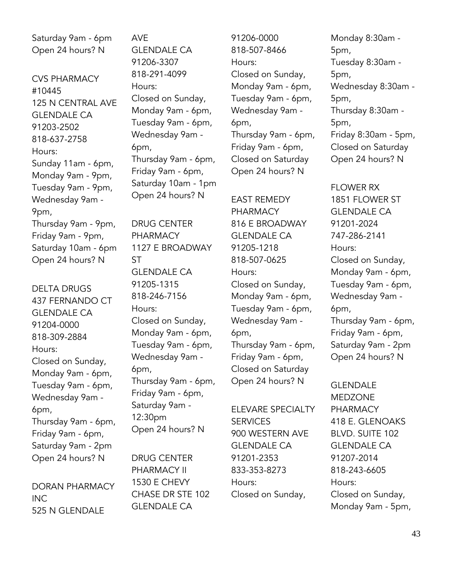Saturday 9am - 6pm Open 24 hours? N

CVS PHARMACY #10445 125 N CENTRAL AVE GLENDALE CA 91203-2502 818-637-2758 Hours: Sunday 11am - 6pm, Monday 9am - 9pm, Tuesday 9am - 9pm, Wednesday 9am - 9pm, Thursday 9am - 9pm, Friday 9am - 9pm, Saturday 10am - 6pm Open 24 hours? N

DELTA DRUGS 437 FERNANDO CT GLENDALE CA 91204-0000 818-309-2884 Hours: Closed on Sunday, Monday 9am - 6pm, Tuesday 9am - 6pm, Wednesday 9am - 6pm, Thursday 9am - 6pm, Friday 9am - 6pm, Saturday 9am - 2pm Open 24 hours? N

DORAN PHARMACY INC 525 N GLENDALE

AVE GLENDALE CA 91206-3307 818-291-4099 Hours: Closed on Sunday, Monday 9am - 6pm, Tuesday 9am - 6pm, Wednesday 9am - 6pm, Thursday 9am - 6pm, Friday 9am - 6pm, Saturday 10am - 1pm Open 24 hours? N

DRUG CENTER PHARMACY 1127 E BROADWAY ST GLENDALE CA 91205-1315 818-246-7156 Hours: Closed on Sunday, Monday 9am - 6pm, Tuesday 9am - 6pm, Wednesday 9am - 6pm, Thursday 9am - 6pm, Friday 9am - 6pm, Saturday 9am - 12:30pm Open 24 hours? N

DRUG CENTER PHARMACY II 1530 E CHEVY CHASE DR STE 102 GLENDALE CA

91206-0000 818-507-8466 Hours: Closed on Sunday, Monday 9am - 6pm, Tuesday 9am - 6pm, Wednesday 9am - 6pm, Thursday 9am - 6pm, Friday 9am - 6pm, Closed on Saturday Open 24 hours? N

EAST REMEDY PHARMACY 816 E BROADWAY GLENDALE CA 91205-1218 818-507-0625 Hours: Closed on Sunday, Monday 9am - 6pm, Tuesday 9am - 6pm, Wednesday 9am - 6pm, Thursday 9am - 6pm, Friday 9am - 6pm, Closed on Saturday Open 24 hours? N

ELEVARE SPECIALTY SERVICES 900 WESTERN AVE GLENDALE CA 91201-2353 833-353-8273 Hours: Closed on Sunday,

Monday 8:30am - 5pm, Tuesday 8:30am - 5pm, Wednesday 8:30am - 5pm, Thursday 8:30am - 5pm, Friday 8:30am - 5pm, Closed on Saturday Open 24 hours? N

FLOWER RX 1851 FLOWER ST GLENDALE CA 91201-2024 747-286-2141 Hours: Closed on Sunday, Monday 9am - 6pm, Tuesday 9am - 6pm, Wednesday 9am - 6pm, Thursday 9am - 6pm, Friday 9am - 6pm, Saturday 9am - 2pm Open 24 hours? N

GLENDALE MEDZONE PHARMACY 418 E. GLENOAKS BLVD. SUITE 102 GLENDALE CA 91207-2014 818-243-6605 Hours: Closed on Sunday, Monday 9am - 5pm,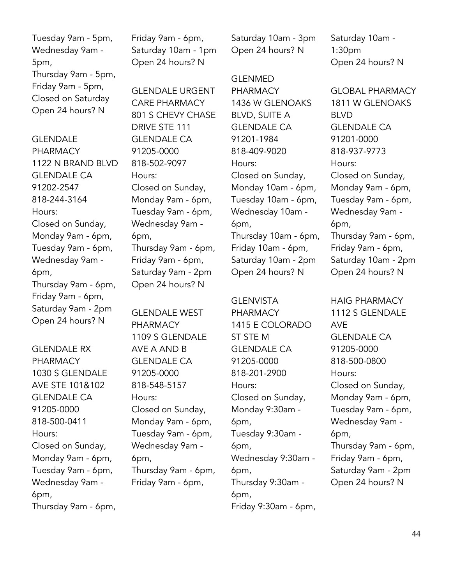Tuesday 9am - 5pm, Wednesday 9am - 5pm, Thursday 9am - 5pm, Friday 9am - 5pm, Closed on Saturday Open 24 hours? N

**GLENDALE** PHARMACY 1122 N BRAND BLVD GLENDALE CA 91202-2547 818-244-3164 Hours: Closed on Sunday, Monday 9am - 6pm, Tuesday 9am - 6pm, Wednesday 9am - 6pm, Thursday 9am - 6pm, Friday 9am - 6pm, Saturday 9am - 2pm Open 24 hours? N

GLENDALE RX PHARMACY 1030 S GLENDALE AVE STE 101&102 GLENDALE CA 91205-0000 818-500-0411 Hours: Closed on Sunday, Monday 9am - 6pm, Tuesday 9am - 6pm, Wednesday 9am - 6pm, Thursday 9am - 6pm, Friday 9am - 6pm, Saturday 10am - 1pm Open 24 hours? N

GLENDALE URGENT CARE PHARMACY 801 S CHEVY CHASE DRIVE STE 111 GLENDALE CA 91205-0000 818-502-9097 Hours: Closed on Sunday, Monday 9am - 6pm, Tuesday 9am - 6pm, Wednesday 9am - 6pm, Thursday 9am - 6pm, Friday 9am - 6pm, Saturday 9am - 2pm Open 24 hours? N

GLENDALE WEST PHARMACY 1109 S GLENDALE AVE A AND B GLENDALE CA 91205-0000 818-548-5157 Hours: Closed on Sunday, Monday 9am - 6pm, Tuesday 9am - 6pm, Wednesday 9am - 6pm, Thursday 9am - 6pm, Friday 9am - 6pm,

Saturday 10am - 3pm Open 24 hours? N

GLENMED PHARMACY 1436 W GLENOAKS BLVD, SUITE A GLENDALE CA 91201-1984 818-409-9020 Hours: Closed on Sunday, Monday 10am - 6pm, Tuesday 10am - 6pm, Wednesday 10am - 6pm, Thursday 10am - 6pm, Friday 10am - 6pm, Saturday 10am - 2pm Open 24 hours? N

GLENVISTA PHARMACY 1415 E COLORADO ST STE M GLENDALE CA 91205-0000 818-201-2900 Hours: Closed on Sunday, Monday 9:30am - 6pm, Tuesday 9:30am - 6pm, Wednesday 9:30am - 6pm, Thursday 9:30am - 6pm, Friday 9:30am - 6pm, Saturday 10am - 1:30pm Open 24 hours? N

GLOBAL PHARMACY 1811 W GLENOAKS BLVD GLENDALE CA 91201-0000 818-937-9773 Hours: Closed on Sunday, Monday 9am - 6pm, Tuesday 9am - 6pm, Wednesday 9am - 6pm, Thursday 9am - 6pm, Friday 9am - 6pm, Saturday 10am - 2pm Open 24 hours? N

HAIG PHARMACY 1112 S GLENDALE AVE GLENDALE CA 91205-0000 818-500-0800 Hours: Closed on Sunday, Monday 9am - 6pm, Tuesday 9am - 6pm, Wednesday 9am - 6pm, Thursday 9am - 6pm, Friday 9am - 6pm, Saturday 9am - 2pm Open 24 hours? N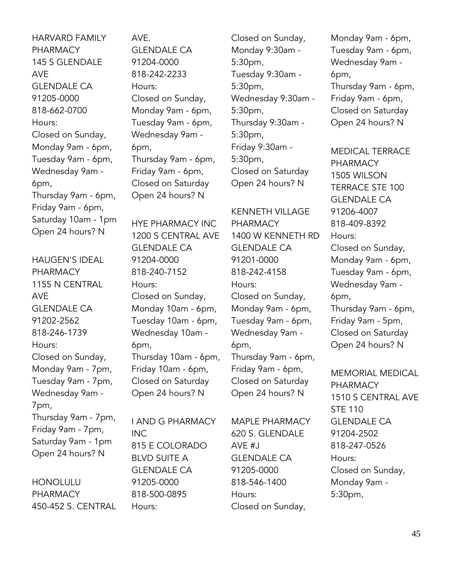HARVARD FAMILY PHARMACY 145 S GLENDALE AVE GLENDALE CA 91205-0000 818-662-0700 Hours: Closed on Sunday, Monday 9am - 6pm, Tuesday 9am - 6pm, Wednesday 9am - 6pm, Thursday 9am - 6pm, Friday 9am - 6pm, Saturday 10am - 1pm Open 24 hours? N

HAUGEN'S IDEAL PHARMACY 1155 N CENTRAL AVE GLENDALE CA 91202-2562 818-246-1739 Hours: Closed on Sunday, Monday 9am - 7pm, Tuesday 9am - 7pm, Wednesday 9am - 7pm, Thursday 9am - 7pm, Friday 9am - 7pm, Saturday 9am - 1pm Open 24 hours? N

HONOLULU PHARMACY 450-452 S. CENTRAL AVE. GLENDALE CA 91204-0000 818-242-2233 Hours: Closed on Sunday, Monday 9am - 6pm, Tuesday 9am - 6pm, Wednesday 9am - 6pm, Thursday 9am - 6pm, Friday 9am - 6pm, Closed on Saturday Open 24 hours? N

HYE PHARMACY INC 1200 S CENTRAL AVE GLENDALE CA 91204-0000 818-240-7152 Hours: Closed on Sunday, Monday 10am - 6pm, Tuesday 10am - 6pm, Wednesday 10am - 6pm, Thursday 10am - 6pm, Friday 10am - 6pm, Closed on Saturday Open 24 hours? N

I AND G PHARMACY INC 815 E COLORADO BLVD SUITE A GLENDALE CA 91205-0000 818-500-0895 Hours:

Closed on Sunday, Monday 9:30am - 5:30pm, Tuesday 9:30am - 5:30pm, Wednesday 9:30am - 5:30pm, Thursday 9:30am - 5:30pm, Friday 9:30am - 5:30pm, Closed on Saturday Open 24 hours? N

KENNETH VILLAGE PHARMACY 1400 W KENNETH RD GLENDALE CA 91201-0000 818-242-4158 Hours: Closed on Sunday, Monday 9am - 6pm, Tuesday 9am - 6pm, Wednesday 9am - 6pm, Thursday 9am - 6pm, Friday 9am - 6pm, Closed on Saturday Open 24 hours? N

MAPLE PHARMACY 620 S. GLENDALE AVE #J GLENDALE CA 91205-0000 818-546-1400 Hours: Closed on Sunday,

Monday 9am - 6pm, Tuesday 9am - 6pm, Wednesday 9am - 6pm, Thursday 9am - 6pm, Friday 9am - 6pm, Closed on Saturday Open 24 hours? N

MEDICAL TERRACE PHARMACY 1505 WILSON TERRACE STE 100 GLENDALE CA 91206-4007 818-409-8392 Hours: Closed on Sunday, Monday 9am - 6pm, Tuesday 9am - 6pm, Wednesday 9am - 6pm, Thursday 9am - 6pm, Friday 9am - 5pm, Closed on Saturday Open 24 hours? N

MEMORIAL MEDICAL PHARMACY 1510 S CENTRAL AVE STE 110 GLENDALE CA 91204-2502 818-247-0526 Hours: Closed on Sunday, Monday 9am - 5:30pm,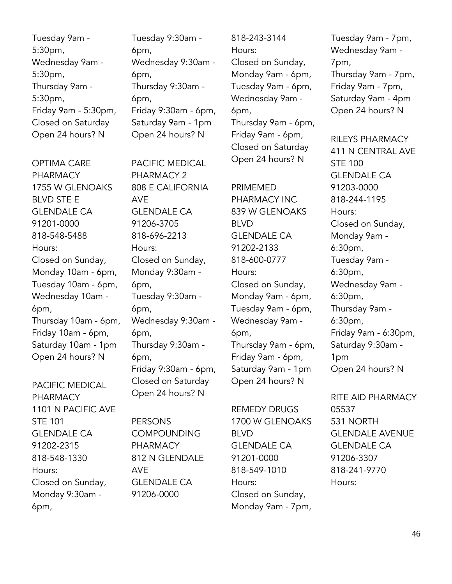Tuesday 9am - 5:30pm, Wednesday 9am - 5:30pm, Thursday 9am - 5:30pm, Friday 9am - 5:30pm, Closed on Saturday Open 24 hours? N

OPTIMA CARE PHARMACY 1755 W GLENOAKS BLVD STE E GLENDALE CA 91201-0000 818-548-5488 Hours: Closed on Sunday, Monday 10am - 6pm, Tuesday 10am - 6pm, Wednesday 10am - 6pm, Thursday 10am - 6pm, Friday 10am - 6pm, Saturday 10am - 1pm Open 24 hours? N

PACIFIC MEDICAL PHARMACY 1101 N PACIFIC AVE STE 101 GLENDALE CA 91202-2315 818-548-1330 Hours: Closed on Sunday, Monday 9:30am - 6pm,

Tuesday 9:30am - 6pm, Wednesday 9:30am - 6pm, Thursday 9:30am - 6pm, Friday 9:30am - 6pm, Saturday 9am - 1pm Open 24 hours? N

PACIFIC MEDICAL PHARMACY 2 808 E CALIFORNIA AVE GLENDALE CA 91206-3705 818-696-2213 Hours: Closed on Sunday, Monday 9:30am - 6pm, Tuesday 9:30am - 6pm, Wednesday 9:30am - 6pm, Thursday 9:30am - 6pm, Friday 9:30am - 6pm, Closed on Saturday Open 24 hours? N

PERSONS **COMPOUNDING** PHARMACY 812 N GLENDALE AVE GLENDALE CA 91206-0000

818-243-3144 Hours: Closed on Sunday, Monday 9am - 6pm, Tuesday 9am - 6pm, Wednesday 9am - 6pm, Thursday 9am - 6pm, Friday 9am - 6pm, Closed on Saturday Open 24 hours? N

PRIMEMED PHARMACY INC 839 W GLENOAKS BLVD GLENDALE CA 91202-2133 818-600-0777 Hours: Closed on Sunday, Monday 9am - 6pm, Tuesday 9am - 6pm, Wednesday 9am - 6pm, Thursday 9am - 6pm, Friday 9am - 6pm, Saturday 9am - 1pm Open 24 hours? N

REMEDY DRUGS 1700 W GLENOAKS BLVD GLENDALE CA 91201-0000 818-549-1010 Hours: Closed on Sunday, Monday 9am - 7pm,

Tuesday 9am - 7pm, Wednesday 9am - 7pm, Thursday 9am - 7pm, Friday 9am - 7pm, Saturday 9am - 4pm Open 24 hours? N

RILEYS PHARMACY 411 N CENTRAL AVE STE 100 GLENDALE CA 91203-0000 818-244-1195 Hours: Closed on Sunday, Monday 9am - 6:30pm, Tuesday 9am - 6:30pm, Wednesday 9am - 6:30pm, Thursday 9am - 6:30pm, Friday 9am - 6:30pm, Saturday 9:30am - 1pm Open 24 hours? N

RITE AID PHARMACY 05537 531 NORTH GLENDALE AVENUE GLENDALE CA 91206-3307 818-241-9770 Hours: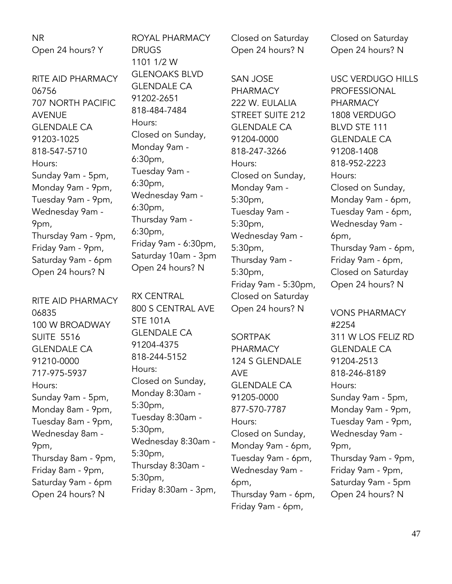NR Open 24 hours? Y

RITE AID PHARMACY 06756 707 NORTH PACIFIC AVENUE GLENDALE CA 91203-1025 818-547-5710 Hours: Sunday 9am - 5pm, Monday 9am - 9pm, Tuesday 9am - 9pm, Wednesday 9am - 9pm, Thursday 9am - 9pm, Friday 9am - 9pm, Saturday 9am - 6pm Open 24 hours? N

RITE AID PHARMACY 06835 100 W BROADWAY SUITE 5516 GLENDALE CA 91210-0000 717-975-5937 Hours: Sunday 9am - 5pm, Monday 8am - 9pm, Tuesday 8am - 9pm, Wednesday 8am - 9pm, Thursday 8am - 9pm, Friday 8am - 9pm, Saturday 9am - 6pm Open 24 hours? N

ROYAL PHARMACY DRUGS 1101 1/2 W GLENOAKS BLVD GLENDALE CA 91202-2651 818-484-7484 Hours: Closed on Sunday, Monday 9am - 6:30pm, Tuesday 9am - 6:30pm, Wednesday 9am - 6:30pm, Thursday 9am - 6:30pm, Friday 9am - 6:30pm, Saturday 10am - 3pm Open 24 hours? N

RX CENTRAL 800 S CENTRAL AVE STE 101A GLENDALE CA 91204-4375 818-244-5152 Hours: Closed on Sunday, Monday 8:30am - 5:30pm, Tuesday 8:30am - 5:30pm, Wednesday 8:30am - 5:30pm, Thursday 8:30am - 5:30pm, Friday 8:30am - 3pm, Closed on Saturday Open 24 hours? N

SAN JOSE PHARMACY 222 W. EULALIA STREET SUITE 212 GLENDALE CA 91204-0000 818-247-3266 Hours: Closed on Sunday, Monday 9am - 5:30pm, Tuesday 9am - 5:30pm, Wednesday 9am - 5:30pm, Thursday 9am - 5:30pm, Friday 9am - 5:30pm, Closed on Saturday Open 24 hours? N

SORTPAK PHARMACY 124 S GLENDALE AVE GLENDALE CA 91205-0000 877-570-7787 Hours: Closed on Sunday, Monday 9am - 6pm, Tuesday 9am - 6pm, Wednesday 9am - 6pm, Thursday 9am - 6pm, Friday 9am - 6pm,

Closed on Saturday Open 24 hours? N

USC VERDUGO HILLS PROFESSIONAL PHARMACY 1808 VERDUGO BLVD STE 111 GLENDALE CA 91208-1408 818-952-2223 Hours: Closed on Sunday, Monday 9am - 6pm, Tuesday 9am - 6pm, Wednesday 9am - 6pm, Thursday 9am - 6pm, Friday 9am - 6pm, Closed on Saturday Open 24 hours? N

VONS PHARMACY #2254 311 W LOS FELIZ RD GLENDALE CA 91204-2513 818-246-8189 Hours: Sunday 9am - 5pm, Monday 9am - 9pm, Tuesday 9am - 9pm, Wednesday 9am - 9pm, Thursday 9am - 9pm, Friday 9am - 9pm, Saturday 9am - 5pm Open 24 hours? N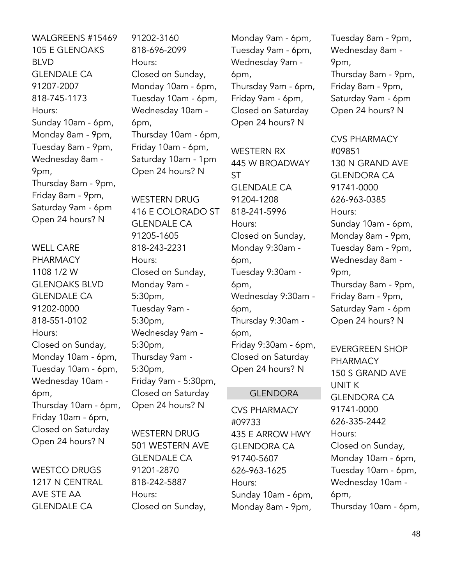WALGREENS #15469 105 E GLENOAKS BLVD GLENDALE CA 91207-2007 818-745-1173 Hours: Sunday 10am - 6pm, Monday 8am - 9pm, Tuesday 8am - 9pm, Wednesday 8am - 9pm, Thursday 8am - 9pm, Friday 8am - 9pm, Saturday 9am - 6pm Open 24 hours? N

WELL CARE PHARMACY 1108 1/2 W GLENOAKS BLVD GLENDALE CA 91202-0000 818-551-0102 Hours: Closed on Sunday, Monday 10am - 6pm, Tuesday 10am - 6pm, Wednesday 10am - 6pm, Thursday 10am - 6pm, Friday 10am - 6pm, Closed on Saturday Open 24 hours? N

WESTCO DRUGS 1217 N CENTRAL AVE STE AA GLENDALE CA

91202-3160 818-696-2099 Hours: Closed on Sunday, Monday 10am - 6pm, Tuesday 10am - 6pm, Wednesday 10am - 6pm, Thursday 10am - 6pm, Friday 10am - 6pm, Saturday 10am - 1pm Open 24 hours? N

WESTERN DRUG 416 E COLORADO ST GLENDALE CA 91205-1605 818-243-2231 Hours: Closed on Sunday, Monday 9am - 5:30pm, Tuesday 9am - 5:30pm, Wednesday 9am - 5:30pm, Thursday 9am - 5:30pm, Friday 9am - 5:30pm, Closed on Saturday Open 24 hours? N

WESTERN DRUG 501 WESTERN AVE GLENDALE CA 91201-2870 818-242-5887 Hours: Closed on Sunday,

Monday 9am - 6pm, Tuesday 9am - 6pm, Wednesday 9am - 6pm, Thursday 9am - 6pm, Friday 9am - 6pm, Closed on Saturday Open 24 hours? N

WESTERN RX 445 W BROADWAY ST GLENDALE CA 91204-1208 818-241-5996 Hours: Closed on Sunday, Monday 9:30am - 6pm, Tuesday 9:30am - 6pm, Wednesday 9:30am - 6pm, Thursday 9:30am - 6pm, Friday 9:30am - 6pm, Closed on Saturday Open 24 hours? N

#### GLENDORA

CVS PHARMACY #09733 435 E ARROW HWY GLENDORA CA 91740-5607 626-963-1625 Hours: Sunday 10am - 6pm, Monday 8am - 9pm,

Tuesday 8am - 9pm, Wednesday 8am - 9pm, Thursday 8am - 9pm, Friday 8am - 9pm, Saturday 9am - 6pm Open 24 hours? N

CVS PHARMACY #09851 130 N GRAND AVE GLENDORA CA 91741-0000 626-963-0385 Hours: Sunday 10am - 6pm, Monday 8am - 9pm, Tuesday 8am - 9pm, Wednesday 8am - 9pm, Thursday 8am - 9pm, Friday 8am - 9pm, Saturday 9am - 6pm Open 24 hours? N

EVERGREEN SHOP PHARMACY 150 S GRAND AVE UNIT K GLENDORA CA 91741-0000 626-335-2442 Hours: Closed on Sunday, Monday 10am - 6pm, Tuesday 10am - 6pm, Wednesday 10am - 6pm, Thursday 10am - 6pm,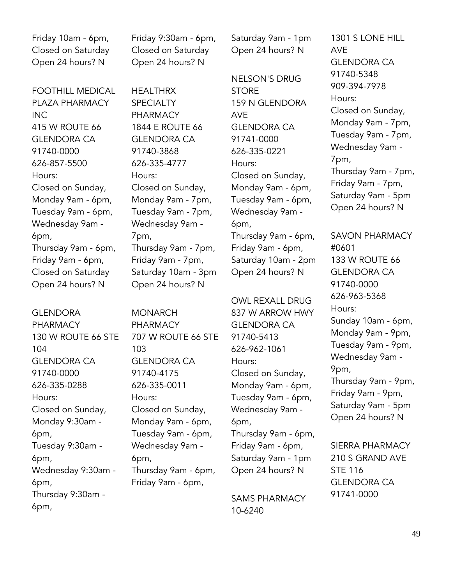Friday 10am - 6pm, Closed on Saturday Open 24 hours? N

FOOTHILL MEDICAL PLAZA PHARMACY INC 415 W ROUTE 66 GLENDORA CA 91740-0000 626-857-5500 Hours: Closed on Sunday, Monday 9am - 6pm, Tuesday 9am - 6pm, Wednesday 9am - 6pm, Thursday 9am - 6pm, Friday 9am - 6pm, Closed on Saturday Open 24 hours? N

GLENDORA PHARMACY 130 W ROUTE 66 STE 104 GLENDORA CA 91740-0000 626-335-0288 Hours: Closed on Sunday, Monday 9:30am - 6pm, Tuesday 9:30am - 6pm, Wednesday 9:30am - 6pm, Thursday 9:30am - 6pm,

Friday 9:30am - 6pm, Closed on Saturday Open 24 hours? N

HEALTHRX **SPECIALTY** PHARMACY 1844 E ROUTE 66 GLENDORA CA 91740-3868 626-335-4777 Hours: Closed on Sunday, Monday 9am - 7pm, Tuesday 9am - 7pm, Wednesday 9am - 7pm, Thursday 9am - 7pm, Friday 9am - 7pm, Saturday 10am - 3pm Open 24 hours? N

MONARCH PHARMACY 707 W ROUTE 66 STE 103 GLENDORA CA 91740-4175 626-335-0011 Hours: Closed on Sunday, Monday 9am - 6pm, Tuesday 9am - 6pm, Wednesday 9am - 6pm, Thursday 9am - 6pm, Friday 9am - 6pm,

Saturday 9am - 1pm Open 24 hours? N

NELSON'S DRUG **STORE** 159 N GLENDORA AVE GLENDORA CA 91741-0000 626-335-0221 Hours: Closed on Sunday, Monday 9am - 6pm, Tuesday 9am - 6pm, Wednesday 9am - 6pm, Thursday 9am - 6pm, Friday 9am - 6pm, Saturday 10am - 2pm

Open 24 hours? N

OWL REXALL DRUG 837 W ARROW HWY GLENDORA CA 91740-5413 626-962-1061 Hours: Closed on Sunday, Monday 9am - 6pm, Tuesday 9am - 6pm, Wednesday 9am - 6pm, Thursday 9am - 6pm, Friday 9am - 6pm, Saturday 9am - 1pm Open 24 hours? N

SAMS PHARMACY 10-6240

1301 S LONE HILL AVE GLENDORA CA 91740-5348 909-394-7978 Hours: Closed on Sunday, Monday 9am - 7pm, Tuesday 9am - 7pm, Wednesday 9am - 7pm, Thursday 9am - 7pm, Friday 9am - 7pm, Saturday 9am - 5pm Open 24 hours? N

SAVON PHARMACY #0601 133 W ROUTE 66 GLENDORA CA 91740-0000 626-963-5368 Hours: Sunday 10am - 6pm, Monday 9am - 9pm, Tuesday 9am - 9pm, Wednesday 9am - 9pm, Thursday 9am - 9pm, Friday 9am - 9pm, Saturday 9am - 5pm Open 24 hours? N

SIERRA PHARMACY 210 S GRAND AVE STE 116 GLENDORA CA 91741-0000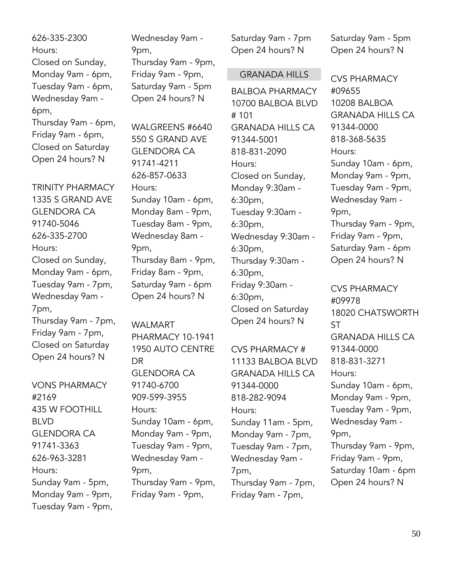| 626-335-2300        |
|---------------------|
| Hours:              |
| Closed on Sunday,   |
| Monday 9am - 6pm,   |
| Tuesday 9am - 6pm,  |
| Wednesday 9am -     |
| 6pm,                |
| Thursday 9am - 6pm, |
| Friday 9am - 6pm,   |
| Closed on Saturday  |
| Open 24 hours? N    |

TRINITY PHARMACY 1335 S GRAND AVE GLENDORA CA 91740-5046 626-335-2700 Hours: Closed on Sunday, Monday 9am - 6pm, Tuesday 9am - 7pm, Wednesday 9am - 7pm, Thursday 9am - 7pm, Friday 9am - 7pm, Closed on Saturday Open 24 hours? N

VONS PHARMACY #2169 435 W FOOTHILL BLVD GLENDORA CA 91741-3363 626-963-3281 Hours: Sunday 9am - 5pm, Monday 9am - 9pm, Tuesday 9am - 9pm, Wednesday 9am - 9pm, Thursday 9am - 9pm, Friday 9am - 9pm, Saturday 9am - 5pm Open 24 hours? N

WALGREENS #6640 550 S GRAND AVE GLENDORA CA 91741-4211 626-857-0633 Hours: Sunday 10am - 6pm, Monday 8am - 9pm, Tuesday 8am - 9pm, Wednesday 8am - 9pm, Thursday 8am - 9pm, Friday 8am - 9pm, Saturday 9am - 6pm Open 24 hours? N

WALMART PHARMACY 10-1941 1950 AUTO CENTRE DR GLENDORA CA 91740-6700 909-599-3955 Hours: Sunday 10am - 6pm, Monday 9am - 9pm, Tuesday 9am - 9pm, Wednesday 9am - 9pm, Thursday 9am - 9pm, Friday 9am - 9pm,

Saturday 9am - 7pm Open 24 hours? N

#### GRANADA HILLS

BALBOA PHARMACY 10700 BALBOA BLVD # 101 GRANADA HILLS CA 91344-5001 818-831-2090 Hours: Closed on Sunday, Monday 9:30am - 6:30pm, Tuesday 9:30am - 6:30pm, Wednesday 9:30am - 6:30pm, Thursday 9:30am - 6:30pm, Friday 9:30am - 6:30pm, Closed on Saturday Open 24 hours? N

CVS PHARMACY # 11133 BALBOA BLVD GRANADA HILLS CA 91344-0000 818-282-9094 Hours: Sunday 11am - 5pm, Monday 9am - 7pm, Tuesday 9am - 7pm, Wednesday 9am - 7pm, Thursday 9am - 7pm, Friday 9am - 7pm,

Saturday 9am - 5pm Open 24 hours? N

CVS PHARMACY #09655 10208 BALBOA GRANADA HILLS CA 91344-0000 818-368-5635 Hours: Sunday 10am - 6pm, Monday 9am - 9pm, Tuesday 9am - 9pm, Wednesday 9am - 9pm, Thursday 9am - 9pm, Friday 9am - 9pm, Saturday 9am - 6pm Open 24 hours? N

CVS PHARMACY #09978 18020 CHATSWORTH ST GRANADA HILLS CA 91344-0000 818-831-3271 Hours: Sunday 10am - 6pm, Monday 9am - 9pm, Tuesday 9am - 9pm, Wednesday 9am - 9pm, Thursday 9am - 9pm, Friday 9am - 9pm, Saturday 10am - 6pm Open 24 hours? N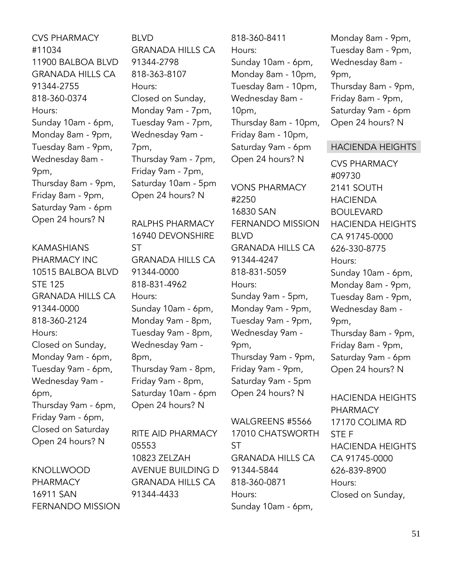CVS PHARMACY #11034 11900 BALBOA BLVD GRANADA HILLS CA 91344-2755 818-360-0374 Hours: Sunday 10am - 6pm, Monday 8am - 9pm, Tuesday 8am - 9pm, Wednesday 8am - 9pm, Thursday 8am - 9pm, Friday 8am - 9pm, Saturday 9am - 6pm Open 24 hours? N

KAMASHIANS PHARMACY INC 10515 BALBOA BLVD STE 125 GRANADA HILLS CA 91344-0000 818-360-2124 Hours: Closed on Sunday, Monday 9am - 6pm, Tuesday 9am - 6pm, Wednesday 9am - 6pm, Thursday 9am - 6pm, Friday 9am - 6pm, Closed on Saturday Open 24 hours? N

KNOLLWOOD PHARMACY 16911 SAN FERNANDO MISSION BLVD GRANADA HILLS CA 91344-2798 818-363-8107 Hours: Closed on Sunday, Monday 9am - 7pm, Tuesday 9am - 7pm, Wednesday 9am - 7pm, Thursday 9am - 7pm, Friday 9am - 7pm, Saturday 10am - 5pm Open 24 hours? N

RALPHS PHARMACY 16940 DEVONSHIRE ST GRANADA HILLS CA 91344-0000 818-831-4962 Hours: Sunday 10am - 6pm, Monday 9am - 8pm, Tuesday 9am - 8pm, Wednesday 9am - 8pm, Thursday 9am - 8pm, Friday 9am - 8pm, Saturday 10am - 6pm Open 24 hours? N

RITE AID PHARMACY 05553 10823 ZELZAH AVENUE BUILDING D GRANADA HILLS CA 91344-4433

818-360-8411 Hours: Sunday 10am - 6pm, Monday 8am - 10pm, Tuesday 8am - 10pm, Wednesday 8am - 10pm, Thursday 8am - 10pm, Friday 8am - 10pm, Saturday 9am - 6pm Open 24 hours? N

VONS PHARMACY #2250 16830 SAN FERNANDO MISSION BLVD GRANADA HILLS CA 91344-4247 818-831-5059 Hours: Sunday 9am - 5pm, Monday 9am - 9pm, Tuesday 9am - 9pm, Wednesday 9am - 9pm, Thursday 9am - 9pm, Friday 9am - 9pm, Saturday 9am - 5pm Open 24 hours? N

WALGREENS #5566 17010 CHATSWORTH ST GRANADA HILLS CA 91344-5844 818-360-0871 Hours: Sunday 10am - 6pm,

Monday 8am - 9pm, Tuesday 8am - 9pm, Wednesday 8am - 9pm, Thursday 8am - 9pm, Friday 8am - 9pm, Saturday 9am - 6pm Open 24 hours? N

#### HACIENDA HEIGHTS

CVS PHARMACY #09730 2141 SOUTH HACIENDA BOULEVARD HACIENDA HEIGHTS CA 91745-0000 626-330-8775 Hours: Sunday 10am - 6pm, Monday 8am - 9pm, Tuesday 8am - 9pm, Wednesday 8am - 9pm, Thursday 8am - 9pm, Friday 8am - 9pm, Saturday 9am - 6pm Open 24 hours? N

HACIENDA HEIGHTS PHARMACY 17170 COLIMA RD STE F HACIENDA HEIGHTS CA 91745-0000 626-839-8900 Hours: Closed on Sunday,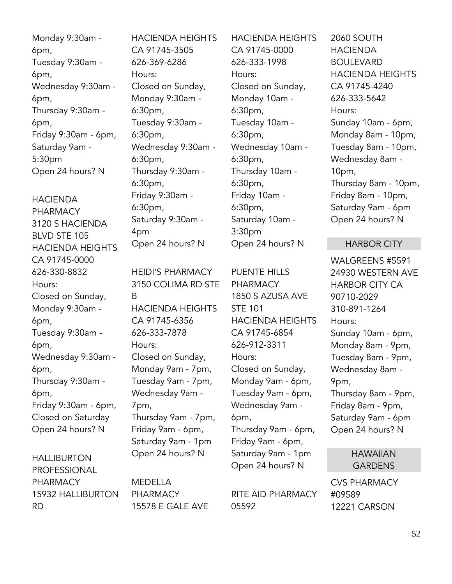Monday 9:30am - 6pm, Tuesday 9:30am - 6pm, Wednesday 9:30am - 6pm, Thursday 9:30am - 6pm, Friday 9:30am - 6pm, Saturday 9am - 5:30pm Open 24 hours? N

HACIENDA PHARMACY 3120 S HACIENDA BLVD STE 105 HACIENDA HEIGHTS CA 91745-0000 626-330-8832 Hours: Closed on Sunday, Monday 9:30am - 6pm, Tuesday 9:30am - 6pm, Wednesday 9:30am - 6pm, Thursday 9:30am - 6pm, Friday 9:30am - 6pm, Closed on Saturday Open 24 hours? N

HALLIBURTON PROFESSIONAL PHARMACY 15932 HALLIBURTON RD

HACIENDA HEIGHTS CA 91745-3505 626-369-6286 Hours: Closed on Sunday, Monday 9:30am - 6:30pm, Tuesday 9:30am - 6:30pm, Wednesday 9:30am - 6:30pm, Thursday 9:30am - 6:30pm, Friday 9:30am - 6:30pm, Saturday 9:30am - 4pm Open 24 hours? N

HEIDI'S PHARMACY 3150 COLIMA RD STE B HACIENDA HEIGHTS CA 91745-6356 626-333-7878 Hours: Closed on Sunday, Monday 9am - 7pm, Tuesday 9am - 7pm, Wednesday 9am - 7pm, Thursday 9am - 7pm, Friday 9am - 6pm, Saturday 9am - 1pm Open 24 hours? N

MEDELLA PHARMACY 15578 E GALE AVE HACIENDA HEIGHTS CA 91745-0000 626-333-1998 Hours: Closed on Sunday, Monday 10am - 6:30pm, Tuesday 10am - 6:30pm, Wednesday 10am - 6:30pm, Thursday 10am - 6:30pm, Friday 10am - 6:30pm, Saturday 10am - 3:30pm Open 24 hours? N

PUENTE HILLS PHARMACY 1850 S AZUSA AVE STE 101 HACIENDA HEIGHTS CA 91745-6854 626-912-3311 Hours: Closed on Sunday, Monday 9am - 6pm, Tuesday 9am - 6pm, Wednesday 9am - 6pm, Thursday 9am - 6pm, Friday 9am - 6pm, Saturday 9am - 1pm Open 24 hours? N

RITE AID PHARMACY 05592

2060 SOUTH HACIENDA BOUL EVARD HACIENDA HEIGHTS CA 91745-4240 626-333-5642 Hours: Sunday 10am - 6pm, Monday 8am - 10pm, Tuesday 8am - 10pm, Wednesday 8am - 10pm, Thursday 8am - 10pm, Friday 8am - 10pm, Saturday 9am - 6pm Open 24 hours? N

#### HARBOR CITY

WALGREENS #5591 24930 WESTERN AVE HARBOR CITY CA 90710-2029 310-891-1264 Hours: Sunday 10am - 6pm, Monday 8am - 9pm, Tuesday 8am - 9pm, Wednesday 8am - 9pm, Thursday 8am - 9pm, Friday 8am - 9pm, Saturday 9am - 6pm Open 24 hours? N

# HAWAIIAN **GARDENS**

CVS PHARMACY #09589 12221 CARSON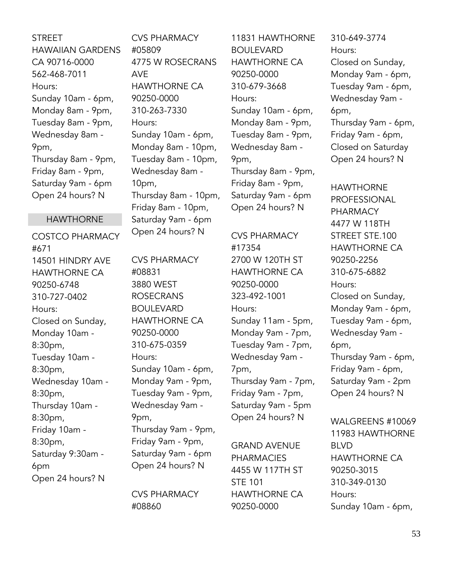# **STREET** HAWAIIAN GARDENS CA 90716-0000 562-468-7011 Hours: Sunday 10am - 6pm, Monday 8am - 9pm, Tuesday 8am - 9pm, Wednesday 8am - 9pm, Thursday 8am - 9pm, Friday 8am - 9pm, Saturday 9am - 6pm Open 24 hours? N

# HAWTHORNE

COSTCO PHARMACY #671 14501 HINDRY AVE HAWTHORNE CA 90250-6748 310-727-0402 Hours: Closed on Sunday, Monday 10am - 8:30pm, Tuesday 10am - 8:30pm, Wednesday 10am - 8:30pm, Thursday 10am - 8:30pm, Friday 10am - 8:30pm, Saturday 9:30am - 6pm Open 24 hours? N

CVS PHARMACY #05809 4775 W ROSECRANS AVE HAWTHORNE CA 90250-0000 310-263-7330 Hours: Sunday 10am - 6pm, Monday 8am - 10pm, Tuesday 8am - 10pm, Wednesday 8am - 10pm, Thursday 8am - 10pm, Friday 8am - 10pm, Saturday 9am - 6pm Open 24 hours? N

CVS PHARMACY #08831 3880 WEST ROSECRANS BOULEVARD HAWTHORNE CA 90250-0000 310-675-0359 Hours: Sunday 10am - 6pm, Monday 9am - 9pm, Tuesday 9am - 9pm, Wednesday 9am - 9pm, Thursday 9am - 9pm, Friday 9am - 9pm, Saturday 9am - 6pm Open 24 hours? N

CVS PHARMACY #08860

11831 HAWTHORNE BOULEVARD HAWTHORNE CA 90250-0000 310-679-3668 Hours: Sunday 10am - 6pm, Monday 8am - 9pm, Tuesday 8am - 9pm, Wednesday 8am - 9pm, Thursday 8am - 9pm, Friday 8am - 9pm, Saturday 9am - 6pm Open 24 hours? N

CVS PHARMACY #17354 2700 W 120TH ST HAWTHORNE CA 90250-0000 323-492-1001 Hours: Sunday 11am - 5pm, Monday 9am - 7pm, Tuesday 9am - 7pm, Wednesday 9am - 7pm, Thursday 9am - 7pm, Friday 9am - 7pm, Saturday 9am - 5pm Open 24 hours? N

GRAND AVENUE PHARMACIES 4455 W 117TH ST STE 101 HAWTHORNE CA 90250-0000

310-649-3774 Hours: Closed on Sunday, Monday 9am - 6pm, Tuesday 9am - 6pm, Wednesday 9am - 6pm, Thursday 9am - 6pm, Friday 9am - 6pm, Closed on Saturday Open 24 hours? N

HAWTHORNE PROFESSIONAL PHARMACY 4477 W 118TH STREET STE.100 HAWTHORNE CA 90250-2256 310-675-6882 Hours: Closed on Sunday, Monday 9am - 6pm, Tuesday 9am - 6pm, Wednesday 9am - 6pm, Thursday 9am - 6pm, Friday 9am - 6pm, Saturday 9am - 2pm Open 24 hours? N

WALGREENS #10069 11983 HAWTHORNE BLVD HAWTHORNE CA 90250-3015 310-349-0130 Hours: Sunday 10am - 6pm,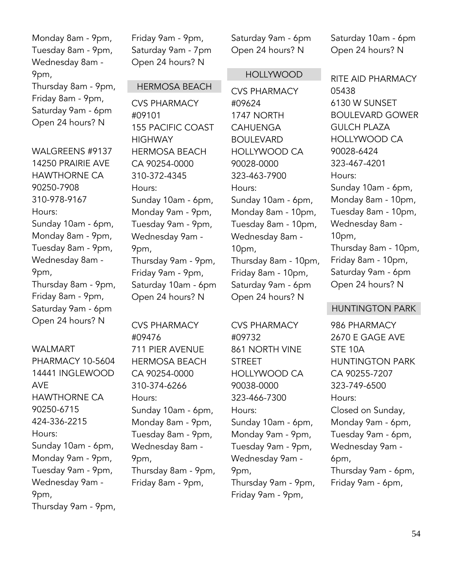Monday 8am - 9pm, Tuesday 8am - 9pm, Wednesday 8am - 9pm,

Thursday 8am - 9pm, Friday 8am - 9pm, Saturday 9am - 6pm Open 24 hours? N

WALGREENS #9137 14250 PRAIRIE AVE HAWTHORNE CA 90250-7908 310-978-9167 Hours: Sunday 10am - 6pm, Monday 8am - 9pm, Tuesday 8am - 9pm, Wednesday 8am - 9pm, Thursday 8am - 9pm, Friday 8am - 9pm, Saturday 9am - 6pm Open 24 hours? N

#### WALMART

PHARMACY 10-5604 14441 INGLEWOOD AVE HAWTHORNE CA 90250-6715 424-336-2215 Hours: Sunday 10am - 6pm, Monday 9am - 9pm, Tuesday 9am - 9pm, Wednesday 9am - 9pm, Thursday 9am - 9pm, Friday 9am - 9pm, Saturday 9am - 7pm Open 24 hours? N

### HERMOSA BEACH

CVS PHARMACY #09101 155 PACIFIC COAST **HIGHWAY** HERMOSA BEACH CA 90254-0000 310-372-4345 Hours: Sunday 10am - 6pm, Monday 9am - 9pm, Tuesday 9am - 9pm, Wednesday 9am - 9pm, Thursday 9am - 9pm, Friday 9am - 9pm, Saturday 10am - 6pm Open 24 hours? N

CVS PHARMACY #09476 711 PIER AVENUE HERMOSA BEACH CA 90254-0000 310-374-6266 Hours: Sunday 10am - 6pm, Monday 8am - 9pm, Tuesday 8am - 9pm, Wednesday 8am - 9pm, Thursday 8am - 9pm, Friday 8am - 9pm,

Saturday 9am - 6pm Open 24 hours? N

#### HOLLYWOOD

CVS PHARMACY #09624 1747 NORTH **CAHUENGA** BOULEVARD HOLLYWOOD CA 90028-0000 323-463-7900 Hours: Sunday 10am - 6pm, Monday 8am - 10pm, Tuesday 8am - 10pm, Wednesday 8am - 10pm, Thursday 8am - 10pm, Friday 8am - 10pm, Saturday 9am - 6pm Open 24 hours? N

CVS PHARMACY #09732 861 NORTH VINE STREET HOLLYWOOD CA 90038-0000 323-466-7300 Hours: Sunday 10am - 6pm, Monday 9am - 9pm, Tuesday 9am - 9pm, Wednesday 9am - 9pm, Thursday 9am - 9pm, Friday 9am - 9pm,

Saturday 10am - 6pm Open 24 hours? N

RITE AID PHARMACY 05438 6130 W SUNSET BOULEVARD GOWER GULCH PLAZA HOLLYWOOD CA 90028-6424 323-467-4201 Hours: Sunday 10am - 6pm, Monday 8am - 10pm, Tuesday 8am - 10pm, Wednesday 8am - 10pm, Thursday 8am - 10pm, Friday 8am - 10pm, Saturday 9am - 6pm Open 24 hours? N

#### HUNTINGTON PARK

986 PHARMACY 2670 E GAGE AVE STE 10A HUNTINGTON PARK CA 90255-7207 323-749-6500 Hours: Closed on Sunday, Monday 9am - 6pm, Tuesday 9am - 6pm, Wednesday 9am - 6pm, Thursday 9am - 6pm, Friday 9am - 6pm,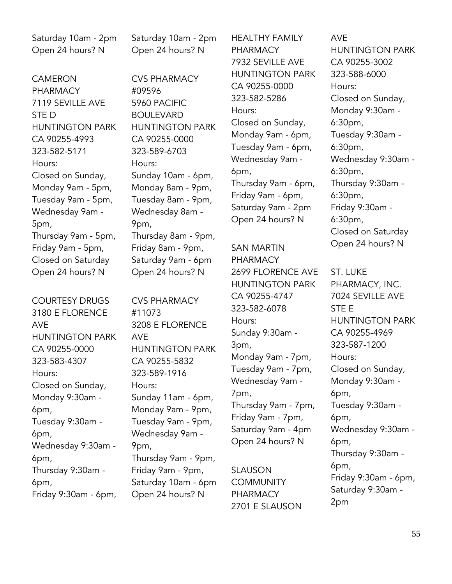Saturday 10am - 2pm Open 24 hours? N

CAMERON PHARMACY 7119 SEVILLE AVE STE D HUNTINGTON PARK CA 90255-4993 323-582-5171 Hours: Closed on Sunday, Monday 9am - 5pm, Tuesday 9am - 5pm, Wednesday 9am - 5pm, Thursday 9am - 5pm, Friday 9am - 5pm, Closed on Saturday Open 24 hours? N

COURTESY DRUGS 3180 E FLORENCE AVE HUNTINGTON PARK CA 90255-0000 323-583-4307 Hours: Closed on Sunday, Monday 9:30am - 6pm, Tuesday 9:30am - 6pm, Wednesday 9:30am - 6pm, Thursday 9:30am - 6pm, Friday 9:30am - 6pm, Saturday 10am - 2pm Open 24 hours? N

CVS PHARMACY #09596 5960 PACIFIC BOULEVARD HUNTINGTON PARK CA 90255-0000 323-589-6703 Hours: Sunday 10am - 6pm, Monday 8am - 9pm, Tuesday 8am - 9pm, Wednesday 8am - 9pm, Thursday 8am - 9pm, Friday 8am - 9pm, Saturday 9am - 6pm Open 24 hours? N

CVS PHARMACY #11073 3208 E FLORENCE AVE HUNTINGTON PARK CA 90255-5832 323-589-1916 Hours: Sunday 11am - 6pm, Monday 9am - 9pm, Tuesday 9am - 9pm, Wednesday 9am - 9pm, Thursday 9am - 9pm, Friday 9am - 9pm, Saturday 10am - 6pm Open 24 hours? N

HEALTHY FAMILY PHARMACY 7932 SEVILLE AVE HUNTINGTON PARK CA 90255-0000 323-582-5286 Hours: Closed on Sunday, Monday 9am - 6pm, Tuesday 9am - 6pm, Wednesday 9am - 6pm, Thursday 9am - 6pm, Friday 9am - 6pm, Saturday 9am - 2pm Open 24 hours? N

SAN MARTIN PHARMACY 2699 FLORENCE AVE HUNTINGTON PARK CA 90255-4747 323-582-6078 Hours: Sunday 9:30am - 3pm, Monday 9am - 7pm, Tuesday 9am - 7pm, Wednesday 9am - 7pm, Thursday 9am - 7pm, Friday 9am - 7pm, Saturday 9am - 4pm Open 24 hours? N

SLAUSON **COMMUNITY** PHARMACY 2701 E SLAUSON

AVE HUNTINGTON PARK CA 90255-3002 323-588-6000 Hours: Closed on Sunday, Monday 9:30am - 6:30pm, Tuesday 9:30am - 6:30pm, Wednesday 9:30am - 6:30pm, Thursday 9:30am - 6:30pm, Friday 9:30am - 6:30pm, Closed on Saturday Open 24 hours? N

ST. LUKE PHARMACY, INC. 7024 SEVILLE AVE STE E HUNTINGTON PARK CA 90255-4969 323-587-1200 Hours: Closed on Sunday, Monday 9:30am - 6pm, Tuesday 9:30am - 6pm, Wednesday 9:30am - 6pm, Thursday 9:30am - 6pm, Friday 9:30am - 6pm, Saturday 9:30am - 2pm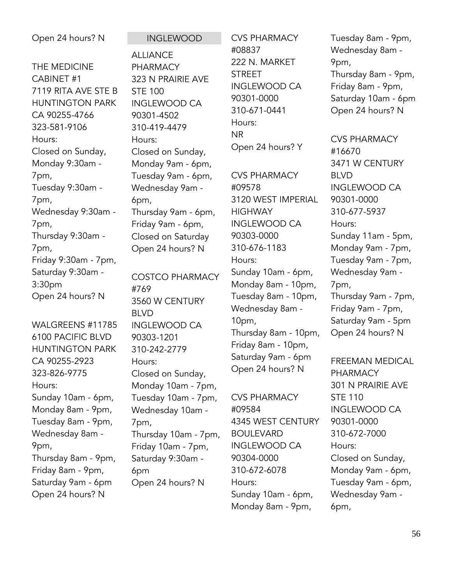| Open 24 hours? N                                                                                                                                                                                                                                                                                                                                                                                                                             | <b>INGLEWOOD</b>                                                                                                                                                                                                                                                                                                                                                                                                                                                                 | <b>CVS PHARMACY</b>                                                                                                                                                                                                                                                                                                                                                                                                                                                        | Tuesday 8am - 9pm,                                                                                                                                                                                                                                                                                                                                                                                                                                                      |
|----------------------------------------------------------------------------------------------------------------------------------------------------------------------------------------------------------------------------------------------------------------------------------------------------------------------------------------------------------------------------------------------------------------------------------------------|----------------------------------------------------------------------------------------------------------------------------------------------------------------------------------------------------------------------------------------------------------------------------------------------------------------------------------------------------------------------------------------------------------------------------------------------------------------------------------|----------------------------------------------------------------------------------------------------------------------------------------------------------------------------------------------------------------------------------------------------------------------------------------------------------------------------------------------------------------------------------------------------------------------------------------------------------------------------|-------------------------------------------------------------------------------------------------------------------------------------------------------------------------------------------------------------------------------------------------------------------------------------------------------------------------------------------------------------------------------------------------------------------------------------------------------------------------|
| THE MEDICINE<br>CABINET #1<br>7119 RITA AVE STE B<br><b>HUNTINGTON PARK</b><br>CA 90255-4766<br>323-581-9106<br>Hours:<br>Closed on Sunday,<br>Monday 9:30am -<br>7pm,<br>Tuesday 9:30am -<br>7pm,<br>Wednesday 9:30am -<br>7pm,<br>Thursday 9:30am -<br>7pm,<br>Friday 9:30am - 7pm,<br>Saturday 9:30am -<br>3:30pm<br>Open 24 hours? N<br>WALGREENS #11785<br>6100 PACIFIC BLVD<br><b>HUNTINGTON PARK</b><br>CA 90255-2923<br>323-826-9775 | <b>ALLIANCE</b><br><b>PHARMACY</b><br>323 N PRAIRIE AVE<br><b>STE 100</b><br><b>INGLEWOOD CA</b><br>90301-4502<br>310-419-4479<br>Hours:<br>Closed on Sunday,<br>Monday 9am - 6pm,<br>Tuesday 9am - 6pm,<br>Wednesday 9am -<br>6pm,<br>Thursday 9am - 6pm,<br>Friday 9am - 6pm,<br>Closed on Saturday<br>Open 24 hours? N<br><b>COSTCO PHARMACY</b><br>#769<br>3560 W CENTURY<br><b>BLVD</b><br><b>INGLEWOOD CA</b><br>90303-1201<br>310-242-2779<br>Hours:<br>Closed on Sunday, | #08837<br>222 N. MARKET<br><b>STREET</b><br><b>INGLEWOOD CA</b><br>90301-0000<br>310-671-0441<br>Hours:<br><b>NR</b><br>Open 24 hours? Y<br><b>CVS PHARMACY</b><br>#09578<br>3120 WEST IMPERIAL<br><b>HIGHWAY</b><br><b>INGLEWOOD CA</b><br>90303-0000<br>310-676-1183<br>Hours:<br>Sunday 10am - 6pm,<br>Monday 8am - 10pm,<br>Tuesday 8am - 10pm,<br>Wednesday 8am -<br>$10pm$ ,<br>Thursday 8am - 10pm,<br>Friday 8am - 10pm,<br>Saturday 9am - 6pm<br>Open 24 hours? N | Wednesday 8am -<br>9pm,<br>Thursday 8am - 9pm,<br>Friday 8am - 9pm,<br>Saturday 10am - 6pm<br>Open 24 hours? N<br><b>CVS PHARMACY</b><br>#16670<br>3471 W CENTURY<br><b>BLVD</b><br><b>INGLEWOOD CA</b><br>90301-0000<br>310-677-5937<br>Hours:<br>Sunday 11am - 5pm,<br>Monday 9am - 7pm,<br>Tuesday 9am - 7pm,<br>Wednesday 9am -<br>7pm,<br>Thursday 9am - 7pm,<br>Friday 9am - 7pm,<br>Saturday 9am - 5pm<br>Open 24 hours? N<br>FREEMAN MEDICAL<br><b>PHARMACY</b> |
| Hours:<br>Sunday 10am - 6pm,                                                                                                                                                                                                                                                                                                                                                                                                                 | Monday 10am - 7pm,<br>Tuesday 10am - 7pm,                                                                                                                                                                                                                                                                                                                                                                                                                                        | <b>CVS PHARMACY</b>                                                                                                                                                                                                                                                                                                                                                                                                                                                        | 301 N PRAIRIE AVE<br><b>STE 110</b>                                                                                                                                                                                                                                                                                                                                                                                                                                     |
| Monday 8am - 9pm,<br>Tuesday 8am - 9pm,                                                                                                                                                                                                                                                                                                                                                                                                      | Wednesday 10am -<br>7pm,                                                                                                                                                                                                                                                                                                                                                                                                                                                         | #09584<br>4345 WEST CENTURY                                                                                                                                                                                                                                                                                                                                                                                                                                                | <b>INGLEWOOD CA</b><br>90301-0000                                                                                                                                                                                                                                                                                                                                                                                                                                       |
| Wednesday 8am -                                                                                                                                                                                                                                                                                                                                                                                                                              | Thursday 10am - 7pm,                                                                                                                                                                                                                                                                                                                                                                                                                                                             | <b>BOULEVARD</b>                                                                                                                                                                                                                                                                                                                                                                                                                                                           | 310-672-7000                                                                                                                                                                                                                                                                                                                                                                                                                                                            |
| 9pm,                                                                                                                                                                                                                                                                                                                                                                                                                                         | Friday 10am - 7pm,                                                                                                                                                                                                                                                                                                                                                                                                                                                               | <b>INGLEWOOD CA</b>                                                                                                                                                                                                                                                                                                                                                                                                                                                        | Hours:                                                                                                                                                                                                                                                                                                                                                                                                                                                                  |
| Thursday 8am - 9pm,                                                                                                                                                                                                                                                                                                                                                                                                                          | Saturday 9:30am -                                                                                                                                                                                                                                                                                                                                                                                                                                                                | 90304-0000                                                                                                                                                                                                                                                                                                                                                                                                                                                                 | Closed on Sunday,                                                                                                                                                                                                                                                                                                                                                                                                                                                       |
| Friday 8am - 9pm,                                                                                                                                                                                                                                                                                                                                                                                                                            | 6pm                                                                                                                                                                                                                                                                                                                                                                                                                                                                              | 310-672-6078                                                                                                                                                                                                                                                                                                                                                                                                                                                               | Monday 9am - 6pm,                                                                                                                                                                                                                                                                                                                                                                                                                                                       |
| Saturday 9am - 6pm                                                                                                                                                                                                                                                                                                                                                                                                                           | Open 24 hours? N                                                                                                                                                                                                                                                                                                                                                                                                                                                                 | Hours:                                                                                                                                                                                                                                                                                                                                                                                                                                                                     | Tuesday 9am - 6pm,                                                                                                                                                                                                                                                                                                                                                                                                                                                      |
| Open 24 hours? N                                                                                                                                                                                                                                                                                                                                                                                                                             |                                                                                                                                                                                                                                                                                                                                                                                                                                                                                  | Sunday 10am - 6pm,                                                                                                                                                                                                                                                                                                                                                                                                                                                         | Wednesday 9am -                                                                                                                                                                                                                                                                                                                                                                                                                                                         |
|                                                                                                                                                                                                                                                                                                                                                                                                                                              |                                                                                                                                                                                                                                                                                                                                                                                                                                                                                  | Monday 8am - 9pm,                                                                                                                                                                                                                                                                                                                                                                                                                                                          | 6pm,                                                                                                                                                                                                                                                                                                                                                                                                                                                                    |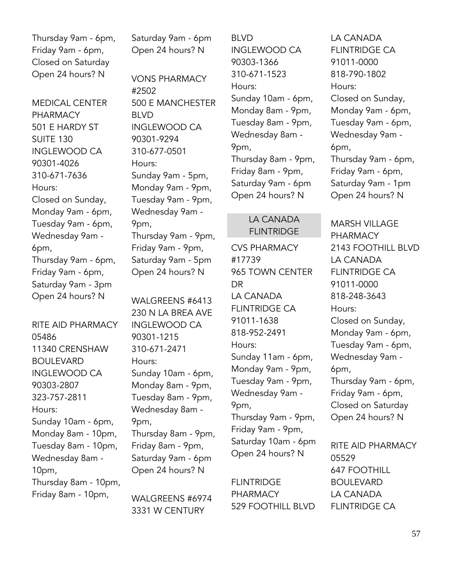Thursday 9am - 6pm, Friday 9am - 6pm, Closed on Saturday Open 24 hours? N

MEDICAL CENTER PHARMACY 501 E HARDY ST SUITE 130 INGLEWOOD CA 90301-4026 310-671-7636 Hours: Closed on Sunday, Monday 9am - 6pm, Tuesday 9am - 6pm, Wednesday 9am - 6pm, Thursday 9am - 6pm, Friday 9am - 6pm, Saturday 9am - 3pm Open 24 hours? N

RITE AID PHARMACY 05486 11340 CRENSHAW BOULEVARD INGLEWOOD CA 90303-2807 323-757-2811 Hours: Sunday 10am - 6pm, Monday 8am - 10pm, Tuesday 8am - 10pm, Wednesday 8am - 10pm, Thursday 8am - 10pm, Friday 8am - 10pm,

Saturday 9am - 6pm Open 24 hours? N

VONS PHARMACY #2502 500 E MANCHESTER BLVD INGLEWOOD CA 90301-9294 310-677-0501 Hours: Sunday 9am - 5pm, Monday 9am - 9pm, Tuesday 9am - 9pm, Wednesday 9am - 9pm, Thursday 9am - 9pm, Friday 9am - 9pm, Saturday 9am - 5pm Open 24 hours? N

WALGREENS #6413 230 N LA BREA AVE INGLEWOOD CA 90301-1215 310-671-2471 Hours: Sunday 10am - 6pm, Monday 8am - 9pm, Tuesday 8am - 9pm, Wednesday 8am - 9pm, Thursday 8am - 9pm, Friday 8am - 9pm, Saturday 9am - 6pm Open 24 hours? N

WALGREENS #6974 3331 W CENTURY

BLVD INGLEWOOD CA 90303-1366 310-671-1523 Hours: Sunday 10am - 6pm, Monday 8am - 9pm, Tuesday 8am - 9pm, Wednesday 8am - 9pm, Thursday 8am - 9pm, Friday 8am - 9pm, Saturday 9am - 6pm Open 24 hours? N

# LA CANADA FLINTRIDGE

CVS PHARMACY #17739 965 TOWN CENTER DR LA CANADA FLINTRIDGE CA 91011-1638 818-952-2491 Hours: Sunday 11am - 6pm, Monday 9am - 9pm, Tuesday 9am - 9pm, Wednesday 9am - 9pm, Thursday 9am - 9pm, Friday 9am - 9pm, Saturday 10am - 6pm Open 24 hours? N

FLINTRIDGE PHARMACY 529 FOOTHILL BLVD

LA CANADA FLINTRIDGE CA 91011-0000 818-790-1802 Hours: Closed on Sunday, Monday 9am - 6pm, Tuesday 9am - 6pm, Wednesday 9am - 6pm, Thursday 9am - 6pm, Friday 9am - 6pm, Saturday 9am - 1pm Open 24 hours? N

MARSH VILLAGE PHARMACY 2143 FOOTHILL BLVD LA CANADA FLINTRIDGE CA 91011-0000 818-248-3643 Hours: Closed on Sunday, Monday 9am - 6pm, Tuesday 9am - 6pm, Wednesday 9am - 6pm, Thursday 9am - 6pm, Friday 9am - 6pm, Closed on Saturday Open 24 hours? N

RITE AID PHARMACY 05529 647 FOOTHILL BOULEVARD LA CANADA FLINTRIDGE CA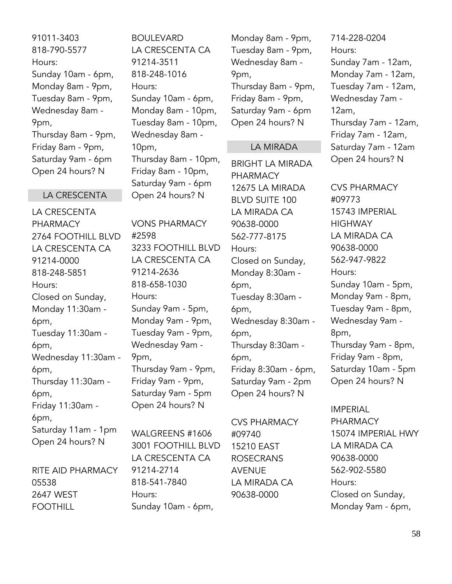91011-3403 818-790-5577 Hours: Sunday 10am - 6pm, Monday 8am - 9pm, Tuesday 8am - 9pm, Wednesday 8am - 9pm, Thursday 8am - 9pm, Friday 8am - 9pm, Saturday 9am - 6pm Open 24 hours? N

#### LA CRESCENTA

LA CRESCENTA PHARMACY 2764 FOOTHILL BLVD LA CRESCENTA CA 91214-0000 818-248-5851 Hours: Closed on Sunday, Monday 11:30am - 6pm, Tuesday 11:30am - 6pm, Wednesday 11:30am - 6pm, Thursday 11:30am - 6pm, Friday 11:30am - 6pm, Saturday 11am - 1pm Open 24 hours? N

RITE AID PHARMACY 05538 2647 WEST FOOTHILL

BOULEVARD LA CRESCENTA CA 91214-3511 818-248-1016 Hours: Sunday 10am - 6pm, Monday 8am - 10pm, Tuesday 8am - 10pm, Wednesday 8am - 10pm, Thursday 8am - 10pm, Friday 8am - 10pm, Saturday 9am - 6pm Open 24 hours? N

VONS PHARMACY #2598 3233 FOOTHILL BLVD LA CRESCENTA CA 91214-2636 818-658-1030 Hours: Sunday 9am - 5pm, Monday 9am - 9pm, Tuesday 9am - 9pm, Wednesday 9am - 9pm, Thursday 9am - 9pm, Friday 9am - 9pm, Saturday 9am - 5pm Open 24 hours? N

WALGREENS #1606 3001 FOOTHILL BLVD LA CRESCENTA CA 91214-2714 818-541-7840 Hours: Sunday 10am - 6pm,

Monday 8am - 9pm, Tuesday 8am - 9pm, Wednesday 8am - 9pm, Thursday 8am - 9pm, Friday 8am - 9pm, Saturday 9am - 6pm Open 24 hours? N

#### LA MIRADA

BRIGHT LA MIRADA PHARMACY 12675 LA MIRADA BLVD SUITE 100 LA MIRADA CA 90638-0000 562-777-8175 Hours: Closed on Sunday, Monday 8:30am - 6pm, Tuesday 8:30am - 6pm, Wednesday 8:30am - 6pm, Thursday 8:30am - 6pm, Friday 8:30am - 6pm, Saturday 9am - 2pm Open 24 hours? N

CVS PHARMACY #09740 15210 EAST ROSECRANS AVENUE LA MIRADA CA 90638-0000

714-228-0204 Hours: Sunday 7am - 12am, Monday 7am - 12am, Tuesday 7am - 12am, Wednesday 7am - 12am, Thursday 7am - 12am, Friday 7am - 12am, Saturday 7am - 12am Open 24 hours? N

CVS PHARMACY #09773 15743 IMPERIAL **HIGHWAY** LA MIRADA CA 90638-0000 562-947-9822 Hours: Sunday 10am - 5pm, Monday 9am - 8pm, Tuesday 9am - 8pm, Wednesday 9am - 8pm, Thursday 9am - 8pm, Friday 9am - 8pm, Saturday 10am - 5pm Open 24 hours? N

IMPERIAL PHARMACY 15074 IMPERIAL HWY LA MIRADA CA 90638-0000 562-902-5580 Hours: Closed on Sunday, Monday 9am - 6pm,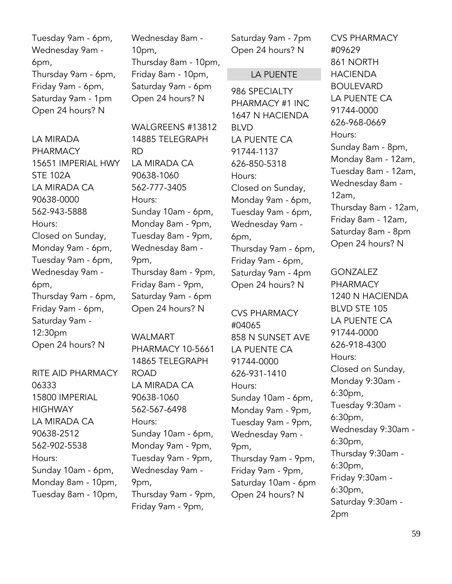Tuesday 9am - 6pm, Wednesday 9am - 6pm, Thursday 9am - 6pm, Friday 9am - 6pm, Saturday 9am - 1pm Open 24 hours? N

LA MIRADA PHARMACY 15651 IMPERIAL HWY STE 102A LA MIRADA CA 90638-0000 562-943-5888 Hours: Closed on Sunday, Monday 9am - 6pm, Tuesday 9am - 6pm, Wednesday 9am - 6pm, Thursday 9am - 6pm, Friday 9am - 6pm, Saturday 9am - 12:30pm Open 24 hours? N

RITE AID PHARMACY 06333 15800 IMPERIAL **HIGHWAY** LA MIRADA CA 90638-2512 562-902-5538 Hours: Sunday 10am - 6pm, Monday 8am - 10pm, Tuesday 8am - 10pm,

Wednesday 8am - 10pm, Thursday 8am - 10pm, Friday 8am - 10pm, Saturday 9am - 6pm Open 24 hours? N

WAI GREENS #13812 14885 TELEGRAPH RD LA MIRADA CA 90638-1060 562-777-3405 Hours: Sunday 10am - 6pm, Monday 8am - 9pm, Tuesday 8am - 9pm, Wednesday 8am - 9pm, Thursday 8am - 9pm, Friday 8am - 9pm, Saturday 9am - 6pm Open 24 hours? N

WAI MART PHARMACY 10-5661 14865 TELEGRAPH ROAD LA MIRADA CA 90638-1060 562-567-6498 Hours: Sunday 10am - 6pm, Monday 9am - 9pm, Tuesday 9am - 9pm, Wednesday 9am - 9pm, Thursday 9am - 9pm, Friday 9am - 9pm,

Saturday 9am - 7pm Open 24 hours? N

# LA PUENTE

986 SPECIALTY PHARMACY #1 INC 1647 N HACIENDA BLVD LA PUENTE CA 91744-1137 626-850-5318 Hours: Closed on Sunday, Monday 9am - 6pm, Tuesday 9am - 6pm, Wednesday 9am - 6pm, Thursday 9am - 6pm, Friday 9am - 6pm, Saturday 9am - 4pm Open 24 hours? N

CVS PHARMACY #04065 858 N SUNSET AVE LA PUENTE CA 91744-0000 626-931-1410 Hours: Sunday 10am - 6pm, Monday 9am - 9pm, Tuesday 9am - 9pm, Wednesday 9am - 9pm, Thursday 9am - 9pm, Friday 9am - 9pm, Saturday 10am - 6pm Open 24 hours? N

CVS PHARMACY #09629 861 NORTH HACIENDA BOULEVARD LA PUENTE CA 91744-0000 626-968-0669 Hours: Sunday 8am - 8pm, Monday 8am - 12am, Tuesday 8am - 12am, Wednesday 8am - 12am, Thursday 8am - 12am, Friday 8am - 12am, Saturday 8am - 8pm Open 24 hours? N

GONZALEZ PHARMACY 1240 N HACIENDA BLVD STE 105 LA PUENTE CA 91744-0000 626-918-4300 Hours: Closed on Sunday, Monday 9:30am - 6:30pm, Tuesday 9:30am - 6:30pm, Wednesday 9:30am - 6:30pm, Thursday 9:30am - 6:30pm, Friday 9:30am - 6:30pm, Saturday 9:30am - 2pm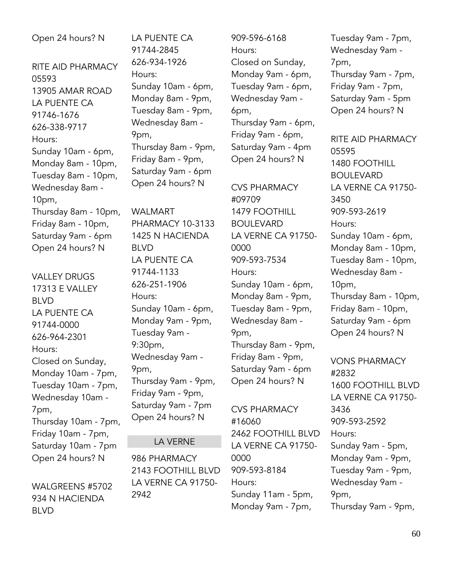# Open 24 hours? N

RITE AID PHARMACY 05593 13905 AMAR ROAD LA PUENTE CA 91746-1676 626-338-9717 Hours: Sunday 10am - 6pm, Monday 8am - 10pm, Tuesday 8am - 10pm, Wednesday 8am - 10pm, Thursday 8am - 10pm, Friday 8am - 10pm, Saturday 9am - 6pm Open 24 hours? N

VALLEY DRUGS 17313 E VALLEY BLVD LA PUENTE CA 91744-0000 626-964-2301 Hours: Closed on Sunday, Monday 10am - 7pm, Tuesday 10am - 7pm, Wednesday 10am - 7pm, Thursday 10am - 7pm, Friday 10am - 7pm, Saturday 10am - 7pm Open 24 hours? N

WALGREENS #5702 934 N HACIENDA BLVD

LA PUENTE CA 91744-2845 626-934-1926 Hours: Sunday 10am - 6pm, Monday 8am - 9pm, Tuesday 8am - 9pm, Wednesday 8am - 9pm, Thursday 8am - 9pm, Friday 8am - 9pm, Saturday 9am - 6pm Open 24 hours? N

WALMART PHARMACY 10-3133 1425 N HACIENDA BLVD LA PUENTE CA 91744-1133 626-251-1906 Hours: Sunday 10am - 6pm, Monday 9am - 9pm, Tuesday 9am - 9:30pm, Wednesday 9am - 9pm, Thursday 9am - 9pm, Friday 9am - 9pm, Saturday 9am - 7pm Open 24 hours? N

# LA VERNE

986 PHARMACY 2143 FOOTHILL BLVD LA VERNE CA 91750- 2942

909-596-6168 Hours: Closed on Sunday, Monday 9am - 6pm, Tuesday 9am - 6pm, Wednesday 9am - 6pm, Thursday 9am - 6pm, Friday 9am - 6pm, Saturday 9am - 4pm Open 24 hours? N

CVS PHARMACY #09709 1479 FOOTHILL BOULEVARD LA VERNE CA 91750- 0000 909-593-7534 Hours: Sunday 10am - 6pm, Monday 8am - 9pm, Tuesday 8am - 9pm, Wednesday 8am - 9pm, Thursday 8am - 9pm, Friday 8am - 9pm, Saturday 9am - 6pm Open 24 hours? N

CVS PHARMACY #16060 2462 FOOTHILL BLVD LA VERNE CA 91750- 0000 909-593-8184 Hours: Sunday 11am - 5pm, Monday 9am - 7pm,

Tuesday 9am - 7pm, Wednesday 9am - 7pm, Thursday 9am - 7pm, Friday 9am - 7pm, Saturday 9am - 5pm Open 24 hours? N

RITE AID PHARMACY 05595 1480 FOOTHILL BOULEVARD LA VERNE CA 91750- 3450 909-593-2619 Hours: Sunday 10am - 6pm, Monday 8am - 10pm, Tuesday 8am - 10pm, Wednesday 8am - 10pm, Thursday 8am - 10pm, Friday 8am - 10pm, Saturday 9am - 6pm Open 24 hours? N

VONS PHARMACY #2832 1600 FOOTHILL BLVD LA VERNE CA 91750- 3436 909-593-2592 Hours: Sunday 9am - 5pm, Monday 9am - 9pm, Tuesday 9am - 9pm, Wednesday 9am - 9pm, Thursday 9am - 9pm,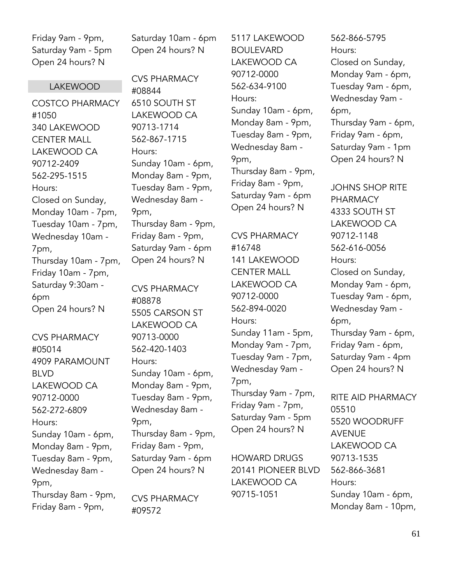Friday 9am - 9pm, Saturday 9am - 5pm Open 24 hours? N

#### **LAKEWOOD**

COSTCO PHARMACY #1050 340 LAKEWOOD CENTER MALL LAKEWOOD CA 90712-2409 562-295-1515 Hours: Closed on Sunday, Monday 10am - 7pm, Tuesday 10am - 7pm, Wednesday 10am - 7pm, Thursday 10am - 7pm, Friday 10am - 7pm, Saturday 9:30am - 6pm Open 24 hours? N

CVS PHARMACY #05014 4909 PARAMOUNT BLVD LAKEWOOD CA 90712-0000 562-272-6809 Hours: Sunday 10am - 6pm, Monday 8am - 9pm, Tuesday 8am - 9pm, Wednesday 8am - 9pm, Thursday 8am - 9pm, Friday 8am - 9pm,

Saturday 10am - 6pm Open 24 hours? N

CVS PHARMACY #08844 6510 SOUTH ST LAKEWOOD CA 90713-1714 562-867-1715 Hours: Sunday 10am - 6pm, Monday 8am - 9pm, Tuesday 8am - 9pm, Wednesday 8am - 9pm, Thursday 8am - 9pm, Friday 8am - 9pm, Saturday 9am - 6pm Open 24 hours? N

CVS PHARMACY #08878 5505 CARSON ST LAKEWOOD CA 90713-0000 562-420-1403 Hours: Sunday 10am - 6pm, Monday 8am - 9pm, Tuesday 8am - 9pm, Wednesday 8am - 9pm, Thursday 8am - 9pm, Friday 8am - 9pm, Saturday 9am - 6pm Open 24 hours? N

CVS PHARMACY #09572

5117 LAKEWOOD BOULEVARD LAKEWOOD CA 90712-0000 562-634-9100 Hours: Sunday 10am - 6pm, Monday 8am - 9pm, Tuesday 8am - 9pm, Wednesday 8am - 9pm, Thursday 8am - 9pm, Friday 8am - 9pm, Saturday 9am - 6pm Open 24 hours? N

CVS PHARMACY #16748 141 LAKEWOOD CENTER MALL LAKEWOOD CA 90712-0000 562-894-0020 Hours: Sunday 11am - 5pm, Monday 9am - 7pm, Tuesday 9am - 7pm, Wednesday 9am - 7pm, Thursday 9am - 7pm, Friday 9am - 7pm, Saturday 9am - 5pm Open 24 hours? N

HOWARD DRUGS 20141 PIONEER BLVD LAKEWOOD CA 90715-1051

562-866-5795 Hours: Closed on Sunday, Monday 9am - 6pm, Tuesday 9am - 6pm, Wednesday 9am - 6pm, Thursday 9am - 6pm, Friday 9am - 6pm, Saturday 9am - 1pm Open 24 hours? N

JOHNS SHOP RITE PHARMACY 4333 SOUTH ST LAKEWOOD CA 90712-1148 562-616-0056 Hours: Closed on Sunday, Monday 9am - 6pm, Tuesday 9am - 6pm, Wednesday 9am - 6pm, Thursday 9am - 6pm, Friday 9am - 6pm, Saturday 9am - 4pm Open 24 hours? N

RITE AID PHARMACY 05510 5520 WOODRUFF AVENUE LAKEWOOD CA 90713-1535 562-866-3681 Hours: Sunday 10am - 6pm, Monday 8am - 10pm,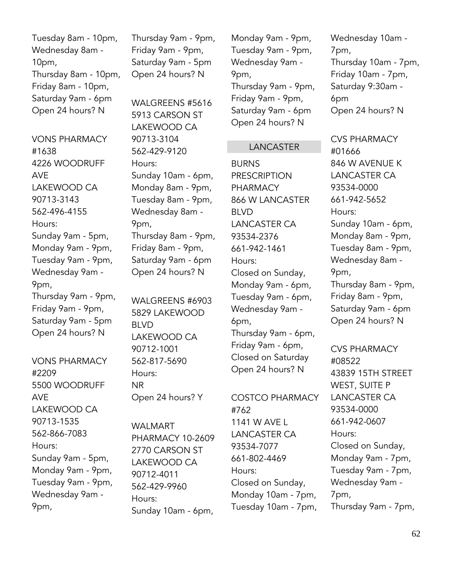Tuesday 8am - 10pm, Wednesday 8am - 10pm, Thursday 8am - 10pm, Friday 8am - 10pm, Saturday 9am - 6pm Open 24 hours? N

VONS PHARMACY #1638 4226 WOODRUFF AVE LAKEWOOD CA 90713-3143 562-496-4155 Hours: Sunday 9am - 5pm, Monday 9am - 9pm, Tuesday 9am - 9pm, Wednesday 9am - 9pm, Thursday 9am - 9pm, Friday 9am - 9pm, Saturday 9am - 5pm Open 24 hours? N

VONS PHARMACY #2209 5500 WOODRUFF AVE LAKEWOOD CA 90713-1535 562-866-7083 Hours: Sunday 9am - 5pm, Monday 9am - 9pm, Tuesday 9am - 9pm, Wednesday 9am - 9pm,

Thursday 9am - 9pm, Friday 9am - 9pm, Saturday 9am - 5pm Open 24 hours? N

WALGREENS #5616 5913 CARSON ST LAKEWOOD CA 90713-3104 562-429-9120 Hours: Sunday 10am - 6pm, Monday 8am - 9pm, Tuesday 8am - 9pm, Wednesday 8am - 9pm, Thursday 8am - 9pm, Friday 8am - 9pm, Saturday 9am - 6pm Open 24 hours? N

WALGREENS #6903 5829 LAKEWOOD BLVD LAKEWOOD CA 90712-1001 562-817-5690 Hours: NR Open 24 hours? Y

WALMART PHARMACY 10-2609 2770 CARSON ST LAKEWOOD CA 90712-4011 562-429-9960 Hours: Sunday 10am - 6pm,

Monday 9am - 9pm, Tuesday 9am - 9pm, Wednesday 9am - 9pm, Thursday 9am - 9pm, Friday 9am - 9pm, Saturday 9am - 6pm Open 24 hours? N

#### LANCASTER

**BURNS** PRESCRIPTION PHARMACY 866 W LANCASTER BLVD LANCASTER CA 93534-2376 661-942-1461 Hours: Closed on Sunday, Monday 9am - 6pm, Tuesday 9am - 6pm, Wednesday 9am - 6pm, Thursday 9am - 6pm, Friday 9am - 6pm, Closed on Saturday Open 24 hours? N

COSTCO PHARMACY #762 1141 W AVE L LANCASTER CA 93534-7077 661-802-4469 Hours: Closed on Sunday, Monday 10am - 7pm, Tuesday 10am - 7pm,

Wednesday 10am - 7pm, Thursday 10am - 7pm, Friday 10am - 7pm, Saturday 9:30am - 6pm Open 24 hours? N

CVS PHARMACY #01666 846 W AVENUE K LANCASTER CA 93534-0000 661-942-5652 Hours: Sunday 10am - 6pm, Monday 8am - 9pm, Tuesday 8am - 9pm, Wednesday 8am - 9pm, Thursday 8am - 9pm, Friday 8am - 9pm, Saturday 9am - 6pm Open 24 hours? N

CVS PHARMACY #08522 43839 15TH STREET WEST, SUITE P LANCASTER CA 93534-0000 661-942-0607 Hours: Closed on Sunday, Monday 9am - 7pm, Tuesday 9am - 7pm, Wednesday 9am - 7pm, Thursday 9am - 7pm,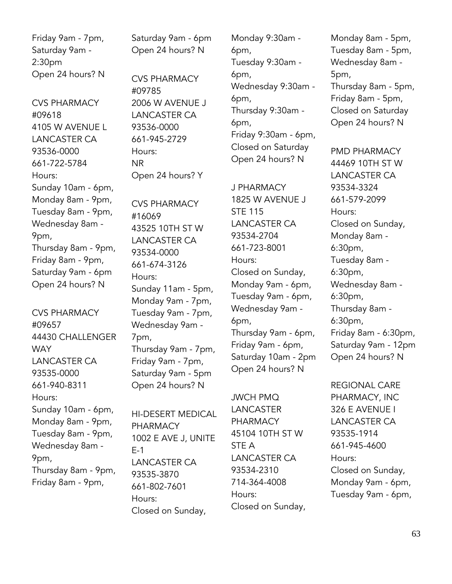Friday 9am - 7pm, Saturday 9am - 2:30pm Open 24 hours? N

CVS PHARMACY #09618 4105 W AVENUE L LANCASTER CA 93536-0000 661-722-5784 Hours: Sunday 10am - 6pm, Monday 8am - 9pm, Tuesday 8am - 9pm, Wednesday 8am - 9pm, Thursday 8am - 9pm, Friday 8am - 9pm, Saturday 9am - 6pm Open 24 hours? N

CVS PHARMACY #09657 44430 CHALLENGER WAY LANCASTER CA 93535-0000 661-940-8311 Hours: Sunday 10am - 6pm, Monday 8am - 9pm, Tuesday 8am - 9pm, Wednesday 8am - 9pm, Thursday 8am - 9pm, Friday 8am - 9pm,

Saturday 9am - 6pm Open 24 hours? N

CVS PHARMACY #09785 2006 W AVENUE J LANCASTER CA 93536-0000 661-945-2729 Hours: NR Open 24 hours? Y

CVS PHARMACY #16069 43525 10TH ST W LANCASTER CA 93534-0000 661-674-3126 Hours: Sunday 11am - 5pm, Monday 9am - 7pm, Tuesday 9am - 7pm, Wednesday 9am - 7pm, Thursday 9am - 7pm, Friday 9am - 7pm, Saturday 9am - 5pm Open 24 hours? N

HI-DESERT MEDICAL PHARMACY 1002 E AVE J, UNITE E-1 LANCASTER CA 93535-3870 661-802-7601 Hours: Closed on Sunday,

Monday 9:30am - 6pm, Tuesday 9:30am - 6pm, Wednesday 9:30am - 6pm, Thursday 9:30am - 6pm, Friday 9:30am - 6pm, Closed on Saturday Open 24 hours? N

J PHARMACY 1825 W AVENUE J STE 115 LANCASTER CA 93534-2704 661-723-8001 Hours: Closed on Sunday, Monday 9am - 6pm, Tuesday 9am - 6pm, Wednesday 9am - 6pm, Thursday 9am - 6pm, Friday 9am - 6pm, Saturday 10am - 2pm Open 24 hours? N

JWCH PMQ LANCASTER **PHARMACY** 45104 10TH ST W STE A LANCASTER CA 93534-2310 714-364-4008 Hours: Closed on Sunday,

Monday 8am - 5pm, Tuesday 8am - 5pm, Wednesday 8am - 5pm, Thursday 8am - 5pm, Friday 8am - 5pm, Closed on Saturday Open 24 hours? N

PMD PHARMACY 44469 10TH ST W LANCASTER CA 93534-3324 661-579-2099 Hours: Closed on Sunday, Monday 8am - 6:30pm, Tuesday 8am - 6:30pm, Wednesday 8am - 6:30pm, Thursday 8am - 6:30pm, Friday 8am - 6:30pm, Saturday 9am - 12pm Open 24 hours? N

REGIONAL CARE PHARMACY, INC 326 E AVENUE I LANCASTER CA 93535-1914 661-945-4600 Hours: Closed on Sunday, Monday 9am - 6pm, Tuesday 9am - 6pm,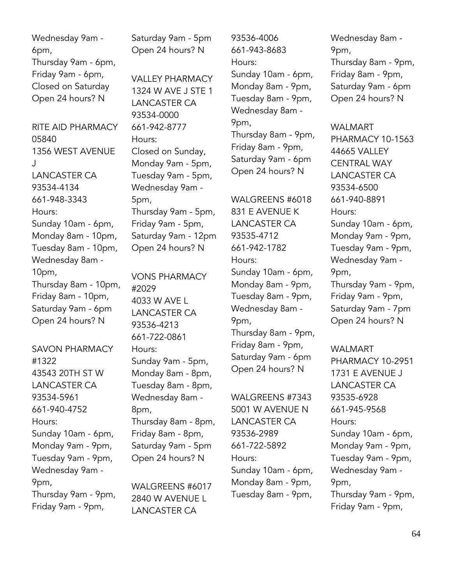Wednesday 9am - 6pm, Thursday 9am - 6pm, Friday 9am - 6pm, Closed on Saturday Open 24 hours? N

RITE AID PHARMACY 05840 1356 WEST AVENUE J LANCASTER CA 93534-4134 661-948-3343 Hours: Sunday 10am - 6pm, Monday 8am - 10pm, Tuesday 8am - 10pm, Wednesday 8am - 10pm, Thursday 8am - 10pm, Friday 8am - 10pm, Saturday 9am - 6pm Open 24 hours? N

SAVON PHARMACY #1322 43543 20TH ST W LANCASTER CA 93534-5961 661-940-4752 Hours: Sunday 10am - 6pm, Monday 9am - 9pm, Tuesday 9am - 9pm, Wednesday 9am - 9pm, Thursday 9am - 9pm, Friday 9am - 9pm,

Saturday 9am - 5pm Open 24 hours? N

VALLEY PHARMACY 1324 W AVE J STE 1 LANCASTER CA 93534-0000 661-942-8777 Hours: Closed on Sunday, Monday 9am - 5pm, Tuesday 9am - 5pm, Wednesday 9am - 5pm, Thursday 9am - 5pm, Friday 9am - 5pm, Saturday 9am - 12pm Open 24 hours? N

VONS PHARMACY #2029 4033 W AVE L LANCASTER CA 93536-4213 661-722-0861 Hours: Sunday 9am - 5pm, Monday 8am - 8pm, Tuesday 8am - 8pm, Wednesday 8am - 8pm, Thursday 8am - 8pm, Friday 8am - 8pm, Saturday 9am - 5pm Open 24 hours? N

WALGREENS #6017 2840 W AVENUE L LANCASTER CA

93536-4006 661-943-8683 Hours: Sunday 10am - 6pm, Monday 8am - 9pm, Tuesday 8am - 9pm, Wednesday 8am - 9pm, Thursday 8am - 9pm, Friday 8am - 9pm, Saturday 9am - 6pm Open 24 hours? N

#### WALGREENS #6018

831 E AVENUE K LANCASTER CA 93535-4712 661-942-1782 Hours: Sunday 10am - 6pm, Monday 8am - 9pm, Tuesday 8am - 9pm, Wednesday 8am - 9pm, Thursday 8am - 9pm, Friday 8am - 9pm, Saturday 9am - 6pm Open 24 hours? N

WALGREENS #7343 5001 W AVENUE N LANCASTER CA 93536-2989 661-722-5892 Hours: Sunday 10am - 6pm, Monday 8am - 9pm, Tuesday 8am - 9pm,

Wednesday 8am - 9pm, Thursday 8am - 9pm, Friday 8am - 9pm, Saturday 9am - 6pm Open 24 hours? N

WALMART PHARMACY 10-1563 44665 VALLEY CENTRAL WAY LANCASTER CA 93534-6500 661-940-8891 Hours: Sunday 10am - 6pm, Monday 9am - 9pm, Tuesday 9am - 9pm, Wednesday 9am - 9pm, Thursday 9am - 9pm, Friday 9am - 9pm, Saturday 9am - 7pm Open 24 hours? N

WALMART PHARMACY 10-2951 1731 E AVENUE J LANCASTER CA 93535-6928 661-945-9568 Hours: Sunday 10am - 6pm, Monday 9am - 9pm, Tuesday 9am - 9pm, Wednesday 9am - 9pm, Thursday 9am - 9pm, Friday 9am - 9pm,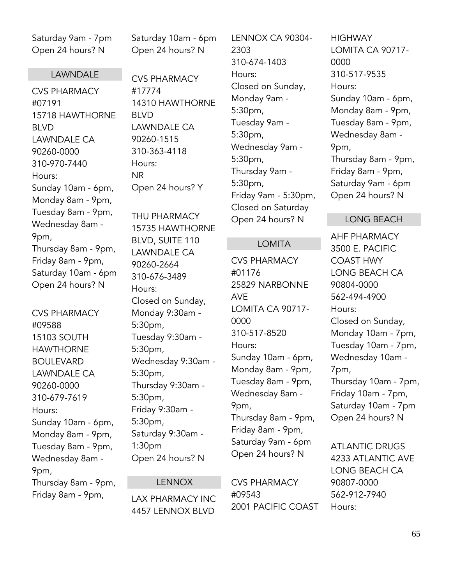Saturday 9am - 7pm Open 24 hours? N

#### LAWNDALE

CVS PHARMACY #07191 15718 HAWTHORNE BLVD LAWNDALE CA 90260-0000 310-970-7440 Hours: Sunday 10am - 6pm, Monday 8am - 9pm, Tuesday 8am - 9pm, Wednesday 8am - 9pm, Thursday 8am - 9pm, Friday 8am - 9pm, Saturday 10am - 6pm Open 24 hours? N

CVS PHARMACY #09588 15103 SOUTH HAWTHORNE BOULEVARD LAWNDALE CA 90260-0000 310-679-7619 Hours: Sunday 10am - 6pm, Monday 8am - 9pm, Tuesday 8am - 9pm, Wednesday 8am - 9pm, Thursday 8am - 9pm, Friday 8am - 9pm,

Saturday 10am - 6pm Open 24 hours? N

CVS PHARMACY #17774 14310 HAWTHORNE BLVD LAWNDALE CA 90260-1515 310-363-4118 Hours: NR Open 24 hours? Y

THU PHARMACY 15735 HAWTHORNE BLVD, SUITE 110 LAWNDALE CA 90260-2664 310-676-3489 Hours: Closed on Sunday, Monday 9:30am - 5:30pm, Tuesday 9:30am - 5:30pm, Wednesday 9:30am - 5:30pm, Thursday 9:30am - 5:30pm, Friday 9:30am - 5:30pm, Saturday 9:30am - 1:30pm Open 24 hours? N

### LENNOX

LAX PHARMACY INC 4457 LENNOX BLVD

LENNOX CA 90304- 2303 310-674-1403 Hours: Closed on Sunday, Monday 9am - 5:30pm, Tuesday 9am - 5:30pm, Wednesday 9am - 5:30pm, Thursday 9am - 5:30pm, Friday 9am - 5:30pm, Closed on Saturday Open 24 hours? N

#### LOMITA

CVS PHARMACY #01176 25829 NARBONNE AVE LOMITA CA 90717- 0000 310-517-8520 Hours: Sunday 10am - 6pm, Monday 8am - 9pm, Tuesday 8am - 9pm, Wednesday 8am - 9pm, Thursday 8am - 9pm, Friday 8am - 9pm, Saturday 9am - 6pm Open 24 hours? N

CVS PHARMACY #09543 2001 PACIFIC COAST

**HIGHWAY** LOMITA CA 90717- 0000 310-517-9535 Hours: Sunday 10am - 6pm, Monday 8am - 9pm, Tuesday 8am - 9pm, Wednesday 8am - 9pm, Thursday 8am - 9pm, Friday 8am - 9pm, Saturday 9am - 6pm Open 24 hours? N

#### LONG BEACH

AHF PHARMACY 3500 E. PACIFIC COAST HWY LONG BEACH CA 90804-0000 562-494-4900 Hours: Closed on Sunday, Monday 10am - 7pm, Tuesday 10am - 7pm, Wednesday 10am - 7pm, Thursday 10am - 7pm, Friday 10am - 7pm, Saturday 10am - 7pm Open 24 hours? N

ATLANTIC DRUGS 4233 ATLANTIC AVE LONG BEACH CA 90807-0000 562-912-7940 Hours: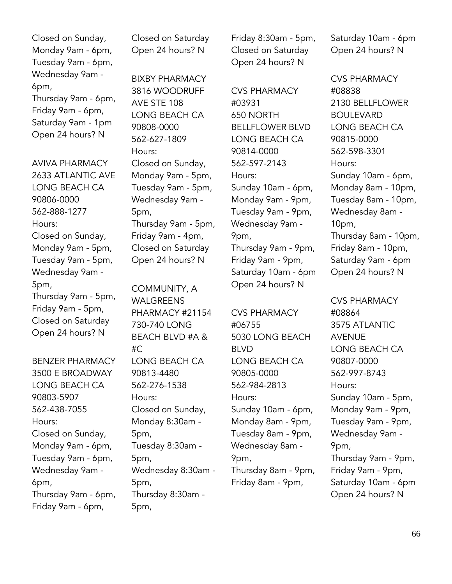Closed on Sunday, Monday 9am - 6pm, Tuesday 9am - 6pm, Wednesday 9am - 6pm, Thursday 9am - 6pm, Friday 9am - 6pm, Saturday 9am - 1pm Open 24 hours? N

AVIVA PHARMACY 2633 ATLANTIC AVE LONG BEACH CA 90806-0000 562-888-1277 Hours: Closed on Sunday, Monday 9am - 5pm, Tuesday 9am - 5pm, Wednesday 9am - 5pm, Thursday 9am - 5pm, Friday 9am - 5pm, Closed on Saturday Open 24 hours? N

BENZER PHARMACY 3500 E BROADWAY LONG BEACH CA 90803-5907 562-438-7055 Hours: Closed on Sunday, Monday 9am - 6pm, Tuesday 9am - 6pm, Wednesday 9am - 6pm, Thursday 9am - 6pm, Friday 9am - 6pm,

Closed on Saturday Open 24 hours? N

BIXBY PHARMACY 3816 WOODRUFF AVE STE 108 LONG BEACH CA 90808-0000 562-627-1809 Hours: Closed on Sunday, Monday 9am - 5pm, Tuesday 9am - 5pm, Wednesday 9am - 5pm, Thursday 9am - 5pm, Friday 9am - 4pm, Closed on Saturday Open 24 hours? N

COMMUNITY, A WALGREENS PHARMACY #21154 730-740 LONG BEACH BLVD #A & #C LONG BEACH CA 90813-4480 562-276-1538 Hours: Closed on Sunday, Monday 8:30am - 5pm, Tuesday 8:30am - 5pm, Wednesday 8:30am - 5pm, Thursday 8:30am - 5pm,

Friday 8:30am - 5pm, Closed on Saturday Open 24 hours? N

CVS PHARMACY #03931 650 NORTH BELLFLOWER BLVD LONG BEACH CA 90814-0000 562-597-2143 Hours: Sunday 10am - 6pm, Monday 9am - 9pm, Tuesday 9am - 9pm, Wednesday 9am - 9pm, Thursday 9am - 9pm, Friday 9am - 9pm, Saturday 10am - 6pm Open 24 hours? N

CVS PHARMACY #06755 5030 LONG BEACH BLVD LONG BEACH CA 90805-0000 562-984-2813 Hours: Sunday 10am - 6pm, Monday 8am - 9pm, Tuesday 8am - 9pm, Wednesday 8am - 9pm, Thursday 8am - 9pm, Friday 8am - 9pm,

Saturday 10am - 6pm Open 24 hours? N

CVS PHARMACY #08838 2130 BELLFLOWER BOULEVARD LONG BEACH CA 90815-0000 562-598-3301 Hours: Sunday 10am - 6pm, Monday 8am - 10pm, Tuesday 8am - 10pm, Wednesday 8am - 10pm, Thursday 8am - 10pm, Friday 8am - 10pm, Saturday 9am - 6pm Open 24 hours? N

CVS PHARMACY #08864 3575 ATLANTIC AVENUE LONG BEACH CA 90807-0000 562-997-8743 Hours: Sunday 10am - 5pm, Monday 9am - 9pm, Tuesday 9am - 9pm, Wednesday 9am - 9pm, Thursday 9am - 9pm, Friday 9am - 9pm, Saturday 10am - 6pm Open 24 hours? N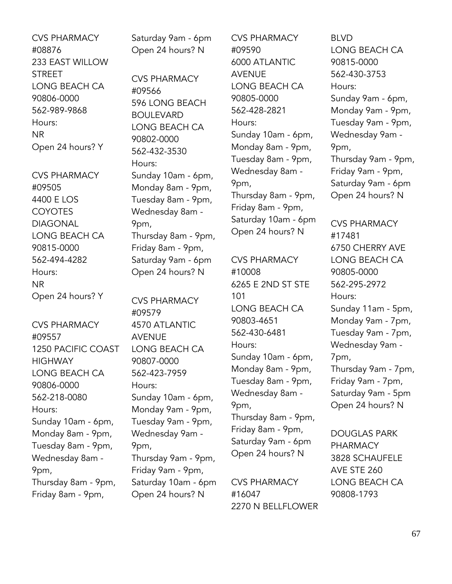CVS PHARMACY #08876 233 EAST WILLOW **STREET** LONG BEACH CA 90806-0000 562-989-9868 Hours: NR Open 24 hours? Y

CVS PHARMACY #09505 4400 E LOS COYOTES DIAGONAL LONG BEACH CA 90815-0000 562-494-4282 Hours: NR Open 24 hours? Y

CVS PHARMACY #09557 1250 PACIFIC COAST **HIGHWAY** LONG BEACH CA 90806-0000 562-218-0080 Hours: Sunday 10am - 6pm, Monday 8am - 9pm, Tuesday 8am - 9pm, Wednesday 8am - 9pm, Thursday 8am - 9pm, Friday 8am - 9pm,

Saturday 9am - 6pm Open 24 hours? N

CVS PHARMACY #09566 596 LONG BEACH BOULEVARD LONG BEACH CA 90802-0000 562-432-3530 Hours: Sunday 10am - 6pm, Monday 8am - 9pm, Tuesday 8am - 9pm, Wednesday 8am - 9pm, Thursday 8am - 9pm, Friday 8am - 9pm, Saturday 9am - 6pm Open 24 hours? N

CVS PHARMACY #09579 4570 ATLANTIC AVENUE LONG BEACH CA 90807-0000 562-423-7959 Hours: Sunday 10am - 6pm, Monday 9am - 9pm, Tuesday 9am - 9pm, Wednesday 9am - 9pm, Thursday 9am - 9pm, Friday 9am - 9pm, Saturday 10am - 6pm Open 24 hours? N

CVS PHARMACY #09590 6000 ATLANTIC AVENUE LONG BEACH CA 90805-0000 562-428-2821 Hours: Sunday 10am - 6pm, Monday 8am - 9pm, Tuesday 8am - 9pm, Wednesday 8am - 9pm, Thursday 8am - 9pm, Friday 8am - 9pm, Saturday 10am - 6pm Open 24 hours? N

CVS PHARMACY #10008 6265 E 2ND ST STE 101 LONG BEACH CA 90803-4651 562-430-6481 Hours: Sunday 10am - 6pm, Monday 8am - 9pm, Tuesday 8am - 9pm, Wednesday 8am - 9pm, Thursday 8am - 9pm, Friday 8am - 9pm, Saturday 9am - 6pm Open 24 hours? N

CVS PHARMACY #16047 2270 N BELLFLOWER

BLVD LONG BEACH CA 90815-0000 562-430-3753 Hours: Sunday 9am - 6pm, Monday 9am - 9pm, Tuesday 9am - 9pm, Wednesday 9am - 9pm, Thursday 9am - 9pm, Friday 9am - 9pm, Saturday 9am - 6pm Open 24 hours? N

CVS PHARMACY #17481 6750 CHERRY AVE LONG BEACH CA 90805-0000 562-295-2972 Hours: Sunday 11am - 5pm, Monday 9am - 7pm, Tuesday 9am - 7pm, Wednesday 9am - 7pm, Thursday 9am - 7pm, Friday 9am - 7pm, Saturday 9am - 5pm Open 24 hours? N

DOUGLAS PARK PHARMACY 3828 SCHAUFELE AVE STE 260 LONG BEACH CA 90808-1793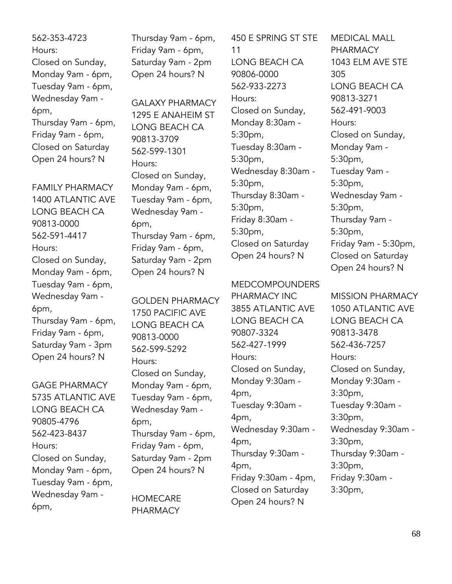562-353-4723 Hours: Closed on Sunday, Monday 9am - 6pm, Tuesday 9am - 6pm, Wednesday 9am - 6pm, Thursday 9am - 6pm, Friday 9am - 6pm, Closed on Saturday Open 24 hours? N

FAMILY PHARMACY 1400 ATLANTIC AVE LONG BEACH CA 90813-0000 562-591-4417 Hours: Closed on Sunday, Monday 9am - 6pm, Tuesday 9am - 6pm, Wednesday 9am - 6pm, Thursday 9am - 6pm, Friday 9am - 6pm, Saturday 9am - 3pm Open 24 hours? N

GAGE PHARMACY 5735 ATLANTIC AVE LONG BEACH CA 90805-4796 562-423-8437 Hours: Closed on Sunday, Monday 9am - 6pm, Tuesday 9am - 6pm, Wednesday 9am - 6pm,

Thursday 9am - 6pm, Friday 9am - 6pm, Saturday 9am - 2pm Open 24 hours? N

GALAXY PHARMACY 1295 E ANAHEIM ST LONG BEACH CA 90813-3709 562-599-1301 Hours: Closed on Sunday, Monday 9am - 6pm, Tuesday 9am - 6pm, Wednesday 9am - 6pm, Thursday 9am - 6pm, Friday 9am - 6pm, Saturday 9am - 2pm Open 24 hours? N

GOLDEN PHARMACY 1750 PACIFIC AVE LONG BEACH CA 90813-0000 562-599-5292 Hours: Closed on Sunday, Monday 9am - 6pm, Tuesday 9am - 6pm, Wednesday 9am - 6pm, Thursday 9am - 6pm, Friday 9am - 6pm, Saturday 9am - 2pm Open 24 hours? N

**HOMECARE** PHARMACY

450 E SPRING ST STE 11 LONG BEACH CA 90806-0000 562-933-2273 Hours: Closed on Sunday, Monday 8:30am - 5:30pm, Tuesday 8:30am - 5:30pm, Wednesday 8:30am - 5:30pm, Thursday 8:30am - 5:30pm, Friday 8:30am - 5:30pm, Closed on Saturday Open 24 hours? N

MEDCOMPOUNDERS

PHARMACY INC 3855 ATLANTIC AVE LONG BEACH CA 90807-3324 562-427-1999 Hours: Closed on Sunday, Monday 9:30am - 4pm, Tuesday 9:30am - 4pm, Wednesday 9:30am - 4pm, Thursday 9:30am - 4pm, Friday 9:30am - 4pm, Closed on Saturday Open 24 hours? N

MEDICAL MALL PHARMACY 1043 ELM AVE STE 305 LONG BEACH CA 90813-3271 562-491-9003 Hours: Closed on Sunday, Monday 9am - 5:30pm, Tuesday 9am - 5:30pm, Wednesday 9am - 5:30pm, Thursday 9am - 5:30pm, Friday 9am - 5:30pm, Closed on Saturday Open 24 hours? N

MISSION PHARMACY 1050 ATLANTIC AVE LONG BEACH CA 90813-3478 562-436-7257 Hours: Closed on Sunday, Monday 9:30am - 3:30pm, Tuesday 9:30am - 3:30pm, Wednesday 9:30am - 3:30pm, Thursday 9:30am - 3:30pm, Friday 9:30am - 3:30pm,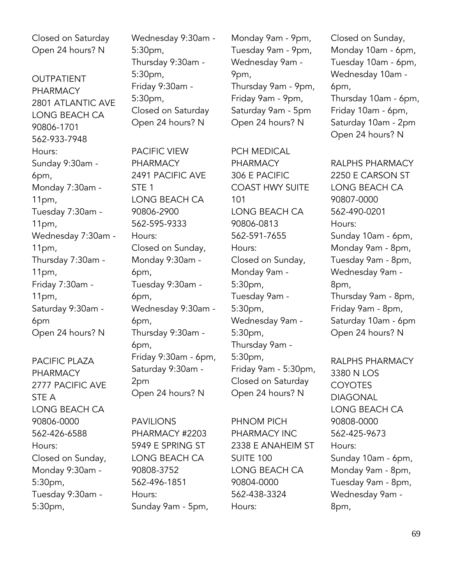Closed on Saturday Open 24 hours? N

**OUTPATIENT** PHARMACY 2801 ATLANTIC AVE LONG BEACH CA 90806-1701 562-933-7948 Hours: Sunday 9:30am - 6pm, Monday 7:30am - 11pm, Tuesday 7:30am - 11pm, Wednesday 7:30am - 11pm, Thursday 7:30am - 11pm, Friday 7:30am - 11pm, Saturday 9:30am - 6pm Open 24 hours? N

PACIFIC PLAZA PHARMACY 2777 PACIFIC AVE STE A LONG BEACH CA 90806-0000 562-426-6588 Hours: Closed on Sunday, Monday 9:30am - 5:30pm, Tuesday 9:30am - 5:30pm,

Wednesday 9:30am - 5:30pm, Thursday 9:30am - 5:30pm, Friday 9:30am - 5:30pm, Closed on Saturday Open 24 hours? N

PACIFIC VIEW PHARMACY 2491 PACIFIC AVE STE 1 LONG BEACH CA 90806-2900 562-595-9333 Hours: Closed on Sunday, Monday 9:30am - 6pm, Tuesday 9:30am - 6pm, Wednesday 9:30am - 6pm, Thursday 9:30am - 6pm, Friday 9:30am - 6pm, Saturday 9:30am - 2pm Open 24 hours? N

PAVILIONS PHARMACY #2203 5949 E SPRING ST LONG BEACH CA 90808-3752 562-496-1851 Hours: Sunday 9am - 5pm,

Monday 9am - 9pm, Tuesday 9am - 9pm, Wednesday 9am - 9pm, Thursday 9am - 9pm, Friday 9am - 9pm, Saturday 9am - 5pm Open 24 hours? N

PCH MEDICAL PHARMACY 306 E PACIFIC COAST HWY SUITE 101 LONG BEACH CA 90806-0813 562-591-7655 Hours: Closed on Sunday, Monday 9am - 5:30pm, Tuesday 9am - 5:30pm, Wednesday 9am - 5:30pm, Thursday 9am - 5:30pm, Friday 9am - 5:30pm, Closed on Saturday Open 24 hours? N

PHNOM PICH PHARMACY INC 2338 E ANAHEIM ST SUITE 100 LONG BEACH CA 90804-0000 562-438-3324 Hours:

Closed on Sunday, Monday 10am - 6pm, Tuesday 10am - 6pm, Wednesday 10am - 6pm, Thursday 10am - 6pm,

Friday 10am - 6pm, Saturday 10am - 2pm Open 24 hours? N

RALPHS PHARMACY 2250 E CARSON ST LONG BEACH CA 90807-0000 562-490-0201 Hours: Sunday 10am - 6pm, Monday 9am - 8pm, Tuesday 9am - 8pm, Wednesday 9am - 8pm, Thursday 9am - 8pm, Friday 9am - 8pm, Saturday 10am - 6pm Open 24 hours? N

RALPHS PHARMACY 3380 N LOS COYOTES DIAGONAL LONG BEACH CA 90808-0000 562-425-9673 Hours: Sunday 10am - 6pm, Monday 9am - 8pm, Tuesday 9am - 8pm, Wednesday 9am - 8pm,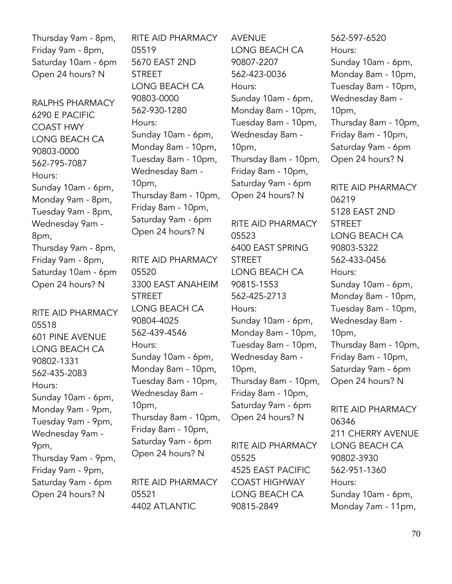Thursday 9am - 8pm, Friday 9am - 8pm, Saturday 10am - 6pm Open 24 hours? N

RALPHS PHARMACY 6290 E PACIFIC COAST HWY LONG BEACH CA 90803-0000 562-795-7087 Hours: Sunday 10am - 6pm, Monday 9am - 8pm, Tuesday 9am - 8pm, Wednesday 9am - 8pm, Thursday 9am - 8pm, Friday 9am - 8pm, Saturday 10am - 6pm Open 24 hours? N

RITE AID PHARMACY 05518 601 PINE AVENUE LONG BEACH CA 90802-1331 562-435-2083 Hours: Sunday 10am - 6pm, Monday 9am - 9pm, Tuesday 9am - 9pm, Wednesday 9am - 9pm, Thursday 9am - 9pm, Friday 9am - 9pm, Saturday 9am - 6pm Open 24 hours? N

RITE AID PHARMACY 05519 5670 EAST 2ND **STREET** LONG BEACH CA 90803-0000 562-930-1280 Hours: Sunday 10am - 6pm, Monday 8am - 10pm, Tuesday 8am - 10pm, Wednesday 8am - 10pm, Thursday 8am - 10pm, Friday 8am - 10pm, Saturday 9am - 6pm Open 24 hours? N

RITE AID PHARMACY 05520 3300 EAST ANAHEIM STREET LONG BEACH CA 90804-4025 562-439-4546 Hours: Sunday 10am - 6pm, Monday 8am - 10pm, Tuesday 8am - 10pm, Wednesday 8am - 10pm, Thursday 8am - 10pm, Friday 8am - 10pm, Saturday 9am - 6pm Open 24 hours? N

RITE AID PHARMACY 05521 4402 ATLANTIC

AVENUE LONG BEACH CA 90807-2207 562-423-0036 Hours: Sunday 10am - 6pm, Monday 8am - 10pm, Tuesday 8am - 10pm, Wednesday 8am - 10pm, Thursday 8am - 10pm, Friday 8am - 10pm, Saturday 9am - 6pm Open 24 hours? N

RITE AID PHARMACY 05523 6400 EAST SPRING STREET LONG BEACH CA 90815-1553 562-425-2713 Hours: Sunday 10am - 6pm, Monday 8am - 10pm, Tuesday 8am - 10pm, Wednesday 8am - 10pm, Thursday 8am - 10pm, Friday 8am - 10pm, Saturday 9am - 6pm Open 24 hours? N

RITE AID PHARMACY 05525 4525 EAST PACIFIC COAST HIGHWAY LONG BEACH CA 90815-2849

562-597-6520 Hours: Sunday 10am - 6pm, Monday 8am - 10pm, Tuesday 8am - 10pm, Wednesday 8am - 10pm, Thursday 8am - 10pm, Friday 8am - 10pm, Saturday 9am - 6pm Open 24 hours? N

RITE AID PHARMACY 06219 5128 EAST 2ND **STREET** LONG BEACH CA 90803-5322 562-433-0456 Hours: Sunday 10am - 6pm, Monday 8am - 10pm, Tuesday 8am - 10pm, Wednesday 8am - 10pm, Thursday 8am - 10pm, Friday 8am - 10pm, Saturday 9am - 6pm Open 24 hours? N

RITE AID PHARMACY 06346 211 CHERRY AVENUE LONG BEACH CA 90802-3930 562-951-1360 Hours: Sunday 10am - 6pm, Monday 7am - 11pm,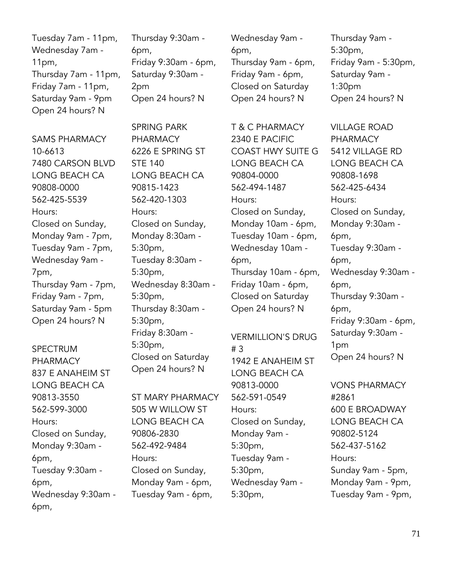| Tuesday 7am - 11pm,  |
|----------------------|
| Wednesday 7am -      |
| 11pm,                |
| Thursday 7am - 11pm, |
| Friday 7am - 11pm,   |
| Saturday 9am - 9pm   |
| Open 24 hours? N     |

SAMS PHARMACY 10-6613 7480 CARSON BLVD LONG BEACH CA 90808-0000 562-425-5539 Hours: Closed on Sunday, Monday 9am - 7pm, Tuesday 9am - 7pm, Wednesday 9am - 7pm, Thursday 9am - 7pm, Friday 9am - 7pm, Saturday 9am - 5pm Open 24 hours? N

SPECTRUM PHARMACY 837 E ANAHEIM ST LONG BEACH CA 90813-3550 562-599-3000 Hours: Closed on Sunday, Monday 9:30am - 6pm, Tuesday 9:30am - 6pm, Wednesday 9:30am - 6pm,

Thursday 9:30am - 6pm, Friday 9:30am - 6pm, Saturday 9:30am - 2pm Open 24 hours? N

SPRING PARK PHARMACY 6226 E SPRING ST STE 140 LONG BEACH CA 90815-1423 562-420-1303 Hours: Closed on Sunday, Monday 8:30am - 5:30pm, Tuesday 8:30am - 5:30pm, Wednesday 8:30am - 5:30pm, Thursday 8:30am - 5:30pm, Friday 8:30am - 5:30pm, Closed on Saturday Open 24 hours? N

ST MARY PHARMACY 505 W WILLOW ST LONG BEACH CA 90806-2830 562-492-9484 Hours: Closed on Sunday, Monday 9am - 6pm, Tuesday 9am - 6pm,

Wednesday 9am - 6pm, Thursday 9am - 6pm, Friday 9am - 6pm, Closed on Saturday Open 24 hours? N

T & C PHARMACY 2340 E PACIFIC COAST HWY SUITE G LONG BEACH CA 90804-0000 562-494-1487 Hours: Closed on Sunday, Monday 10am - 6pm, Tuesday 10am - 6pm, Wednesday 10am - 6pm, Thursday 10am - 6pm, Friday 10am - 6pm, Closed on Saturday Open 24 hours? N

VERMILLION'S DRUG # 3 1942 E ANAHEIM ST LONG BEACH CA 90813-0000 562-591-0549 Hours: Closed on Sunday, Monday 9am - 5:30pm, Tuesday 9am - 5:30pm, Wednesday 9am - 5:30pm,

Thursday 9am - 5:30pm, Friday 9am - 5:30pm, Saturday 9am - 1:30pm Open 24 hours? N

VILLAGE ROAD PHARMACY 5412 VILLAGE RD LONG BEACH CA 90808-1698 562-425-6434 Hours: Closed on Sunday, Monday 9:30am - 6pm, Tuesday 9:30am - 6pm, Wednesday 9:30am - 6pm, Thursday 9:30am - 6pm, Friday 9:30am - 6pm, Saturday 9:30am - 1pm Open 24 hours? N

VONS PHARMACY #2861 600 E BROADWAY LONG BEACH CA 90802-5124 562-437-5162 Hours: Sunday 9am - 5pm, Monday 9am - 9pm, Tuesday 9am - 9pm,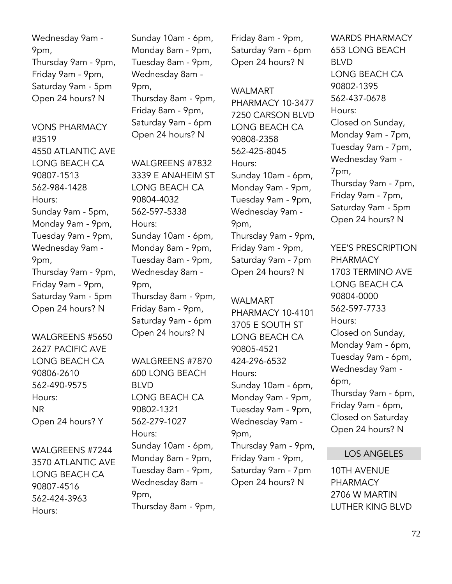Wednesday 9am - 9pm, Thursday 9am - 9pm, Friday 9am - 9pm, Saturday 9am - 5pm Open 24 hours? N

VONS PHARMACY #3519 4550 ATLANTIC AVE LONG BEACH CA 90807-1513 562-984-1428 Hours: Sunday 9am - 5pm, Monday 9am - 9pm, Tuesday 9am - 9pm, Wednesday 9am - 9pm, Thursday 9am - 9pm, Friday 9am - 9pm, Saturday 9am - 5pm Open 24 hours? N

WALGREENS #5650 2627 PACIFIC AVE LONG BEACH CA 90806-2610 562-490-9575 Hours: NR Open 24 hours? Y

WALGREENS #7244 3570 ATLANTIC AVE LONG BEACH CA 90807-4516 562-424-3963 Hours:

Sunday 10am - 6pm, Monday 8am - 9pm, Tuesday 8am - 9pm, Wednesday 8am - 9pm, Thursday 8am - 9pm, Friday 8am - 9pm, Saturday 9am - 6pm Open 24 hours? N

WAI GRFFNS #7832 3339 E ANAHEIM ST LONG BEACH CA 90804-4032 562-597-5338 Hours: Sunday 10am - 6pm, Monday 8am - 9pm, Tuesday 8am - 9pm, Wednesday 8am - 9pm, Thursday 8am - 9pm, Friday 8am - 9pm, Saturday 9am - 6pm Open 24 hours? N

WALGREENS #7870 600 LONG BEACH BLVD LONG BEACH CA 90802-1321 562-279-1027 Hours: Sunday 10am - 6pm, Monday 8am - 9pm, Tuesday 8am - 9pm, Wednesday 8am - 9pm, Thursday 8am - 9pm,

Friday 8am - 9pm, Saturday 9am - 6pm Open 24 hours? N

WALMART PHARMACY 10-3477 7250 CARSON BLVD LONG BEACH CA 90808-2358 562-425-8045 Hours: Sunday 10am - 6pm, Monday 9am - 9pm, Tuesday 9am - 9pm, Wednesday 9am - 9pm, Thursday 9am - 9pm, Friday 9am - 9pm, Saturday 9am - 7pm Open 24 hours? N

WALMART PHARMACY 10-4101 3705 E SOUTH ST LONG BEACH CA 90805-4521 424-296-6532 Hours: Sunday 10am - 6pm, Monday 9am - 9pm, Tuesday 9am - 9pm, Wednesday 9am - 9pm, Thursday 9am - 9pm, Friday 9am - 9pm, Saturday 9am - 7pm Open 24 hours? N

WARDS PHARMACY 653 LONG BEACH BLVD LONG BEACH CA 90802-1395 562-437-0678 Hours: Closed on Sunday, Monday 9am - 7pm, Tuesday 9am - 7pm, Wednesday 9am - 7pm, Thursday 9am - 7pm, Friday 9am - 7pm, Saturday 9am - 5pm Open 24 hours? N

YEE'S PRESCRIPTION PHARMACY 1703 TERMINO AVE LONG BEACH CA 90804-0000 562-597-7733 Hours: Closed on Sunday, Monday 9am - 6pm, Tuesday 9am - 6pm, Wednesday 9am - 6pm, Thursday 9am - 6pm, Friday 9am - 6pm, Closed on Saturday Open 24 hours? N

# LOS ANGELES

10TH AVENUE PHARMACY 2706 W MARTIN LUTHER KING BLVD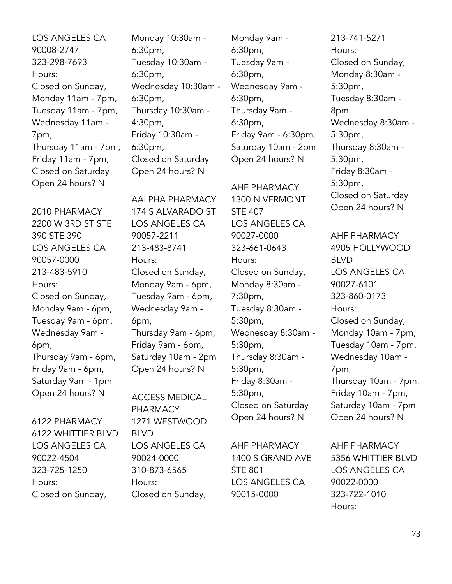LOS ANGELES CA 90008-2747 323-298-7693 Hours: Closed on Sunday, Monday 11am - 7pm, Tuesday 11am - 7pm, Wednesday 11am - 7pm, Thursday 11am - 7pm, Friday 11am - 7pm, Closed on Saturday Open 24 hours? N

2010 PHARMACY 2200 W 3RD ST STE 390 STE 390 LOS ANGELES CA 90057-0000 213-483-5910 Hours: Closed on Sunday, Monday 9am - 6pm, Tuesday 9am - 6pm, Wednesday 9am - 6pm, Thursday 9am - 6pm, Friday 9am - 6pm, Saturday 9am - 1pm Open 24 hours? N

6122 PHARMACY 6122 WHITTIER BLVD LOS ANGELES CA 90022-4504 323-725-1250 Hours: Closed on Sunday,

Monday 10:30am - 6:30pm, Tuesday 10:30am - 6:30pm, Wednesday 10:30am - 6:30pm, Thursday 10:30am - 4:30pm, Friday 10:30am - 6:30pm, Closed on Saturday Open 24 hours? N

AALPHA PHARMACY 174 S ALVARADO ST LOS ANGELES CA 90057-2211 213-483-8741 Hours: Closed on Sunday, Monday 9am - 6pm, Tuesday 9am - 6pm, Wednesday 9am - 6pm, Thursday 9am - 6pm, Friday 9am - 6pm, Saturday 10am - 2pm Open 24 hours? N

ACCESS MEDICAL PHARMACY 1271 WESTWOOD BLVD LOS ANGELES CA 90024-0000 310-873-6565 Hours: Closed on Sunday,

Monday 9am - 6:30pm, Tuesday 9am - 6:30pm, Wednesday 9am - 6:30pm, Thursday 9am - 6:30pm, Friday 9am - 6:30pm, Saturday 10am - 2pm Open 24 hours? N

AHF PHARMACY 1300 N VERMONT STE 407 LOS ANGELES CA 90027-0000 323-661-0643 Hours: Closed on Sunday, Monday 8:30am - 7:30pm, Tuesday 8:30am - 5:30pm, Wednesday 8:30am - 5:30pm, Thursday 8:30am - 5:30pm, Friday 8:30am - 5:30pm, Closed on Saturday Open 24 hours? N

AHF PHARMACY 1400 S GRAND AVE STE 801 LOS ANGELES CA 90015-0000

213-741-5271 Hours: Closed on Sunday, Monday 8:30am - 5:30pm, Tuesday 8:30am - 8pm, Wednesday 8:30am - 5:30pm, Thursday 8:30am - 5:30pm, Friday 8:30am - 5:30pm, Closed on Saturday Open 24 hours? N

AHF PHARMACY 4905 HOLLYWOOD BLVD LOS ANGELES CA 90027-6101 323-860-0173 Hours: Closed on Sunday, Monday 10am - 7pm, Tuesday 10am - 7pm, Wednesday 10am - 7pm, Thursday 10am - 7pm, Friday 10am - 7pm, Saturday 10am - 7pm Open 24 hours? N

AHF PHARMACY 5356 WHITTIER BLVD LOS ANGELES CA 90022-0000 323-722-1010 Hours: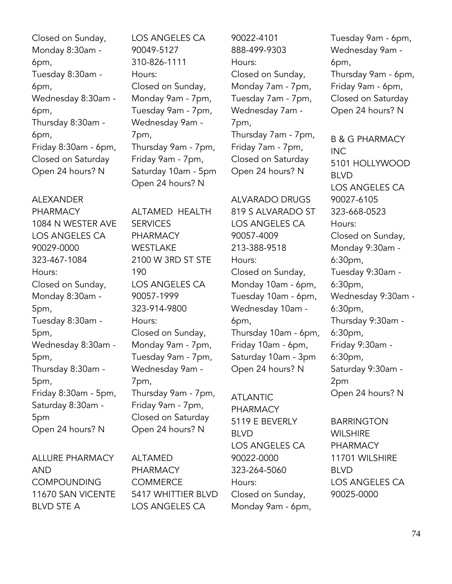Closed on Sunday, Monday 8:30am - 6pm, Tuesday 8:30am - 6pm, Wednesday 8:30am - 6pm, Thursday 8:30am - 6pm, Friday 8:30am - 6pm, Closed on Saturday Open 24 hours? N

#### ALEXANDER

PHARMACY 1084 N WESTER AVE LOS ANGELES CA 90029-0000 323-467-1084 Hours: Closed on Sunday, Monday 8:30am - 5pm, Tuesday 8:30am - 5pm, Wednesday 8:30am - 5pm, Thursday 8:30am - 5pm, Friday 8:30am - 5pm, Saturday 8:30am - 5pm Open 24 hours? N

ALLURE PHARMACY AND COMPOUNDING 11670 SAN VICENTE BLVD STE A

LOS ANGELES CA 90049-5127 310-826-1111 Hours: Closed on Sunday, Monday 9am - 7pm, Tuesday 9am - 7pm, Wednesday 9am - 7pm, Thursday 9am - 7pm, Friday 9am - 7pm, Saturday 10am - 5pm Open 24 hours? N

ALTAMED HEALTH **SERVICES** PHARMACY WESTLAKE 2100 W 3RD ST STE 190 LOS ANGELES CA 90057-1999 323-914-9800 Hours: Closed on Sunday, Monday 9am - 7pm, Tuesday 9am - 7pm, Wednesday 9am - 7pm, Thursday 9am - 7pm, Friday 9am - 7pm, Closed on Saturday Open 24 hours? N

ALTAMED PHARMACY **COMMERCE** 5417 WHITTIER BLVD LOS ANGELES CA

90022-4101 888-499-9303 Hours: Closed on Sunday, Monday 7am - 7pm, Tuesday 7am - 7pm, Wednesday 7am - 7pm, Thursday 7am - 7pm, Friday 7am - 7pm, Closed on Saturday Open 24 hours? N

ALVARADO DRUGS 819 S ALVARADO ST LOS ANGELES CA 90057-4009

213-388-9518 Hours: Closed on Sunday, Monday 10am - 6pm, Tuesday 10am - 6pm, Wednesday 10am - 6pm, Thursday 10am - 6pm, Friday 10am - 6pm, Saturday 10am - 3pm Open 24 hours? N

ATLANTIC PHARMACY 5119 E BEVERLY BLVD LOS ANGELES CA 90022-0000 323-264-5060 Hours: Closed on Sunday, Monday 9am - 6pm,

Tuesday 9am - 6pm, Wednesday 9am - 6pm, Thursday 9am - 6pm, Friday 9am - 6pm, Closed on Saturday Open 24 hours? N

B & G PHARMACY INC 5101 HOLLYWOOD BLVD LOS ANGELES CA 90027-6105 323-668-0523 Hours: Closed on Sunday, Monday 9:30am - 6:30pm, Tuesday 9:30am - 6:30pm, Wednesday 9:30am - 6:30pm, Thursday 9:30am - 6:30pm, Friday 9:30am - 6:30pm, Saturday 9:30am - 2pm Open 24 hours? N

BARRINGTON **WILSHIRE** PHARMACY 11701 WILSHIRE BLVD LOS ANGELES CA 90025-0000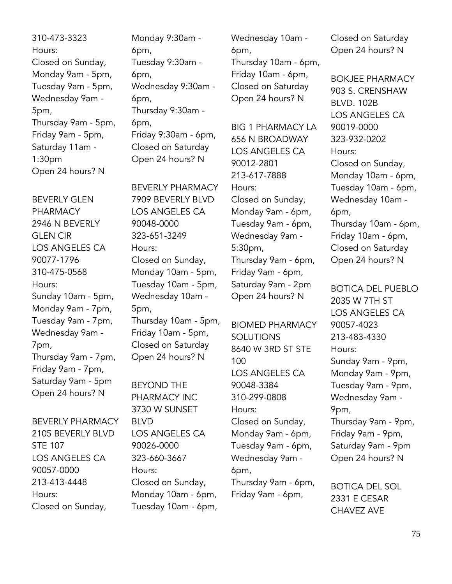310-473-3323 Hours: Closed on Sunday, Monday 9am - 5pm, Tuesday 9am - 5pm, Wednesday 9am - 5pm, Thursday 9am - 5pm, Friday 9am - 5pm, Saturday 11am - 1:30pm Open 24 hours? N

BEVERLY GLEN PHARMACY 2946 N BEVERLY GLEN CIR LOS ANGELES CA 90077-1796 310-475-0568 Hours: Sunday 10am - 5pm, Monday 9am - 7pm, Tuesday 9am - 7pm, Wednesday 9am - 7pm, Thursday 9am - 7pm, Friday 9am - 7pm, Saturday 9am - 5pm Open 24 hours? N

BEVERLY PHARMACY 2105 BEVERLY BLVD STE 107 LOS ANGELES CA 90057-0000 213-413-4448 Hours: Closed on Sunday,

Monday 9:30am - 6pm, Tuesday 9:30am - 6pm, Wednesday 9:30am - 6pm, Thursday 9:30am - 6pm, Friday 9:30am - 6pm, Closed on Saturday Open 24 hours? N

BEVERLY PHARMACY 7909 BEVERLY BLVD LOS ANGELES CA 90048-0000 323-651-3249 Hours: Closed on Sunday, Monday 10am - 5pm, Tuesday 10am - 5pm, Wednesday 10am - 5pm, Thursday 10am - 5pm, Friday 10am - 5pm, Closed on Saturday Open 24 hours? N

BEYOND THE PHARMACY INC 3730 W SUNSET BLVD LOS ANGELES CA 90026-0000 323-660-3667 Hours: Closed on Sunday, Monday 10am - 6pm, Tuesday 10am - 6pm, Wednesday 10am - 6pm, Thursday 10am - 6pm, Friday 10am - 6pm, Closed on Saturday Open 24 hours? N

BIG 1 PHARMACY LA 656 N BROADWAY LOS ANGELES CA 90012-2801 213-617-7888 Hours: Closed on Sunday, Monday 9am - 6pm, Tuesday 9am - 6pm, Wednesday 9am - 5:30pm, Thursday 9am - 6pm, Friday 9am - 6pm, Saturday 9am - 2pm Open 24 hours? N

BIOMED PHARMACY **SOLUTIONS** 8640 W 3RD ST STE 100 LOS ANGELES CA 90048-3384 310-299-0808 Hours: Closed on Sunday, Monday 9am - 6pm, Tuesday 9am - 6pm, Wednesday 9am - 6pm, Thursday 9am - 6pm, Friday 9am - 6pm,

Closed on Saturday Open 24 hours? N

BOKJEE PHARMACY 903 S. CRENSHAW BLVD. 102B LOS ANGELES CA 90019-0000 323-932-0202 Hours: Closed on Sunday, Monday 10am - 6pm, Tuesday 10am - 6pm, Wednesday 10am - 6pm, Thursday 10am - 6pm, Friday 10am - 6pm, Closed on Saturday Open 24 hours? N

BOTICA DEL PUEBLO 2035 W 7TH ST LOS ANGELES CA 90057-4023 213-483-4330 Hours: Sunday 9am - 9pm, Monday 9am - 9pm, Tuesday 9am - 9pm, Wednesday 9am - 9pm, Thursday 9am - 9pm, Friday 9am - 9pm, Saturday 9am - 9pm Open 24 hours? N

BOTICA DEL SOL 2331 E CESAR CHAVEZ AVE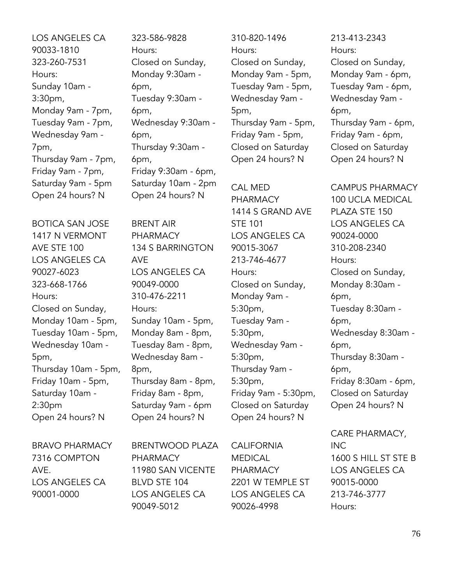LOS ANGELES CA 90033-1810 323-260-7531 Hours: Sunday 10am - 3:30pm, Monday 9am - 7pm, Tuesday 9am - 7pm, Wednesday 9am - 7pm, Thursday 9am - 7pm, Friday 9am - 7pm, Saturday 9am - 5pm Open 24 hours? N

BOTICA SAN JOSE 1417 N VERMONT AVE STE 100 LOS ANGELES CA 90027-6023 323-668-1766 Hours: Closed on Sunday, Monday 10am - 5pm, Tuesday 10am - 5pm, Wednesday 10am - 5pm, Thursday 10am - 5pm, Friday 10am - 5pm, Saturday 10am - 2:30pm Open 24 hours? N

BRAVO PHARMACY 7316 COMPTON AVE. LOS ANGELES CA 90001-0000

323-586-9828 Hours: Closed on Sunday, Monday 9:30am - 6pm, Tuesday 9:30am - 6pm, Wednesday 9:30am - 6pm, Thursday 9:30am - 6pm, Friday 9:30am - 6pm, Saturday 10am - 2pm Open 24 hours? N

BRENT AIR PHARMACY 134 S BARRINGTON AVE LOS ANGELES CA 90049-0000 310-476-2211 Hours: Sunday 10am - 5pm, Monday 8am - 8pm, Tuesday 8am - 8pm, Wednesday 8am - 8pm, Thursday 8am - 8pm, Friday 8am - 8pm, Saturday 9am - 6pm Open 24 hours? N

BRENTWOOD PLAZA PHARMACY 11980 SAN VICENTE BLVD STE 104 LOS ANGELES CA 90049-5012

310-820-1496 Hours: Closed on Sunday, Monday 9am - 5pm, Tuesday 9am - 5pm, Wednesday 9am - 5pm, Thursday 9am - 5pm, Friday 9am - 5pm, Closed on Saturday Open 24 hours? N

CAL MED PHARMACY 1414 S GRAND AVE STE 101 LOS ANGELES CA 90015-3067 213-746-4677 Hours: Closed on Sunday, Monday 9am - 5:30pm, Tuesday 9am - 5:30pm, Wednesday 9am - 5:30pm, Thursday 9am - 5:30pm, Friday 9am - 5:30pm, Closed on Saturday Open 24 hours? N

CALIFORNIA MEDICAL PHARMACY 2201 W TEMPLE ST LOS ANGELES CA 90026-4998

213-413-2343 Hours: Closed on Sunday, Monday 9am - 6pm, Tuesday 9am - 6pm, Wednesday 9am - 6pm, Thursday 9am - 6pm, Friday 9am - 6pm, Closed on Saturday Open 24 hours? N

CAMPUS PHARMACY 100 UCLA MEDICAL PLAZA STE 150 LOS ANGELES CA 90024-0000 310-208-2340 Hours: Closed on Sunday, Monday 8:30am - 6pm, Tuesday 8:30am - 6pm, Wednesday 8:30am - 6pm, Thursday 8:30am - 6pm, Friday 8:30am - 6pm, Closed on Saturday Open 24 hours? N

CARE PHARMACY, INC 1600 S HILL ST STE B LOS ANGELES CA 90015-0000 213-746-3777 Hours: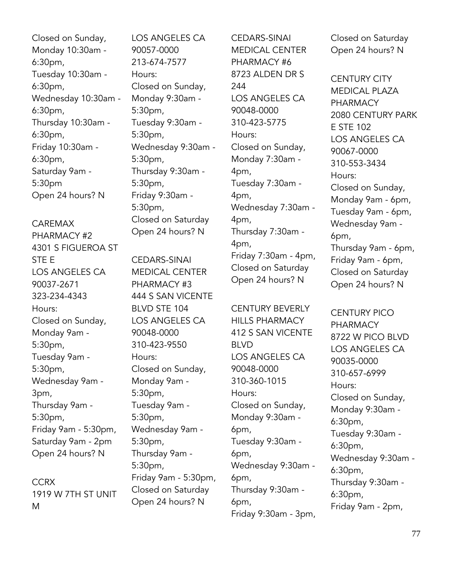Closed on Sunday, Monday 10:30am - 6:30pm, Tuesday 10:30am - 6:30pm, Wednesday 10:30am - 6:30pm, Thursday 10:30am - 6:30pm, Friday 10:30am - 6:30pm, Saturday 9am - 5:30pm Open 24 hours? N

### CAREMAX

PHARMACY #2 4301 S FIGUEROA ST STE E LOS ANGELES CA 90037-2671 323-234-4343 Hours: Closed on Sunday, Monday 9am - 5:30pm, Tuesday 9am - 5:30pm, Wednesday 9am - 3pm, Thursday 9am - 5:30pm, Friday 9am - 5:30pm, Saturday 9am - 2pm Open 24 hours? N

**CCRX** 1919 W 7TH ST UNIT M

LOS ANGELES CA 90057-0000 213-674-7577 Hours: Closed on Sunday, Monday 9:30am - 5:30pm, Tuesday 9:30am - 5:30pm, Wednesday 9:30am - 5:30pm, Thursday 9:30am - 5:30pm, Friday 9:30am - 5:30pm, Closed on Saturday Open 24 hours? N

CEDARS-SINAI MEDICAL CENTER PHARMACY #3 444 S SAN VICENTE BLVD STE 104 LOS ANGELES CA 90048-0000 310-423-9550 Hours: Closed on Sunday, Monday 9am - 5:30pm, Tuesday 9am - 5:30pm, Wednesday 9am - 5:30pm, Thursday 9am - 5:30pm, Friday 9am - 5:30pm, Closed on Saturday Open 24 hours? N

CEDARS-SINAI MEDICAL CENTER PHARMACY #6 8723 ALDEN DR S 244 LOS ANGELES CA 90048-0000 310-423-5775 Hours: Closed on Sunday, Monday 7:30am - 4pm, Tuesday 7:30am - 4pm, Wednesday 7:30am - 4pm, Thursday 7:30am - 4pm, Friday 7:30am - 4pm, Closed on Saturday Open 24 hours? N

CENTURY BEVERLY HILLS PHARMACY 412 S SAN VICENTE BLVD LOS ANGELES CA 90048-0000 310-360-1015 Hours: Closed on Sunday, Monday 9:30am - 6pm, Tuesday 9:30am - 6pm, Wednesday 9:30am - 6pm, Thursday 9:30am - 6pm, Friday 9:30am - 3pm, Closed on Saturday Open 24 hours? N

CENTURY CITY MEDICAL PLAZA PHARMACY 2080 CENTURY PARK E STE 102 LOS ANGELES CA 90067-0000 310-553-3434 Hours: Closed on Sunday, Monday 9am - 6pm, Tuesday 9am - 6pm, Wednesday 9am - 6pm, Thursday 9am - 6pm, Friday 9am - 6pm, Closed on Saturday Open 24 hours? N

CENTURY PICO PHARMACY 8722 W PICO BLVD LOS ANGELES CA 90035-0000 310-657-6999 Hours: Closed on Sunday, Monday 9:30am - 6:30pm, Tuesday 9:30am - 6:30pm, Wednesday 9:30am - 6:30pm, Thursday 9:30am - 6:30pm, Friday 9am - 2pm,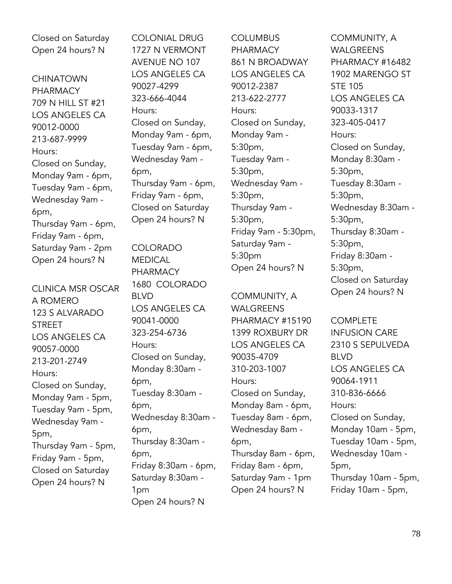Closed on Saturday Open 24 hours? N

CHINATOWN PHARMACY 709 N HILL ST #21 LOS ANGELES CA 90012-0000 213-687-9999 Hours: Closed on Sunday, Monday 9am - 6pm, Tuesday 9am - 6pm, Wednesday 9am - 6pm, Thursday 9am - 6pm, Friday 9am - 6pm, Saturday 9am - 2pm Open 24 hours? N

CLINICA MSR OSCAR A ROMERO 123 S ALVARADO STREET LOS ANGELES CA 90057-0000 213-201-2749 Hours: Closed on Sunday, Monday 9am - 5pm, Tuesday 9am - 5pm, Wednesday 9am - 5pm, Thursday 9am - 5pm, Friday 9am - 5pm, Closed on Saturday Open 24 hours? N

COLONIAL DRUG 1727 N VERMONT AVENUE NO 107 LOS ANGELES CA 90027-4299 323-666-4044 Hours: Closed on Sunday, Monday 9am - 6pm, Tuesday 9am - 6pm, Wednesday 9am - 6pm, Thursday 9am - 6pm, Friday 9am - 6pm, Closed on Saturday Open 24 hours? N

COLORADO MEDICAL PHARMACY 1680 COLORADO BLVD LOS ANGELES CA 90041-0000 323-254-6736 Hours: Closed on Sunday, Monday 8:30am - 6pm, Tuesday 8:30am - 6pm, Wednesday 8:30am - 6pm, Thursday 8:30am - 6pm, Friday 8:30am - 6pm, Saturday 8:30am - 1pm Open 24 hours? N

**COLUMBUS PHARMACY** 861 N BROADWAY LOS ANGELES CA 90012-2387 213-622-2777 Hours: Closed on Sunday, Monday 9am - 5:30pm, Tuesday 9am - 5:30pm, Wednesday 9am - 5:30pm, Thursday 9am - 5:30pm, Friday 9am - 5:30pm, Saturday 9am - 5:30pm Open 24 hours? N

COMMUNITY, A WALGREENS PHARMACY #15190 1399 ROXBURY DR LOS ANGELES CA 90035-4709 310-203-1007 Hours: Closed on Sunday, Monday 8am - 6pm, Tuesday 8am - 6pm, Wednesday 8am - 6pm, Thursday 8am - 6pm, Friday 8am - 6pm, Saturday 9am - 1pm Open 24 hours? N

COMMUNITY, A WAI GRFFNS PHARMACY #16482 1902 MARENGO ST STE 105 LOS ANGELES CA 90033-1317 323-405-0417 Hours: Closed on Sunday, Monday 8:30am - 5:30pm, Tuesday 8:30am - 5:30pm, Wednesday 8:30am - 5:30pm, Thursday 8:30am - 5:30pm, Friday 8:30am - 5:30pm, Closed on Saturday Open 24 hours? N

**COMPLETE** INFUSION CARE 2310 S SEPULVEDA BLVD LOS ANGELES CA 90064-1911 310-836-6666 Hours: Closed on Sunday, Monday 10am - 5pm, Tuesday 10am - 5pm, Wednesday 10am - 5pm, Thursday 10am - 5pm, Friday 10am - 5pm,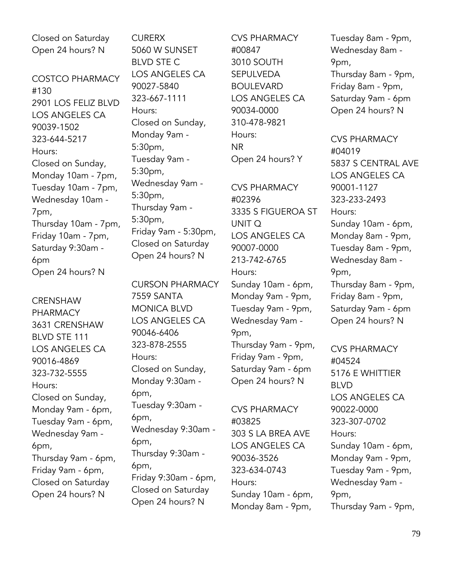| Closed on Saturday     |  |  |  |
|------------------------|--|--|--|
| Open 24 hours? N       |  |  |  |
|                        |  |  |  |
| <b>COSTCO PHARMACY</b> |  |  |  |
| #130                   |  |  |  |
| 2901 LOS FELIZ BLVD    |  |  |  |
| <b>LOS ANGELES CA</b>  |  |  |  |
| 90039-1502             |  |  |  |
| 323-644-5217           |  |  |  |
| Hours:                 |  |  |  |
| Closed on Sunday,      |  |  |  |
| Monday 10am - 7pm,     |  |  |  |
| Tuesday 10am - 7pm,    |  |  |  |
| Wednesday 10am -       |  |  |  |
| 7pm,                   |  |  |  |
| Thursday 10am - 7pm,   |  |  |  |
| Friday 10am - 7pm,     |  |  |  |
| Saturday 9:30am -      |  |  |  |
| 6pm                    |  |  |  |
| Open 24 hours? N       |  |  |  |

**CRENSHAW** PHARMACY 3631 CRENSHAW BLVD STE 111 LOS ANGELES CA 90016-4869 323-732-5555 Hours: Closed on Sunday, Monday 9am - 6pm, Tuesday 9am - 6pm, Wednesday 9am - 6pm, Thursday 9am - 6pm, Friday 9am - 6pm, Closed on Saturday Open 24 hours? N

**CURERX** 5060 W SUNSET BLVD STE C LOS ANGELES CA 90027-5840 323-667-1111 Hours: Closed on Sunday, Monday 9am - 5:30pm, Tuesday 9am - 5:30pm, Wednesday 9am - 5:30pm, Thursday 9am - 5:30pm, Friday 9am - 5:30pm, Closed on Saturday Open 24 hours? N

CURSON PHARMACY 7559 SANTA MONICA BLVD LOS ANGELES CA 90046-6406 323-878-2555 Hours: Closed on Sunday, Monday 9:30am - 6pm, Tuesday 9:30am - 6pm, Wednesday 9:30am - 6pm, Thursday 9:30am - 6pm, Friday 9:30am - 6pm, Closed on Saturday Open 24 hours? N

CVS PHARMACY #00847 3010 SOUTH SEPULVEDA BOULEVARD LOS ANGELES CA 90034-0000 310-478-9821 Hours: NR Open 24 hours? Y

CVS PHARMACY #02396 3335 S FIGUEROA ST UNIT Q LOS ANGELES CA 90007-0000 213-742-6765 Hours: Sunday 10am - 6pm, Monday 9am - 9pm, Tuesday 9am - 9pm, Wednesday 9am - 9pm, Thursday 9am - 9pm, Friday 9am - 9pm, Saturday 9am - 6pm

CVS PHARMACY #03825 303 S LA BREA AVE LOS ANGELES CA 90036-3526 323-634-0743 Hours: Sunday 10am - 6pm, Monday 8am - 9pm,

Open 24 hours? N

Tuesday 8am - 9pm, Wednesday 8am - 9pm, Thursday 8am - 9pm, Friday 8am - 9pm, Saturday 9am - 6pm Open 24 hours? N

CVS PHARMACY #04019 5837 S CENTRAL AVE LOS ANGELES CA 90001-1127 323-233-2493 Hours: Sunday 10am - 6pm, Monday 8am - 9pm, Tuesday 8am - 9pm, Wednesday 8am - 9pm, Thursday 8am - 9pm, Friday 8am - 9pm, Saturday 9am - 6pm Open 24 hours? N

CVS PHARMACY #04524 5176 E WHITTIER BLVD LOS ANGELES CA 90022-0000 323-307-0702 Hours: Sunday 10am - 6pm, Monday 9am - 9pm, Tuesday 9am - 9pm, Wednesday 9am - 9pm, Thursday 9am - 9pm,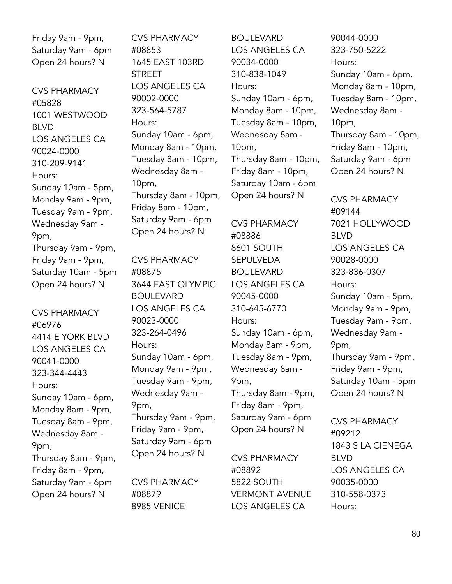Friday 9am - 9pm, Saturday 9am - 6pm Open 24 hours? N

CVS PHARMACY #05828 1001 WESTWOOD BLVD LOS ANGELES CA 90024-0000 310-209-9141 Hours: Sunday 10am - 5pm, Monday 9am - 9pm, Tuesday 9am - 9pm, Wednesday 9am - 9pm, Thursday 9am - 9pm, Friday 9am - 9pm, Saturday 10am - 5pm Open 24 hours? N

CVS PHARMACY #06976 4414 E YORK BLVD LOS ANGELES CA 90041-0000 323-344-4443 Hours: Sunday 10am - 6pm, Monday 8am - 9pm, Tuesday 8am - 9pm, Wednesday 8am - 9pm, Thursday 8am - 9pm, Friday 8am - 9pm, Saturday 9am - 6pm Open 24 hours? N

CVS PHARMACY #08853 1645 EAST 103RD **STREET** LOS ANGELES CA 90002-0000 323-564-5787 Hours: Sunday 10am - 6pm, Monday 8am - 10pm, Tuesday 8am - 10pm, Wednesday 8am - 10pm, Thursday 8am - 10pm, Friday 8am - 10pm, Saturday 9am - 6pm Open 24 hours? N

CVS PHARMACY #08875 3644 EAST OLYMPIC BOULEVARD LOS ANGELES CA 90023-0000 323-264-0496 Hours: Sunday 10am - 6pm, Monday 9am - 9pm, Tuesday 9am - 9pm, Wednesday 9am - 9pm, Thursday 9am - 9pm, Friday 9am - 9pm, Saturday 9am - 6pm Open 24 hours? N

CVS PHARMACY #08879 8985 VENICE

BOULEVARD LOS ANGELES CA 90034-0000 310-838-1049 Hours: Sunday 10am - 6pm, Monday 8am - 10pm, Tuesday 8am - 10pm, Wednesday 8am - 10pm, Thursday 8am - 10pm, Friday 8am - 10pm, Saturday 10am - 6pm Open 24 hours? N

CVS PHARMACY #08886 8601 SOUTH SEPULVEDA BOULEVARD LOS ANGELES CA 90045-0000 310-645-6770 Hours: Sunday 10am - 6pm, Monday 8am - 9pm, Tuesday 8am - 9pm, Wednesday 8am - 9pm, Thursday 8am - 9pm, Friday 8am - 9pm, Saturday 9am - 6pm Open 24 hours? N

CVS PHARMACY #08892 5822 SOUTH VERMONT AVENUE LOS ANGELES CA

90044-0000 323-750-5222 Hours: Sunday 10am - 6pm, Monday 8am - 10pm, Tuesday 8am - 10pm, Wednesday 8am - 10pm, Thursday 8am - 10pm, Friday 8am - 10pm, Saturday 9am - 6pm Open 24 hours? N

CVS PHARMACY #09144 7021 HOLLYWOOD BLVD LOS ANGELES CA 90028-0000 323-836-0307 Hours: Sunday 10am - 5pm, Monday 9am - 9pm, Tuesday 9am - 9pm, Wednesday 9am - 9pm, Thursday 9am - 9pm, Friday 9am - 9pm, Saturday 10am - 5pm Open 24 hours? N

CVS PHARMACY #09212 1843 S LA CIENEGA BLVD LOS ANGELES CA 90035-0000 310-558-0373 Hours: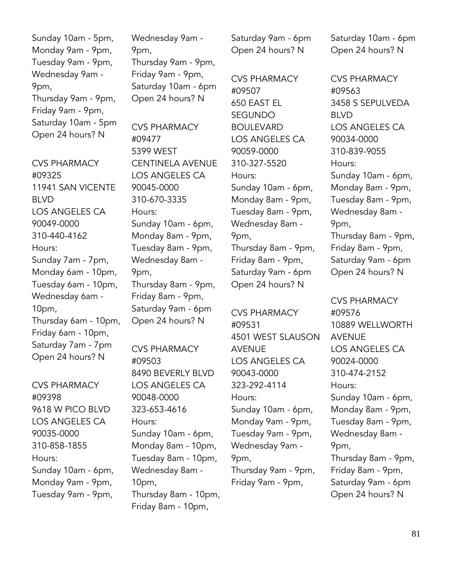Sunday 10am - 5pm, Monday 9am - 9pm, Tuesday 9am - 9pm, Wednesday 9am - 9pm, Thursday 9am - 9pm, Friday 9am - 9pm, Saturday 10am - 5pm Open 24 hours? N

CVS PHARMACY #09325 11941 SAN VICENTE BLVD LOS ANGELES CA 90049-0000 310-440-4162 Hours: Sunday 7am - 7pm, Monday 6am - 10pm, Tuesday 6am - 10pm, Wednesday 6am - 10pm, Thursday 6am - 10pm, Friday 6am - 10pm, Saturday 7am - 7pm Open 24 hours? N

CVS PHARMACY #09398 9618 W PICO BLVD LOS ANGELES CA 90035-0000 310-858-1855 Hours: Sunday 10am - 6pm, Monday 9am - 9pm, Tuesday 9am - 9pm,

Wednesday 9am - 9pm, Thursday 9am - 9pm, Friday 9am - 9pm, Saturday 10am - 6pm Open 24 hours? N

CVS PHARMACY #09477 5399 WEST CENTINELA AVENUE LOS ANGELES CA 90045-0000 310-670-3335 Hours: Sunday 10am - 6pm, Monday 8am - 9pm, Tuesday 8am - 9pm, Wednesday 8am - 9pm, Thursday 8am - 9pm, Friday 8am - 9pm, Saturday 9am - 6pm Open 24 hours? N

CVS PHARMACY #09503 8490 BEVERLY BLVD LOS ANGELES CA 90048-0000 323-653-4616 Hours: Sunday 10am - 6pm, Monday 8am - 10pm, Tuesday 8am - 10pm, Wednesday 8am - 10pm, Thursday 8am - 10pm, Friday 8am - 10pm,

Saturday 9am - 6pm Open 24 hours? N

CVS PHARMACY #09507 650 EAST EL SEGUNDO BOULEVARD LOS ANGELES CA 90059-0000 310-327-5520 Hours: Sunday 10am - 6pm, Monday 8am - 9pm, Tuesday 8am - 9pm, Wednesday 8am - 9pm, Thursday 8am - 9pm, Friday 8am - 9pm, Saturday 9am - 6pm Open 24 hours? N

CVS PHARMACY #09531 4501 WEST SLAUSON AVENUE LOS ANGELES CA 90043-0000 323-292-4114 Hours: Sunday 10am - 6pm, Monday 9am - 9pm, Tuesday 9am - 9pm, Wednesday 9am - 9pm, Thursday 9am - 9pm, Friday 9am - 9pm,

Saturday 10am - 6pm Open 24 hours? N

CVS PHARMACY #09563 3458 S SEPULVEDA BLVD LOS ANGELES CA 90034-0000 310-839-9055 Hours: Sunday 10am - 6pm, Monday 8am - 9pm, Tuesday 8am - 9pm, Wednesday 8am - 9pm, Thursday 8am - 9pm, Friday 8am - 9pm, Saturday 9am - 6pm Open 24 hours? N

CVS PHARMACY #09576 10889 WELLWORTH AVENUE LOS ANGELES CA 90024-0000 310-474-2152 Hours: Sunday 10am - 6pm, Monday 8am - 9pm, Tuesday 8am - 9pm, Wednesday 8am - 9pm, Thursday 8am - 9pm, Friday 8am - 9pm, Saturday 9am - 6pm Open 24 hours? N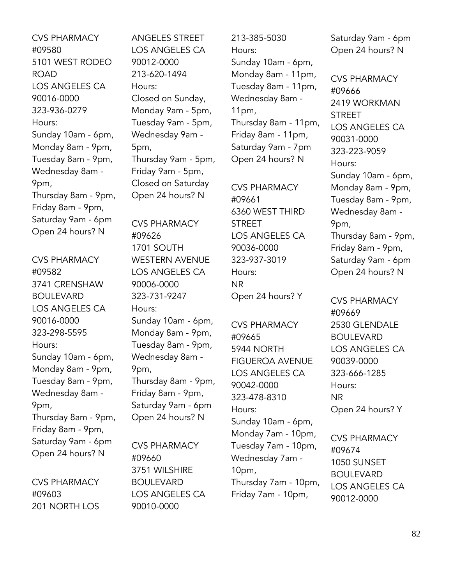CVS PHARMACY #09580 5101 WEST RODEO ROAD LOS ANGELES CA 90016-0000 323-936-0279 Hours: Sunday 10am - 6pm, Monday 8am - 9pm, Tuesday 8am - 9pm, Wednesday 8am - 9pm, Thursday 8am - 9pm, Friday 8am - 9pm, Saturday 9am - 6pm Open 24 hours? N

CVS PHARMACY #09582 3741 CRENSHAW BOULEVARD LOS ANGELES CA 90016-0000 323-298-5595 Hours: Sunday 10am - 6pm, Monday 8am - 9pm, Tuesday 8am - 9pm, Wednesday 8am - 9pm, Thursday 8am - 9pm, Friday 8am - 9pm, Saturday 9am - 6pm Open 24 hours? N

CVS PHARMACY #09603 201 NORTH LOS ANGELES STREET LOS ANGELES CA 90012-0000 213-620-1494 Hours: Closed on Sunday, Monday 9am - 5pm, Tuesday 9am - 5pm, Wednesday 9am - 5pm, Thursday 9am - 5pm, Friday 9am - 5pm, Closed on Saturday Open 24 hours? N

CVS PHARMACY #09626 1701 SOUTH WESTERN AVENUE LOS ANGELES CA 90006-0000 323-731-9247 Hours: Sunday 10am - 6pm, Monday 8am - 9pm, Tuesday 8am - 9pm, Wednesday 8am - 9pm, Thursday 8am - 9pm, Friday 8am - 9pm, Saturday 9am - 6pm Open 24 hours? N

CVS PHARMACY #09660 3751 WILSHIRE BOULEVARD LOS ANGELES CA 90010-0000

213-385-5030 Hours: Sunday 10am - 6pm, Monday 8am - 11pm, Tuesday 8am - 11pm, Wednesday 8am - 11pm, Thursday 8am - 11pm, Friday 8am - 11pm, Saturday 9am - 7pm Open 24 hours? N

CVS PHARMACY #09661 6360 WEST THIRD STREET LOS ANGELES CA 90036-0000 323-937-3019 Hours: NR Open 24 hours? Y

CVS PHARMACY #09665 5944 NORTH FIGUEROA AVENUE LOS ANGELES CA 90042-0000 323-478-8310 Hours: Sunday 10am - 6pm, Monday 7am - 10pm, Tuesday 7am - 10pm, Wednesday 7am - 10pm, Thursday 7am - 10pm, Friday 7am - 10pm,

Saturday 9am - 6pm Open 24 hours? N

CVS PHARMACY #09666 2419 WORKMAN **STREET** LOS ANGELES CA 90031-0000 323-223-9059 Hours: Sunday 10am - 6pm, Monday 8am - 9pm, Tuesday 8am - 9pm, Wednesday 8am - 9pm, Thursday 8am - 9pm, Friday 8am - 9pm, Saturday 9am - 6pm Open 24 hours? N

CVS PHARMACY #09669 2530 GLENDALE BOULEVARD LOS ANGELES CA 90039-0000 323-666-1285 Hours: NR Open 24 hours? Y

CVS PHARMACY #09674 1050 SUNSET BOULEVARD LOS ANGELES CA 90012-0000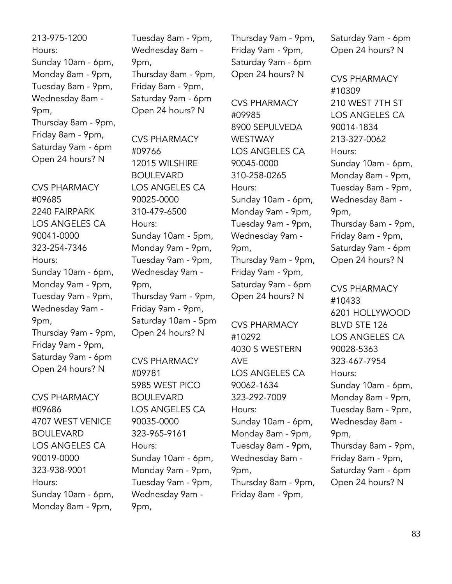213-975-1200 Hours: Sunday 10am - 6pm, Monday 8am - 9pm, Tuesday 8am - 9pm, Wednesday 8am - 9pm, Thursday 8am - 9pm, Friday 8am - 9pm, Saturday 9am - 6pm Open 24 hours? N

CVS PHARMACY #09685 2240 FAIRPARK LOS ANGELES CA 90041-0000 323-254-7346 Hours: Sunday 10am - 6pm, Monday 9am - 9pm, Tuesday 9am - 9pm, Wednesday 9am - 9pm, Thursday 9am - 9pm, Friday 9am - 9pm, Saturday 9am - 6pm Open 24 hours? N

CVS PHARMACY #09686 4707 WEST VENICE BOULEVARD LOS ANGELES CA 90019-0000 323-938-9001 Hours: Sunday 10am - 6pm, Monday 8am - 9pm,

Tuesday 8am - 9pm, Wednesday 8am - 9pm, Thursday 8am - 9pm, Friday 8am - 9pm, Saturday 9am - 6pm Open 24 hours? N

CVS PHARMACY #09766 12015 WILSHIRE BOULEVARD LOS ANGELES CA 90025-0000 310-479-6500 Hours: Sunday 10am - 5pm, Monday 9am - 9pm, Tuesday 9am - 9pm, Wednesday 9am - 9pm, Thursday 9am - 9pm, Friday 9am - 9pm, Saturday 10am - 5pm Open 24 hours? N

CVS PHARMACY #09781 5985 WEST PICO BOULEVARD LOS ANGELES CA 90035-0000 323-965-9161 Hours: Sunday 10am - 6pm, Monday 9am - 9pm, Tuesday 9am - 9pm, Wednesday 9am - 9pm,

Thursday 9am - 9pm, Friday 9am - 9pm, Saturday 9am - 6pm Open 24 hours? N

CVS PHARMACY #09985 8900 SEPULVEDA WESTWAY LOS ANGELES CA 90045-0000 310-258-0265 Hours: Sunday 10am - 6pm, Monday 9am - 9pm, Tuesday 9am - 9pm, Wednesday 9am - 9pm, Thursday 9am - 9pm, Friday 9am - 9pm, Saturday 9am - 6pm Open 24 hours? N

CVS PHARMACY #10292 4030 S WESTERN AVE LOS ANGELES CA 90062-1634 323-292-7009 Hours: Sunday 10am - 6pm, Monday 8am - 9pm, Tuesday 8am - 9pm, Wednesday 8am - 9pm, Thursday 8am - 9pm, Friday 8am - 9pm,

Saturday 9am - 6pm Open 24 hours? N

CVS PHARMACY #10309 210 WEST 7TH ST LOS ANGELES CA 90014-1834 213-327-0062 Hours: Sunday 10am - 6pm, Monday 8am - 9pm, Tuesday 8am - 9pm, Wednesday 8am - 9pm, Thursday 8am - 9pm, Friday 8am - 9pm, Saturday 9am - 6pm Open 24 hours? N

CVS PHARMACY #10433 6201 HOLLYWOOD BLVD STE 126 LOS ANGELES CA 90028-5363 323-467-7954 Hours: Sunday 10am - 6pm, Monday 8am - 9pm, Tuesday 8am - 9pm, Wednesday 8am - 9pm, Thursday 8am - 9pm, Friday 8am - 9pm, Saturday 9am - 6pm Open 24 hours? N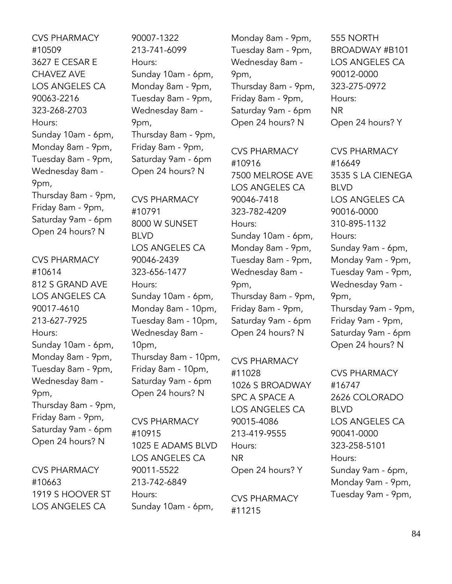CVS PHARMACY #10509 3627 E CESAR E CHAVEZ AVE LOS ANGELES CA 90063-2216 323-268-2703 Hours: Sunday 10am - 6pm, Monday 8am - 9pm, Tuesday 8am - 9pm, Wednesday 8am - 9pm, Thursday 8am - 9pm, Friday 8am - 9pm, Saturday 9am - 6pm Open 24 hours? N

CVS PHARMACY #10614 812 S GRAND AVE LOS ANGELES CA 90017-4610 213-627-7925 Hours: Sunday 10am - 6pm, Monday 8am - 9pm, Tuesday 8am - 9pm, Wednesday 8am - 9pm, Thursday 8am - 9pm, Friday 8am - 9pm, Saturday 9am - 6pm Open 24 hours? N

CVS PHARMACY #10663 1919 S HOOVER ST LOS ANGELES CA

90007-1322 213-741-6099 Hours: Sunday 10am - 6pm, Monday 8am - 9pm, Tuesday 8am - 9pm, Wednesday 8am - 9pm, Thursday 8am - 9pm, Friday 8am - 9pm, Saturday 9am - 6pm Open 24 hours? N

CVS PHARMACY #10791 8000 W SUNSET BLVD LOS ANGELES CA 90046-2439 323-656-1477 Hours: Sunday 10am - 6pm, Monday 8am - 10pm, Tuesday 8am - 10pm, Wednesday 8am - 10pm, Thursday 8am - 10pm, Friday 8am - 10pm, Saturday 9am - 6pm Open 24 hours? N

CVS PHARMACY #10915 1025 E ADAMS BLVD LOS ANGELES CA 90011-5522 213-742-6849 Hours: Sunday 10am - 6pm,

Monday 8am - 9pm, Tuesday 8am - 9pm, Wednesday 8am - 9pm, Thursday 8am - 9pm, Friday 8am - 9pm, Saturday 9am - 6pm Open 24 hours? N

CVS PHARMACY #10916 7500 MELROSE AVE LOS ANGELES CA 90046-7418 323-782-4209 Hours: Sunday 10am - 6pm, Monday 8am - 9pm, Tuesday 8am - 9pm, Wednesday 8am - 9pm, Thursday 8am - 9pm, Friday 8am - 9pm, Saturday 9am - 6pm Open 24 hours? N

CVS PHARMACY #11028 1026 S BROADWAY SPC A SPACE A LOS ANGELES CA 90015-4086 213-419-9555 Hours: NR Open 24 hours? Y

CVS PHARMACY #11215

555 NORTH BROADWAY #B101 LOS ANGELES CA 90012-0000 323-275-0972 Hours: NR Open 24 hours? Y

CVS PHARMACY #16649 3535 S LA CIENEGA BLVD LOS ANGELES CA 90016-0000 310-895-1132 Hours: Sunday 9am - 6pm, Monday 9am - 9pm, Tuesday 9am - 9pm, Wednesday 9am - 9pm, Thursday 9am - 9pm, Friday 9am - 9pm, Saturday 9am - 6pm Open 24 hours? N

CVS PHARMACY #16747 2626 COLORADO BLVD LOS ANGELES CA 90041-0000 323-258-5101 Hours: Sunday 9am - 6pm, Monday 9am - 9pm, Tuesday 9am - 9pm,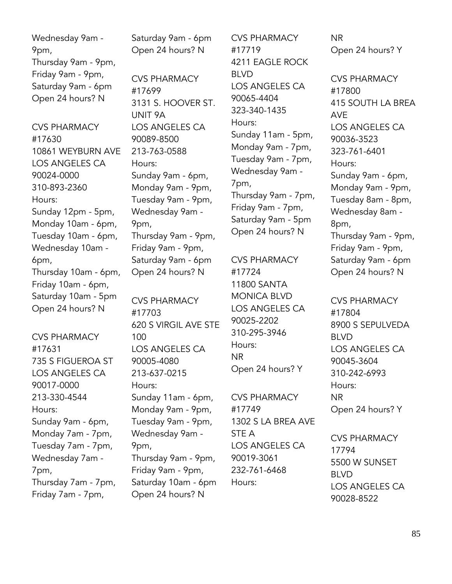Wednesday 9am - 9pm, Thursday 9am - 9pm, Friday 9am - 9pm, Saturday 9am - 6pm Open 24 hours? N

CVS PHARMACY #17630 10861 WEYBURN AVE LOS ANGELES CA 90024-0000 310-893-2360 Hours: Sunday 12pm - 5pm, Monday 10am - 6pm, Tuesday 10am - 6pm, Wednesday 10am - 6pm, Thursday 10am - 6pm, Friday 10am - 6pm, Saturday 10am - 5pm Open 24 hours? N

CVS PHARMACY #17631 735 S FIGUEROA ST LOS ANGELES CA 90017-0000 213-330-4544 Hours: Sunday 9am - 6pm, Monday 7am - 7pm, Tuesday 7am - 7pm, Wednesday 7am - 7pm, Thursday 7am - 7pm, Friday 7am - 7pm,

Saturday 9am - 6pm Open 24 hours? N

CVS PHARMACY #17699 3131 S. HOOVER ST. UNIT 9A LOS ANGELES CA 90089-8500 213-763-0588 Hours: Sunday 9am - 6pm, Monday 9am - 9pm, Tuesday 9am - 9pm, Wednesday 9am - 9pm, Thursday 9am - 9pm, Friday 9am - 9pm, Saturday 9am - 6pm Open 24 hours? N

CVS PHARMACY #17703 620 S VIRGIL AVE STE 100 LOS ANGELES CA 90005-4080 213-637-0215 Hours: Sunday 11am - 6pm, Monday 9am - 9pm, Tuesday 9am - 9pm, Wednesday 9am - 9pm, Thursday 9am - 9pm, Friday 9am - 9pm, Saturday 10am - 6pm Open 24 hours? N

CVS PHARMACY #17719 4211 EAGLE ROCK BLVD LOS ANGELES CA 90065-4404 323-340-1435 Hours: Sunday 11am - 5pm, Monday 9am - 7pm, Tuesday 9am - 7pm, Wednesday 9am - 7pm, Thursday 9am - 7pm, Friday 9am - 7pm, Saturday 9am - 5pm Open 24 hours? N

CVS PHARMACY #17724 11800 SANTA MONICA BLVD LOS ANGELES CA 90025-2202 310-295-3946 Hours: NR Open 24 hours? Y

CVS PHARMACY #17749 1302 S LA BREA AVE STE A LOS ANGELES CA 90019-3061 232-761-6468 Hours:

NR Open 24 hours? Y

CVS PHARMACY #17800 415 SOUTH LA BREA AVE LOS ANGELES CA 90036-3523 323-761-6401 Hours: Sunday 9am - 6pm, Monday 9am - 9pm, Tuesday 8am - 8pm, Wednesday 8am - 8pm, Thursday 9am - 9pm, Friday 9am - 9pm, Saturday 9am - 6pm Open 24 hours? N

CVS PHARMACY #17804 8900 S SEPULVEDA BLVD LOS ANGELES CA 90045-3604 310-242-6993 Hours: NR Open 24 hours? Y

CVS PHARMACY 17794 5500 W SUNSET BLVD LOS ANGELES CA 90028-8522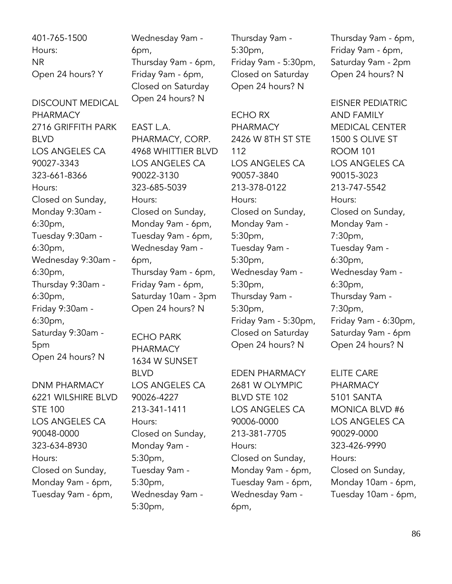401-765-1500 Hours: NR Open 24 hours? Y

DISCOUNT MEDICAL PHARMACY 2716 GRIFFITH PARK BLVD LOS ANGELES CA 90027-3343 323-661-8366 Hours: Closed on Sunday, Monday 9:30am - 6:30pm, Tuesday 9:30am - 6:30pm, Wednesday 9:30am - 6:30pm, Thursday 9:30am - 6:30pm, Friday 9:30am - 6:30pm, Saturday 9:30am - 5pm Open 24 hours? N

DNM PHARMACY 6221 WILSHIRE BLVD STE 100 LOS ANGELES CA 90048-0000 323-634-8930 Hours: Closed on Sunday, Monday 9am - 6pm, Tuesday 9am - 6pm,

Wednesday 9am - 6pm, Thursday 9am - 6pm, Friday 9am - 6pm, Closed on Saturday Open 24 hours? N

EAST L.A. PHARMACY, CORP. 4968 WHITTIER BLVD LOS ANGELES CA 90022-3130 323-685-5039 Hours: Closed on Sunday, Monday 9am - 6pm, Tuesday 9am - 6pm, Wednesday 9am - 6pm, Thursday 9am - 6pm, Friday 9am - 6pm, Saturday 10am - 3pm Open 24 hours? N

ECHO PARK PHARMACY 1634 W SUNSET BLVD LOS ANGELES CA 90026-4227 213-341-1411 Hours: Closed on Sunday, Monday 9am - 5:30pm, Tuesday 9am - 5:30pm, Wednesday 9am - 5:30pm,

Thursday 9am - 5:30pm, Friday 9am - 5:30pm, Closed on Saturday Open 24 hours? N

ECHO RX PHARMACY 2426 W 8TH ST STE 112 LOS ANGELES CA 90057-3840 213-378-0122 Hours: Closed on Sunday, Monday 9am - 5:30pm, Tuesday 9am - 5:30pm, Wednesday 9am - 5:30pm, Thursday 9am - 5:30pm, Friday 9am - 5:30pm, Closed on Saturday Open 24 hours? N

EDEN PHARMACY 2681 W OLYMPIC BLVD STE 102 LOS ANGELES CA 90006-0000 213-381-7705 Hours: Closed on Sunday, Monday 9am - 6pm, Tuesday 9am - 6pm, Wednesday 9am - 6pm,

Thursday 9am - 6pm, Friday 9am - 6pm, Saturday 9am - 2pm Open 24 hours? N

EISNER PEDIATRIC AND FAMILY MEDICAL CENTER 1500 S OLIVE ST ROOM 101 LOS ANGELES CA 90015-3023 213-747-5542 Hours: Closed on Sunday, Monday 9am - 7:30pm, Tuesday 9am - 6:30pm, Wednesday 9am - 6:30pm, Thursday 9am - 7:30pm, Friday 9am - 6:30pm, Saturday 9am - 6pm Open 24 hours? N

ELITE CARE PHARMACY 5101 SANTA MONICA BLVD #6 LOS ANGELES CA 90029-0000 323-426-9990 Hours: Closed on Sunday, Monday 10am - 6pm, Tuesday 10am - 6pm,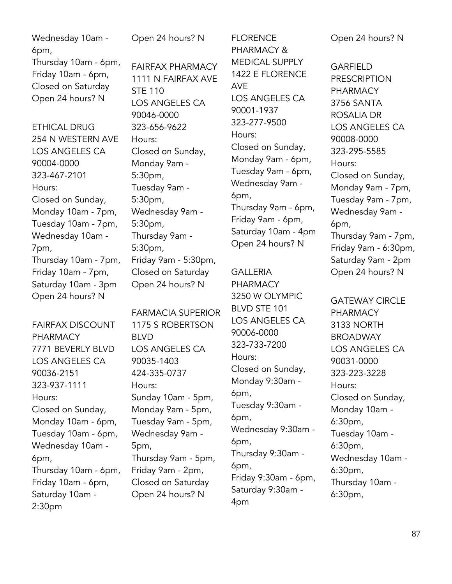| Wednesday 10am -<br>6pm,<br>Thursday 10am - 6pm,<br>Friday 10am - 6pm,<br>Closed on Saturday<br>Open 24 hours? N                                                                                 | Open 24 hours? N<br><b>FAIRFAX PHARMACY</b><br>1111 N FAIRFAX AVE<br><b>STE 110</b><br>LOS ANGELES CA<br>90046-0000                                                                                       | <b>FLORENCE</b><br>PHARMACY &<br><b>MEDICAL SUPPLY</b><br>1422 E FLORENCE<br><b>AVE</b><br>LOS ANGELES CA<br>90001-1937<br>323-277-9500<br>Hours:<br>Closed on Sunday,<br>Monday 9am - 6pm,<br>Tuesday 9am - 6pm,<br>Wednesday 9am -<br>6pm,<br>Thursday 9am - 6pm,<br>Friday 9am - 6pm,<br>Saturday 10am - 4pm<br>Open 24 hours? N | Open 24 hours? N<br><b>GARFIELD</b><br><b>PRESCRIPTION</b><br><b>PHARMACY</b><br>3756 SANTA<br><b>ROSALIA DR</b><br>LOS ANGELES CA<br>90008-0000<br>323-295-5585<br>Hours:<br>Closed on Sunday,<br>Monday 9am - 7pm,<br>Tuesday 9am - 7pm,<br>Wednesday 9am -<br>6pm,<br>Thursday 9am - 7pm,<br>Friday 9am - 6:30pm, |
|--------------------------------------------------------------------------------------------------------------------------------------------------------------------------------------------------|-----------------------------------------------------------------------------------------------------------------------------------------------------------------------------------------------------------|-------------------------------------------------------------------------------------------------------------------------------------------------------------------------------------------------------------------------------------------------------------------------------------------------------------------------------------|----------------------------------------------------------------------------------------------------------------------------------------------------------------------------------------------------------------------------------------------------------------------------------------------------------------------|
| <b>ETHICAL DRUG</b><br>254 N WESTERN AVE<br>LOS ANGELES CA<br>90004-0000<br>323-467-2101<br>Hours:<br>Closed on Sunday,<br>Monday 10am - 7pm,<br>Tuesday 10am - 7pm,<br>Wednesday 10am -<br>7pm, | 323-656-9622<br>Hours:<br>Closed on Sunday,<br>Monday 9am -<br>5:30pm,<br>Tuesday 9am -<br>5:30pm,<br>Wednesday 9am -<br>5:30 <sub>pm</sub><br>Thursday 9am -<br>5:30pm,                                  |                                                                                                                                                                                                                                                                                                                                     |                                                                                                                                                                                                                                                                                                                      |
| Thursday 10am - 7pm,<br>Friday 10am - 7pm,<br>Saturday 10am - 3pm<br>Open 24 hours? N                                                                                                            | Friday 9am - 5:30pm,<br>Closed on Saturday<br>Open 24 hours? N                                                                                                                                            | <b>GALLERIA</b><br><b>PHARMACY</b><br>3250 W OLYMPIC                                                                                                                                                                                                                                                                                | Saturday 9am - 2pm<br>Open 24 hours? N                                                                                                                                                                                                                                                                               |
| <b>FAIRFAX DISCOUNT</b><br><b>PHARMACY</b><br>7771 BEVERLY BLVD<br>LOS ANGELES CA<br>90036-2151<br>323-937-1111<br>Hours:<br>Closed on Sunday,<br>Monday 10am - 6pm,<br>Tuesday 10am - 6pm,      | <b>FARMACIA SUPERIOR</b><br>1175 S ROBERTSON<br><b>BLVD</b><br>LOS ANGELES CA<br>90035-1403<br>424-335-0737<br>Hours:<br>Sunday 10am - 5pm,<br>Monday 9am - 5pm,<br>Tuesday 9am - 5pm,<br>Wednesday 9am - | BLVD STE 101<br>LOS ANGELES CA<br>90006-0000<br>323-733-7200<br>Hours:<br>Closed on Sunday,<br>Monday 9:30am -<br>6pm,<br>Tuesday 9:30am -<br>6pm,<br>Wednesday 9:30am -                                                                                                                                                            | <b>GATEWAY CIRCLE</b><br><b>PHARMACY</b><br>3133 NORTH<br><b>BROADWAY</b><br>LOS ANGELES CA<br>90031-0000<br>323-223-3228<br>Hours:<br>Closed on Sunday,<br>Monday 10am -<br>6:30pm,<br>Tuesday 10am -                                                                                                               |

Tuesday 10am - 6pm, Wednesday 10am - Thursday 10am - 6pm, Friday 10am - 6pm, Saturday 10am - 5pm,

6pm,

2:30pm

Wednesday 9am - Thursday 9am - 5pm, Friday 9am - 2pm, Closed on Saturday Open 24 hours? N

6pm, Thursday 9:30am - 6pm, Friday 9:30am - 6pm, Saturday 9:30am - 4pm

6:30pm,

6:30pm,

6:30pm,

Wednesday 10am -

Thursday 10am -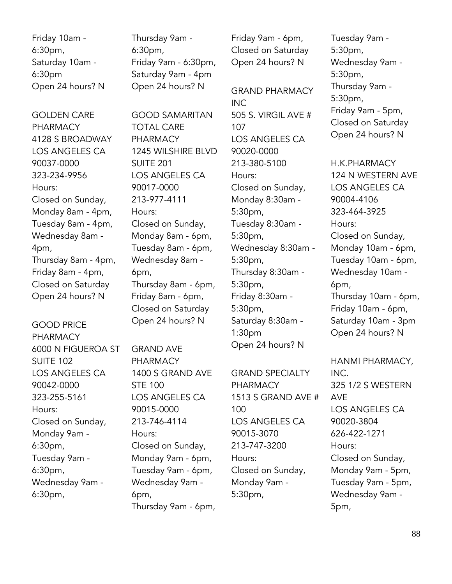Friday 10am - 6:30pm, Saturday 10am - 6:30pm Open 24 hours? N

GOLDEN CARE PHARMACY 4128 S BROADWAY LOS ANGELES CA 90037-0000 323-234-9956 Hours: Closed on Sunday, Monday 8am - 4pm, Tuesday 8am - 4pm, Wednesday 8am - 4pm, Thursday 8am - 4pm, Friday 8am - 4pm, Closed on Saturday Open 24 hours? N

GOOD PRICE PHARMACY 6000 N FIGUEROA ST SUITE 102 LOS ANGELES CA 90042-0000 323-255-5161 Hours: Closed on Sunday, Monday 9am - 6:30pm, Tuesday 9am - 6:30pm, Wednesday 9am - 6:30pm,

Thursday 9am - 6:30pm, Friday 9am - 6:30pm, Saturday 9am - 4pm Open 24 hours? N

GOOD SAMARITAN TOTAL CARE PHARMACY 1245 WILSHIRE BLVD SUITE 201 LOS ANGELES CA 90017-0000 213-977-4111 Hours: Closed on Sunday, Monday 8am - 6pm, Tuesday 8am - 6pm, Wednesday 8am - 6pm, Thursday 8am - 6pm, Friday 8am - 6pm, Closed on Saturday Open 24 hours? N

GRAND AVE PHARMACY 1400 S GRAND AVE STE 100 LOS ANGELES CA 90015-0000 213-746-4114 Hours: Closed on Sunday, Monday 9am - 6pm, Tuesday 9am - 6pm, Wednesday 9am - 6pm, Thursday 9am - 6pm,

Friday 9am - 6pm, Closed on Saturday Open 24 hours? N

GRAND PHARMACY INC 505 S. VIRGIL AVE # 107 LOS ANGELES CA 90020-0000 213-380-5100 Hours: Closed on Sunday, Monday 8:30am - 5:30pm, Tuesday 8:30am - 5:30pm, Wednesday 8:30am - 5:30pm, Thursday 8:30am - 5:30pm, Friday 8:30am - 5:30pm, Saturday 8:30am - 1:30pm Open 24 hours? N

GRAND SPECIALTY PHARMACY 1513 S GRAND AVE # 100 LOS ANGELES CA 90015-3070 213-747-3200 Hours: Closed on Sunday, Monday 9am - 5:30pm,

Tuesday 9am - 5:30pm, Wednesday 9am - 5:30pm, Thursday 9am - 5:30pm, Friday 9am - 5pm, Closed on Saturday Open 24 hours? N

H.K.PHARMACY 124 N WESTERN AVE LOS ANGELES CA 90004-4106 323-464-3925 Hours: Closed on Sunday, Monday 10am - 6pm, Tuesday 10am - 6pm, Wednesday 10am - 6pm, Thursday 10am - 6pm, Friday 10am - 6pm, Saturday 10am - 3pm Open 24 hours? N

HANMI PHARMACY, INC. 325 1/2 S WESTERN AVE LOS ANGELES CA 90020-3804 626-422-1271 Hours: Closed on Sunday, Monday 9am - 5pm, Tuesday 9am - 5pm, Wednesday 9am - 5pm,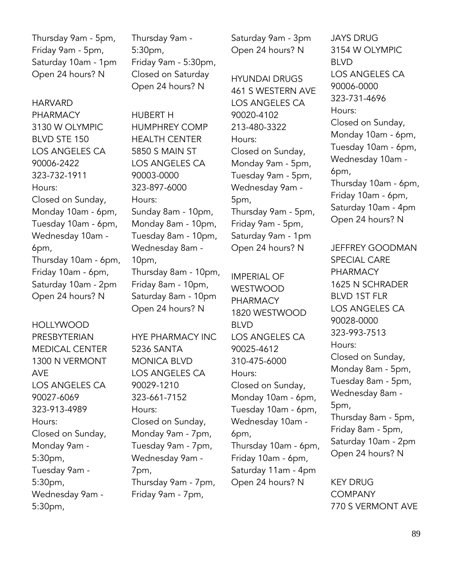Thursday 9am - 5pm, Friday 9am - 5pm, Saturday 10am - 1pm Open 24 hours? N

HARVARD PHARMACY 3130 W OLYMPIC BLVD STE 150 LOS ANGELES CA 90006-2422 323-732-1911 Hours: Closed on Sunday, Monday 10am - 6pm, Tuesday 10am - 6pm, Wednesday 10am - 6pm, Thursday 10am - 6pm, Friday 10am - 6pm, Saturday 10am - 2pm Open 24 hours? N

HOLLYWOOD PRESBYTERIAN MEDICAL CENTER 1300 N VERMONT AVE LOS ANGELES CA 90027-6069 323-913-4989 Hours: Closed on Sunday, Monday 9am - 5:30pm, Tuesday 9am - 5:30pm, Wednesday 9am - 5:30pm,

Thursday 9am - 5:30pm, Friday 9am - 5:30pm, Closed on Saturday Open 24 hours? N

HUBERT H HUMPHREY COMP HEALTH CENTER 5850 S MAIN ST LOS ANGELES CA 90003-0000 323-897-6000 Hours: Sunday 8am - 10pm, Monday 8am - 10pm, Tuesday 8am - 10pm, Wednesday 8am - 10pm, Thursday 8am - 10pm, Friday 8am - 10pm, Saturday 8am - 10pm Open 24 hours? N

HYE PHARMACY INC 5236 SANTA MONICA BLVD LOS ANGELES CA 90029-1210 323-661-7152 Hours: Closed on Sunday, Monday 9am - 7pm, Tuesday 9am - 7pm, Wednesday 9am - 7pm, Thursday 9am - 7pm, Friday 9am - 7pm,

Saturday 9am - 3pm Open 24 hours? N

HYUNDAI DRUGS 461 S WESTERN AVE LOS ANGELES CA 90020-4102 213-480-3322 Hours: Closed on Sunday, Monday 9am - 5pm, Tuesday 9am - 5pm, Wednesday 9am - 5pm, Thursday 9am - 5pm, Friday 9am - 5pm, Saturday 9am - 1pm Open 24 hours? N

IMPERIAL OF WESTWOOD PHARMACY 1820 WESTWOOD BLVD LOS ANGELES CA 90025-4612 310-475-6000 Hours: Closed on Sunday, Monday 10am - 6pm, Tuesday 10am - 6pm, Wednesday 10am - 6pm, Thursday 10am - 6pm, Friday 10am - 6pm, Saturday 11am - 4pm Open 24 hours? N

JAYS DRUG 3154 W OLYMPIC BLVD LOS ANGELES CA 90006-0000 323-731-4696 Hours: Closed on Sunday, Monday 10am - 6pm, Tuesday 10am - 6pm, Wednesday 10am - 6pm, Thursday 10am - 6pm, Friday 10am - 6pm, Saturday 10am - 4pm Open 24 hours? N

JEFFREY GOODMAN SPECIAL CARE PHARMACY 1625 N SCHRADER BLVD 1ST FLR LOS ANGELES CA 90028-0000 323-993-7513 Hours: Closed on Sunday, Monday 8am - 5pm, Tuesday 8am - 5pm, Wednesday 8am - 5pm, Thursday 8am - 5pm, Friday 8am - 5pm, Saturday 10am - 2pm Open 24 hours? N

KEY DRUG **COMPANY** 770 S VERMONT AVE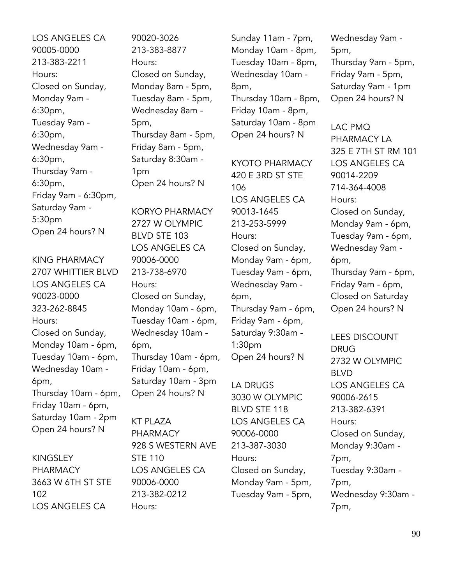LOS ANGELES CA 90005-0000 213-383-2211 Hours: Closed on Sunday, Monday 9am - 6:30pm, Tuesday 9am - 6:30pm, Wednesday 9am - 6:30pm, Thursday 9am - 6:30pm, Friday 9am - 6:30pm, Saturday 9am - 5:30pm Open 24 hours? N

KING PHARMACY 2707 WHITTIER BLVD LOS ANGELES CA 90023-0000 323-262-8845 Hours: Closed on Sunday, Monday 10am - 6pm, Tuesday 10am - 6pm, Wednesday 10am - 6pm, Thursday 10am - 6pm, Friday 10am - 6pm, Saturday 10am - 2pm Open 24 hours? N

KINGSLEY PHARMACY 3663 W 6TH ST STE 102 LOS ANGELES CA

90020-3026 213-383-8877 Hours: Closed on Sunday, Monday 8am - 5pm, Tuesday 8am - 5pm, Wednesday 8am - 5pm, Thursday 8am - 5pm, Friday 8am - 5pm, Saturday 8:30am - 1pm Open 24 hours? N

KORYO PHARMACY 2727 W OLYMPIC BLVD STE 103 LOS ANGELES CA 90006-0000 213-738-6970 Hours: Closed on Sunday, Monday 10am - 6pm, Tuesday 10am - 6pm, Wednesday 10am - 6pm, Thursday 10am - 6pm, Friday 10am - 6pm, Saturday 10am - 3pm Open 24 hours? N

KT PLAZA PHARMACY 928 S WESTERN AVE STE 110 LOS ANGELES CA 90006-0000 213-382-0212 Hours:

Sunday 11am - 7pm, Monday 10am - 8pm, Tuesday 10am - 8pm, Wednesday 10am - 8pm, Thursday 10am - 8pm, Friday 10am - 8pm, Saturday 10am - 8pm Open 24 hours? N

KYOTO PHARMACY 420 E 3RD ST STE 106 LOS ANGELES CA 90013-1645 213-253-5999 Hours: Closed on Sunday, Monday 9am - 6pm, Tuesday 9am - 6pm, Wednesday 9am - 6pm, Thursday 9am - 6pm, Friday 9am - 6pm, Saturday 9:30am - 1:30pm Open 24 hours? N

LA DRUGS 3030 W OLYMPIC BLVD STE 118 LOS ANGELES CA 90006-0000 213-387-3030 Hours: Closed on Sunday, Monday 9am - 5pm, Tuesday 9am - 5pm, Wednesday 9am - 5pm, Thursday 9am - 5pm, Friday 9am - 5pm, Saturday 9am - 1pm Open 24 hours? N

LAC PMQ PHARMACY LA 325 E 7TH ST RM 101 LOS ANGELES CA 90014-2209 714-364-4008 Hours: Closed on Sunday, Monday 9am - 6pm, Tuesday 9am - 6pm, Wednesday 9am - 6pm, Thursday 9am - 6pm, Friday 9am - 6pm, Closed on Saturday Open 24 hours? N

LEES DISCOUNT DRUG 2732 W OLYMPIC BLVD LOS ANGELES CA 90006-2615 213-382-6391 Hours: Closed on Sunday, Monday 9:30am - 7pm, Tuesday 9:30am - 7pm, Wednesday 9:30am - 7pm,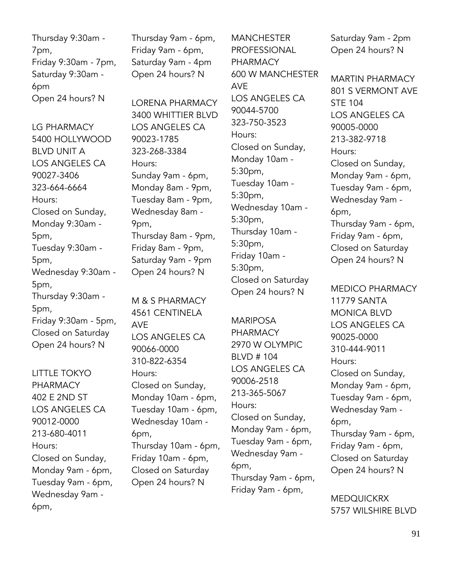Thursday 9:30am - 7pm, Friday 9:30am - 7pm, Saturday 9:30am - 6pm Open 24 hours? N

LG PHARMACY 5400 HOLLYWOOD BLVD UNIT A LOS ANGELES CA 90027-3406 323-664-6664 Hours: Closed on Sunday, Monday 9:30am - 5pm, Tuesday 9:30am - 5pm, Wednesday 9:30am - 5pm, Thursday 9:30am - 5pm, Friday 9:30am - 5pm, Closed on Saturday Open 24 hours? N

LITTLE TOKYO PHARMACY 402 E 2ND ST LOS ANGELES CA 90012-0000 213-680-4011 Hours: Closed on Sunday, Monday 9am - 6pm, Tuesday 9am - 6pm, Wednesday 9am - 6pm,

Thursday 9am - 6pm, Friday 9am - 6pm, Saturday 9am - 4pm Open 24 hours? N

LORENA PHARMACY 3400 WHITTIER BLVD LOS ANGELES CA 90023-1785 323-268-3384 Hours: Sunday 9am - 6pm, Monday 8am - 9pm, Tuesday 8am - 9pm, Wednesday 8am - 9pm, Thursday 8am - 9pm, Friday 8am - 9pm, Saturday 9am - 9pm Open 24 hours? N

M & S PHARMACY 4561 CENTINELA AVE LOS ANGELES CA 90066-0000 310-822-6354 Hours: Closed on Sunday, Monday 10am - 6pm, Tuesday 10am - 6pm, Wednesday 10am - 6pm, Thursday 10am - 6pm, Friday 10am - 6pm, Closed on Saturday Open 24 hours? N

**MANCHESTER** PROFESSIONAL PHARMACY 600 W MANCHESTER AVE LOS ANGELES CA 90044-5700 323-750-3523 Hours: Closed on Sunday, Monday 10am - 5:30pm, Tuesday 10am - 5:30pm, Wednesday 10am - 5:30pm, Thursday 10am - 5:30pm, Friday 10am - 5:30pm, Closed on Saturday Open 24 hours? N

MARIPOSA PHARMACY 2970 W OLYMPIC BLVD # 104 LOS ANGELES CA 90006-2518 213-365-5067 Hours: Closed on Sunday, Monday 9am - 6pm, Tuesday 9am - 6pm, Wednesday 9am - 6pm, Thursday 9am - 6pm, Friday 9am - 6pm,

Saturday 9am - 2pm Open 24 hours? N

MARTIN PHARMACY 801 S VERMONT AVE STE 104 LOS ANGELES CA 90005-0000 213-382-9718 Hours: Closed on Sunday, Monday 9am - 6pm, Tuesday 9am - 6pm, Wednesday 9am - 6pm, Thursday 9am - 6pm, Friday 9am - 6pm, Closed on Saturday Open 24 hours? N

MEDICO PHARMACY 11779 SANTA MONICA BLVD LOS ANGELES CA 90025-0000 310-444-9011 Hours: Closed on Sunday, Monday 9am - 6pm, Tuesday 9am - 6pm, Wednesday 9am - 6pm, Thursday 9am - 6pm, Friday 9am - 6pm, Closed on Saturday Open 24 hours? N

MEDQUICKRX 5757 WILSHIRE BLVD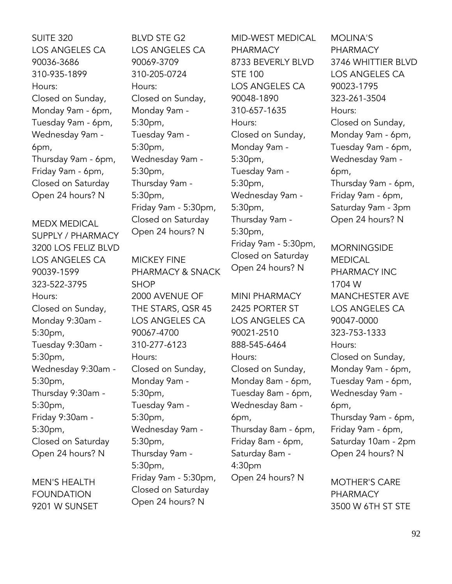SUITE 320 LOS ANGELES CA 90036-3686 310-935-1899 Hours: Closed on Sunday, Monday 9am - 6pm, Tuesday 9am - 6pm, Wednesday 9am - 6pm, Thursday 9am - 6pm, Friday 9am - 6pm, Closed on Saturday Open 24 hours? N

MEDX MEDICAL SUPPLY / PHARMACY 3200 LOS FELIZ BLVD LOS ANGELES CA 90039-1599 323-522-3795 Hours: Closed on Sunday, Monday 9:30am - 5:30pm, Tuesday 9:30am - 5:30pm, Wednesday 9:30am - 5:30pm, Thursday 9:30am - 5:30pm, Friday 9:30am - 5:30pm, Closed on Saturday Open 24 hours? N

MEN'S HEALTH FOUNDATION 9201 W SUNSET BLVD STE G2 LOS ANGELES CA 90069-3709 310-205-0724 Hours: Closed on Sunday, Monday 9am - 5:30pm, Tuesday 9am - 5:30pm, Wednesday 9am - 5:30pm, Thursday 9am - 5:30pm, Friday 9am - 5:30pm, Closed on Saturday Open 24 hours? N

MICKEY FINE PHARMACY & SNACK SHOP 2000 AVENUE OF THE STARS, QSR 45 LOS ANGELES CA 90067-4700 310-277-6123 Hours: Closed on Sunday, Monday 9am - 5:30pm, Tuesday 9am - 5:30pm, Wednesday 9am - 5:30pm, Thursday 9am - 5:30pm, Friday 9am - 5:30pm, Closed on Saturday Open 24 hours? N

MID-WEST MEDICAL PHARMACY 8733 BEVERLY BLVD STE 100 LOS ANGELES CA 90048-1890 310-657-1635 Hours: Closed on Sunday, Monday 9am - 5:30pm, Tuesday 9am - 5:30pm, Wednesday 9am - 5:30pm, Thursday 9am - 5:30pm, Friday 9am - 5:30pm, Closed on Saturday Open 24 hours? N

MINI PHARMACY 2425 PORTER ST LOS ANGELES CA 90021-2510 888-545-6464 Hours: Closed on Sunday, Monday 8am - 6pm, Tuesday 8am - 6pm, Wednesday 8am - 6pm, Thursday 8am - 6pm, Friday 8am - 6pm, Saturday 8am - 4:30pm Open 24 hours? N

MOLINA'S PHARMACY 3746 WHITTIER BLVD LOS ANGELES CA 90023-1795 323-261-3504 Hours: Closed on Sunday, Monday 9am - 6pm, Tuesday 9am - 6pm, Wednesday 9am - 6pm, Thursday 9am - 6pm, Friday 9am - 6pm, Saturday 9am - 3pm Open 24 hours? N

**MORNINGSIDE** MEDICAL PHARMACY INC 1704 W MANCHESTER AVE LOS ANGELES CA 90047-0000 323-753-1333 Hours: Closed on Sunday, Monday 9am - 6pm, Tuesday 9am - 6pm, Wednesday 9am - 6pm, Thursday 9am - 6pm, Friday 9am - 6pm, Saturday 10am - 2pm Open 24 hours? N

MOTHER'S CARE PHARMACY 3500 W 6TH ST STE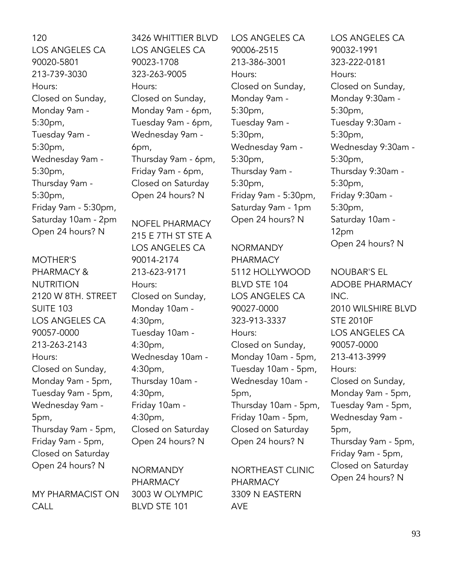120 LOS ANGELES CA 90020-5801 213-739-3030 Hours: Closed on Sunday, Monday 9am - 5:30pm, Tuesday 9am - 5:30pm, Wednesday 9am - 5:30pm, Thursday 9am - 5:30pm, Friday 9am - 5:30pm, Saturday 10am - 2pm Open 24 hours? N

MOTHER'S PHARMACY & NUTRITION 2120 W 8TH. STREET SUITE 103 LOS ANGELES CA 90057-0000 213-263-2143 Hours: Closed on Sunday, Monday 9am - 5pm, Tuesday 9am - 5pm, Wednesday 9am - 5pm, Thursday 9am - 5pm, Friday 9am - 5pm, Closed on Saturday Open 24 hours? N

MY PHARMACIST ON CALL

3426 WHITTIER BLVD LOS ANGELES CA 90023-1708 323-263-9005 Hours: Closed on Sunday, Monday 9am - 6pm, Tuesday 9am - 6pm, Wednesday 9am - 6pm, Thursday 9am - 6pm, Friday 9am - 6pm, Closed on Saturday Open 24 hours? N

NOFEL PHARMACY 215 E 7TH ST STE A LOS ANGELES CA 90014-2174 213-623-9171 Hours: Closed on Sunday, Monday 10am - 4:30pm, Tuesday 10am - 4:30pm, Wednesday 10am - 4:30pm, Thursday 10am - 4:30pm, Friday 10am - 4:30pm, Closed on Saturday Open 24 hours? N

NORMANDY PHARMACY 3003 W OLYMPIC BLVD STE 101

LOS ANGELES CA 90006-2515 213-386-3001 Hours: Closed on Sunday, Monday 9am - 5:30pm, Tuesday 9am - 5:30pm, Wednesday 9am - 5:30pm, Thursday 9am - 5:30pm, Friday 9am - 5:30pm, Saturday 9am - 1pm Open 24 hours? N

NORMANDY PHARMACY 5112 HOLLYWOOD BLVD STE 104 LOS ANGELES CA 90027-0000 323-913-3337 Hours: Closed on Sunday, Monday 10am - 5pm, Tuesday 10am - 5pm, Wednesday 10am - 5pm, Thursday 10am - 5pm, Friday 10am - 5pm, Closed on Saturday Open 24 hours? N

NORTHEAST CLINIC PHARMACY 3309 N EASTERN AVE

LOS ANGELES CA 90032-1991 323-222-0181 Hours: Closed on Sunday, Monday 9:30am - 5:30pm, Tuesday 9:30am - 5:30pm, Wednesday 9:30am - 5:30pm, Thursday 9:30am - 5:30pm, Friday 9:30am - 5:30pm, Saturday 10am - 12pm Open 24 hours? N

NOUBAR'S EL ADOBE PHARMACY INC. 2010 WILSHIRE BLVD STE 2010F LOS ANGELES CA 90057-0000 213-413-3999 Hours: Closed on Sunday, Monday 9am - 5pm, Tuesday 9am - 5pm, Wednesday 9am - 5pm, Thursday 9am - 5pm, Friday 9am - 5pm, Closed on Saturday Open 24 hours? N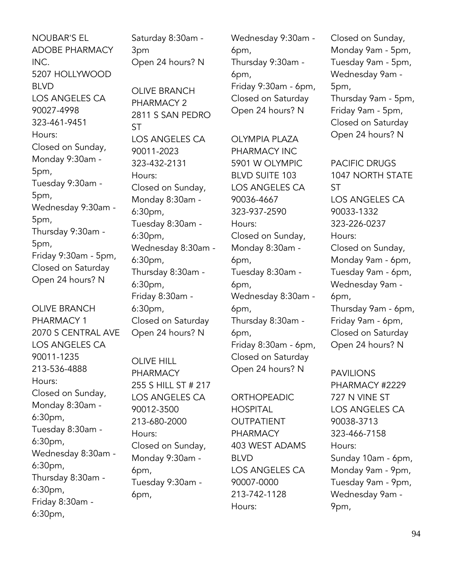NOUBAR'S EL ADOBE PHARMACY INC. 5207 HOLLYWOOD BLVD LOS ANGELES CA 90027-4998 323-461-9451 Hours: Closed on Sunday, Monday 9:30am - 5pm, Tuesday 9:30am - 5pm, Wednesday 9:30am - 5pm, Thursday 9:30am - 5pm, Friday 9:30am - 5pm, Closed on Saturday Open 24 hours? N

OLIVE BRANCH PHARMACY 1 2070 S CENTRAL AVE LOS ANGELES CA 90011-1235 213-536-4888 Hours: Closed on Sunday, Monday 8:30am - 6:30pm, Tuesday 8:30am - 6:30pm, Wednesday 8:30am - 6:30pm, Thursday 8:30am - 6:30pm, Friday 8:30am - 6:30pm,

Saturday 8:30am - 3pm Open 24 hours? N

OLIVE BRANCH PHARMACY 2 2811 S SAN PEDRO **ST** LOS ANGELES CA 90011-2023 323-432-2131 Hours: Closed on Sunday, Monday 8:30am - 6:30pm, Tuesday 8:30am - 6:30pm, Wednesday 8:30am - 6:30pm, Thursday 8:30am - 6:30pm, Friday 8:30am - 6:30pm, Closed on Saturday Open 24 hours? N

OLIVE HILL PHARMACY 255 S HILL ST # 217 LOS ANGELES CA 90012-3500 213-680-2000 Hours: Closed on Sunday, Monday 9:30am - 6pm, Tuesday 9:30am - 6pm,

Wednesday 9:30am - 6pm, Thursday 9:30am - 6pm, Friday 9:30am - 6pm, Closed on Saturday Open 24 hours? N

OLYMPIA PLAZA PHARMACY INC 5901 W OLYMPIC BLVD SUITE 103 LOS ANGELES CA 90036-4667 323-937-2590 Hours: Closed on Sunday, Monday 8:30am - 6pm, Tuesday 8:30am - 6pm, Wednesday 8:30am - 6pm, Thursday 8:30am - 6pm, Friday 8:30am - 6pm, Closed on Saturday Open 24 hours? N

ORTHOPEADIC **HOSPITAL** OUTPATIENT PHARMACY 403 WEST ADAMS BLVD LOS ANGELES CA 90007-0000 213-742-1128 Hours:

Closed on Sunday, Monday 9am - 5pm, Tuesday 9am - 5pm, Wednesday 9am - 5pm, Thursday 9am - 5pm, Friday 9am - 5pm, Closed on Saturday

Open 24 hours? N

PACIFIC DRUGS 1047 NORTH STATE ST LOS ANGELES CA 90033-1332 323-226-0237 Hours: Closed on Sunday, Monday 9am - 6pm, Tuesday 9am - 6pm, Wednesday 9am - 6pm, Thursday 9am - 6pm, Friday 9am - 6pm, Closed on Saturday Open 24 hours? N

PAVILIONS PHARMACY #2229 727 N VINE ST LOS ANGELES CA 90038-3713 323-466-7158 Hours: Sunday 10am - 6pm, Monday 9am - 9pm, Tuesday 9am - 9pm, Wednesday 9am - 9pm,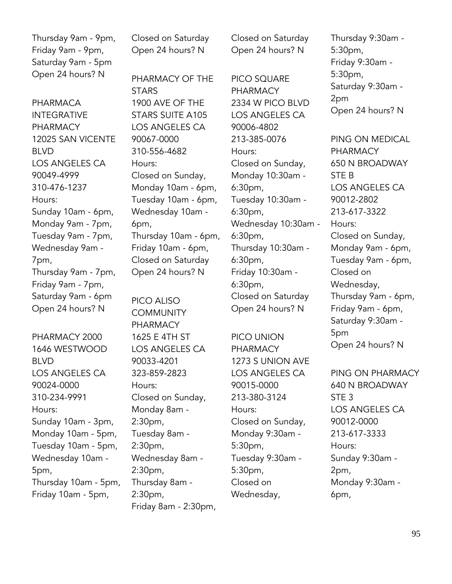Thursday 9am - 9pm, Friday 9am - 9pm, Saturday 9am - 5pm Open 24 hours? N

PHARMACA INTEGRATIVE PHARMACY 12025 SAN VICENTE BLVD LOS ANGELES CA 90049-4999 310-476-1237 Hours: Sunday 10am - 6pm, Monday 9am - 7pm, Tuesday 9am - 7pm, Wednesday 9am - 7pm, Thursday 9am - 7pm, Friday 9am - 7pm, Saturday 9am - 6pm Open 24 hours? N

PHARMACY 2000 1646 WESTWOOD BLVD LOS ANGELES CA 90024-0000 310-234-9991 Hours: Sunday 10am - 3pm, Monday 10am - 5pm, Tuesday 10am - 5pm, Wednesday 10am - 5pm, Thursday 10am - 5pm, Friday 10am - 5pm,

Closed on Saturday Open 24 hours? N

PHARMACY OF THE **STARS** 1900 AVE OF THE STARS SUITE A105 LOS ANGELES CA 90067-0000 310-556-4682 Hours: Closed on Sunday, Monday 10am - 6pm, Tuesday 10am - 6pm, Wednesday 10am - 6pm, Thursday 10am - 6pm, Friday 10am - 6pm, Closed on Saturday Open 24 hours? N

PICO ALISO **COMMUNITY** PHARMACY 1625 E 4TH ST LOS ANGELES CA 90033-4201 323-859-2823 Hours: Closed on Sunday, Monday 8am - 2:30pm, Tuesday 8am - 2:30pm, Wednesday 8am - 2:30pm, Thursday 8am - 2:30pm, Friday 8am - 2:30pm, Closed on Saturday Open 24 hours? N

PICO SQUARE PHARMACY 2334 W PICO BLVD LOS ANGELES CA 90006-4802 213-385-0076 Hours: Closed on Sunday, Monday 10:30am - 6:30pm, Tuesday 10:30am - 6:30pm, Wednesday 10:30am - 6:30pm, Thursday 10:30am - 6:30pm, Friday 10:30am - 6:30pm, Closed on Saturday Open 24 hours? N

PICO UNION PHARMACY 1273 S UNION AVE LOS ANGELES CA 90015-0000 213-380-3124 Hours: Closed on Sunday, Monday 9:30am - 5:30pm, Tuesday 9:30am - 5:30pm, Closed on Wednesday,

Thursday 9:30am - 5:30pm, Friday 9:30am - 5:30pm, Saturday 9:30am - 2pm Open 24 hours? N

PING ON MEDICAL PHARMACY 650 N BROADWAY STE B LOS ANGELES CA 90012-2802 213-617-3322 Hours: Closed on Sunday, Monday 9am - 6pm, Tuesday 9am - 6pm, Closed on Wednesday, Thursday 9am - 6pm, Friday 9am - 6pm, Saturday 9:30am - 5pm Open 24 hours? N

PING ON PHARMACY 640 N BROADWAY STE 3 LOS ANGELES CA 90012-0000 213-617-3333 Hours: Sunday 9:30am - 2pm, Monday 9:30am - 6pm,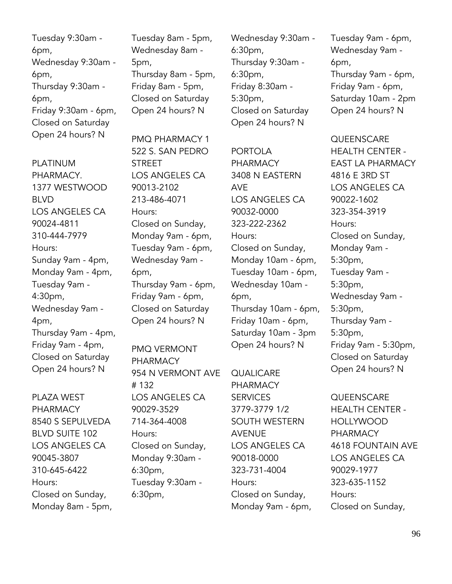Tuesday 9:30am - 6pm, Wednesday 9:30am - 6pm, Thursday 9:30am - 6pm, Friday 9:30am - 6pm, Closed on Saturday Open 24 hours? N

PLATINUM PHARMACY. 1377 WESTWOOD BLVD LOS ANGELES CA 90024-4811 310-444-7979 Hours: Sunday 9am - 4pm, Monday 9am - 4pm, Tuesday 9am - 4:30pm, Wednesday 9am - 4pm, Thursday 9am - 4pm, Friday 9am - 4pm, Closed on Saturday Open 24 hours? N

PLAZA WEST PHARMACY 8540 S SEPULVEDA BLVD SUITE 102 LOS ANGELES CA 90045-3807 310-645-6422 Hours: Closed on Sunday, Monday 8am - 5pm, Tuesday 8am - 5pm, Wednesday 8am - 5pm, Thursday 8am - 5pm, Friday 8am - 5pm, Closed on Saturday Open 24 hours? N

PMQ PHARMACY 1 522 S. SAN PEDRO **STREET** LOS ANGELES CA 90013-2102 213-486-4071 Hours: Closed on Sunday, Monday 9am - 6pm, Tuesday 9am - 6pm, Wednesday 9am - 6pm, Thursday 9am - 6pm, Friday 9am - 6pm, Closed on Saturday Open 24 hours? N

PMQ VERMONT PHARMACY 954 N VERMONT AVE # 132 LOS ANGELES CA 90029-3529 714-364-4008 Hours: Closed on Sunday, Monday 9:30am - 6:30pm, Tuesday 9:30am - 6:30pm,

Wednesday 9:30am - 6:30pm, Thursday 9:30am - 6:30pm, Friday 8:30am - 5:30pm, Closed on Saturday Open 24 hours? N

PORTOI A PHARMACY 3408 N EASTERN AVE LOS ANGELES CA 90032-0000 323-222-2362 Hours: Closed on Sunday, Monday 10am - 6pm, Tuesday 10am - 6pm, Wednesday 10am - 6pm, Thursday 10am - 6pm, Friday 10am - 6pm, Saturday 10am - 3pm Open 24 hours? N

**QUALICARE** PHARMACY **SERVICES** 3779-3779 1/2 SOUTH WESTERN AVENUE LOS ANGELES CA 90018-0000 323-731-4004 Hours: Closed on Sunday, Monday 9am - 6pm,

Tuesday 9am - 6pm, Wednesday 9am - 6pm, Thursday 9am - 6pm, Friday 9am - 6pm, Saturday 10am - 2pm Open 24 hours? N

**QUEENSCARE** HEALTH CENTER - EAST LA PHARMACY 4816 E 3RD ST LOS ANGELES CA 90022-1602 323-354-3919 Hours: Closed on Sunday, Monday 9am - 5:30pm, Tuesday 9am - 5:30pm, Wednesday 9am - 5:30pm, Thursday 9am - 5:30pm, Friday 9am - 5:30pm, Closed on Saturday Open 24 hours? N

**QUEENSCARE** HEALTH CENTER - HOLLYWOOD PHARMACY 4618 FOUNTAIN AVE LOS ANGELES CA 90029-1977 323-635-1152 Hours: Closed on Sunday,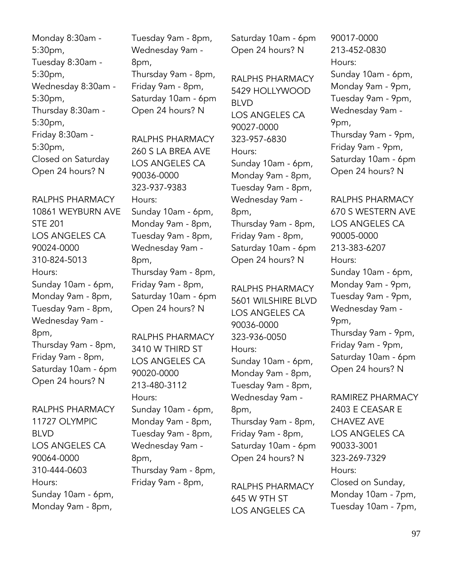Monday 8:30am - 5:30pm, Tuesday 8:30am - 5:30pm, Wednesday 8:30am - 5:30pm, Thursday 8:30am - 5:30pm, Friday 8:30am - 5:30pm, Closed on Saturday Open 24 hours? N

RALPHS PHARMACY 10861 WEYBURN AVE STE 201 LOS ANGELES CA 90024-0000 310-824-5013 Hours: Sunday 10am - 6pm, Monday 9am - 8pm, Tuesday 9am - 8pm, Wednesday 9am - 8pm, Thursday 9am - 8pm, Friday 9am - 8pm, Saturday 10am - 6pm Open 24 hours? N

# RALPHS PHARMACY 11727 OLYMPIC BLVD LOS ANGELES CA 90064-0000 310-444-0603 Hours: Sunday 10am - 6pm, Monday 9am - 8pm,

Tuesday 9am - 8pm, Wednesday 9am - 8pm, Thursday 9am - 8pm, Friday 9am - 8pm, Saturday 10am - 6pm Open 24 hours? N

RALPHS PHARMACY 260 S LA BREA AVE LOS ANGELES CA 90036-0000 323-937-9383 Hours: Sunday 10am - 6pm, Monday 9am - 8pm, Tuesday 9am - 8pm, Wednesday 9am - 8pm, Thursday 9am - 8pm, Friday 9am - 8pm, Saturday 10am - 6pm Open 24 hours? N

RALPHS PHARMACY 3410 W THIRD ST LOS ANGELES CA 90020-0000 213-480-3112 Hours: Sunday 10am - 6pm, Monday 9am - 8pm, Tuesday 9am - 8pm, Wednesday 9am - 8pm, Thursday 9am - 8pm, Friday 9am - 8pm,

Saturday 10am - 6pm Open 24 hours? N

RALPHS PHARMACY 5429 HOLLYWOOD BLVD LOS ANGELES CA 90027-0000 323-957-6830 Hours: Sunday 10am - 6pm, Monday 9am - 8pm, Tuesday 9am - 8pm, Wednesday 9am - 8pm, Thursday 9am - 8pm, Friday 9am - 8pm, Saturday 10am - 6pm Open 24 hours? N

RALPHS PHARMACY 5601 WILSHIRE BLVD LOS ANGELES CA 90036-0000 323-936-0050 Hours: Sunday 10am - 6pm, Monday 9am - 8pm, Tuesday 9am - 8pm, Wednesday 9am - 8pm, Thursday 9am - 8pm, Friday 9am - 8pm, Saturday 10am - 6pm Open 24 hours? N

RALPHS PHARMACY 645 W 9TH ST LOS ANGELES CA

90017-0000 213-452-0830 Hours: Sunday 10am - 6pm, Monday 9am - 9pm, Tuesday 9am - 9pm, Wednesday 9am - 9pm, Thursday 9am - 9pm, Friday 9am - 9pm, Saturday 10am - 6pm Open 24 hours? N

RALPHS PHARMACY 670 S WESTERN AVE LOS ANGELES CA 90005-0000 213-383-6207 Hours: Sunday 10am - 6pm, Monday 9am - 9pm, Tuesday 9am - 9pm, Wednesday 9am - 9pm, Thursday 9am - 9pm, Friday 9am - 9pm, Saturday 10am - 6pm Open 24 hours? N

RAMIREZ PHARMACY 2403 E CEASAR E CHAVEZ AVE LOS ANGELES CA 90033-3001 323-269-7329 Hours: Closed on Sunday, Monday 10am - 7pm, Tuesday 10am - 7pm,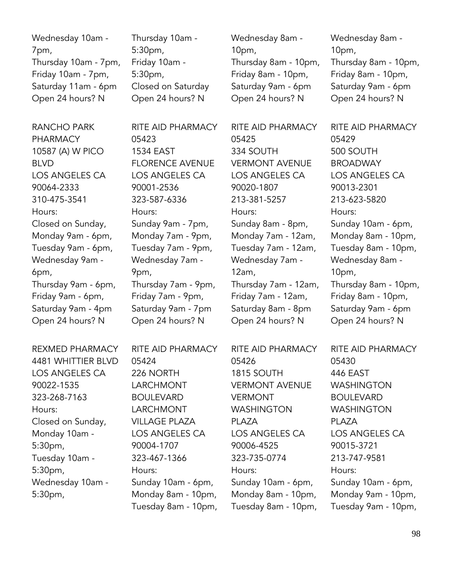Wednesday 10am - 7pm, Thursday 10am - 7pm, Friday 10am - 7pm, Saturday 11am - 6pm Open 24 hours? N

RANCHO PARK PHARMACY 10587 (A) W PICO BLVD LOS ANGELES CA 90064-2333 310-475-3541 Hours: Closed on Sunday, Monday 9am - 6pm, Tuesday 9am - 6pm, Wednesday 9am - 6pm, Thursday 9am - 6pm, Friday 9am - 6pm, Saturday 9am - 4pm Open 24 hours? N

REXMED PHARMACY 4481 WHITTIER BLVD LOS ANGELES CA 90022-1535 323-268-7163 Hours: Closed on Sunday, Monday 10am - 5:30pm, Tuesday 10am - 5:30pm, Wednesday 10am - 5:30pm,

Thursday 10am - 5:30pm, Friday 10am - 5:30pm, Closed on Saturday Open 24 hours? N

RITE AID PHARMACY 05423 1534 EAST FLORENCE AVENUE LOS ANGELES CA 90001-2536 323-587-6336 Hours: Sunday 9am - 7pm, Monday 7am - 9pm, Tuesday 7am - 9pm, Wednesday 7am - 9pm, Thursday 7am - 9pm, Friday 7am - 9pm, Saturday 9am - 7pm Open 24 hours? N

RITE AID PHARMACY 05424 226 NORTH LARCHMONT BOULEVARD LARCHMONT VILLAGE PLAZA LOS ANGELES CA 90004-1707 323-467-1366 Hours: Sunday 10am - 6pm, Monday 8am - 10pm, Tuesday 8am - 10pm,

Wednesday 8am - 10pm, Thursday 8am - 10pm, Friday 8am - 10pm, Saturday 9am - 6pm Open 24 hours? N

RITE AID PHARMACY 05425 334 SOUTH VERMONT AVENUE LOS ANGELES CA 90020-1807 213-381-5257 Hours: Sunday 8am - 8pm, Monday 7am - 12am, Tuesday 7am - 12am, Wednesday 7am - 12am, Thursday 7am - 12am, Friday 7am - 12am, Saturday 8am - 8pm Open 24 hours? N

RITE AID PHARMACY 05426 1815 SOUTH VERMONT AVENUE VERMONT WASHINGTON PLAZA LOS ANGELES CA 90006-4525 323-735-0774 Hours: Sunday 10am - 6pm, Monday 8am - 10pm, Tuesday 8am - 10pm, Wednesday 8am - 10pm, Thursday 8am - 10pm, Friday 8am - 10pm, Saturday 9am - 6pm Open 24 hours? N

RITE AID PHARMACY 05429 500 SOUTH **BROADWAY** LOS ANGELES CA 90013-2301 213-623-5820 Hours: Sunday 10am - 6pm, Monday 8am - 10pm, Tuesday 8am - 10pm, Wednesday 8am - 10pm, Thursday 8am - 10pm, Friday 8am - 10pm, Saturday 9am - 6pm Open 24 hours? N

RITE AID PHARMACY 05430 446 EAST WASHINGTON BOULEVARD WASHINGTON PLAZA LOS ANGELES CA 90015-3721 213-747-9581 Hours: Sunday 10am - 6pm, Monday 9am - 10pm, Tuesday 9am - 10pm,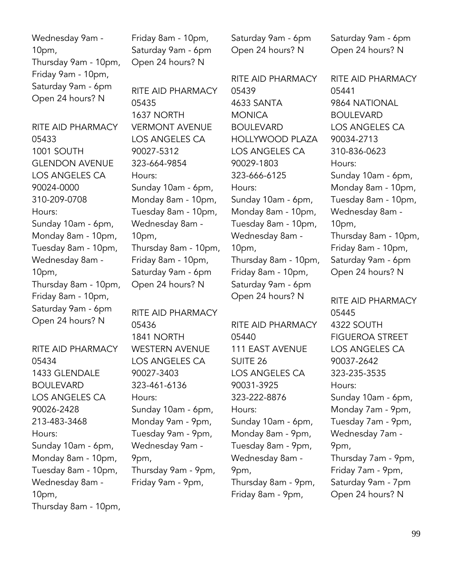Wednesday 9am - 10pm, Thursday 9am - 10pm, Friday 9am - 10pm, Saturday 9am - 6pm Open 24 hours? N

RITE AID PHARMACY 05433 1001 SOUTH GLENDON AVENUE LOS ANGELES CA 90024-0000 310-209-0708 Hours: Sunday 10am - 6pm, Monday 8am - 10pm, Tuesday 8am - 10pm, Wednesday 8am - 10pm, Thursday 8am - 10pm, Friday 8am - 10pm, Saturday 9am - 6pm Open 24 hours? N

RITE AID PHARMACY 05434 1433 GLENDALE BOULEVARD LOS ANGELES CA 90026-2428 213-483-3468 Hours: Sunday 10am - 6pm, Monday 8am - 10pm, Tuesday 8am - 10pm, Wednesday 8am - 10pm, Thursday 8am - 10pm, Friday 8am - 10pm, Saturday 9am - 6pm Open 24 hours? N

RITE AID PHARMACY 05435 1637 NORTH VERMONT AVENUE LOS ANGELES CA 90027-5312 323-664-9854 Hours: Sunday 10am - 6pm, Monday 8am - 10pm, Tuesday 8am - 10pm, Wednesday 8am - 10pm, Thursday 8am - 10pm, Friday 8am - 10pm, Saturday 9am - 6pm Open 24 hours? N

RITE AID PHARMACY 05436 1841 NORTH WESTERN AVENUE LOS ANGELES CA 90027-3403 323-461-6136 Hours: Sunday 10am - 6pm, Monday 9am - 9pm, Tuesday 9am - 9pm, Wednesday 9am - 9pm, Thursday 9am - 9pm, Friday 9am - 9pm,

Saturday 9am - 6pm Open 24 hours? N

RITE AID PHARMACY 05439 4633 SANTA MONICA BOULEVARD HOLLYWOOD PLAZA LOS ANGELES CA 90029-1803 323-666-6125 Hours: Sunday 10am - 6pm, Monday 8am - 10pm, Tuesday 8am - 10pm, Wednesday 8am - 10pm, Thursday 8am - 10pm, Friday 8am - 10pm, Saturday 9am - 6pm Open 24 hours? N

RITE AID PHARMACY 05440 111 EAST AVENUE SUITE 26 LOS ANGELES CA 90031-3925 323-222-8876 Hours: Sunday 10am - 6pm, Monday 8am - 9pm, Tuesday 8am - 9pm, Wednesday 8am - 9pm, Thursday 8am - 9pm, Friday 8am - 9pm,

Saturday 9am - 6pm Open 24 hours? N

RITE AID PHARMACY 05441 9864 NATIONAL BOULEVARD LOS ANGELES CA 90034-2713 310-836-0623 Hours: Sunday 10am - 6pm, Monday 8am - 10pm, Tuesday 8am - 10pm, Wednesday 8am - 10pm, Thursday 8am - 10pm, Friday 8am - 10pm, Saturday 9am - 6pm Open 24 hours? N

RITE AID PHARMACY 05445 4322 SOUTH FIGUEROA STREET LOS ANGELES CA 90037-2642 323-235-3535 Hours: Sunday 10am - 6pm, Monday 7am - 9pm, Tuesday 7am - 9pm, Wednesday 7am - 9pm, Thursday 7am - 9pm, Friday 7am - 9pm, Saturday 9am - 7pm Open 24 hours? N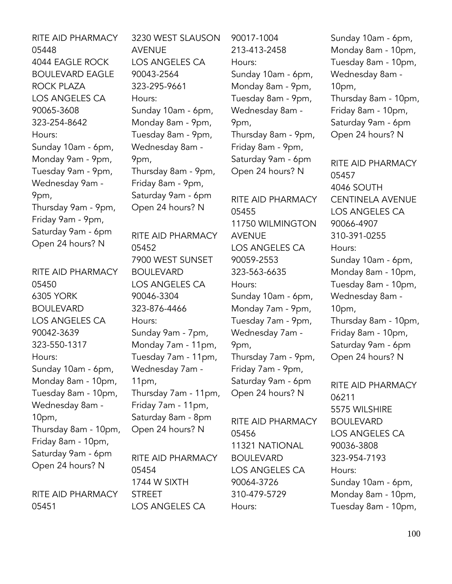RITE AID PHARMACY 05448 4044 EAGLE ROCK BOULEVARD EAGLE ROCK PLAZA LOS ANGELES CA 90065-3608 323-254-8642 Hours: Sunday 10am - 6pm, Monday 9am - 9pm, Tuesday 9am - 9pm, Wednesday 9am - 9pm, Thursday 9am - 9pm, Friday 9am - 9pm, Saturday 9am - 6pm Open 24 hours? N

RITE AID PHARMACY 05450 6305 YORK BOULEVARD LOS ANGELES CA 90042-3639 323-550-1317 Hours: Sunday 10am - 6pm, Monday 8am - 10pm, Tuesday 8am - 10pm, Wednesday 8am - 10pm, Thursday 8am - 10pm, Friday 8am - 10pm, Saturday 9am - 6pm Open 24 hours? N RITE AID PHARMACY

05451

3230 WEST SLAUSON AVENUE LOS ANGELES CA 90043-2564 323-295-9661 Hours: Sunday 10am - 6pm, Monday 8am - 9pm, Tuesday 8am - 9pm, Wednesday 8am - 9pm, Thursday 8am - 9pm, Friday 8am - 9pm, Saturday 9am - 6pm Open 24 hours? N

RITE AID PHARMACY 05452 7900 WEST SUNSET BOULEVARD LOS ANGELES CA 90046-3304 323-876-4466 Hours: Sunday 9am - 7pm, Monday 7am - 11pm, Tuesday 7am - 11pm, Wednesday 7am - 11pm, Thursday 7am - 11pm, Friday 7am - 11pm, Saturday 8am - 8pm Open 24 hours? N

RITE AID PHARMACY 05454 1744 W SIXTH STREET LOS ANGELES CA

90017-1004 213-413-2458 Hours: Sunday 10am - 6pm, Monday 8am - 9pm, Tuesday 8am - 9pm, Wednesday 8am - 9pm, Thursday 8am - 9pm, Friday 8am - 9pm, Saturday 9am - 6pm Open 24 hours? N

RITE AID PHARMACY 05455 11750 WILMINGTON AVENUE LOS ANGELES CA 90059-2553 323-563-6635 Hours: Sunday 10am - 6pm, Monday 7am - 9pm, Tuesday 7am - 9pm, Wednesday 7am - 9pm, Thursday 7am - 9pm, Friday 7am - 9pm, Saturday 9am - 6pm Open 24 hours? N

RITE AID PHARMACY 05456 11321 NATIONAL BOULEVARD LOS ANGELES CA 90064-3726 310-479-5729 Hours:

Sunday 10am - 6pm, Monday 8am - 10pm, Tuesday 8am - 10pm, Wednesday 8am - 10pm, Thursday 8am - 10pm, Friday 8am - 10pm, Saturday 9am - 6pm Open 24 hours? N

RITE AID PHARMACY 05457 4046 SOUTH CENTINELA AVENUE LOS ANGELES CA 90066-4907 310-391-0255 Hours: Sunday 10am - 6pm, Monday 8am - 10pm, Tuesday 8am - 10pm, Wednesday 8am - 10pm, Thursday 8am - 10pm, Friday 8am - 10pm, Saturday 9am - 6pm Open 24 hours? N

RITE AID PHARMACY 06211 5575 WILSHIRE BOULEVARD LOS ANGELES CA 90036-3808 323-954-7193 Hours: Sunday 10am - 6pm, Monday 8am - 10pm, Tuesday 8am - 10pm,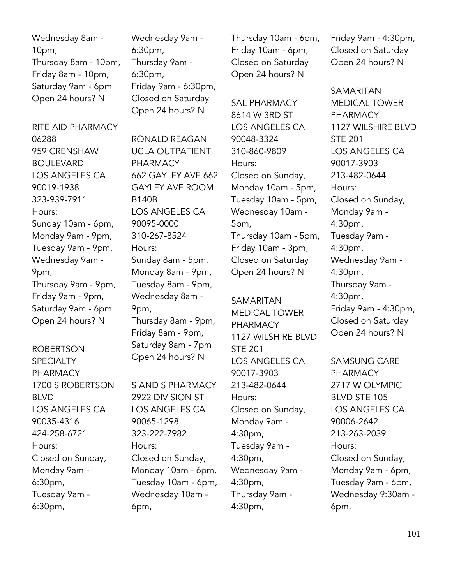Wednesday 8am - 10pm, Thursday 8am - 10pm, Friday 8am - 10pm, Saturday 9am - 6pm Open 24 hours? N

RITE AID PHARMACY 06288 959 CRENSHAW **BOULEVARD** LOS ANGELES CA 90019-1938 323-939-7911 Hours: Sunday 10am - 6pm, Monday 9am - 9pm, Tuesday 9am - 9pm, Wednesday 9am - 9pm, Thursday 9am - 9pm, Friday 9am - 9pm, Saturday 9am - 6pm Open 24 hours? N

ROBERTSON **SPECIALTY** PHARMACY 1700 S ROBERTSON BLVD LOS ANGELES CA 90035-4316 424-258-6721 Hours: Closed on Sunday, Monday 9am - 6:30pm, Tuesday 9am - 6:30pm,

Wednesday 9am - 6:30pm, Thursday 9am - 6:30pm, Friday 9am - 6:30pm, Closed on Saturday Open 24 hours? N

RONALD REAGAN UCLA OUTPATIENT PHARMACY 662 GAYLEY AVE 662 GAYLEY AVE ROOM B140B LOS ANGELES CA 90095-0000 310-267-8524 Hours: Sunday 8am - 5pm, Monday 8am - 9pm, Tuesday 8am - 9pm, Wednesday 8am - 9pm, Thursday 8am - 9pm, Friday 8am - 9pm, Saturday 8am - 7pm Open 24 hours? N

S AND S PHARMACY 2922 DIVISION ST LOS ANGELES CA 90065-1298 323-222-7982 Hours: Closed on Sunday, Monday 10am - 6pm, Tuesday 10am - 6pm, Wednesday 10am - 6pm,

Thursday 10am - 6pm, Friday 10am - 6pm, Closed on Saturday Open 24 hours? N

SAL PHARMACY 8614 W 3RD ST LOS ANGELES CA 90048-3324 310-860-9809 Hours: Closed on Sunday, Monday 10am - 5pm, Tuesday 10am - 5pm, Wednesday 10am - 5pm, Thursday 10am - 5pm, Friday 10am - 3pm, Closed on Saturday Open 24 hours? N

SAMARITAN MEDICAL TOWER PHARMACY 1127 WILSHIRE BLVD STE 201 LOS ANGELES CA 90017-3903 213-482-0644 Hours: Closed on Sunday, Monday 9am - 4:30pm, Tuesday 9am - 4:30pm, Wednesday 9am - 4:30pm, Thursday 9am - 4:30pm,

Friday 9am - 4:30pm, Closed on Saturday Open 24 hours? N

SAMARITAN MEDICAL TOWER PHARMACY 1127 WILSHIRE BLVD STE 201 LOS ANGELES CA 90017-3903 213-482-0644 Hours: Closed on Sunday, Monday 9am - 4:30pm, Tuesday 9am - 4:30pm, Wednesday 9am - 4:30pm, Thursday 9am - 4:30pm, Friday 9am - 4:30pm, Closed on Saturday Open 24 hours? N

SAMSUNG CARE PHARMACY 2717 W OLYMPIC BLVD STE 105 LOS ANGELES CA 90006-2642 213-263-2039 Hours: Closed on Sunday, Monday 9am - 6pm, Tuesday 9am - 6pm, Wednesday 9:30am - 6pm,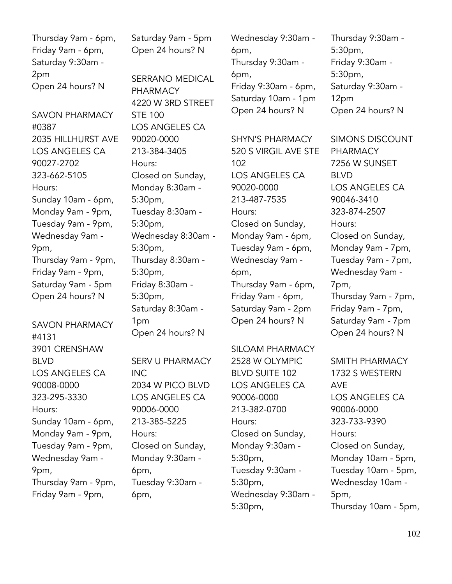Thursday 9am - 6pm, Friday 9am - 6pm, Saturday 9:30am - 2pm Open 24 hours? N

SAVON PHARMACY #0387 2035 HILLHURST AVE LOS ANGELES CA 90027-2702 323-662-5105 Hours: Sunday 10am - 6pm, Monday 9am - 9pm, Tuesday 9am - 9pm, Wednesday 9am - 9pm, Thursday 9am - 9pm, Friday 9am - 9pm, Saturday 9am - 5pm Open 24 hours? N

# SAVON PHARMACY #4131 3901 CRENSHAW BLVD LOS ANGELES CA 90008-0000 323-295-3330 Hours: Sunday 10am - 6pm, Monday 9am - 9pm, Tuesday 9am - 9pm, Wednesday 9am - 9pm, Thursday 9am - 9pm, Friday 9am - 9pm,

Saturday 9am - 5pm Open 24 hours? N

SERRANO MEDICAL PHARMACY 4220 W 3RD STREET STE 100 LOS ANGELES CA 90020-0000 213-384-3405 Hours: Closed on Sunday, Monday 8:30am - 5:30pm, Tuesday 8:30am - 5:30pm, Wednesday 8:30am - 5:30pm, Thursday 8:30am - 5:30pm, Friday 8:30am - 5:30pm, Saturday 8:30am - 1pm Open 24 hours? N

SERV U PHARMACY INC 2034 W PICO BLVD LOS ANGELES CA 90006-0000 213-385-5225 Hours: Closed on Sunday, Monday 9:30am - 6pm, Tuesday 9:30am - 6pm,

Wednesday 9:30am - 6pm, Thursday 9:30am - 6pm, Friday 9:30am - 6pm, Saturday 10am - 1pm Open 24 hours? N

SHYN'S PHARMACY 520 S VIRGIL AVE STE 102 LOS ANGELES CA 90020-0000 213-487-7535 Hours: Closed on Sunday, Monday 9am - 6pm, Tuesday 9am - 6pm, Wednesday 9am - 6pm, Thursday 9am - 6pm, Friday 9am - 6pm, Saturday 9am - 2pm Open 24 hours? N

### SILOAM PHARMACY

2528 W OLYMPIC BLVD SUITE 102 LOS ANGELES CA 90006-0000 213-382-0700 Hours: Closed on Sunday, Monday 9:30am - 5:30pm, Tuesday 9:30am - 5:30pm, Wednesday 9:30am - 5:30pm,

Thursday 9:30am - 5:30pm, Friday 9:30am - 5:30pm, Saturday 9:30am - 12pm Open 24 hours? N

SIMONS DISCOUNT PHARMACY 7256 W SUNSET BLVD LOS ANGELES CA 90046-3410 323-874-2507 Hours: Closed on Sunday, Monday 9am - 7pm, Tuesday 9am - 7pm, Wednesday 9am - 7pm, Thursday 9am - 7pm, Friday 9am - 7pm, Saturday 9am - 7pm Open 24 hours? N

SMITH PHARMACY 1732 S WESTERN AVE LOS ANGELES CA 90006-0000 323-733-9390 Hours: Closed on Sunday, Monday 10am - 5pm, Tuesday 10am - 5pm, Wednesday 10am - 5pm, Thursday 10am - 5pm,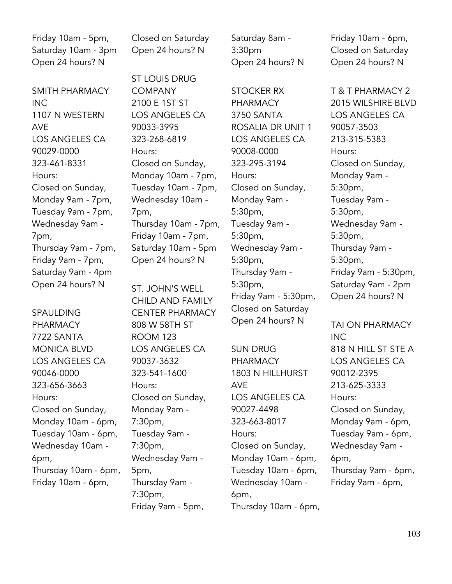Friday 10am - 5pm, Saturday 10am - 3pm Open 24 hours? N

SMITH PHARMACY INC 1107 N WESTERN AVE LOS ANGELES CA 90029-0000 323-461-8331 Hours: Closed on Sunday, Monday 9am - 7pm, Tuesday 9am - 7pm, Wednesday 9am - 7pm, Thursday 9am - 7pm, Friday 9am - 7pm, Saturday 9am - 4pm Open 24 hours? N

SPAULDING PHARMACY 7722 SANTA MONICA BLVD LOS ANGELES CA 90046-0000 323-656-3663 Hours: Closed on Sunday, Monday 10am - 6pm, Tuesday 10am - 6pm, Wednesday 10am - 6pm, Thursday 10am - 6pm, Friday 10am - 6pm,

Closed on Saturday Open 24 hours? N

ST LOUIS DRUG COMPANY 2100 E 1ST ST LOS ANGELES CA 90033-3995 323-268-6819 Hours: Closed on Sunday, Monday 10am - 7pm, Tuesday 10am - 7pm, Wednesday 10am - 7pm, Thursday 10am - 7pm, Friday 10am - 7pm, Saturday 10am - 5pm Open 24 hours? N

ST. JOHN'S WELL CHILD AND FAMILY CENTER PHARMACY 808 W 58TH ST ROOM 123 LOS ANGELES CA 90037-3632 323-541-1600 Hours: Closed on Sunday, Monday 9am - 7:30pm, Tuesday 9am - 7:30pm, Wednesday 9am - 5pm, Thursday 9am - 7:30pm, Friday 9am - 5pm,

Saturday 8am - 3:30pm Open 24 hours? N

STOCKER RX **PHARMACY** 3750 SANTA ROSALIA DR UNIT 1 LOS ANGELES CA 90008-0000 323-295-3194 Hours: Closed on Sunday, Monday 9am - 5:30pm, Tuesday 9am - 5:30pm, Wednesday 9am - 5:30pm, Thursday 9am - 5:30pm, Friday 9am - 5:30pm, Closed on Saturday Open 24 hours? N

SUN DRUG PHARMACY 1803 N HILLHURST AVE LOS ANGELES CA 90027-4498 323-663-8017 Hours: Closed on Sunday, Monday 10am - 6pm, Tuesday 10am - 6pm, Wednesday 10am - 6pm, Thursday 10am - 6pm, Friday 10am - 6pm, Closed on Saturday Open 24 hours? N

T & T PHARMACY 2 2015 WILSHIRE BLVD LOS ANGELES CA 90057-3503 213-315-5383 Hours: Closed on Sunday, Monday 9am - 5:30pm, Tuesday 9am - 5:30pm, Wednesday 9am - 5:30pm, Thursday 9am - 5:30pm, Friday 9am - 5:30pm, Saturday 9am - 2pm Open 24 hours? N

TAI ON PHARMACY INC 818 N HILL ST STE A LOS ANGELES CA 90012-2395 213-625-3333 Hours: Closed on Sunday, Monday 9am - 6pm, Tuesday 9am - 6pm, Wednesday 9am - 6pm, Thursday 9am - 6pm, Friday 9am - 6pm,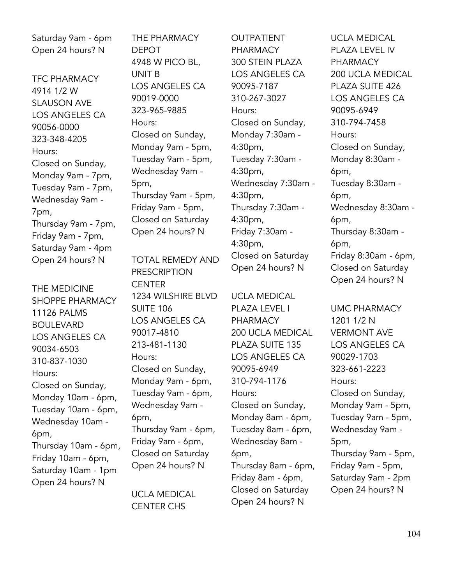Saturday 9am - 6pm Open 24 hours? N

TFC PHARMACY 4914 1/2 W SLAUSON AVE LOS ANGELES CA 90056-0000 323-348-4205 Hours: Closed on Sunday, Monday 9am - 7pm, Tuesday 9am - 7pm, Wednesday 9am - 7pm, Thursday 9am - 7pm, Friday 9am - 7pm, Saturday 9am - 4pm Open 24 hours? N

THE MEDICINE SHOPPE PHARMACY 11126 PALMS BOULEVARD LOS ANGELES CA 90034-6503 310-837-1030 Hours: Closed on Sunday, Monday 10am - 6pm, Tuesday 10am - 6pm, Wednesday 10am - 6pm, Thursday 10am - 6pm, Friday 10am - 6pm, Saturday 10am - 1pm Open 24 hours? N

THE PHARMACY DEPOT 4948 W PICO BL, UNIT B LOS ANGELES CA 90019-0000 323-965-9885 Hours: Closed on Sunday, Monday 9am - 5pm, Tuesday 9am - 5pm, Wednesday 9am - 5pm, Thursday 9am - 5pm, Friday 9am - 5pm, Closed on Saturday Open 24 hours? N

TOTAL REMEDY AND PRESCRIPTION **CENTER** 1234 WILSHIRE BLVD SUITE 106 LOS ANGELES CA 90017-4810 213-481-1130 Hours: Closed on Sunday, Monday 9am - 6pm, Tuesday 9am - 6pm, Wednesday 9am - 6pm, Thursday 9am - 6pm, Friday 9am - 6pm, Closed on Saturday Open 24 hours? N

UCLA MEDICAL CENTER CHS

OUTPATIENT **PHARMACY** 300 STEIN PLAZA LOS ANGELES CA 90095-7187 310-267-3027 Hours: Closed on Sunday, Monday 7:30am - 4:30pm, Tuesday 7:30am - 4:30pm, Wednesday 7:30am - 4:30pm, Thursday 7:30am - 4:30pm, Friday 7:30am - 4:30pm, Closed on Saturday Open 24 hours? N

UCLA MEDICAL PLAZA LEVEL I PHARMACY 200 UCLA MEDICAL PLAZA SUITE 135 LOS ANGELES CA 90095-6949 310-794-1176 Hours: Closed on Sunday, Monday 8am - 6pm, Tuesday 8am - 6pm, Wednesday 8am - 6pm, Thursday 8am - 6pm, Friday 8am - 6pm, Closed on Saturday Open 24 hours? N

UCLA MEDICAL PLAZA LEVEL IV PHARMACY 200 UCLA MEDICAL PLAZA SUITE 426 LOS ANGELES CA 90095-6949 310-794-7458 Hours: Closed on Sunday, Monday 8:30am - 6pm, Tuesday 8:30am - 6pm, Wednesday 8:30am - 6pm, Thursday 8:30am - 6pm, Friday 8:30am - 6pm, Closed on Saturday Open 24 hours? N

UMC PHARMACY 1201 1/2 N VERMONT AVE LOS ANGELES CA 90029-1703 323-661-2223 Hours: Closed on Sunday, Monday 9am - 5pm, Tuesday 9am - 5pm, Wednesday 9am - 5pm, Thursday 9am - 5pm, Friday 9am - 5pm, Saturday 9am - 2pm Open 24 hours? N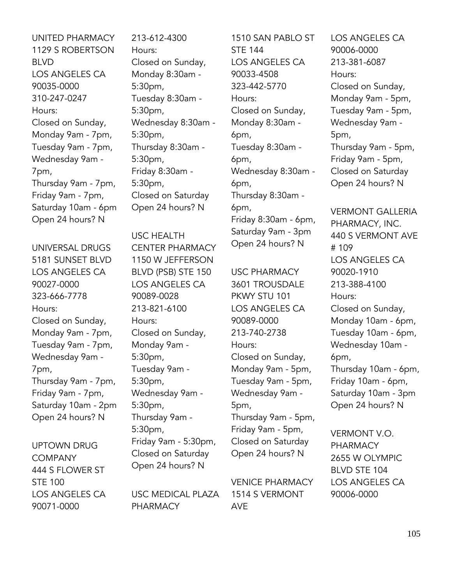UNITED PHARMACY 1129 S ROBERTSON BLVD LOS ANGELES CA 90035-0000 310-247-0247 Hours: Closed on Sunday, Monday 9am - 7pm, Tuesday 9am - 7pm, Wednesday 9am - 7pm, Thursday 9am - 7pm, Friday 9am - 7pm, Saturday 10am - 6pm Open 24 hours? N

UNIVERSAL DRUGS 5181 SUNSET BLVD LOS ANGELES CA 90027-0000 323-666-7778 Hours: Closed on Sunday, Monday 9am - 7pm, Tuesday 9am - 7pm, Wednesday 9am - 7pm, Thursday 9am - 7pm, Friday 9am - 7pm, Saturday 10am - 2pm Open 24 hours? N

UPTOWN DRUG **COMPANY** 444 S FLOWER ST STE 100 LOS ANGELES CA 90071-0000

213-612-4300 Hours: Closed on Sunday, Monday 8:30am - 5:30pm, Tuesday 8:30am - 5:30pm, Wednesday 8:30am - 5:30pm, Thursday 8:30am - 5:30pm, Friday 8:30am - 5:30pm, Closed on Saturday Open 24 hours? N

USC HEALTH CENTER PHARMACY 1150 W JEFFERSON BLVD (PSB) STE 150 LOS ANGELES CA 90089-0028 213-821-6100 Hours: Closed on Sunday, Monday 9am - 5:30pm, Tuesday 9am - 5:30pm, Wednesday 9am - 5:30pm, Thursday 9am - 5:30pm, Friday 9am - 5:30pm, Closed on Saturday Open 24 hours? N

USC MEDICAL PLAZA PHARMACY

1510 SAN PABLO ST STE 144 LOS ANGELES CA 90033-4508 323-442-5770 Hours: Closed on Sunday, Monday 8:30am - 6pm, Tuesday 8:30am - 6pm, Wednesday 8:30am - 6pm, Thursday 8:30am - 6pm, Friday 8:30am - 6pm, Saturday 9am - 3pm Open 24 hours? N

USC PHARMACY 3601 TROUSDALE PKWY STU 101 LOS ANGELES CA 90089-0000 213-740-2738 Hours: Closed on Sunday, Monday 9am - 5pm, Tuesday 9am - 5pm, Wednesday 9am - 5pm, Thursday 9am - 5pm, Friday 9am - 5pm, Closed on Saturday Open 24 hours? N

VENICE PHARMACY 1514 S VERMONT AVE

LOS ANGELES CA 90006-0000 213-381-6087 Hours: Closed on Sunday, Monday 9am - 5pm, Tuesday 9am - 5pm, Wednesday 9am - 5pm, Thursday 9am - 5pm, Friday 9am - 5pm, Closed on Saturday Open 24 hours? N

VERMONT GALLERIA PHARMACY, INC. 440 S VERMONT AVE # 109 LOS ANGELES CA 90020-1910 213-388-4100 Hours: Closed on Sunday, Monday 10am - 6pm, Tuesday 10am - 6pm, Wednesday 10am - 6pm, Thursday 10am - 6pm, Friday 10am - 6pm, Saturday 10am - 3pm Open 24 hours? N

VERMONT V.O. PHARMACY 2655 W OLYMPIC BLVD STE 104 LOS ANGELES CA 90006-0000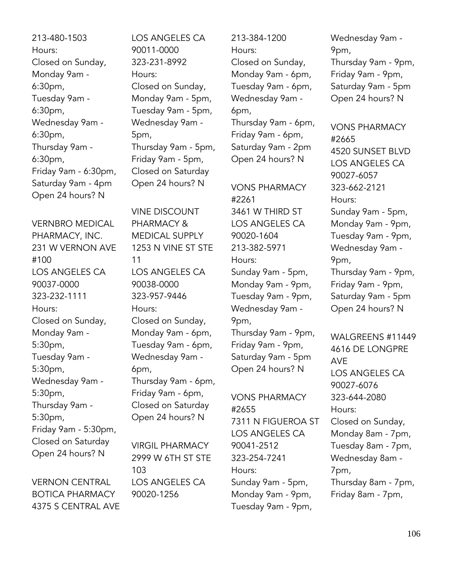213-480-1503 Hours: Closed on Sunday, Monday 9am - 6:30pm, Tuesday 9am - 6:30pm, Wednesday 9am - 6:30pm, Thursday 9am - 6:30pm, Friday 9am - 6:30pm, Saturday 9am - 4pm Open 24 hours? N

VERNBRO MEDICAL PHARMACY, INC. 231 W VERNON AVE #100 LOS ANGELES CA 90037-0000 323-232-1111 Hours: Closed on Sunday, Monday 9am - 5:30pm, Tuesday 9am - 5:30pm, Wednesday 9am - 5:30pm, Thursday 9am - 5:30pm, Friday 9am - 5:30pm, Closed on Saturday Open 24 hours? N

VERNON CENTRAL BOTICA PHARMACY 4375 S CENTRAL AVE LOS ANGELES CA 90011-0000 323-231-8992 Hours: Closed on Sunday, Monday 9am - 5pm, Tuesday 9am - 5pm, Wednesday 9am - 5pm, Thursday 9am - 5pm, Friday 9am - 5pm, Closed on Saturday Open 24 hours? N

VINE DISCOUNT PHARMACY & MEDICAL SUPPLY 1253 N VINE ST STE 11 LOS ANGELES CA 90038-0000 323-957-9446 Hours: Closed on Sunday, Monday 9am - 6pm, Tuesday 9am - 6pm, Wednesday 9am - 6pm, Thursday 9am - 6pm, Friday 9am - 6pm, Closed on Saturday Open 24 hours? N

VIRGIL PHARMACY 2999 W 6TH ST STE 103 LOS ANGELES CA 90020-1256

213-384-1200 Hours: Closed on Sunday, Monday 9am - 6pm, Tuesday 9am - 6pm, Wednesday 9am - 6pm, Thursday 9am - 6pm, Friday 9am - 6pm, Saturday 9am - 2pm Open 24 hours? N

VONS PHARMACY #2261 3461 W THIRD ST LOS ANGELES CA 90020-1604 213-382-5971 Hours: Sunday 9am - 5pm, Monday 9am - 9pm, Tuesday 9am - 9pm, Wednesday 9am - 9pm, Thursday 9am - 9pm, Friday 9am - 9pm, Saturday 9am - 5pm

VONS PHARMACY #2655 7311 N FIGUEROA ST LOS ANGELES CA 90041-2512 323-254-7241 Hours: Sunday 9am - 5pm, Monday 9am - 9pm, Tuesday 9am - 9pm,

Open 24 hours? N

Wednesday 9am - 9pm, Thursday 9am - 9pm, Friday 9am - 9pm, Saturday 9am - 5pm Open 24 hours? N

VONS PHARMACY #2665 4520 SUNSET BLVD LOS ANGELES CA 90027-6057 323-662-2121 Hours: Sunday 9am - 5pm, Monday 9am - 9pm, Tuesday 9am - 9pm, Wednesday 9am - 9pm, Thursday 9am - 9pm, Friday 9am - 9pm, Saturday 9am - 5pm Open 24 hours? N

WALGREENS #11449 4616 DE LONGPRE AVE LOS ANGELES CA 90027-6076 323-644-2080 Hours: Closed on Sunday, Monday 8am - 7pm, Tuesday 8am - 7pm, Wednesday 8am - 7pm, Thursday 8am - 7pm, Friday 8am - 7pm,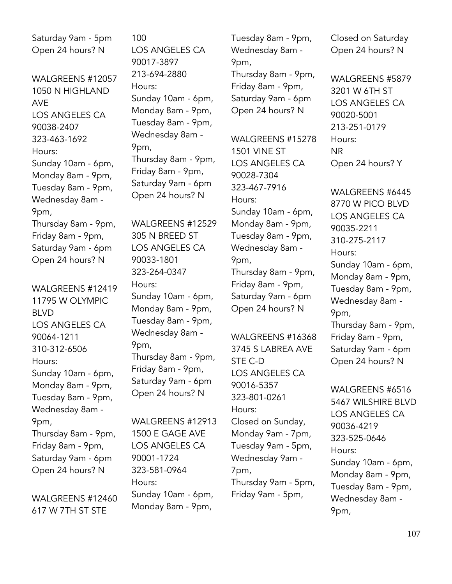Saturday 9am - 5pm Open 24 hours? N

WALGREENS #12057 1050 N HIGHLAND AVE LOS ANGELES CA 90038-2407 323-463-1692 Hours: Sunday 10am - 6pm, Monday 8am - 9pm, Tuesday 8am - 9pm, Wednesday 8am - 9pm, Thursday 8am - 9pm, Friday 8am - 9pm, Saturday 9am - 6pm Open 24 hours? N

WALGREENS #12419 11795 W OLYMPIC BLVD LOS ANGELES CA 90064-1211 310-312-6506 Hours: Sunday 10am - 6pm, Monday 8am - 9pm, Tuesday 8am - 9pm, Wednesday 8am - 9pm, Thursday 8am - 9pm, Friday 8am - 9pm, Saturday 9am - 6pm Open 24 hours? N

WALGREENS #12460 617 W 7TH ST STE

100 LOS ANGELES CA 90017-3897 213-694-2880 Hours: Sunday 10am - 6pm, Monday 8am - 9pm, Tuesday 8am - 9pm, Wednesday 8am - 9pm, Thursday 8am - 9pm, Friday 8am - 9pm, Saturday 9am - 6pm Open 24 hours? N

WALGREENS #12529 305 N BREED ST LOS ANGELES CA 90033-1801 323-264-0347 Hours: Sunday 10am - 6pm, Monday 8am - 9pm, Tuesday 8am - 9pm, Wednesday 8am - 9pm, Thursday 8am - 9pm, Friday 8am - 9pm, Saturday 9am - 6pm Open 24 hours? N

WALGREENS #12913 1500 E GAGE AVE LOS ANGELES CA 90001-1724 323-581-0964 Hours: Sunday 10am - 6pm, Monday 8am - 9pm,

Tuesday 8am - 9pm, Wednesday 8am - 9pm, Thursday 8am - 9pm, Friday 8am - 9pm, Saturday 9am - 6pm Open 24 hours? N

WALGREENS #15278 1501 VINE ST LOS ANGELES CA 90028-7304 323-467-7916 Hours: Sunday 10am - 6pm, Monday 8am - 9pm, Tuesday 8am - 9pm, Wednesday 8am - 9pm, Thursday 8am - 9pm, Friday 8am - 9pm, Saturday 9am - 6pm Open 24 hours? N

WALGREENS #16368 3745 S LABREA AVE STE C-D LOS ANGELES CA 90016-5357 323-801-0261 Hours: Closed on Sunday, Monday 9am - 7pm, Tuesday 9am - 5pm, Wednesday 9am - 7pm, Thursday 9am - 5pm, Friday 9am - 5pm,

Closed on Saturday Open 24 hours? N

WALGREENS #5879 3201 W 6TH ST LOS ANGELES CA 90020-5001 213-251-0179 Hours: NR Open 24 hours? Y

WALGREENS #6445 8770 W PICO BLVD LOS ANGELES CA 90035-2211 310-275-2117 Hours: Sunday 10am - 6pm, Monday 8am - 9pm, Tuesday 8am - 9pm, Wednesday 8am - 9pm, Thursday 8am - 9pm, Friday 8am - 9pm, Saturday 9am - 6pm

Open 24 hours? N

WALGREENS #6516 5467 WILSHIRE BLVD LOS ANGELES CA 90036-4219 323-525-0646 Hours: Sunday 10am - 6pm, Monday 8am - 9pm, Tuesday 8am - 9pm, Wednesday 8am - 9pm,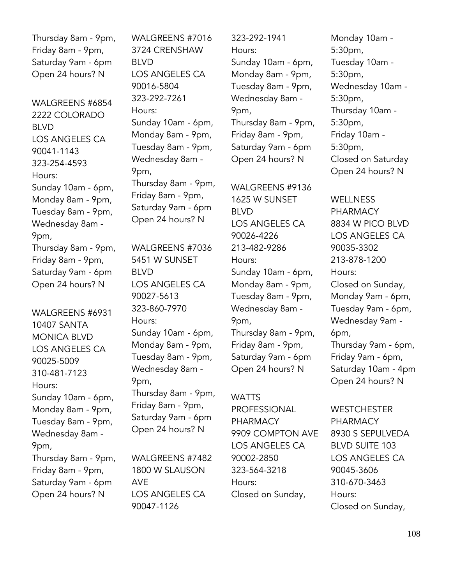Thursday 8am - 9pm, Friday 8am - 9pm, Saturday 9am - 6pm Open 24 hours? N

WALGREENS #6854 2222 COLORADO BLVD LOS ANGELES CA 90041-1143 323-254-4593 Hours: Sunday 10am - 6pm, Monday 8am - 9pm, Tuesday 8am - 9pm, Wednesday 8am - 9pm, Thursday 8am - 9pm, Friday 8am - 9pm, Saturday 9am - 6pm Open 24 hours? N

WALGREENS #6931 10407 SANTA MONICA BLVD LOS ANGELES CA 90025-5009 310-481-7123 Hours: Sunday 10am - 6pm, Monday 8am - 9pm, Tuesday 8am - 9pm, Wednesday 8am - 9pm, Thursday 8am - 9pm, Friday 8am - 9pm, Saturday 9am - 6pm Open 24 hours? N

WALGREENS #7016 3724 CRENSHAW BLVD LOS ANGELES CA 90016-5804 323-292-7261 Hours: Sunday 10am - 6pm, Monday 8am - 9pm, Tuesday 8am - 9pm, Wednesday 8am - 9pm, Thursday 8am - 9pm, Friday 8am - 9pm, Saturday 9am - 6pm Open 24 hours? N

WALGREENS #7036 5451 W SUNSET BLVD LOS ANGELES CA 90027-5613 323-860-7970 Hours: Sunday 10am - 6pm, Monday 8am - 9pm, Tuesday 8am - 9pm, Wednesday 8am - 9pm, Thursday 8am - 9pm, Friday 8am - 9pm, Saturday 9am - 6pm Open 24 hours? N

WALGREENS #7482 1800 W SLAUSON AVE LOS ANGELES CA 90047-1126

323-292-1941 Hours: Sunday 10am - 6pm, Monday 8am - 9pm, Tuesday 8am - 9pm, Wednesday 8am - 9pm, Thursday 8am - 9pm, Friday 8am - 9pm, Saturday 9am - 6pm Open 24 hours? N

WALGREENS #9136 1625 W SUNSET BLVD LOS ANGELES CA 90026-4226 213-482-9286 Hours: Sunday 10am - 6pm, Monday 8am - 9pm, Tuesday 8am - 9pm, Wednesday 8am - 9pm, Thursday 8am - 9pm, Friday 8am - 9pm, Saturday 9am - 6pm Open 24 hours? N

#### **WATTS**

PROFESSIONAL PHARMACY 9909 COMPTON AVE LOS ANGELES CA 90002-2850 323-564-3218 Hours: Closed on Sunday,

Monday 10am - 5:30pm, Tuesday 10am - 5:30pm, Wednesday 10am - 5:30pm, Thursday 10am - 5:30pm, Friday 10am - 5:30pm, Closed on Saturday Open 24 hours? N

**WELLNESS** PHARMACY 8834 W PICO BLVD LOS ANGELES CA 90035-3302 213-878-1200 Hours: Closed on Sunday, Monday 9am - 6pm, Tuesday 9am - 6pm, Wednesday 9am - 6pm, Thursday 9am - 6pm, Friday 9am - 6pm, Saturday 10am - 4pm Open 24 hours? N

**WESTCHESTER** PHARMACY 8930 S SEPULVEDA BLVD SUITE 103 LOS ANGELES CA 90045-3606 310-670-3463 Hours: Closed on Sunday,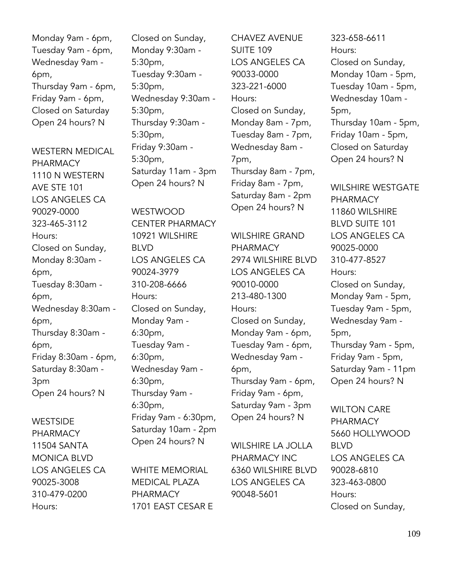Monday 9am - 6pm, Tuesday 9am - 6pm, Wednesday 9am - 6pm, Thursday 9am - 6pm, Friday 9am - 6pm, Closed on Saturday Open 24 hours? N

WESTERN MEDICAL PHARMACY 1110 N WESTERN AVE STE 101 LOS ANGELES CA 90029-0000 323-465-3112 Hours: Closed on Sunday, Monday 8:30am - 6pm, Tuesday 8:30am - 6pm, Wednesday 8:30am - 6pm, Thursday 8:30am - 6pm, Friday 8:30am - 6pm, Saturday 8:30am - 3pm Open 24 hours? N

**WESTSIDE** PHARMACY 11504 SANTA MONICA BLVD LOS ANGELES CA 90025-3008 310-479-0200 Hours:

Closed on Sunday, Monday 9:30am - 5:30pm, Tuesday 9:30am - 5:30pm, Wednesday 9:30am - 5:30pm, Thursday 9:30am - 5:30pm, Friday 9:30am - 5:30pm, Saturday 11am - 3pm Open 24 hours? N

WESTWOOD CENTER PHARMACY 10921 WILSHIRE BLVD LOS ANGELES CA 90024-3979 310-208-6666 Hours: Closed on Sunday, Monday 9am - 6:30pm, Tuesday 9am - 6:30pm, Wednesday 9am - 6:30pm, Thursday 9am - 6:30pm, Friday 9am - 6:30pm, Saturday 10am - 2pm Open 24 hours? N

WHITE MEMORIAL MEDICAL PLAZA PHARMACY 1701 EAST CESAR E CHAVEZ AVENUE SUITE 109 LOS ANGELES CA 90033-0000 323-221-6000 Hours: Closed on Sunday, Monday 8am - 7pm, Tuesday 8am - 7pm, Wednesday 8am - 7pm, Thursday 8am - 7pm, Friday 8am - 7pm, Saturday 8am - 2pm Open 24 hours? N

WILSHIRE GRAND PHARMACY 2974 WILSHIRE BLVD LOS ANGELES CA 90010-0000 213-480-1300 Hours: Closed on Sunday, Monday 9am - 6pm, Tuesday 9am - 6pm, Wednesday 9am - 6pm, Thursday 9am - 6pm, Friday 9am - 6pm, Saturday 9am - 3pm Open 24 hours? N

WILSHIRE LA JOLLA PHARMACY INC 6360 WILSHIRE BLVD LOS ANGELES CA 90048-5601

323-658-6611 Hours: Closed on Sunday, Monday 10am - 5pm, Tuesday 10am - 5pm, Wednesday 10am - 5pm, Thursday 10am - 5pm, Friday 10am - 5pm, Closed on Saturday Open 24 hours? N

WILSHIRE WESTGATE PHARMACY 11860 WILSHIRE BLVD SUITE 101 LOS ANGELES CA 90025-0000 310-477-8527 Hours: Closed on Sunday, Monday 9am - 5pm, Tuesday 9am - 5pm, Wednesday 9am - 5pm, Thursday 9am - 5pm, Friday 9am - 5pm, Saturday 9am - 11pm Open 24 hours? N

WILTON CARE PHARMACY 5660 HOLLYWOOD BLVD LOS ANGELES CA 90028-6810 323-463-0800 Hours: Closed on Sunday,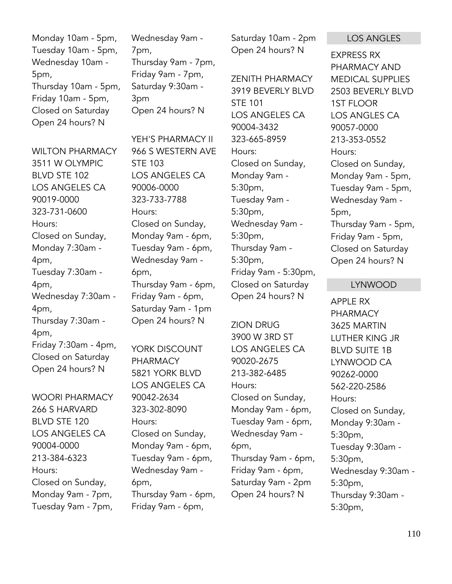Monday 10am - 5pm, Tuesday 10am - 5pm, Wednesday 10am - 5pm, Thursday 10am - 5pm, Friday 10am - 5pm, Closed on Saturday Open 24 hours? N

WILTON PHARMACY 3511 W OLYMPIC BLVD STE 102 LOS ANGELES CA 90019-0000 323-731-0600 Hours: Closed on Sunday, Monday 7:30am - 4pm, Tuesday 7:30am - 4pm, Wednesday 7:30am - 4pm, Thursday 7:30am - 4pm, Friday 7:30am - 4pm, Closed on Saturday Open 24 hours? N

WOORI PHARMACY 266 S HARVARD BLVD STE 120 LOS ANGELES CA 90004-0000 213-384-6323 Hours: Closed on Sunday, Monday 9am - 7pm, Tuesday 9am - 7pm,

Wednesday 9am - 7pm, Thursday 9am - 7pm, Friday 9am - 7pm, Saturday 9:30am - 3pm Open 24 hours? N

YEH'S PHARMACY II 966 S WESTERN AVE STE 103 LOS ANGELES CA 90006-0000 323-733-7788 Hours: Closed on Sunday, Monday 9am - 6pm, Tuesday 9am - 6pm, Wednesday 9am - 6pm, Thursday 9am - 6pm, Friday 9am - 6pm, Saturday 9am - 1pm Open 24 hours? N

YORK DISCOUNT PHARMACY 5821 YORK BLVD LOS ANGELES CA 90042-2634 323-302-8090 Hours: Closed on Sunday, Monday 9am - 6pm, Tuesday 9am - 6pm, Wednesday 9am - 6pm, Thursday 9am - 6pm, Friday 9am - 6pm,

Saturday 10am - 2pm Open 24 hours? N

ZENITH PHARMACY 3919 BEVERLY BLVD STE 101 LOS ANGELES CA 90004-3432 323-665-8959 Hours: Closed on Sunday, Monday 9am - 5:30pm, Tuesday 9am - 5:30pm, Wednesday 9am - 5:30pm, Thursday 9am - 5:30pm, Friday 9am - 5:30pm, Closed on Saturday Open 24 hours? N

ZION DRUG 3900 W 3RD ST LOS ANGELES CA 90020-2675 213-382-6485 Hours: Closed on Sunday, Monday 9am - 6pm, Tuesday 9am - 6pm, Wednesday 9am - 6pm, Thursday 9am - 6pm, Friday 9am - 6pm, Saturday 9am - 2pm Open 24 hours? N

#### LOS ANGLES

EXPRESS RX PHARMACY AND MEDICAL SUPPLIES 2503 BEVERLY BLVD 1ST FLOOR LOS ANGLES CA 90057-0000 213-353-0552 Hours: Closed on Sunday, Monday 9am - 5pm, Tuesday 9am - 5pm, Wednesday 9am - 5pm, Thursday 9am - 5pm, Friday 9am - 5pm, Closed on Saturday Open 24 hours? N

#### LYNWOOD

APPLE RX **PHARMACY** 3625 MARTIN LUTHER KING JR BLVD SUITE 1B LYNWOOD CA 90262-0000 562-220-2586 Hours: Closed on Sunday, Monday 9:30am - 5:30pm, Tuesday 9:30am - 5:30pm, Wednesday 9:30am - 5:30pm, Thursday 9:30am - 5:30pm,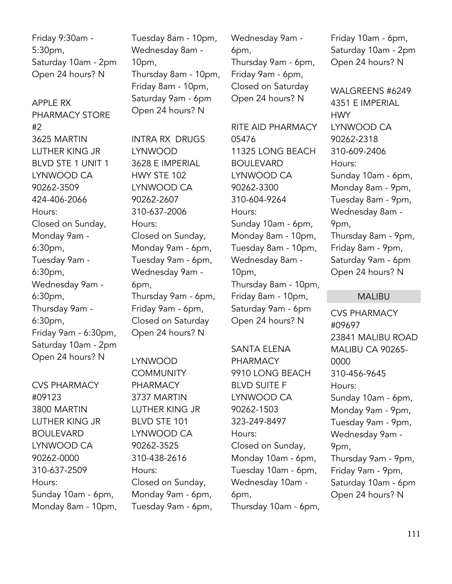Friday 9:30am - 5:30pm, Saturday 10am - 2pm Open 24 hours? N

APPLE RX PHARMACY STORE #2 3625 MARTIN LUTHER KING JR BLVD STE 1 UNIT 1 LYNWOOD CA 90262-3509 424-406-2066 Hours: Closed on Sunday, Monday 9am - 6:30pm, Tuesday 9am - 6:30pm, Wednesday 9am - 6:30pm, Thursday 9am - 6:30pm, Friday 9am - 6:30pm, Saturday 10am - 2pm Open 24 hours? N

CVS PHARMACY #09123 3800 MARTIN LUTHER KING JR BOULEVARD LYNWOOD CA 90262-0000 310-637-2509 Hours: Sunday 10am - 6pm, Monday 8am - 10pm, Tuesday 8am - 10pm, Wednesday 8am - 10pm, Thursday 8am - 10pm, Friday 8am - 10pm, Saturday 9am - 6pm Open 24 hours? N

INTRA RX DRUGS LYNWOOD 3628 E IMPERIAL HWY STE 102 LYNWOOD CA 90262-2607 310-637-2006 Hours: Closed on Sunday, Monday 9am - 6pm, Tuesday 9am - 6pm, Wednesday 9am - 6pm, Thursday 9am - 6pm, Friday 9am - 6pm, Closed on Saturday Open 24 hours? N

LYNWOOD **COMMUNITY** PHARMACY 3737 MARTIN LUTHER KING JR BLVD STE 101 LYNWOOD CA 90262-3525 310-438-2616 Hours: Closed on Sunday, Monday 9am - 6pm, Tuesday 9am - 6pm, Wednesday 9am - 6pm, Thursday 9am - 6pm, Friday 9am - 6pm, Closed on Saturday Open 24 hours? N

RITE AID PHARMACY 05476 11325 LONG BEACH **BOULEVARD** LYNWOOD CA 90262-3300 310-604-9264 Hours: Sunday 10am - 6pm, Monday 8am - 10pm, Tuesday 8am - 10pm, Wednesday 8am - 10pm, Thursday 8am - 10pm, Friday 8am - 10pm, Saturday 9am - 6pm Open 24 hours? N

SANTA ELENA PHARMACY 9910 LONG BEACH BLVD SUITE F LYNWOOD CA 90262-1503 323-249-8497 Hours: Closed on Sunday, Monday 10am - 6pm, Tuesday 10am - 6pm, Wednesday 10am - 6pm, Thursday 10am - 6pm, Friday 10am - 6pm, Saturday 10am - 2pm Open 24 hours? N

WALGREENS #6249 4351 E IMPERIAL **HWY** LYNWOOD CA 90262-2318 310-609-2406 Hours: Sunday 10am - 6pm, Monday 8am - 9pm, Tuesday 8am - 9pm, Wednesday 8am - 9pm, Thursday 8am - 9pm, Friday 8am - 9pm, Saturday 9am - 6pm Open 24 hours? N

### MALIBU

CVS PHARMACY #09697 23841 MALIBU ROAD MALIBU CA 90265- 0000 310-456-9645 Hours: Sunday 10am - 6pm, Monday 9am - 9pm, Tuesday 9am - 9pm, Wednesday 9am - 9pm, Thursday 9am - 9pm, Friday 9am - 9pm, Saturday 10am - 6pm Open 24 hours? N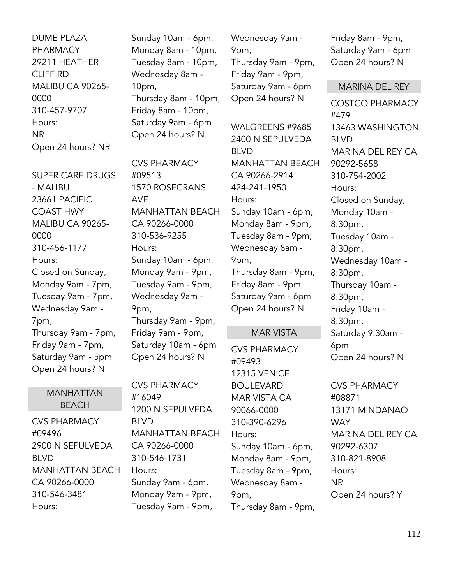DUME PLAZA PHARMACY 29211 HEATHER CLIFF RD MALIBU CA 90265- 0000 310-457-9707 Hours: NR Open 24 hours? NR

SUPER CARE DRUGS - MALIBU 23661 PACIFIC COAST HWY MALIBU CA 90265- 0000 310-456-1177 Hours: Closed on Sunday, Monday 9am - 7pm, Tuesday 9am - 7pm, Wednesday 9am - 7pm, Thursday 9am - 7pm, Friday 9am - 7pm, Saturday 9am - 5pm Open 24 hours? N

## MANHATTAN BEACH

CVS PHARMACY #09496 2900 N SEPULVEDA BLVD MANHATTAN BEACH CA 90266-0000 310-546-3481 Hours:

Sunday 10am - 6pm, Monday 8am - 10pm, Tuesday 8am - 10pm, Wednesday 8am - 10pm, Thursday 8am - 10pm, Friday 8am - 10pm, Saturday 9am - 6pm Open 24 hours? N

CVS PHARMACY #09513 1570 ROSECRANS AVE MANHATTAN BEACH CA 90266-0000 310-536-9255 Hours: Sunday 10am - 6pm, Monday 9am - 9pm, Tuesday 9am - 9pm, Wednesday 9am - 9pm, Thursday 9am - 9pm, Friday 9am - 9pm, Saturday 10am - 6pm Open 24 hours? N

CVS PHARMACY #16049 1200 N SEPULVEDA BLVD MANHATTAN BEACH CA 90266-0000 310-546-1731 Hours: Sunday 9am - 6pm, Monday 9am - 9pm, Tuesday 9am - 9pm,

Wednesday 9am - 9pm, Thursday 9am - 9pm, Friday 9am - 9pm, Saturday 9am - 6pm Open 24 hours? N

WALGREENS #9685 2400 N SEPULVEDA BLVD MANHATTAN BEACH CA 90266-2914 424-241-1950 Hours: Sunday 10am - 6pm, Monday 8am - 9pm, Tuesday 8am - 9pm, Wednesday 8am - 9pm, Thursday 8am - 9pm, Friday 8am - 9pm, Saturday 9am - 6pm Open 24 hours? N

## MAR VISTA

CVS PHARMACY #09493 12315 VENICE BOULEVARD MAR VISTA CA 90066-0000 310-390-6296 Hours: Sunday 10am - 6pm, Monday 8am - 9pm, Tuesday 8am - 9pm, Wednesday 8am - 9pm, Thursday 8am - 9pm, Friday 8am - 9pm, Saturday 9am - 6pm Open 24 hours? N

### MARINA DEL REY

COSTCO PHARMACY #479 13463 WASHINGTON BLVD MARINA DEL REY CA 90292-5658 310-754-2002 Hours: Closed on Sunday, Monday 10am - 8:30pm, Tuesday 10am - 8:30pm, Wednesday 10am - 8:30pm, Thursday 10am - 8:30pm, Friday 10am - 8:30pm, Saturday 9:30am - 6pm Open 24 hours? N

CVS PHARMACY #08871 13171 MINDANAO **WAY** MARINA DEL REY CA 90292-6307 310-821-8908 Hours: NR Open 24 hours? Y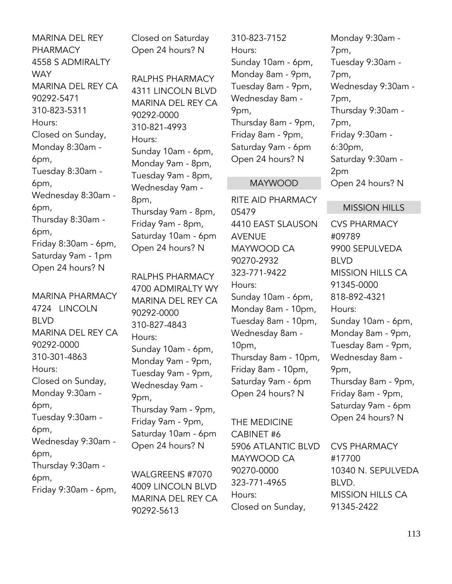MARINA DEL REY PHARMACY 4558 S ADMIRALTY **WAY** MARINA DEL REY CA 90292-5471 310-823-5311 Hours: Closed on Sunday, Monday 8:30am - 6pm, Tuesday 8:30am - 6pm, Wednesday 8:30am - 6pm, Thursday 8:30am - 6pm, Friday 8:30am - 6pm, Saturday 9am - 1pm Open 24 hours? N

MARINA PHARMACY 4724 LINCOLN BLVD MARINA DEL REY CA 90292-0000 310-301-4863 Hours: Closed on Sunday, Monday 9:30am - 6pm, Tuesday 9:30am - 6pm, Wednesday 9:30am - 6pm, Thursday 9:30am - 6pm, Friday 9:30am - 6pm,

Closed on Saturday Open 24 hours? N

RALPHS PHARMACY 4311 LINCOLN BLVD MARINA DEL REY CA 90292-0000 310-821-4993 Hours: Sunday 10am - 6pm, Monday 9am - 8pm, Tuesday 9am - 8pm, Wednesday 9am - 8pm, Thursday 9am - 8pm, Friday 9am - 8pm, Saturday 10am - 6pm Open 24 hours? N

RALPHS PHARMACY 4700 ADMIRALTY WY MARINA DEL REY CA 90292-0000 310-827-4843 Hours: Sunday 10am - 6pm, Monday 9am - 9pm, Tuesday 9am - 9pm, Wednesday 9am - 9pm, Thursday 9am - 9pm, Friday 9am - 9pm, Saturday 10am - 6pm Open 24 hours? N

WALGREENS #7070 4009 LINCOLN BLVD MARINA DEL REY CA 90292-5613

310-823-7152 Hours: Sunday 10am - 6pm, Monday 8am - 9pm, Tuesday 8am - 9pm, Wednesday 8am - 9pm, Thursday 8am - 9pm, Friday 8am - 9pm, Saturday 9am - 6pm Open 24 hours? N

#### MAYWOOD

RITE AID PHARMACY 05479 4410 EAST SLAUSON AVENUE MAYWOOD CA 90270-2932 323-771-9422 Hours: Sunday 10am - 6pm, Monday 8am - 10pm, Tuesday 8am - 10pm, Wednesday 8am - 10pm, Thursday 8am - 10pm, Friday 8am - 10pm, Saturday 9am - 6pm Open 24 hours? N

THE MEDICINE CABINET #6 5906 ATLANTIC BLVD MAYWOOD CA 90270-0000 323-771-4965 Hours: Closed on Sunday,

Monday 9:30am - 7pm, Tuesday 9:30am - 7pm, Wednesday 9:30am - 7pm, Thursday 9:30am - 7pm, Friday 9:30am - 6:30pm, Saturday 9:30am - 2pm Open 24 hours? N

#### MISSION HILLS

CVS PHARMACY #09789 9900 SEPULVEDA BLVD MISSION HILLS CA 91345-0000 818-892-4321 Hours: Sunday 10am - 6pm, Monday 8am - 9pm, Tuesday 8am - 9pm, Wednesday 8am - 9pm, Thursday 8am - 9pm, Friday 8am - 9pm, Saturday 9am - 6pm Open 24 hours? N

CVS PHARMACY #17700 10340 N. SEPULVEDA BLVD. MISSION HILLS CA 91345-2422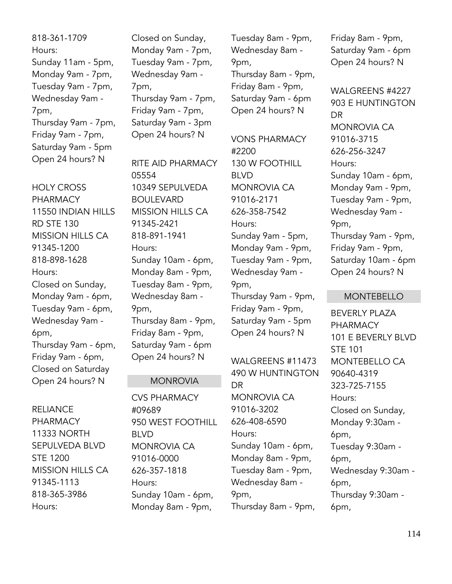818-361-1709 Hours: Sunday 11am - 5pm, Monday 9am - 7pm, Tuesday 9am - 7pm, Wednesday 9am - 7pm, Thursday 9am - 7pm, Friday 9am - 7pm, Saturday 9am - 5pm Open 24 hours? N

HOLY CROSS PHARMACY 11550 INDIAN HILLS RD STE 130 MISSION HILLS CA 91345-1200 818-898-1628 Hours: Closed on Sunday, Monday 9am - 6pm, Tuesday 9am - 6pm, Wednesday 9am - 6pm, Thursday 9am - 6pm, Friday 9am - 6pm, Closed on Saturday Open 24 hours? N

RELIANCE PHARMACY 11333 NORTH SEPULVEDA BLVD STE 1200 MISSION HILLS CA 91345-1113 818-365-3986 Hours:

Closed on Sunday, Monday 9am - 7pm, Tuesday 9am - 7pm, Wednesday 9am - 7pm, Thursday 9am - 7pm, Friday 9am - 7pm, Saturday 9am - 3pm Open 24 hours? N

RITE AID PHARMACY 05554 10349 SEPULVEDA BOULEVARD MISSION HILLS CA 91345-2421 818-891-1941 Hours: Sunday 10am - 6pm, Monday 8am - 9pm, Tuesday 8am - 9pm, Wednesday 8am - 9pm, Thursday 8am - 9pm, Friday 8am - 9pm, Saturday 9am - 6pm Open 24 hours? N

### MONROVIA

CVS PHARMACY #09689 950 WEST FOOTHILL BLVD MONROVIA CA 91016-0000 626-357-1818 Hours: Sunday 10am - 6pm, Monday 8am - 9pm,

Tuesday 8am - 9pm, Wednesday 8am - 9pm, Thursday 8am - 9pm, Friday 8am - 9pm, Saturday 9am - 6pm Open 24 hours? N

VONS PHARMACY #2200 130 W FOOTHILL BLVD MONROVIA CA 91016-2171 626-358-7542 Hours: Sunday 9am - 5pm, Monday 9am - 9pm, Tuesday 9am - 9pm, Wednesday 9am - 9pm, Thursday 9am - 9pm, Friday 9am - 9pm, Saturday 9am - 5pm Open 24 hours? N

WALGREENS #11473 490 W HUNTINGTON DR MONROVIA CA 91016-3202 626-408-6590 Hours: Sunday 10am - 6pm, Monday 8am - 9pm, Tuesday 8am - 9pm, Wednesday 8am - 9pm, Thursday 8am - 9pm,

Friday 8am - 9pm, Saturday 9am - 6pm Open 24 hours? N

WALGREENS #4227 903 E HUNTINGTON DR MONROVIA CA 91016-3715 626-256-3247 Hours: Sunday 10am - 6pm, Monday 9am - 9pm, Tuesday 9am - 9pm, Wednesday 9am - 9pm, Thursday 9am - 9pm, Friday 9am - 9pm, Saturday 10am - 6pm Open 24 hours? N

### MONTEBELLO

BEVERLY PLAZA PHARMACY 101 E BEVERLY BLVD STE 101 MONTEBELLO CA 90640-4319 323-725-7155 Hours: Closed on Sunday, Monday 9:30am - 6pm, Tuesday 9:30am - 6pm, Wednesday 9:30am - 6pm, Thursday 9:30am - 6pm,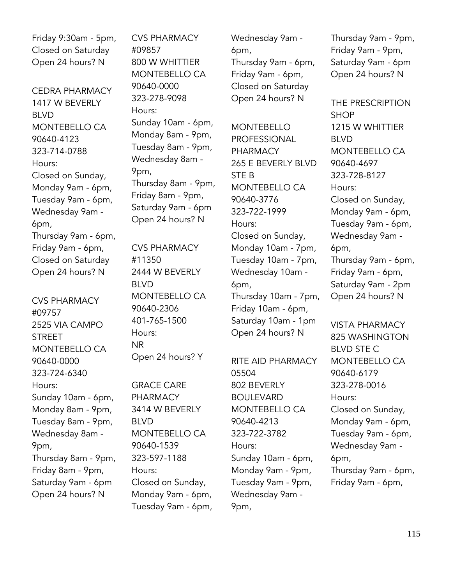Friday 9:30am - 5pm, Closed on Saturday Open 24 hours? N

CEDRA PHARMACY 1417 W BEVERLY BLVD MONTEBELLO CA 90640-4123 323-714-0788 Hours: Closed on Sunday, Monday 9am - 6pm, Tuesday 9am - 6pm, Wednesday 9am - 6pm, Thursday 9am - 6pm, Friday 9am - 6pm, Closed on Saturday Open 24 hours? N

CVS PHARMACY #09757 2525 VIA CAMPO **STRFFT** MONTEBELLO CA 90640-0000 323-724-6340 Hours: Sunday 10am - 6pm, Monday 8am - 9pm, Tuesday 8am - 9pm, Wednesday 8am - 9pm, Thursday 8am - 9pm, Friday 8am - 9pm, Saturday 9am - 6pm Open 24 hours? N

CVS PHARMACY #09857 800 W WHITTIER MONTEBELLO CA 90640-0000 323-278-9098 Hours: Sunday 10am - 6pm, Monday 8am - 9pm, Tuesday 8am - 9pm, Wednesday 8am - 9pm, Thursday 8am - 9pm, Friday 8am - 9pm, Saturday 9am - 6pm Open 24 hours? N

CVS PHARMACY #11350 2444 W BEVERLY BLVD MONTEBELLO CA 90640-2306 401-765-1500 Hours: NR Open 24 hours? Y

GRACE CARE PHARMACY 3414 W BEVERLY BLVD MONTEBELLO CA 90640-1539 323-597-1188 Hours: Closed on Sunday, Monday 9am - 6pm, Tuesday 9am - 6pm, Wednesday 9am - 6pm, Thursday 9am - 6pm, Friday 9am - 6pm, Closed on Saturday Open 24 hours? N

**MONTERELLO** PROFESSIONAL PHARMACY 265 E BEVERLY BLVD STE B MONTEBELLO CA 90640-3776 323-722-1999 Hours: Closed on Sunday, Monday 10am - 7pm, Tuesday 10am - 7pm, Wednesday 10am - 6pm, Thursday 10am - 7pm, Friday 10am - 6pm, Saturday 10am - 1pm Open 24 hours? N

RITE AID PHARMACY 05504 802 BEVERLY BOULEVARD MONTEBELLO CA 90640-4213 323-722-3782 Hours: Sunday 10am - 6pm, Monday 9am - 9pm, Tuesday 9am - 9pm, Wednesday 9am - 9pm,

Thursday 9am - 9pm, Friday 9am - 9pm, Saturday 9am - 6pm Open 24 hours? N

THE PRESCRIPTION **SHOP** 1215 W WHITTIER BLVD MONTEBELLO CA 90640-4697 323-728-8127 Hours: Closed on Sunday, Monday 9am - 6pm, Tuesday 9am - 6pm, Wednesday 9am - 6pm, Thursday 9am - 6pm, Friday 9am - 6pm, Saturday 9am - 2pm Open 24 hours? N

VISTA PHARMACY 825 WASHINGTON BLVD STE C MONTEBELLO CA 90640-6179 323-278-0016 Hours: Closed on Sunday, Monday 9am - 6pm, Tuesday 9am - 6pm, Wednesday 9am - 6pm, Thursday 9am - 6pm, Friday 9am - 6pm,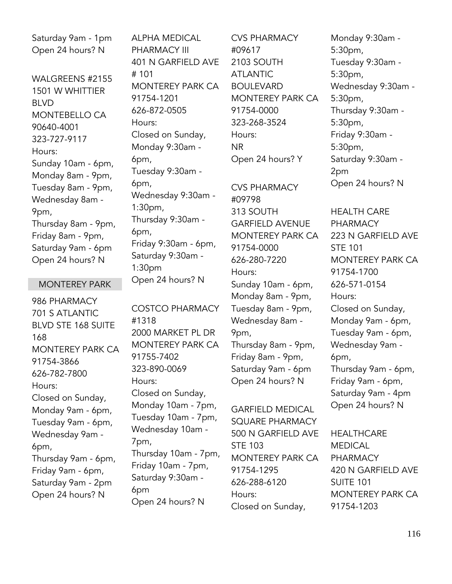Saturday 9am - 1pm Open 24 hours? N

WALGREENS #2155 1501 W WHITTIER BLVD MONTEBELLO CA 90640-4001 323-727-9117 Hours: Sunday 10am - 6pm, Monday 8am - 9pm, Tuesday 8am - 9pm, Wednesday 8am - 9pm, Thursday 8am - 9pm, Friday 8am - 9pm, Saturday 9am - 6pm Open 24 hours? N

### MONTEREY PARK

986 PHARMACY 701 S ATLANTIC BLVD STE 168 SUITE 168 MONTEREY PARK CA 91754-3866 626-782-7800 Hours: Closed on Sunday, Monday 9am - 6pm, Tuesday 9am - 6pm, Wednesday 9am - 6pm, Thursday 9am - 6pm, Friday 9am - 6pm, Saturday 9am - 2pm Open 24 hours? N

ALPHA MEDICAL PHARMACY III 401 N GARFIELD AVE # 101 MONTEREY PARK CA 91754-1201 626-872-0505 Hours: Closed on Sunday, Monday 9:30am - 6pm, Tuesday 9:30am - 6pm, Wednesday 9:30am - 1:30pm, Thursday 9:30am - 6pm, Friday 9:30am - 6pm, Saturday 9:30am - 1:30pm Open 24 hours? N

COSTCO PHARMACY #1318 2000 MARKET PL DR MONTEREY PARK CA 91755-7402 323-890-0069 Hours: Closed on Sunday, Monday 10am - 7pm, Tuesday 10am - 7pm, Wednesday 10am - 7pm, Thursday 10am - 7pm, Friday 10am - 7pm, Saturday 9:30am - 6pm Open 24 hours? N

CVS PHARMACY #09617 2103 SOUTH ATLANTIC BOULEVARD MONTEREY PARK CA 91754-0000 323-268-3524 Hours: NR Open 24 hours? Y CVS PHARMACY #09798 313 SOUTH GARFIELD AVENUE MONTEREY PARK CA 91754-0000 626-280-7220 Hours: Sunday 10am - 6pm, Monday 8am - 9pm, Tuesday 8am - 9pm, Wednesday 8am - 9pm, Thursday 8am - 9pm, Friday 8am - 9pm, Saturday 9am - 6pm

GARFIELD MEDICAL SQUARE PHARMACY 500 N GARFIELD AVE STE 103 MONTEREY PARK CA 91754-1295 626-288-6120 Hours: Closed on Sunday,

Open 24 hours? N

Monday 9:30am - 5:30pm, Tuesday 9:30am - 5:30pm, Wednesday 9:30am - 5:30pm, Thursday 9:30am - 5:30pm, Friday 9:30am - 5:30pm, Saturday 9:30am - 2pm Open 24 hours? N HEALTH CARE PHARMACY 223 N GARFIELD AVE STE 101 MONTEREY PARK CA 91754-1700 626-571-0154 Hours:

Closed on Sunday, Monday 9am - 6pm, Tuesday 9am - 6pm, Wednesday 9am - 6pm, Thursday 9am - 6pm, Friday 9am - 6pm, Saturday 9am - 4pm Open 24 hours? N

**HEALTHCARE** MEDICAL PHARMACY 420 N GARFIELD AVE SUITE 101 MONTEREY PARK CA 91754-1203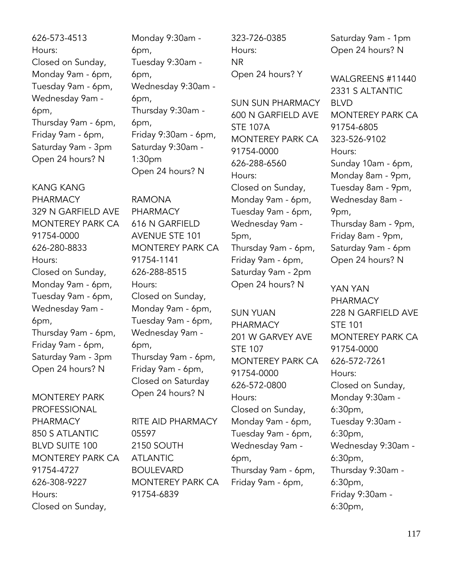626-573-4513 Hours: Closed on Sunday, Monday 9am - 6pm, Tuesday 9am - 6pm, Wednesday 9am - 6pm, Thursday 9am - 6pm, Friday 9am - 6pm, Saturday 9am - 3pm Open 24 hours? N

KANG KANG PHARMACY 329 N GARFIELD AVE MONTEREY PARK CA 91754-0000 626-280-8833 Hours: Closed on Sunday, Monday 9am - 6pm, Tuesday 9am - 6pm, Wednesday 9am - 6pm, Thursday 9am - 6pm, Friday 9am - 6pm, Saturday 9am - 3pm Open 24 hours? N

MONTEREY PARK PROFESSIONAL PHARMACY 850 S ATLANTIC BLVD SUITE 100 MONTEREY PARK CA 91754-4727 626-308-9227 Hours: Closed on Sunday,

Monday 9:30am - 6pm, Tuesday 9:30am - 6pm, Wednesday 9:30am - 6pm, Thursday 9:30am - 6pm, Friday 9:30am - 6pm, Saturday 9:30am - 1:30pm Open 24 hours? N

RAMONA PHARMACY 616 N GARFIELD AVENUE STE 101 MONTEREY PARK CA 91754-1141 626-288-8515 Hours: Closed on Sunday, Monday 9am - 6pm, Tuesday 9am - 6pm, Wednesday 9am - 6pm, Thursday 9am - 6pm, Friday 9am - 6pm, Closed on Saturday Open 24 hours? N

RITE AID PHARMACY 05597 2150 SOUTH ATLANTIC BOULEVARD MONTEREY PARK CA 91754-6839

323-726-0385 Hours: NR Open 24 hours? Y

SUN SUN PHARMACY 600 N GARFIELD AVE STE 107A MONTEREY PARK CA 91754-0000 626-288-6560 Hours: Closed on Sunday, Monday 9am - 6pm, Tuesday 9am - 6pm, Wednesday 9am - 5pm, Thursday 9am - 6pm, Friday 9am - 6pm, Saturday 9am - 2pm Open 24 hours? N

SUN YUAN PHARMACY 201 W GARVEY AVE STE 107 MONTEREY PARK CA 91754-0000 626-572-0800 Hours: Closed on Sunday, Monday 9am - 6pm, Tuesday 9am - 6pm, Wednesday 9am - 6pm, Thursday 9am - 6pm, Friday 9am - 6pm,

Saturday 9am - 1pm Open 24 hours? N

WALGREENS #11440 2331 S ALTANTIC BLVD MONTEREY PARK CA 91754-6805 323-526-9102 Hours: Sunday 10am - 6pm, Monday 8am - 9pm, Tuesday 8am - 9pm, Wednesday 8am - 9pm, Thursday 8am - 9pm, Friday 8am - 9pm, Saturday 9am - 6pm Open 24 hours? N

YAN YAN PHARMACY 228 N GARFIELD AVE STE 101 MONTEREY PARK CA 91754-0000 626-572-7261 Hours: Closed on Sunday, Monday 9:30am - 6:30pm, Tuesday 9:30am - 6:30pm, Wednesday 9:30am - 6:30pm, Thursday 9:30am - 6:30pm, Friday 9:30am - 6:30pm,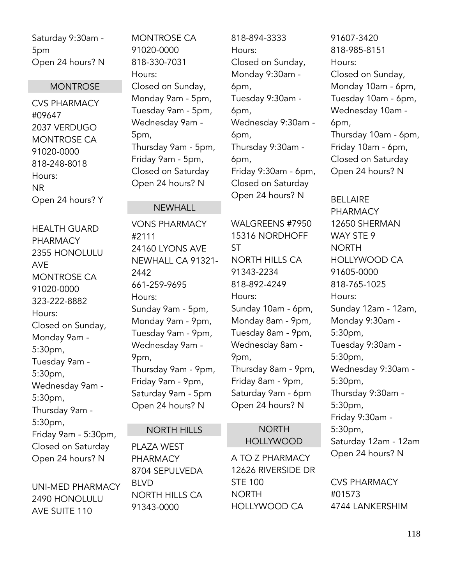Saturday 9:30am - 5pm Open 24 hours? N

### **MONTROSE**

CVS PHARMACY #09647 2037 VERDUGO MONTROSE CA 91020-0000 818-248-8018 Hours: NR Open 24 hours? Y

HEALTH GUARD PHARMACY 2355 HONOLULU AVE MONTROSE CA 91020-0000 323-222-8882 Hours: Closed on Sunday, Monday 9am - 5:30pm, Tuesday 9am - 5:30pm, Wednesday 9am - 5:30pm, Thursday 9am - 5:30pm, Friday 9am - 5:30pm, Closed on Saturday Open 24 hours? N

UNI-MED PHARMACY 2490 HONOLULU AVE SUITE 110

MONTROSE CA 91020-0000 818-330-7031 Hours: Closed on Sunday, Monday 9am - 5pm, Tuesday 9am - 5pm, Wednesday 9am - 5pm, Thursday 9am - 5pm, Friday 9am - 5pm, Closed on Saturday Open 24 hours? N

NEWHALL

VONS PHARMACY

24160 LYONS AVE NEWHALL CA 91321-

Sunday 9am - 5pm, Monday 9am - 9pm, Tuesday 9am - 9pm, Wednesday 9am -

Thursday 9am - 9pm, Friday 9am - 9pm, Saturday 9am - 5pm Open 24 hours? N

NORTH HILLS

PLAZA WEST PHARMACY

BLVD

8704 SEPULVEDA

NORTH HILLS CA

91343-0000

661-259-9695

#2111

2442

Hours:

9pm,

# 818-894-3333 Hours: Closed on Sunday, Monday 9:30am - 6pm, Tuesday 9:30am - 6pm, Wednesday 9:30am - 6pm, Thursday 9:30am - 6pm, Friday 9:30am - 6pm, Closed on Saturday Open 24 hours? N

WALGREENS #7950 15316 NORDHOFF ST NORTH HILLS CA 91343-2234 818-892-4249 Hours: Sunday 10am - 6pm, Monday 8am - 9pm, Tuesday 8am - 9pm, Wednesday 8am - 9pm, Thursday 8am - 9pm, Friday 8am - 9pm, Saturday 9am - 6pm Open 24 hours? N

# NORTH

# HOLLYWOOD

A TO Z PHARMACY 12626 RIVERSIDE DR STE 100 NORTH HOLLYWOOD CA

91607-3420 818-985-8151 Hours: Closed on Sunday, Monday 10am - 6pm, Tuesday 10am - 6pm, Wednesday 10am - 6pm, Thursday 10am - 6pm, Friday 10am - 6pm, Closed on Saturday Open 24 hours? N

BELLAIRE PHARMACY 12650 SHERMAN WAY STE 9 NORTH HOLLYWOOD CA 91605-0000 818-765-1025 Hours: Sunday 12am - 12am, Monday 9:30am - 5:30pm, Tuesday 9:30am - 5:30pm, Wednesday 9:30am - 5:30pm, Thursday 9:30am - 5:30pm, Friday 9:30am - 5:30pm, Saturday 12am - 12am Open 24 hours? N

CVS PHARMACY #01573 4744 LANKERSHIM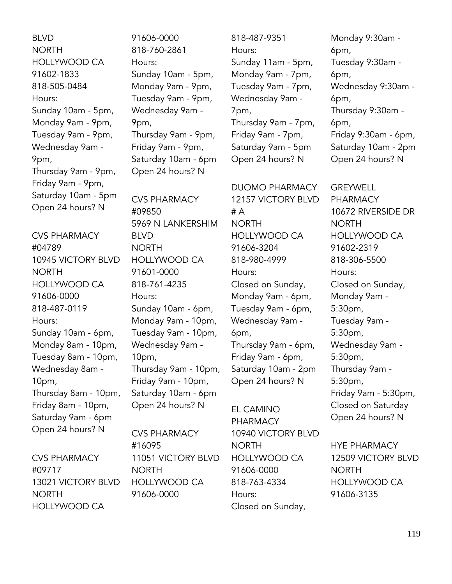BLVD NORTH HOLLYWOOD CA 91602-1833 818-505-0484 Hours: Sunday 10am - 5pm, Monday 9am - 9pm, Tuesday 9am - 9pm, Wednesday 9am - 9pm, Thursday 9am - 9pm, Friday 9am - 9pm, Saturday 10am - 5pm Open 24 hours? N

CVS PHARMACY #04789 10945 VICTORY BLVD NORTH HOLLYWOOD CA 91606-0000 818-487-0119 Hours: Sunday 10am - 6pm, Monday 8am - 10pm, Tuesday 8am - 10pm, Wednesday 8am - 10pm, Thursday 8am - 10pm, Friday 8am - 10pm, Saturday 9am - 6pm Open 24 hours? N

CVS PHARMACY #09717 13021 VICTORY BLVD NORTH HOLLYWOOD CA

91606-0000 818-760-2861 Hours: Sunday 10am - 5pm, Monday 9am - 9pm, Tuesday 9am - 9pm, Wednesday 9am - 9pm, Thursday 9am - 9pm, Friday 9am - 9pm, Saturday 10am - 6pm Open 24 hours? N

CVS PHARMACY #09850 5969 N LANKERSHIM BLVD NORTH HOLLYWOOD CA 91601-0000 818-761-4235 Hours: Sunday 10am - 6pm, Monday 9am - 10pm, Tuesday 9am - 10pm, Wednesday 9am - 10pm, Thursday 9am - 10pm, Friday 9am - 10pm, Saturday 10am - 6pm Open 24 hours? N

CVS PHARMACY #16095 11051 VICTORY BLVD NORTH HOLLYWOOD CA 91606-0000

818-487-9351 Hours: Sunday 11am - 5pm, Monday 9am - 7pm, Tuesday 9am - 7pm, Wednesday 9am - 7pm, Thursday 9am - 7pm, Friday 9am - 7pm, Saturday 9am - 5pm Open 24 hours? N

DUOMO PHARMACY 12157 VICTORY BLVD # A NORTH HOLLYWOOD CA 91606-3204 818-980-4999 Hours: Closed on Sunday, Monday 9am - 6pm, Tuesday 9am - 6pm, Wednesday 9am - 6pm, Thursday 9am - 6pm, Friday 9am - 6pm, Saturday 10am - 2pm Open 24 hours? N

EL CAMINO PHARMACY 10940 VICTORY BLVD NORTH HOLLYWOOD CA 91606-0000 818-763-4334 Hours: Closed on Sunday,

Monday 9:30am - 6pm, Tuesday 9:30am - 6pm, Wednesday 9:30am - 6pm, Thursday 9:30am - 6pm, Friday 9:30am - 6pm, Saturday 10am - 2pm Open 24 hours? N

GREYWELL PHARMACY 10672 RIVERSIDE DR NORTH HOLLYWOOD CA 91602-2319 818-306-5500 Hours: Closed on Sunday, Monday 9am - 5:30pm, Tuesday 9am - 5:30pm, Wednesday 9am - 5:30pm, Thursday 9am - 5:30pm, Friday 9am - 5:30pm, Closed on Saturday Open 24 hours? N

HYE PHARMACY 12509 VICTORY BLVD NORTH HOLLYWOOD CA 91606-3135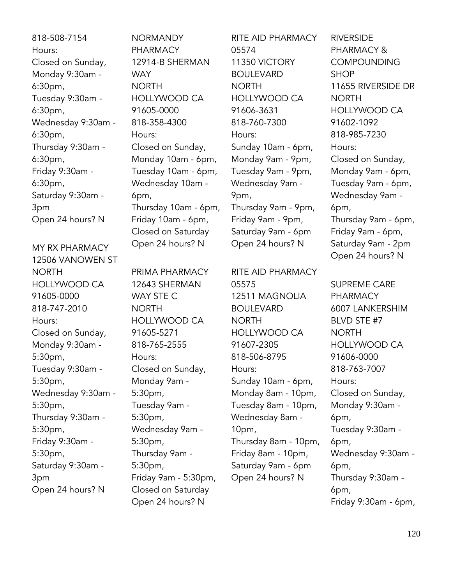818-508-7154 Hours: Closed on Sunday, Monday 9:30am - 6:30pm, Tuesday 9:30am - 6:30pm, Wednesday 9:30am - 6:30pm, Thursday 9:30am - 6:30pm, Friday 9:30am - 6:30pm, Saturday 9:30am - 3pm Open 24 hours? N

MY RX PHARMACY 12506 VANOWEN ST NORTH HOLLYWOOD CA 91605-0000 818-747-2010 Hours: Closed on Sunday, Monday 9:30am - 5:30pm, Tuesday 9:30am - 5:30pm, Wednesday 9:30am - 5:30pm, Thursday 9:30am - 5:30pm, Friday 9:30am - 5:30pm, Saturday 9:30am - 3pm Open 24 hours? N

NORMANDY **PHARMACY** 12914-B SHERMAN WAY NORTH HOLLYWOOD CA 91605-0000 818-358-4300 Hours: Closed on Sunday, Monday 10am - 6pm, Tuesday 10am - 6pm, Wednesday 10am - 6pm, Thursday 10am - 6pm, Friday 10am - 6pm, Closed on Saturday Open 24 hours? N

PRIMA PHARMACY 12643 SHERMAN WAY STE C NORTH HOLLYWOOD CA 91605-5271 818-765-2555 Hours: Closed on Sunday, Monday 9am - 5:30pm, Tuesday 9am - 5:30pm, Wednesday 9am - 5:30pm, Thursday 9am - 5:30pm, Friday 9am - 5:30pm, Closed on Saturday Open 24 hours? N

RITE AID PHARMACY 05574 11350 VICTORY **BOULEVARD NORTH** HOLLYWOOD CA 91606-3631 818-760-7300 Hours: Sunday 10am - 6pm, Monday 9am - 9pm, Tuesday 9am - 9pm, Wednesday 9am - 9pm, Thursday 9am - 9pm, Friday 9am - 9pm, Saturday 9am - 6pm Open 24 hours? N

RITE AID PHARMACY 05575 12511 MAGNOLIA BOULEVARD NORTH HOLLYWOOD CA 91607-2305 818-506-8795 Hours: Sunday 10am - 6pm, Monday 8am - 10pm, Tuesday 8am - 10pm, Wednesday 8am - 10pm, Thursday 8am - 10pm, Friday 8am - 10pm, Saturday 9am - 6pm Open 24 hours? N

RIVERSIDE PHARMACY & COMPOUNDING **SHOP** 11655 RIVERSIDE DR NORTH HOLLYWOOD CA 91602-1092 818-985-7230 Hours: Closed on Sunday, Monday 9am - 6pm, Tuesday 9am - 6pm, Wednesday 9am - 6pm, Thursday 9am - 6pm, Friday 9am - 6pm, Saturday 9am - 2pm Open 24 hours? N

SUPREME CARE PHARMACY 6007 LANKERSHIM BLVD STE #7 NORTH HOLLYWOOD CA 91606-0000 818-763-7007 Hours: Closed on Sunday, Monday 9:30am - 6pm, Tuesday 9:30am - 6pm, Wednesday 9:30am - 6pm, Thursday 9:30am - 6pm, Friday 9:30am - 6pm,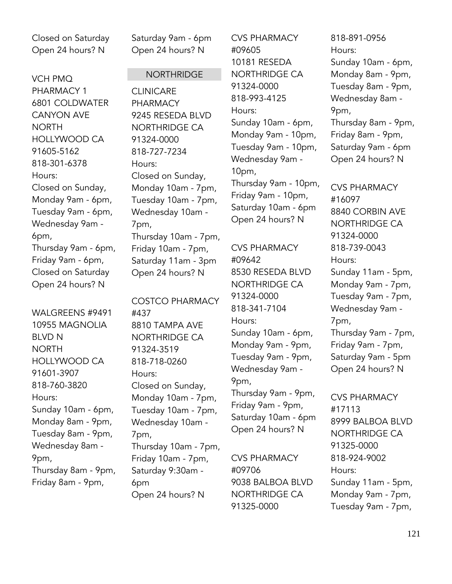Closed on Saturday Open 24 hours? N

VCH PMQ PHARMACY 1 6801 COLDWATER CANYON AVE **NORTH** HOLLYWOOD CA 91605-5162 818-301-6378 Hours: Closed on Sunday, Monday 9am - 6pm, Tuesday 9am - 6pm, Wednesday 9am - 6pm, Thursday 9am - 6pm, Friday 9am - 6pm, Closed on Saturday Open 24 hours? N

WALGREENS #9491 10955 MAGNOLIA BLVD N NORTH HOLLYWOOD CA 91601-3907 818-760-3820 Hours: Sunday 10am - 6pm, Monday 8am - 9pm, Tuesday 8am - 9pm, Wednesday 8am - 9pm, Thursday 8am - 9pm, Friday 8am - 9pm,

Saturday 9am - 6pm Open 24 hours? N

### **NORTHRIDGE**

CLINICARE PHARMACY 9245 RESEDA BLVD NORTHRIDGE CA 91324-0000 818-727-7234 Hours: Closed on Sunday, Monday 10am - 7pm, Tuesday 10am - 7pm, Wednesday 10am - 7pm, Thursday 10am - 7pm, Friday 10am - 7pm, Saturday 11am - 3pm Open 24 hours? N

COSTCO PHARMACY #437 8810 TAMPA AVE NORTHRIDGE CA 91324-3519 818-718-0260 Hours: Closed on Sunday, Monday 10am - 7pm, Tuesday 10am - 7pm, Wednesday 10am - 7pm, Thursday 10am - 7pm, Friday 10am - 7pm, Saturday 9:30am - 6pm Open 24 hours? N

CVS PHARMACY #09605 10181 RESEDA NORTHRIDGE CA 91324-0000 818-993-4125 Hours: Sunday 10am - 6pm, Monday 9am - 10pm, Tuesday 9am - 10pm, Wednesday 9am - 10pm, Thursday 9am - 10pm, Friday 9am - 10pm, Saturday 10am - 6pm Open 24 hours? N

CVS PHARMACY #09642 8530 RESEDA BLVD NORTHRIDGE CA 91324-0000 818-341-7104 Hours: Sunday 10am - 6pm, Monday 9am - 9pm, Tuesday 9am - 9pm, Wednesday 9am - 9pm, Thursday 9am - 9pm, Friday 9am - 9pm, Saturday 10am - 6pm Open 24 hours? N

CVS PHARMACY #09706 9038 BALBOA BLVD NORTHRIDGE CA 91325-0000

818-891-0956 Hours: Sunday 10am - 6pm, Monday 8am - 9pm, Tuesday 8am - 9pm, Wednesday 8am - 9pm, Thursday 8am - 9pm, Friday 8am - 9pm, Saturday 9am - 6pm Open 24 hours? N

CVS PHARMACY #16097 8840 CORBIN AVE NORTHRIDGE CA 91324-0000 818-739-0043 Hours: Sunday 11am - 5pm, Monday 9am - 7pm, Tuesday 9am - 7pm, Wednesday 9am - 7pm, Thursday 9am - 7pm, Friday 9am - 7pm, Saturday 9am - 5pm Open 24 hours? N

CVS PHARMACY #17113 8999 BALBOA BLVD NORTHRIDGE CA 91325-0000 818-924-9002 Hours: Sunday 11am - 5pm, Monday 9am - 7pm, Tuesday 9am - 7pm,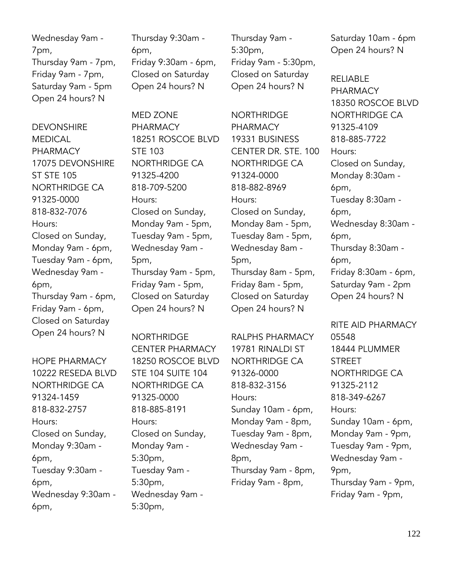Wednesday 9am - 7pm, Thursday 9am - 7pm, Friday 9am - 7pm, Saturday 9am - 5pm Open 24 hours? N

**DEVONSHIRE MEDICAL** PHARMACY 17075 DEVONSHIRE ST STE 105 NORTHRIDGE CA 91325-0000 818-832-7076 Hours: Closed on Sunday, Monday 9am - 6pm, Tuesday 9am - 6pm, Wednesday 9am - 6pm, Thursday 9am - 6pm, Friday 9am - 6pm, Closed on Saturday Open 24 hours? N

HOPE PHARMACY 10222 RESEDA BLVD NORTHRIDGE CA 91324-1459 818-832-2757 Hours: Closed on Sunday, Monday 9:30am - 6pm, Tuesday 9:30am - 6pm, Wednesday 9:30am - 6pm,

Thursday 9:30am - 6pm, Friday 9:30am - 6pm, Closed on Saturday Open 24 hours? N

MED ZONE PHARMACY 18251 ROSCOE BLVD STE 103 NORTHRIDGE CA 91325-4200 818-709-5200 Hours: Closed on Sunday, Monday 9am - 5pm, Tuesday 9am - 5pm, Wednesday 9am - 5pm, Thursday 9am - 5pm, Friday 9am - 5pm, Closed on Saturday Open 24 hours? N

NORTHRIDGE CENTER PHARMACY 18250 ROSCOE BLVD STE 104 SUITE 104 NORTHRIDGE CA 91325-0000 818-885-8191 Hours: Closed on Sunday, Monday 9am - 5:30pm, Tuesday 9am - 5:30pm, Wednesday 9am - 5:30pm,

Thursday 9am - 5:30pm, Friday 9am - 5:30pm, Closed on Saturday Open 24 hours? N

**NORTHRIDGE** PHARMACY 19331 BUSINESS CENTER DR. STE. 100 NORTHRIDGE CA 91324-0000 818-882-8969 Hours: Closed on Sunday, Monday 8am - 5pm, Tuesday 8am - 5pm, Wednesday 8am - 5pm, Thursday 8am - 5pm, Friday 8am - 5pm, Closed on Saturday Open 24 hours? N

RALPHS PHARMACY 19781 RINALDI ST NORTHRIDGE CA 91326-0000 818-832-3156 Hours: Sunday 10am - 6pm, Monday 9am - 8pm, Tuesday 9am - 8pm, Wednesday 9am - 8pm, Thursday 9am - 8pm, Friday 9am - 8pm,

Saturday 10am - 6pm Open 24 hours? N

RELIABLE PHARMACY 18350 ROSCOE BLVD NORTHRIDGE CA 91325-4109 818-885-7722 Hours: Closed on Sunday, Monday 8:30am - 6pm, Tuesday 8:30am - 6pm, Wednesday 8:30am - 6pm, Thursday 8:30am - 6pm, Friday 8:30am - 6pm, Saturday 9am - 2pm Open 24 hours? N

RITE AID PHARMACY 05548 18444 PLUMMER **STREET** NORTHRIDGE CA 91325-2112 818-349-6267 Hours: Sunday 10am - 6pm, Monday 9am - 9pm, Tuesday 9am - 9pm, Wednesday 9am - 9pm, Thursday 9am - 9pm, Friday 9am - 9pm,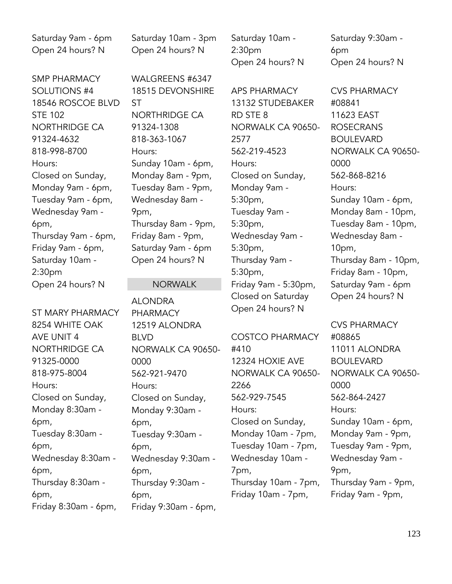Saturday 9am - 6pm Open 24 hours? N

SMP PHARMACY SOLUTIONS #4 18546 ROSCOE BLVD STE 102 NORTHRIDGE CA 91324-4632 818-998-8700 Hours: Closed on Sunday, Monday 9am - 6pm, Tuesday 9am - 6pm, Wednesday 9am - 6pm, Thursday 9am - 6pm, Friday 9am - 6pm, Saturday 10am - 2:30pm Open 24 hours? N

ST MARY PHARMACY 8254 WHITE OAK AVE UNIT 4 NORTHRIDGE CA 91325-0000 818-975-8004 Hours: Closed on Sunday, Monday 8:30am - 6pm, Tuesday 8:30am - 6pm, Wednesday 8:30am - 6pm, Thursday 8:30am - 6pm, Friday 8:30am - 6pm,

Saturday 10am - 3pm Open 24 hours? N

WALGREENS #6347 18515 DEVONSHIRE ST NORTHRIDGE CA 91324-1308 818-363-1067 Hours: Sunday 10am - 6pm, Monday 8am - 9pm, Tuesday 8am - 9pm, Wednesday 8am - 9pm, Thursday 8am - 9pm, Friday 8am - 9pm, Saturday 9am - 6pm Open 24 hours? N

### NORWALK

ALONDRA PHARMACY 12519 ALONDRA BLVD NORWALK CA 90650- 0000 562-921-9470 Hours: Closed on Sunday, Monday 9:30am - 6pm, Tuesday 9:30am - 6pm, Wednesday 9:30am - 6pm, Thursday 9:30am - 6pm, Friday 9:30am - 6pm,

Saturday 10am - 2:30pm Open 24 hours? N

APS PHARMACY 13132 STUDEBAKER RD STE 8 NORWALK CA 90650- 2577 562-219-4523 Hours: Closed on Sunday, Monday 9am - 5:30pm, Tuesday 9am - 5:30pm, Wednesday 9am - 5:30pm, Thursday 9am - 5:30pm, Friday 9am - 5:30pm, Closed on Saturday Open 24 hours? N

COSTCO PHARMACY #410 12324 HOXIE AVE NORWALK CA 90650- 2266 562-929-7545 Hours: Closed on Sunday, Monday 10am - 7pm, Tuesday 10am - 7pm, Wednesday 10am - 7pm, Thursday 10am - 7pm, Friday 10am - 7pm,

Saturday 9:30am - 6pm Open 24 hours? N

CVS PHARMACY #08841 11623 EAST ROSECRANS BOULEVARD NORWALK CA 90650- 0000 562-868-8216 Hours: Sunday 10am - 6pm, Monday 8am - 10pm, Tuesday 8am - 10pm, Wednesday 8am - 10pm, Thursday 8am - 10pm, Friday 8am - 10pm, Saturday 9am - 6pm Open 24 hours? N

CVS PHARMACY #08865 11011 ALONDRA BOULEVARD NORWALK CA 90650- 0000 562-864-2427 Hours: Sunday 10am - 6pm, Monday 9am - 9pm, Tuesday 9am - 9pm, Wednesday 9am - 9pm, Thursday 9am - 9pm, Friday 9am - 9pm,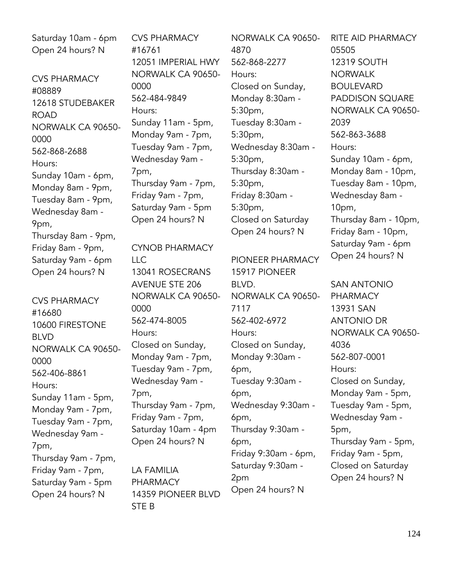Saturday 10am - 6pm Open 24 hours? N

CVS PHARMACY #08889 12618 STUDEBAKER **ROAD** NORWALK CA 90650- 0000 562-868-2688 Hours: Sunday 10am - 6pm, Monday 8am - 9pm, Tuesday 8am - 9pm, Wednesday 8am - 9pm, Thursday 8am - 9pm, Friday 8am - 9pm, Saturday 9am - 6pm Open 24 hours? N

CVS PHARMACY #16680 10600 FIRESTONE BLVD NORWALK CA 90650- 0000 562-406-8861 Hours: Sunday 11am - 5pm, Monday 9am - 7pm, Tuesday 9am - 7pm, Wednesday 9am - 7pm, Thursday 9am - 7pm, Friday 9am - 7pm, Saturday 9am - 5pm Open 24 hours? N

CVS PHARMACY #16761 12051 IMPERIAL HWY NORWALK CA 90650- 0000 562-484-9849 Hours: Sunday 11am - 5pm, Monday 9am - 7pm, Tuesday 9am - 7pm, Wednesday 9am - 7pm, Thursday 9am - 7pm, Friday 9am - 7pm, Saturday 9am - 5pm Open 24 hours? N

CYNOB PHARMACY LLC 13041 ROSECRANS AVENUE STE 206 NORWALK CA 90650- 0000 562-474-8005 Hours: Closed on Sunday, Monday 9am - 7pm, Tuesday 9am - 7pm, Wednesday 9am - 7pm, Thursday 9am - 7pm, Friday 9am - 7pm, Saturday 10am - 4pm Open 24 hours? N

LA FAMILIA PHARMACY 14359 PIONEER BLVD STE B

NORWALK CA 90650- 4870 562-868-2277 Hours: Closed on Sunday, Monday 8:30am - 5:30pm, Tuesday 8:30am - 5:30pm, Wednesday 8:30am - 5:30pm, Thursday 8:30am - 5:30pm, Friday 8:30am - 5:30pm, Closed on Saturday Open 24 hours? N

PIONEER PHARMACY 15917 PIONEER BLVD. NORWALK CA 90650- 7117 562-402-6972 Hours: Closed on Sunday, Monday 9:30am - 6pm, Tuesday 9:30am - 6pm, Wednesday 9:30am - 6pm, Thursday 9:30am - 6pm, Friday 9:30am - 6pm, Saturday 9:30am - 2pm Open 24 hours? N

RITE AID PHARMACY 05505 12319 SOUTH NORWALK BOULEVARD PADDISON SQUARE NORWALK CA 90650- 2039 562-863-3688 Hours: Sunday 10am - 6pm, Monday 8am - 10pm, Tuesday 8am - 10pm, Wednesday 8am - 10pm, Thursday 8am - 10pm, Friday 8am - 10pm, Saturday 9am - 6pm Open 24 hours? N

SAN ANTONIO PHARMACY 13931 SAN ANTONIO DR NORWALK CA 90650- 4036 562-807-0001 Hours: Closed on Sunday, Monday 9am - 5pm, Tuesday 9am - 5pm, Wednesday 9am - 5pm, Thursday 9am - 5pm, Friday 9am - 5pm, Closed on Saturday Open 24 hours? N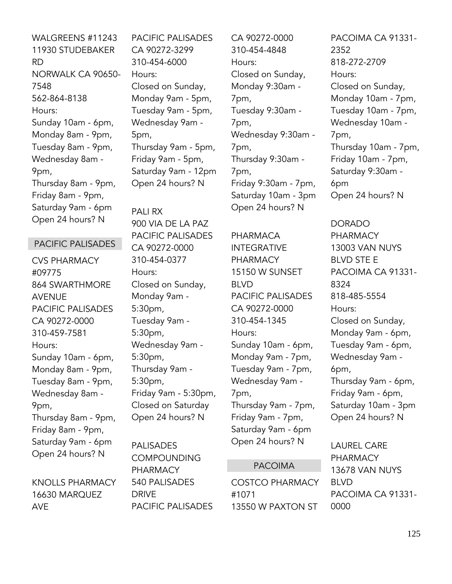WALGREENS #11243 11930 STUDEBAKER RD NORWALK CA 90650- 7548 562-864-8138 Hours: Sunday 10am - 6pm, Monday 8am - 9pm, Tuesday 8am - 9pm, Wednesday 8am - 9pm, Thursday 8am - 9pm, Friday 8am - 9pm, Saturday 9am - 6pm Open 24 hours? N

## PACIFIC PALISADES

CVS PHARMACY #09775 864 SWARTHMORE AVENUE PACIFIC PALISADES CA 90272-0000 310-459-7581 Hours: Sunday 10am - 6pm, Monday 8am - 9pm, Tuesday 8am - 9pm, Wednesday 8am - 9pm, Thursday 8am - 9pm, Friday 8am - 9pm, Saturday 9am - 6pm Open 24 hours? N

KNOLLS PHARMACY 16630 MARQUEZ AVE

PACIFIC PALISADES CA 90272-3299 310-454-6000 Hours: Closed on Sunday, Monday 9am - 5pm, Tuesday 9am - 5pm, Wednesday 9am - 5pm, Thursday 9am - 5pm, Friday 9am - 5pm, Saturday 9am - 12pm Open 24 hours? N

PALI RX 900 VIA DE LA PAZ PACIFIC PALISADES CA 90272-0000 310-454-0377 Hours: Closed on Sunday, Monday 9am - 5:30pm, Tuesday 9am - 5:30pm, Wednesday 9am - 5:30pm, Thursday 9am - 5:30pm, Friday 9am - 5:30pm, Closed on Saturday Open 24 hours? N

PALISADES COMPOUNDING PHARMACY 540 PALISADES DRIVE PACIFIC PALISADES CA 90272-0000 310-454-4848 Hours: Closed on Sunday, Monday 9:30am - 7pm, Tuesday 9:30am - 7pm, Wednesday 9:30am - 7pm, Thursday 9:30am - 7pm, Friday 9:30am - 7pm, Saturday 10am - 3pm Open 24 hours? N

PHARMACA INTEGRATIVE PHARMACY 15150 W SUNSET BLVD PACIFIC PALISADES CA 90272-0000 310-454-1345 Hours: Sunday 10am - 6pm, Monday 9am - 7pm, Tuesday 9am - 7pm, Wednesday 9am - 7pm, Thursday 9am - 7pm, Friday 9am - 7pm, Saturday 9am - 6pm Open 24 hours? N

### PACOIMA

COSTCO PHARMACY #1071 13550 W PAXTON ST

PACOIMA CA 91331- 2352 818-272-2709 Hours: Closed on Sunday, Monday 10am - 7pm, Tuesday 10am - 7pm, Wednesday 10am - 7pm, Thursday 10am - 7pm, Friday 10am - 7pm, Saturday 9:30am - 6pm Open 24 hours? N

DORADO PHARMACY 13003 VAN NUYS BLVD STE E PACOIMA CA 91331- 8324 818-485-5554 Hours: Closed on Sunday, Monday 9am - 6pm, Tuesday 9am - 6pm, Wednesday 9am - 6pm, Thursday 9am - 6pm, Friday 9am - 6pm, Saturday 10am - 3pm Open 24 hours? N

LAUREL CARE PHARMACY 13678 VAN NUYS BLVD PACOIMA CA 91331- 0000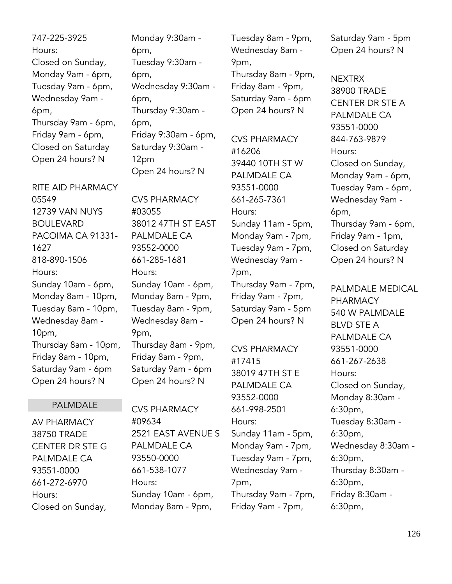747-225-3925 Hours: Closed on Sunday, Monday 9am - 6pm, Tuesday 9am - 6pm, Wednesday 9am - 6pm, Thursday 9am - 6pm, Friday 9am - 6pm, Closed on Saturday Open 24 hours? N

RITE AID PHARMACY 05549 12739 VAN NUYS BOULEVARD PACOIMA CA 91331- 1627 818-890-1506 Hours: Sunday 10am - 6pm, Monday 8am - 10pm, Tuesday 8am - 10pm, Wednesday 8am - 10pm, Thursday 8am - 10pm, Friday 8am - 10pm, Saturday 9am - 6pm Open 24 hours? N

## PALMDALE

AV PHARMACY 38750 TRADE CENTER DR STE G PALMDALE CA 93551-0000 661-272-6970 Hours: Closed on Sunday,

Monday 9:30am - 6pm, Tuesday 9:30am - 6pm, Wednesday 9:30am - 6pm, Thursday 9:30am - 6pm, Friday 9:30am - 6pm, Saturday 9:30am - 12pm

Open 24 hours? N

CVS PHARMACY #03055 38012 47TH ST EAST PALMDALE CA 93552-0000 661-285-1681 Hours: Sunday 10am - 6pm, Monday 8am - 9pm, Tuesday 8am - 9pm, Wednesday 8am - 9pm, Thursday 8am - 9pm,

Friday 8am - 9pm, Saturday 9am - 6pm Open 24 hours? N

CVS PHARMACY #09634 2521 EAST AVENUE S PALMDALE CA 93550-0000 661-538-1077 Hours: Sunday 10am - 6pm, Monday 8am - 9pm,

Tuesday 8am - 9pm, Wednesday 8am - 9pm, Thursday 8am - 9pm, Friday 8am - 9pm,

Saturday 9am - 6pm Open 24 hours? N

CVS PHARMACY #16206 39440 10TH ST W PALMDALE CA 93551-0000 661-265-7361 Hours: Sunday 11am - 5pm, Monday 9am - 7pm, Tuesday 9am - 7pm, Wednesday 9am - 7pm, Thursday 9am - 7pm, Friday 9am - 7pm, Saturday 9am - 5pm Open 24 hours? N

CVS PHARMACY #17415 38019 47TH ST E PALMDALE CA 93552-0000 661-998-2501 Hours: Sunday 11am - 5pm, Monday 9am - 7pm, Tuesday 9am - 7pm, Wednesday 9am - 7pm, Thursday 9am - 7pm, Friday 9am - 7pm,

Saturday 9am - 5pm Open 24 hours? N

**NEXTRX** 38900 TRADE CENTER DR STE A PALMDALE CA 93551-0000 844-763-9879 Hours: Closed on Sunday, Monday 9am - 6pm, Tuesday 9am - 6pm, Wednesday 9am - 6pm, Thursday 9am - 6pm, Friday 9am - 1pm, Closed on Saturday Open 24 hours? N

PALMDALE MEDICAL PHARMACY 540 W PALMDALE BLVD STE A PALMDALE CA 93551-0000 661-267-2638 Hours: Closed on Sunday, Monday 8:30am - 6:30pm, Tuesday 8:30am - 6:30pm, Wednesday 8:30am - 6:30pm, Thursday 8:30am - 6:30pm, Friday 8:30am - 6:30pm,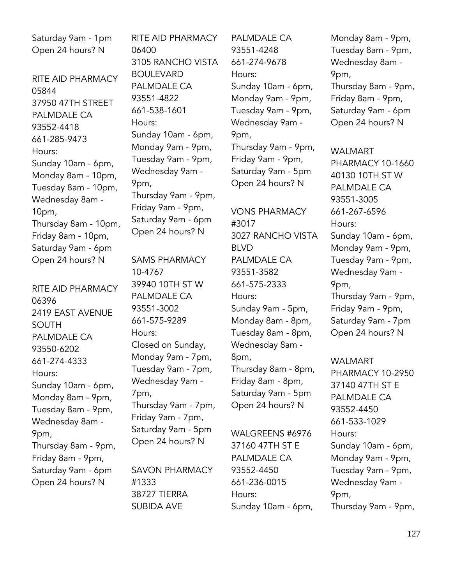Saturday 9am - 1pm Open 24 hours? N

RITE AID PHARMACY 05844 37950 47TH STREET PALMDALE CA 93552-4418 661-285-9473 Hours: Sunday 10am - 6pm, Monday 8am - 10pm, Tuesday 8am - 10pm, Wednesday 8am - 10pm, Thursday 8am - 10pm, Friday 8am - 10pm, Saturday 9am - 6pm Open 24 hours? N

RITE AID PHARMACY 06396 2419 EAST AVENUE SOUTH PALMDALE CA 93550-6202 661-274-4333 Hours: Sunday 10am - 6pm, Monday 8am - 9pm, Tuesday 8am - 9pm, Wednesday 8am - 9pm, Thursday 8am - 9pm, Friday 8am - 9pm, Saturday 9am - 6pm Open 24 hours? N

RITE AID PHARMACY 06400 3105 RANCHO VISTA **BOULEVARD** PALMDALE CA 93551-4822 661-538-1601 Hours: Sunday 10am - 6pm, Monday 9am - 9pm, Tuesday 9am - 9pm, Wednesday 9am - 9pm, Thursday 9am - 9pm, Friday 9am - 9pm, Saturday 9am - 6pm Open 24 hours? N

SAMS PHARMACY 10-4767 39940 10TH ST W PALMDALE CA 93551-3002 661-575-9289 Hours: Closed on Sunday, Monday 9am - 7pm, Tuesday 9am - 7pm, Wednesday 9am - 7pm, Thursday 9am - 7pm, Friday 9am - 7pm, Saturday 9am - 5pm Open 24 hours? N

SAVON PHARMACY #1333 38727 TIERRA SUBIDA AVE

PALMDALE CA 93551-4248 661-274-9678 Hours: Sunday 10am - 6pm, Monday 9am - 9pm, Tuesday 9am - 9pm, Wednesday 9am - 9pm, Thursday 9am - 9pm, Friday 9am - 9pm, Saturday 9am - 5pm Open 24 hours? N

VONS PHARMACY #3017 3027 RANCHO VISTA BLVD PALMDALE CA 93551-3582 661-575-2333 Hours: Sunday 9am - 5pm, Monday 8am - 8pm, Tuesday 8am - 8pm, Wednesday 8am - 8pm, Thursday 8am - 8pm, Friday 8am - 8pm, Saturday 9am - 5pm Open 24 hours? N

WALGREENS #6976 37160 47TH ST E PALMDALE CA 93552-4450 661-236-0015 Hours: Sunday 10am - 6pm, Monday 8am - 9pm, Tuesday 8am - 9pm, Wednesday 8am - 9pm, Thursday 8am - 9pm, Friday 8am - 9pm, Saturday 9am - 6pm Open 24 hours? N

WAI MART PHARMACY 10-1660 40130 10TH ST W PALMDALE CA 93551-3005 661-267-6596 Hours: Sunday 10am - 6pm, Monday 9am - 9pm, Tuesday 9am - 9pm, Wednesday 9am - 9pm, Thursday 9am - 9pm, Friday 9am - 9pm, Saturday 9am - 7pm Open 24 hours? N

WALMART PHARMACY 10-2950 37140 47TH ST E PALMDALE CA 93552-4450 661-533-1029 Hours: Sunday 10am - 6pm, Monday 9am - 9pm, Tuesday 9am - 9pm, Wednesday 9am - 9pm, Thursday 9am - 9pm,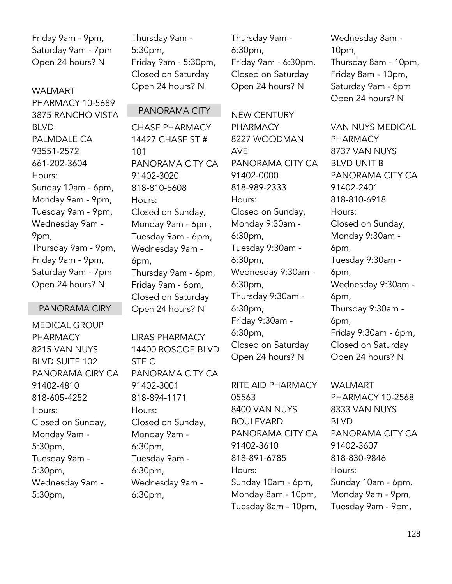Friday 9am - 9pm, Saturday 9am - 7pm Open 24 hours? N

WAI MART PHARMACY 10-5689 3875 RANCHO VISTA BLVD PALMDALE CA 93551-2572 661-202-3604 Hours: Sunday 10am - 6pm, Monday 9am - 9pm, Tuesday 9am - 9pm, Wednesday 9am - 9pm, Thursday 9am - 9pm, Friday 9am - 9pm, Saturday 9am - 7pm Open 24 hours? N

### PANORAMA CIRY

MEDICAL GROUP PHARMACY 8215 VAN NUYS BLVD SUITE 102 PANORAMA CIRY CA 91402-4810 818-605-4252 Hours: Closed on Sunday, Monday 9am - 5:30pm, Tuesday 9am - 5:30pm, Wednesday 9am - 5:30pm,

Thursday 9am - 5:30pm, Friday 9am - 5:30pm, Closed on Saturday Open 24 hours? N

PANORAMA CITY

101

Hours:

6pm,

STE C

Hours:

6:30pm,

6:30pm,

6:30pm,

Tuesday 9am -

Wednesday 9am -

91402-3001 818-894-1171

91402-3020 818-810-5608

Closed on Sunday, Monday 9am - 6pm, Tuesday 9am - 6pm, Wednesday 9am -

Thursday 9am - 6pm, Friday 9am - 6pm, Closed on Saturday Open 24 hours? N

LIRAS PHARMACY 14400 ROSCOE BLVD

PANORAMA CITY CA

Closed on Sunday, Monday 9am -

Thursday 9am - 6:30pm, Friday 9am - 6:30pm, Closed on Saturday Open 24 hours? N

CHASE PHARMACY 14427 CHASE ST # PANORAMA CITY CA NEW CENTURY PHARMACY 8227 WOODMAN AVE

PANORAMA CITY CA 91402-0000 818-989-2333 Hours: Closed on Sunday, Monday 9:30am - 6:30pm, Tuesday 9:30am - 6:30pm, Wednesday 9:30am - 6:30pm, Thursday 9:30am - 6:30pm, Friday 9:30am - 6:30pm, Closed on Saturday Open 24 hours? N

RITE AID PHARMACY 05563 8400 VAN NUYS BOULEVARD PANORAMA CITY CA 91402-3610 818-891-6785 Hours: Sunday 10am - 6pm, Monday 8am - 10pm, Tuesday 8am - 10pm,

Wednesday 8am - 10pm, Thursday 8am - 10pm, Friday 8am - 10pm, Saturday 9am - 6pm Open 24 hours? N

VAN NUYS MEDICAL PHARMACY 8737 VAN NUYS BLVD UNIT B PANORAMA CITY CA 91402-2401 818-810-6918 Hours: Closed on Sunday, Monday 9:30am - 6pm, Tuesday 9:30am - 6pm, Wednesday 9:30am - 6pm, Thursday 9:30am - 6pm, Friday 9:30am - 6pm, Closed on Saturday Open 24 hours? N

WALMART PHARMACY 10-2568 8333 VAN NUYS BLVD PANORAMA CITY CA 91402-3607 818-830-9846 Hours: Sunday 10am - 6pm, Monday 9am - 9pm, Tuesday 9am - 9pm,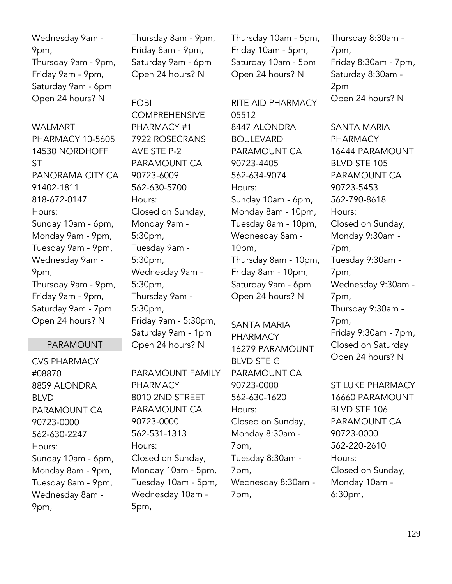Wednesday 9am - 9pm, Thursday 9am - 9pm, Friday 9am - 9pm, Saturday 9am - 6pm Open 24 hours? N

WAI MART PHARMACY 10-5605 14530 NORDHOFF ST PANORAMA CITY CA 91402-1811 818-672-0147 Hours: Sunday 10am - 6pm, Monday 9am - 9pm, Tuesday 9am - 9pm, Wednesday 9am - 9pm, Thursday 9am - 9pm, Friday 9am - 9pm, Saturday 9am - 7pm Open 24 hours? N

## PARAMOUNT

CVS PHARMACY #08870 8859 ALONDRA BLVD PARAMOUNT CA 90723-0000 562-630-2247 Hours: Sunday 10am - 6pm, Monday 8am - 9pm, Tuesday 8am - 9pm, Wednesday 8am - 9pm,

Thursday 8am - 9pm, Friday 8am - 9pm, Saturday 9am - 6pm Open 24 hours? N

# FOBI

**COMPREHENSIVE** PHARMACY #1 7922 ROSECRANS AVE STE P-2 PARAMOUNT CA 90723-6009 562-630-5700 Hours: Closed on Sunday, Monday 9am - 5:30pm, Tuesday 9am - 5:30pm, Wednesday 9am - 5:30pm, Thursday 9am - 5:30pm, Friday 9am - 5:30pm, Saturday 9am - 1pm Open 24 hours? N

# PARAMOUNT FAMILY

PHARMACY 8010 2ND STREET PARAMOUNT CA 90723-0000 562-531-1313 Hours: Closed on Sunday, Monday 10am - 5pm, Tuesday 10am - 5pm, Wednesday 10am - 5pm,

Thursday 10am - 5pm, Friday 10am - 5pm, Saturday 10am - 5pm Open 24 hours? N

RITE AID PHARMACY 05512 8447 ALONDRA BOULEVARD PARAMOUNT CA 90723-4405 562-634-9074 Hours: Sunday 10am - 6pm, Monday 8am - 10pm, Tuesday 8am - 10pm, Wednesday 8am - 10pm, Thursday 8am - 10pm, Friday 8am - 10pm, Saturday 9am - 6pm Open 24 hours? N

SANTA MARIA PHARMACY 16279 PARAMOUNT BLVD STE G PARAMOUNT CA 90723-0000 562-630-1620 Hours: Closed on Sunday, Monday 8:30am - 7pm, Tuesday 8:30am - 7pm, Wednesday 8:30am - 7pm,

Thursday 8:30am - 7pm, Friday 8:30am - 7pm, Saturday 8:30am - 2pm Open 24 hours? N

SANTA MARIA PHARMACY 16444 PARAMOUNT BLVD STE 105 PARAMOUNT CA 90723-5453 562-790-8618 Hours: Closed on Sunday, Monday 9:30am - 7pm, Tuesday 9:30am - 7pm, Wednesday 9:30am - 7pm, Thursday 9:30am - 7pm, Friday 9:30am - 7pm, Closed on Saturday Open 24 hours? N

ST LUKE PHARMACY 16660 PARAMOUNT BLVD STE 106 PARAMOUNT CA 90723-0000 562-220-2610 Hours: Closed on Sunday, Monday 10am - 6:30pm,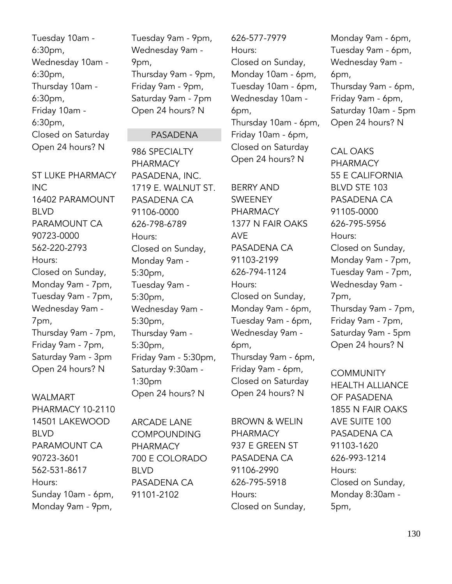Tuesday 10am - 6:30pm, Wednesday 10am - 6:30pm, Thursday 10am - 6:30pm, Friday 10am - 6:30pm, Closed on Saturday Open 24 hours? N

ST LUKE PHARMACY INC 16402 PARAMOUNT BLVD PARAMOUNT CA 90723-0000 562-220-2793 Hours: Closed on Sunday, Monday 9am - 7pm, Tuesday 9am - 7pm, Wednesday 9am - 7pm, Thursday 9am - 7pm, Friday 9am - 7pm, Saturday 9am - 3pm Open 24 hours? N

### WAI MART

PHARMACY 10-2110 14501 LAKEWOOD BLVD PARAMOUNT CA 90723-3601 562-531-8617 Hours: Sunday 10am - 6pm, Monday 9am - 9pm,

Tuesday 9am - 9pm, Wednesday 9am - 9pm, Thursday 9am - 9pm, Friday 9am - 9pm, Saturday 9am - 7pm Open 24 hours? N

#### PASADENA

986 SPECIALTY PHARMACY PASADENA, INC. 1719 E. WALNUT ST. PASADENA CA 91106-0000 626-798-6789 Hours: Closed on Sunday, Monday 9am - 5:30pm, Tuesday 9am - 5:30pm, Wednesday 9am - 5:30pm, Thursday 9am - 5:30pm, Friday 9am - 5:30pm, Saturday 9:30am - 1:30pm Open 24 hours? N

ARCADE LANE **COMPOUNDING** PHARMACY 700 E COLORADO BLVD PASADENA CA 91101-2102

626-577-7979 Hours: Closed on Sunday, Monday 10am - 6pm, Tuesday 10am - 6pm, Wednesday 10am - 6pm, Thursday 10am - 6pm, Friday 10am - 6pm, Closed on Saturday Open 24 hours? N

BERRY AND SWEENEY PHARMACY 1377 N FAIR OAKS AVE PASADENA CA 91103-2199 626-794-1124 Hours: Closed on Sunday, Monday 9am - 6pm, Tuesday 9am - 6pm, Wednesday 9am - 6pm, Thursday 9am - 6pm, Friday 9am - 6pm, Closed on Saturday Open 24 hours? N

BROWN & WELIN PHARMACY 937 E GREEN ST PASADENA CA 91106-2990 626-795-5918 Hours: Closed on Sunday,

Monday 9am - 6pm, Tuesday 9am - 6pm, Wednesday 9am - 6pm, Thursday 9am - 6pm, Friday 9am - 6pm, Saturday 10am - 5pm Open 24 hours? N

CAL OAKS PHARMACY 55 E CALIFORNIA BLVD STE 103 PASADENA CA 91105-0000 626-795-5956 Hours: Closed on Sunday, Monday 9am - 7pm, Tuesday 9am - 7pm, Wednesday 9am - 7pm, Thursday 9am - 7pm, Friday 9am - 7pm, Saturday 9am - 5pm Open 24 hours? N

**COMMUNITY** HEALTH ALLIANCE OF PASADENA 1855 N FAIR OAKS AVE SUITE 100 PASADENA CA 91103-1620 626-993-1214 Hours: Closed on Sunday, Monday 8:30am - 5pm,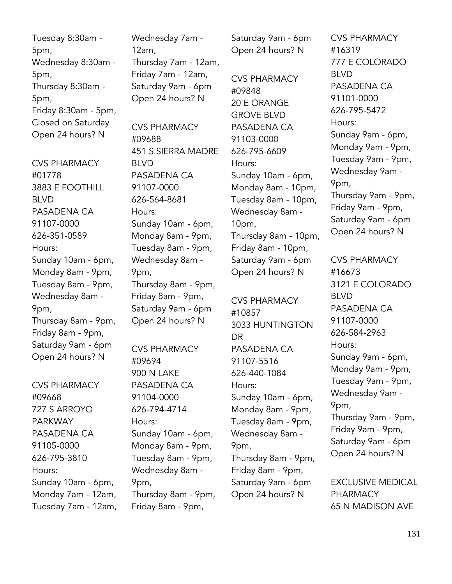Tuesday 8:30am - 5pm, Wednesday 8:30am - 5pm, Thursday 8:30am - 5pm, Friday 8:30am - 5pm, Closed on Saturday Open 24 hours? N

CVS PHARMACY #01778 3883 E FOOTHILL BLVD PASADENA CA 91107-0000 626-351-0589 Hours: Sunday 10am - 6pm, Monday 8am - 9pm, Tuesday 8am - 9pm, Wednesday 8am - 9pm, Thursday 8am - 9pm, Friday 8am - 9pm, Saturday 9am - 6pm Open 24 hours? N

CVS PHARMACY #09668 727 S ARROYO PARKWAY PASADENA CA 91105-0000 626-795-3810 Hours: Sunday 10am - 6pm, Monday 7am - 12am, Tuesday 7am - 12am, Wednesday 7am - 12am, Thursday 7am - 12am, Friday 7am - 12am, Saturday 9am - 6pm Open 24 hours? N

CVS PHARMACY #09688 451 S SIERRA MADRE BLVD PASADENA CA 91107-0000 626-564-8681 Hours: Sunday 10am - 6pm, Monday 8am - 9pm, Tuesday 8am - 9pm, Wednesday 8am - 9pm, Thursday 8am - 9pm, Friday 8am - 9pm, Saturday 9am - 6pm Open 24 hours? N

CVS PHARMACY #09694 900 N LAKE PASADENA CA 91104-0000 626-794-4714 Hours: Sunday 10am - 6pm, Monday 8am - 9pm, Tuesday 8am - 9pm, Wednesday 8am - 9pm, Thursday 8am - 9pm, Friday 8am - 9pm,

Saturday 9am - 6pm Open 24 hours? N

CVS PHARMACY #09848 20 E ORANGE GROVE BLVD PASADENA CA 91103-0000 626-795-6609 Hours: Sunday 10am - 6pm, Monday 8am - 10pm, Tuesday 8am - 10pm, Wednesday 8am - 10pm, Thursday 8am - 10pm, Friday 8am - 10pm, Saturday 9am - 6pm Open 24 hours? N

CVS PHARMACY #10857 3033 HUNTINGTON DR PASADENA CA 91107-5516 626-440-1084 Hours: Sunday 10am - 6pm, Monday 8am - 9pm, Tuesday 8am - 9pm, Wednesday 8am - 9pm, Thursday 8am - 9pm, Friday 8am - 9pm, Saturday 9am - 6pm Open 24 hours? N

CVS PHARMACY #16319 777 E COLORADO BLVD PASADENA CA 91101-0000 626-795-5472 Hours: Sunday 9am - 6pm, Monday 9am - 9pm, Tuesday 9am - 9pm, Wednesday 9am - 9pm, Thursday 9am - 9pm, Friday 9am - 9pm, Saturday 9am - 6pm Open 24 hours? N

CVS PHARMACY #16673 3121 E COLORADO BLVD PASADENA CA 91107-0000 626-584-2963 Hours: Sunday 9am - 6pm, Monday 9am - 9pm, Tuesday 9am - 9pm, Wednesday 9am - 9pm, Thursday 9am - 9pm, Friday 9am - 9pm, Saturday 9am - 6pm Open 24 hours? N

EXCLUSIVE MEDICAL PHARMACY 65 N MADISON AVE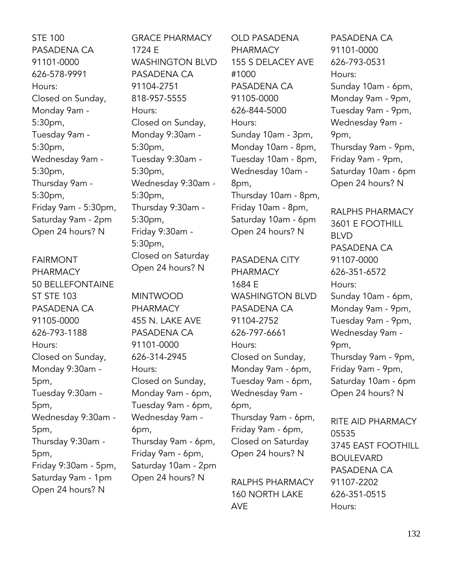STE 100 PASADENA CA 91101-0000 626-578-9991 Hours: Closed on Sunday, Monday 9am - 5:30pm, Tuesday 9am - 5:30pm, Wednesday 9am - 5:30pm, Thursday 9am - 5:30pm, Friday 9am - 5:30pm, Saturday 9am - 2pm Open 24 hours? N

FAIRMONT PHARMACY 50 BELLEFONTAINE ST STE 103 PASADENA CA 91105-0000 626-793-1188 Hours: Closed on Sunday, Monday 9:30am - 5pm, Tuesday 9:30am - 5pm, Wednesday 9:30am - 5pm, Thursday 9:30am - 5pm, Friday 9:30am - 5pm, Saturday 9am - 1pm Open 24 hours? N

GRACE PHARMACY 1724 E WASHINGTON BLVD PASADENA CA 91104-2751 818-957-5555 Hours: Closed on Sunday, Monday 9:30am - 5:30pm, Tuesday 9:30am - 5:30pm, Wednesday 9:30am - 5:30pm, Thursday 9:30am - 5:30pm, Friday 9:30am - 5:30pm, Closed on Saturday Open 24 hours? N

MINTWOOD PHARMACY 455 N. LAKE AVE PASADENA CA 91101-0000 626-314-2945 Hours: Closed on Sunday, Monday 9am - 6pm, Tuesday 9am - 6pm, Wednesday 9am - 6pm, Thursday 9am - 6pm, Friday 9am - 6pm, Saturday 10am - 2pm Open 24 hours? N

OLD PASADENA PHARMACY 155 S DELACEY AVE #1000 PASADENA CA 91105-0000 626-844-5000 Hours: Sunday 10am - 3pm, Monday 10am - 8pm, Tuesday 10am - 8pm, Wednesday 10am - 8pm, Thursday 10am - 8pm, Friday 10am - 8pm, Saturday 10am - 6pm Open 24 hours? N

PASADENA CITY PHARMACY 1684 E WASHINGTON BLVD PASADENA CA 91104-2752 626-797-6661 Hours: Closed on Sunday, Monday 9am - 6pm, Tuesday 9am - 6pm, Wednesday 9am - 6pm, Thursday 9am - 6pm,

Friday 9am - 6pm, Closed on Saturday Open 24 hours? N

RALPHS PHARMACY 160 NORTH LAKE AVE

PASADENA CA 91101-0000 626-793-0531 Hours: Sunday 10am - 6pm, Monday 9am - 9pm, Tuesday 9am - 9pm, Wednesday 9am - 9pm, Thursday 9am - 9pm, Friday 9am - 9pm, Saturday 10am - 6pm Open 24 hours? N

RALPHS PHARMACY 3601 E FOOTHILL BLVD PASADENA CA 91107-0000 626-351-6572 Hours: Sunday 10am - 6pm, Monday 9am - 9pm, Tuesday 9am - 9pm, Wednesday 9am - 9pm, Thursday 9am - 9pm, Friday 9am - 9pm, Saturday 10am - 6pm Open 24 hours? N

RITE AID PHARMACY 05535 3745 EAST FOOTHILL BOULEVARD PASADENA CA 91107-2202 626-351-0515 Hours: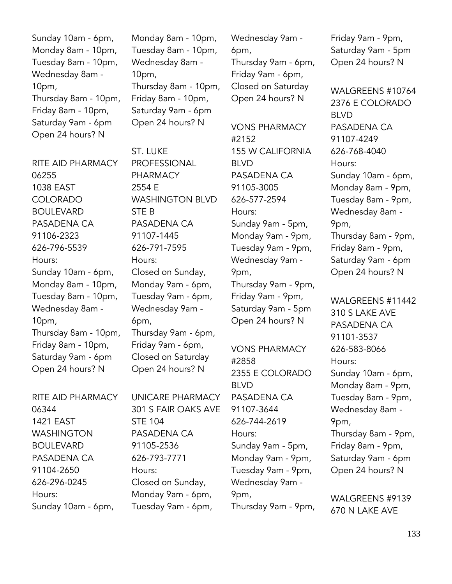Sunday 10am - 6pm, Monday 8am - 10pm, Tuesday 8am - 10pm, Wednesday 8am - 10pm, Thursday 8am - 10pm, Friday 8am - 10pm, Saturday 9am - 6pm Open 24 hours? N

RITE AID PHARMACY 06255 1038 EAST COLORADO BOULEVARD PASADENA CA 91106-2323 626-796-5539 Hours: Sunday 10am - 6pm, Monday 8am - 10pm, Tuesday 8am - 10pm, Wednesday 8am - 10pm, Thursday 8am - 10pm, Friday 8am - 10pm, Saturday 9am - 6pm Open 24 hours? N

RITE AID PHARMACY 06344 1421 EAST WASHINGTON BOULEVARD PASADENA CA 91104-2650 626-296-0245 Hours: Sunday 10am - 6pm,

Monday 8am - 10pm, Tuesday 8am - 10pm, Wednesday 8am - 10pm, Thursday 8am - 10pm, Friday 8am - 10pm, Saturday 9am - 6pm Open 24 hours? N

ST. LUKE PROFESSIONAL PHARMACY 2554 E WASHINGTON BLVD STE B PASADENA CA 91107-1445 626-791-7595 Hours: Closed on Sunday, Monday 9am - 6pm, Tuesday 9am - 6pm, Wednesday 9am - 6pm, Thursday 9am - 6pm, Friday 9am - 6pm, Closed on Saturday Open 24 hours? N

UNICARE PHARMACY 301 S FAIR OAKS AVE STE 104 PASADENA CA 91105-2536 626-793-7771 Hours: Closed on Sunday, Monday 9am - 6pm, Tuesday 9am - 6pm,

Wednesday 9am - 6pm, Thursday 9am - 6pm, Friday 9am - 6pm, Closed on Saturday Open 24 hours? N

VONS PHARMACY #2152 155 W CALIFORNIA BLVD PASADENA CA 91105-3005 626-577-2594 Hours: Sunday 9am - 5pm, Monday 9am - 9pm, Tuesday 9am - 9pm, Wednesday 9am - 9pm, Thursday 9am - 9pm, Friday 9am - 9pm, Saturday 9am - 5pm Open 24 hours? N

VONS PHARMACY #2858 2355 E COLORADO BLVD PASADENA CA 91107-3644 626-744-2619 Hours: Sunday 9am - 5pm, Monday 9am - 9pm, Tuesday 9am - 9pm, Wednesday 9am - 9pm, Thursday 9am - 9pm, Friday 9am - 9pm, Saturday 9am - 5pm Open 24 hours? N

WALGREENS #10764 2376 E COLORADO BLVD PASADENA CA 91107-4249 626-768-4040 Hours: Sunday 10am - 6pm, Monday 8am - 9pm, Tuesday 8am - 9pm, Wednesday 8am - 9pm, Thursday 8am - 9pm, Friday 8am - 9pm, Saturday 9am - 6pm Open 24 hours? N

WALGREENS #11442 310 S LAKE AVE PASADENA CA 91101-3537 626-583-8066 Hours: Sunday 10am - 6pm, Monday 8am - 9pm, Tuesday 8am - 9pm, Wednesday 8am - 9pm, Thursday 8am - 9pm, Friday 8am - 9pm, Saturday 9am - 6pm Open 24 hours? N

WALGREENS #9139 670 N LAKE AVE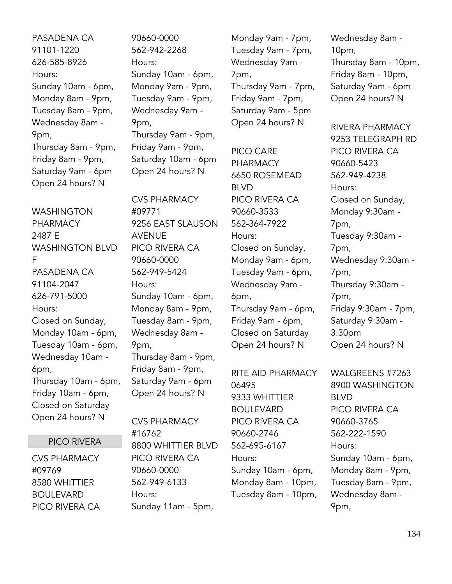PASADENA CA 91101-1220 626-585-8926 Hours: Sunday 10am - 6pm, Monday 8am - 9pm, Tuesday 8am - 9pm, Wednesday 8am - 9pm, Thursday 8am - 9pm, Friday 8am - 9pm, Saturday 9am - 6pm Open 24 hours? N

WASHINGTON PHARMACY 2487 E WASHINGTON BLVD F PASADENA CA 91104-2047 626-791-5000 Hours: Closed on Sunday, Monday 10am - 6pm, Tuesday 10am - 6pm, Wednesday 10am - 6pm, Thursday 10am - 6pm, Friday 10am - 6pm, Closed on Saturday Open 24 hours? N

## PICO RIVERA

CVS PHARMACY #09769 8580 WHITTIER BOULEVARD PICO RIVERA CA 90660-0000 562-942-2268 Hours: Sunday 10am - 6pm, Monday 9am - 9pm, Tuesday 9am - 9pm, Wednesday 9am - 9pm, Thursday 9am - 9pm, Friday 9am - 9pm, Saturday 10am - 6pm Open 24 hours? N

CVS PHARMACY #09771 9256 EAST SLAUSON AVENUE PICO RIVERA CA 90660-0000 562-949-5424 Hours: Sunday 10am - 6pm, Monday 8am - 9pm, Tuesday 8am - 9pm, Wednesday 8am - 9pm, Thursday 8am - 9pm, Friday 8am - 9pm, Saturday 9am - 6pm Open 24 hours? N

CVS PHARMACY #16762 8800 WHITTIER BLVD PICO RIVERA CA 90660-0000 562-949-6133 Hours: Sunday 11am - 5pm,

Monday 9am - 7pm, Tuesday 9am - 7pm, Wednesday 9am - 7pm, Thursday 9am - 7pm, Friday 9am - 7pm, Saturday 9am - 5pm Open 24 hours? N

PICO CARE PHARMACY 6650 ROSEMEAD BLVD PICO RIVERA CA 90660-3533 562-364-7922 Hours: Closed on Sunday, Monday 9am - 6pm, Tuesday 9am - 6pm, Wednesday 9am - 6pm, Thursday 9am - 6pm, Friday 9am - 6pm, Closed on Saturday Open 24 hours? N

RITE AID PHARMACY 06495 9333 WHITTIER BOULEVARD PICO RIVERA CA 90660-2746 562-695-6167 Hours: Sunday 10am - 6pm, Monday 8am - 10pm, Tuesday 8am - 10pm, Wednesday 8am - 10pm, Thursday 8am - 10pm, Friday 8am - 10pm, Saturday 9am - 6pm Open 24 hours? N

RIVERA PHARMACY 9253 TELEGRAPH RD PICO RIVERA CA 90660-5423 562-949-4238 Hours: Closed on Sunday, Monday 9:30am - 7pm, Tuesday 9:30am - 7pm, Wednesday 9:30am - 7pm, Thursday 9:30am - 7pm, Friday 9:30am - 7pm, Saturday 9:30am - 3:30pm Open 24 hours? N

WALGREENS #7263 8900 WASHINGTON BLVD PICO RIVERA CA 90660-3765 562-222-1590 Hours: Sunday 10am - 6pm, Monday 8am - 9pm, Tuesday 8am - 9pm, Wednesday 8am - 9pm,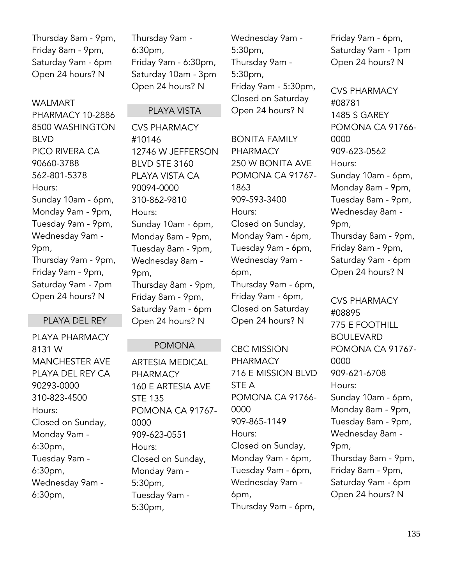Thursday 8am - 9pm, Friday 8am - 9pm, Saturday 9am - 6pm Open 24 hours? N

### WALMART

PHARMACY 10-2886 8500 WASHINGTON BLVD PICO RIVERA CA 90660-3788 562-801-5378 Hours: Sunday 10am - 6pm, Monday 9am - 9pm, Tuesday 9am - 9pm, Wednesday 9am - 9pm, Thursday 9am - 9pm, Friday 9am - 9pm, Saturday 9am - 7pm Open 24 hours? N

## PLAYA DEL REY

PLAYA PHARMACY 8131 W MANCHESTER AVE PLAYA DEL REY CA 90293-0000 310-823-4500 Hours: Closed on Sunday, Monday 9am - 6:30pm, Tuesday 9am - 6:30pm, Wednesday 9am - 6:30pm,

Thursday 9am - 6:30pm, Friday 9am - 6:30pm, Saturday 10am - 3pm Open 24 hours? N

### PI AYA VISTA

CVS PHARMACY #10146 12746 W JEFFERSON BLVD STE 3160 PLAYA VISTA CA 90094-0000 310-862-9810 Hours: Sunday 10am - 6pm, Monday 8am - 9pm, Tuesday 8am - 9pm, Wednesday 8am - 9pm, Thursday 8am - 9pm, Friday 8am - 9pm, Saturday 9am - 6pm Open 24 hours? N

## POMONA

ARTESIA MEDICAL PHARMACY 160 E ARTESIA AVE STE 135 POMONA CA 91767- 0000 909-623-0551 Hours: Closed on Sunday, Monday 9am - 5:30pm, Tuesday 9am - 5:30pm,

Wednesday 9am - 5:30pm, Thursday 9am - 5:30pm, Friday 9am - 5:30pm, Closed on Saturday Open 24 hours? N

BONITA FAMILY PHARMACY 250 W BONITA AVE POMONA CA 91767- 1863 909-593-3400 Hours: Closed on Sunday, Monday 9am - 6pm, Tuesday 9am - 6pm, Wednesday 9am - 6pm, Thursday 9am - 6pm, Friday 9am - 6pm, Closed on Saturday Open 24 hours? N

CBC MISSION PHARMACY 716 E MISSION BLVD STE A POMONA CA 91766- 0000 909-865-1149 Hours: Closed on Sunday, Monday 9am - 6pm, Tuesday 9am - 6pm, Wednesday 9am - 6pm, Thursday 9am - 6pm,

Friday 9am - 6pm, Saturday 9am - 1pm Open 24 hours? N

CVS PHARMACY #08781 1485 S GAREY POMONA CA 91766- 0000 909-623-0562 Hours: Sunday 10am - 6pm, Monday 8am - 9pm, Tuesday 8am - 9pm, Wednesday 8am - 9pm, Thursday 8am - 9pm, Friday 8am - 9pm, Saturday 9am - 6pm Open 24 hours? N

CVS PHARMACY #08895 775 E FOOTHILL BOULEVARD POMONA CA 91767- 0000 909-621-6708 Hours: Sunday 10am - 6pm, Monday 8am - 9pm, Tuesday 8am - 9pm, Wednesday 8am - 9pm, Thursday 8am - 9pm, Friday 8am - 9pm, Saturday 9am - 6pm Open 24 hours? N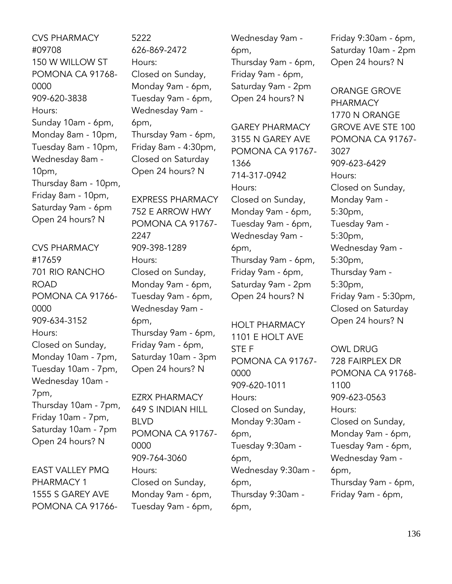CVS PHARMACY #09708 150 W WILLOW ST POMONA CA 91768- 0000 909-620-3838 Hours: Sunday 10am - 6pm, Monday 8am - 10pm, Tuesday 8am - 10pm, Wednesday 8am - 10pm, Thursday 8am - 10pm, Friday 8am - 10pm, Saturday 9am - 6pm Open 24 hours? N

CVS PHARMACY #17659 701 RIO RANCHO ROAD POMONA CA 91766- 0000 909-634-3152 Hours: Closed on Sunday, Monday 10am - 7pm, Tuesday 10am - 7pm, Wednesday 10am - 7pm, Thursday 10am - 7pm, Friday 10am - 7pm, Saturday 10am - 7pm Open 24 hours? N

EAST VALLEY PMQ PHARMACY 1 1555 S GAREY AVE POMONA CA 917665222 626-869-2472 Hours: Closed on Sunday, Monday 9am - 6pm, Tuesday 9am - 6pm, Wednesday 9am - 6pm, Thursday 9am - 6pm, Friday 8am - 4:30pm, Closed on Saturday Open 24 hours? N

EXPRESS PHARMACY 752 E ARROW HWY POMONA CA 91767- 2247 909-398-1289 Hours: Closed on Sunday, Monday 9am - 6pm, Tuesday 9am - 6pm, Wednesday 9am - 6pm, Thursday 9am - 6pm, Friday 9am - 6pm, Saturday 10am - 3pm Open 24 hours? N

EZRX PHARMACY 649 S INDIAN HILL BLVD POMONA CA 91767- 0000 909-764-3060 Hours: Closed on Sunday, Monday 9am - 6pm, Tuesday 9am - 6pm,

Wednesday 9am - 6pm, Thursday 9am - 6pm, Friday 9am - 6pm, Saturday 9am - 2pm Open 24 hours? N

GAREY PHARMACY 3155 N GAREY AVE POMONA CA 91767- 1366 714-317-0942 Hours: Closed on Sunday, Monday 9am - 6pm, Tuesday 9am - 6pm, Wednesday 9am - 6pm, Thursday 9am - 6pm, Friday 9am - 6pm, Saturday 9am - 2pm Open 24 hours? N

HOLT PHARMACY 1101 E HOLT AVE STE F POMONA CA 91767- 0000 909-620-1011 Hours: Closed on Sunday, Monday 9:30am - 6pm, Tuesday 9:30am - 6pm, Wednesday 9:30am - 6pm, Thursday 9:30am - 6pm,

Friday 9:30am - 6pm, Saturday 10am - 2pm Open 24 hours? N

ORANGE GROVE PHARMACY 1770 N ORANGE GROVE AVE STE 100 POMONA CA 91767- 3027 909-623-6429 Hours: Closed on Sunday, Monday 9am - 5:30pm, Tuesday 9am - 5:30pm, Wednesday 9am - 5:30pm, Thursday 9am - 5:30pm, Friday 9am - 5:30pm, Closed on Saturday Open 24 hours? N

OWL DRUG 728 FAIRPLEX DR POMONA CA 91768- 1100 909-623-0563 Hours: Closed on Sunday, Monday 9am - 6pm, Tuesday 9am - 6pm, Wednesday 9am - 6pm, Thursday 9am - 6pm, Friday 9am - 6pm,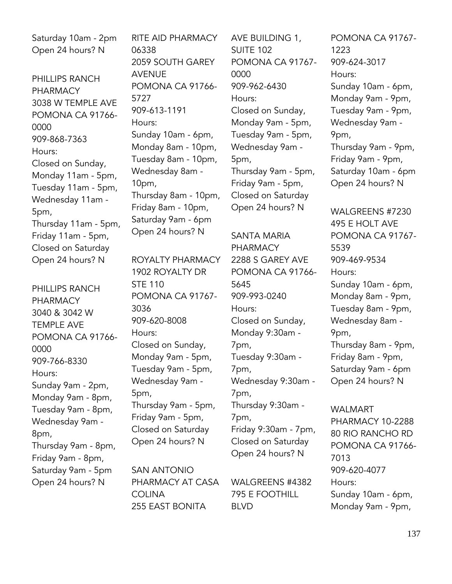Saturday 10am - 2pm Open 24 hours? N

PHILLIPS RANCH PHARMACY 3038 W TEMPLE AVE POMONA CA 91766- 0000 909-868-7363 Hours: Closed on Sunday, Monday 11am - 5pm, Tuesday 11am - 5pm, Wednesday 11am - 5pm, Thursday 11am - 5pm, Friday 11am - 5pm, Closed on Saturday Open 24 hours? N

PHILLIPS RANCH PHARMACY 3040 & 3042 W TEMPLE AVE POMONA CA 91766- 0000 909-766-8330 Hours: Sunday 9am - 2pm, Monday 9am - 8pm, Tuesday 9am - 8pm, Wednesday 9am - 8pm, Thursday 9am - 8pm, Friday 9am - 8pm, Saturday 9am - 5pm Open 24 hours? N

RITE AID PHARMACY 06338 2059 SOUTH GAREY AVENUE POMONA CA 91766- 5727 909-613-1191 Hours: Sunday 10am - 6pm, Monday 8am - 10pm, Tuesday 8am - 10pm, Wednesday 8am - 10pm, Thursday 8am - 10pm, Friday 8am - 10pm, Saturday 9am - 6pm Open 24 hours? N

ROYALTY PHARMACY 1902 ROYALTY DR STE 110 POMONA CA 91767- 3036 909-620-8008 Hours: Closed on Sunday, Monday 9am - 5pm, Tuesday 9am - 5pm, Wednesday 9am - 5pm, Thursday 9am - 5pm,

Friday 9am - 5pm, Closed on Saturday Open 24 hours? N

SAN ANTONIO PHARMACY AT CASA **COLINA** 255 EAST BONITA

AVE BUILDING 1, SUITE 102 POMONA CA 91767- 0000 909-962-6430 Hours: Closed on Sunday, Monday 9am - 5pm, Tuesday 9am - 5pm, Wednesday 9am - 5pm, Thursday 9am - 5pm, Friday 9am - 5pm, Closed on Saturday Open 24 hours? N

SANTA MARIA PHARMACY 2288 S GAREY AVE POMONA CA 91766- 5645 909-993-0240 Hours: Closed on Sunday, Monday 9:30am - 7pm, Tuesday 9:30am - 7pm, Wednesday 9:30am - 7pm, Thursday 9:30am - 7pm, Friday 9:30am - 7pm, Closed on Saturday Open 24 hours? N

WALGREENS #4382 795 E FOOTHILL BLVD

POMONA CA 91767- 1223 909-624-3017 Hours: Sunday 10am - 6pm, Monday 9am - 9pm, Tuesday 9am - 9pm, Wednesday 9am - 9pm, Thursday 9am - 9pm, Friday 9am - 9pm, Saturday 10am - 6pm Open 24 hours? N

WALGREENS #7230 495 E HOLT AVE POMONA CA 91767- 5539 909-469-9534 Hours: Sunday 10am - 6pm, Monday 8am - 9pm, Tuesday 8am - 9pm, Wednesday 8am - 9pm, Thursday 8am - 9pm, Friday 8am - 9pm, Saturday 9am - 6pm Open 24 hours? N

WALMART PHARMACY 10-2288 80 RIO RANCHO RD POMONA CA 91766- 7013 909-620-4077 Hours: Sunday 10am - 6pm, Monday 9am - 9pm,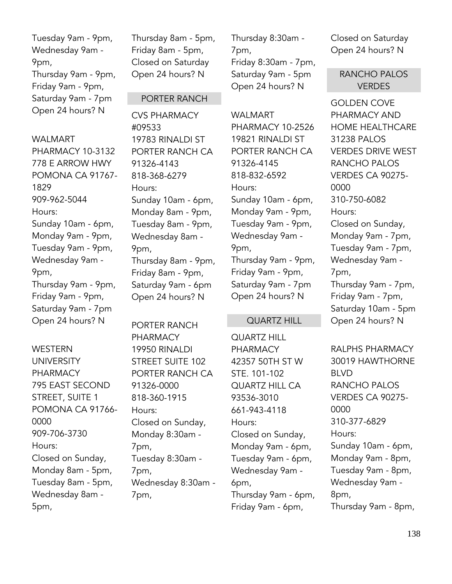# Tuesday 9am - 9pm, Wednesday 9am - 9pm, Thursday 9am - 9pm, Friday 9am - 9pm, Saturday 9am - 7pm Open 24 hours? N

## WALMART

PHARMACY 10-3132 778 E ARROW HWY POMONA CA 91767- 1829 909-962-5044 Hours: Sunday 10am - 6pm, Monday 9am - 9pm, Tuesday 9am - 9pm, Wednesday 9am - 9pm, Thursday 9am - 9pm, Friday 9am - 9pm, Saturday 9am - 7pm Open 24 hours? N

WESTERN UNIVERSITY PHARMACY 795 EAST SECOND STREET, SUITE 1 POMONA CA 91766- 0000 909-706-3730 Hours: Closed on Sunday, Monday 8am - 5pm, Tuesday 8am - 5pm, Wednesday 8am - 5pm,

Thursday 8am - 5pm, Friday 8am - 5pm, Closed on Saturday Open 24 hours? N

## PORTER RANCH

CVS PHARMACY #09533 19783 RINALDI ST PORTER RANCH CA 91326-4143 818-368-6279 Hours: Sunday 10am - 6pm, Monday 8am - 9pm, Tuesday 8am - 9pm, Wednesday 8am - 9pm, Thursday 8am - 9pm, Friday 8am - 9pm, Saturday 9am - 6pm Open 24 hours? N

PORTER RANCH PHARMACY 19950 RINALDI STREET SUITE 102 PORTER RANCH CA 91326-0000 818-360-1915 Hours: Closed on Sunday, Monday 8:30am - 7pm, Tuesday 8:30am - 7pm, Wednesday 8:30am - 7pm,

Thursday 8:30am - 7pm, Friday 8:30am - 7pm, Saturday 9am - 5pm Open 24 hours? N

WAI MART PHARMACY 10-2526 19821 RINALDI ST PORTER RANCH CA 91326-4145 818-832-6592 Hours: Sunday 10am - 6pm, Monday 9am - 9pm, Tuesday 9am - 9pm, Wednesday 9am - 9pm, Thursday 9am - 9pm, Friday 9am - 9pm, Saturday 9am - 7pm Open 24 hours? N

### QUARTZ HILL

QUARTZ HILL PHARMACY 42357 50TH ST W STE. 101-102 QUARTZ HILL CA 93536-3010 661-943-4118 Hours: Closed on Sunday, Monday 9am - 6pm, Tuesday 9am - 6pm, Wednesday 9am - 6pm, Thursday 9am - 6pm, Friday 9am - 6pm,

Closed on Saturday Open 24 hours? N

## RANCHO PALOS **VERDES**

GOLDEN COVE PHARMACY AND HOME HEALTHCARE 31238 PALOS VERDES DRIVE WEST RANCHO PALOS VERDES CA 90275- 0000 310-750-6082 Hours: Closed on Sunday, Monday 9am - 7pm, Tuesday 9am - 7pm, Wednesday 9am - 7pm, Thursday 9am - 7pm, Friday 9am - 7pm, Saturday 10am - 5pm Open 24 hours? N

RALPHS PHARMACY 30019 HAWTHORNE BLVD RANCHO PALOS VERDES CA 90275- 0000 310-377-6829 Hours: Sunday 10am - 6pm, Monday 9am - 8pm, Tuesday 9am - 8pm, Wednesday 9am - 8pm, Thursday 9am - 8pm,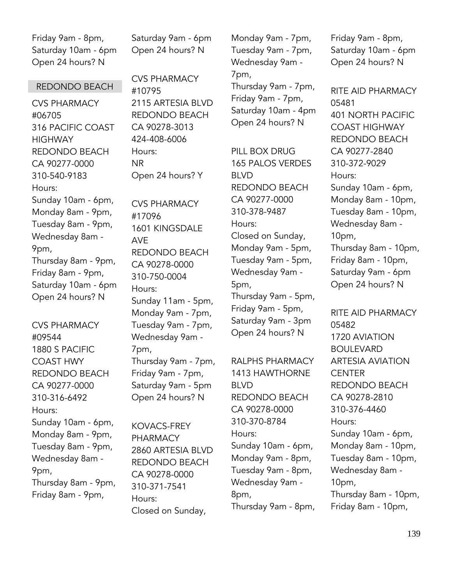Friday 9am - 8pm, Saturday 10am - 6pm Open 24 hours? N

### REDONDO BEACH

CVS PHARMACY #06705 316 PACIFIC COAST **HIGHWAY** REDONDO BEACH CA 90277-0000 310-540-9183 Hours: Sunday 10am - 6pm, Monday 8am - 9pm, Tuesday 8am - 9pm, Wednesday 8am - 9pm, Thursday 8am - 9pm, Friday 8am - 9pm, Saturday 10am - 6pm Open 24 hours? N

CVS PHARMACY #09544 1880 S PACIFIC COAST HWY REDONDO BEACH CA 90277-0000 310-316-6492 Hours: Sunday 10am - 6pm, Monday 8am - 9pm, Tuesday 8am - 9pm, Wednesday 8am - 9pm, Thursday 8am - 9pm, Friday 8am - 9pm,

Saturday 9am - 6pm Open 24 hours? N

CVS PHARMACY #10795 2115 ARTESIA BLVD REDONDO BEACH CA 90278-3013 424-408-6006 Hours: NR Open 24 hours? Y

CVS PHARMACY #17096 1601 KINGSDALE AVE REDONDO BEACH CA 90278-0000 310-750-0004 Hours: Sunday 11am - 5pm, Monday 9am - 7pm, Tuesday 9am - 7pm, Wednesday 9am - 7pm, Thursday 9am - 7pm, Friday 9am - 7pm, Saturday 9am - 5pm Open 24 hours? N

KOVACS-FREY PHARMACY 2860 ARTESIA BLVD REDONDO BEACH CA 90278-0000 310-371-7541 Hours: Closed on Sunday,

Monday 9am - 7pm, Tuesday 9am - 7pm, Wednesday 9am - 7pm, Thursday 9am - 7pm,

Friday 9am - 7pm, Saturday 10am - 4pm Open 24 hours? N

PILL BOX DRUG 165 PALOS VERDES BLVD REDONDO BEACH CA 90277-0000 310-378-9487 Hours: Closed on Sunday, Monday 9am - 5pm, Tuesday 9am - 5pm, Wednesday 9am - 5pm, Thursday 9am - 5pm, Friday 9am - 5pm, Saturday 9am - 3pm Open 24 hours? N

RALPHS PHARMACY 1413 HAWTHORNE BLVD REDONDO BEACH CA 90278-0000 310-370-8784 Hours: Sunday 10am - 6pm, Monday 9am - 8pm, Tuesday 9am - 8pm, Wednesday 9am - 8pm, Thursday 9am - 8pm, Friday 9am - 8pm, Saturday 10am - 6pm Open 24 hours? N

RITE AID PHARMACY 05481 401 NORTH PACIFIC COAST HIGHWAY REDONDO BEACH CA 90277-2840 310-372-9029 Hours: Sunday 10am - 6pm, Monday 8am - 10pm, Tuesday 8am - 10pm, Wednesday 8am - 10pm, Thursday 8am - 10pm, Friday 8am - 10pm, Saturday 9am - 6pm Open 24 hours? N

RITE AID PHARMACY 05482 1720 AVIATION BOULEVARD ARTESIA AVIATION CENTER REDONDO BEACH CA 90278-2810 310-376-4460 Hours: Sunday 10am - 6pm, Monday 8am - 10pm, Tuesday 8am - 10pm, Wednesday 8am - 10pm, Thursday 8am - 10pm, Friday 8am - 10pm,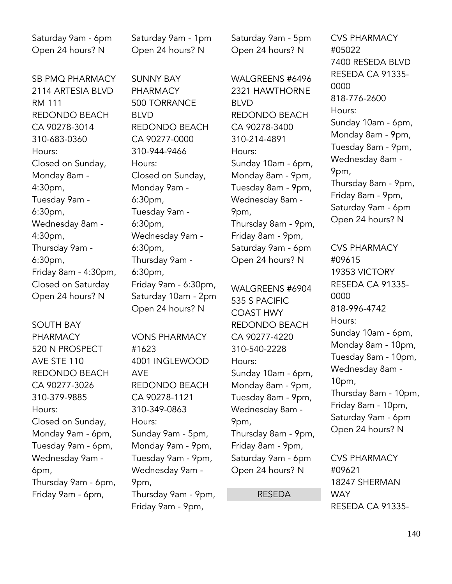Saturday 9am - 6pm Open 24 hours? N

SB PMQ PHARMACY 2114 ARTESIA BLVD RM 111 REDONDO BEACH CA 90278-3014 310-683-0360 Hours: Closed on Sunday, Monday 8am - 4:30pm, Tuesday 9am - 6:30pm, Wednesday 8am - 4:30pm, Thursday 9am - 6:30pm, Friday 8am - 4:30pm, Closed on Saturday Open 24 hours? N

SOUTH BAY PHARMACY 520 N PROSPECT AVE STE 110 REDONDO BEACH CA 90277-3026 310-379-9885 Hours: Closed on Sunday, Monday 9am - 6pm, Tuesday 9am - 6pm, Wednesday 9am - 6pm, Thursday 9am - 6pm, Friday 9am - 6pm,

Saturday 9am - 1pm Open 24 hours? N

SUNNY BAY PHARMACY 500 TORRANCE BLVD REDONDO BEACH CA 90277-0000 310-944-9466 Hours: Closed on Sunday, Monday 9am - 6:30pm, Tuesday 9am - 6:30pm, Wednesday 9am - 6:30pm, Thursday 9am - 6:30pm, Friday 9am - 6:30pm, Saturday 10am - 2pm Open 24 hours? N

VONS PHARMACY #1623 4001 INGLEWOOD AVE REDONDO BEACH CA 90278-1121 310-349-0863 Hours: Sunday 9am - 5pm, Monday 9am - 9pm, Tuesday 9am - 9pm, Wednesday 9am - 9pm, Thursday 9am - 9pm, Friday 9am - 9pm,

Saturday 9am - 5pm Open 24 hours? N

WALGREENS #6496 2321 HAWTHORNE BLVD REDONDO BEACH CA 90278-3400 310-214-4891 Hours: Sunday 10am - 6pm, Monday 8am - 9pm, Tuesday 8am - 9pm, Wednesday 8am - 9pm, Thursday 8am - 9pm, Friday 8am - 9pm, Saturday 9am - 6pm Open 24 hours? N

WALGREENS #6904 535 S PACIFIC COAST HWY REDONDO BEACH CA 90277-4220 310-540-2228 Hours: Sunday 10am - 6pm, Monday 8am - 9pm, Tuesday 8am - 9pm, Wednesday 8am - 9pm, Thursday 8am - 9pm, Friday 8am - 9pm, Saturday 9am - 6pm Open 24 hours? N

### RESEDA

CVS PHARMACY #05022 7400 RESEDA BLVD RESEDA CA 91335- 0000 818-776-2600 Hours: Sunday 10am - 6pm, Monday 8am - 9pm, Tuesday 8am - 9pm, Wednesday 8am - 9pm, Thursday 8am - 9pm, Friday 8am - 9pm, Saturday 9am - 6pm Open 24 hours? N

CVS PHARMACY #09615 19353 VICTORY RESEDA CA 91335- 0000 818-996-4742 Hours: Sunday 10am - 6pm, Monday 8am - 10pm, Tuesday 8am - 10pm, Wednesday 8am - 10pm, Thursday 8am - 10pm, Friday 8am - 10pm, Saturday 9am - 6pm Open 24 hours? N

CVS PHARMACY #09621 18247 SHERMAN **WAY** RESEDA CA 91335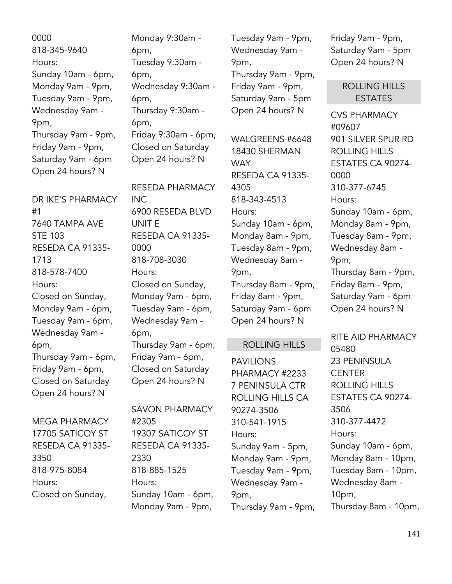0000 818-345-9640 Hours: Sunday 10am - 6pm, Monday 9am - 9pm, Tuesday 9am - 9pm, Wednesday 9am - 9pm, Thursday 9am - 9pm, Friday 9am - 9pm, Saturday 9am - 6pm Open 24 hours? N

DR IKE'S PHARMACY #1 7640 TAMPA AVE STE 103 RESEDA CA 91335- 1713 818-578-7400 Hours: Closed on Sunday, Monday 9am - 6pm, Tuesday 9am - 6pm, Wednesday 9am - 6pm, Thursday 9am - 6pm, Friday 9am - 6pm, Closed on Saturday Open 24 hours? N

MEGA PHARMACY 17705 SATICOY ST RESEDA CA 91335- 3350 818-975-8084 Hours: Closed on Sunday,

Monday 9:30am - 6pm, Tuesday 9:30am - 6pm, Wednesday 9:30am - 6pm, Thursday 9:30am - 6pm, Friday 9:30am - 6pm, Closed on Saturday Open 24 hours? N

RESEDA PHARMACY INC 6900 RESEDA BLVD UNIT E RESEDA CA 91335- 0000 818-708-3030 Hours: Closed on Sunday, Monday 9am - 6pm, Tuesday 9am - 6pm, Wednesday 9am - 6pm, Thursday 9am - 6pm, Friday 9am - 6pm, Closed on Saturday Open 24 hours? N

SAVON PHARMACY #2305 19307 SATICOY ST RESEDA CA 91335- 2330 818-885-1525 Hours: Sunday 10am - 6pm, Monday 9am - 9pm,

Tuesday 9am - 9pm, Wednesday 9am - 9pm, Thursday 9am - 9pm, Friday 9am - 9pm, Saturday 9am - 5pm Open 24 hours? N

WALGREENS #6648 18430 SHERMAN **WAY** RESEDA CA 91335- 4305 818-343-4513 Hours: Sunday 10am - 6pm, Monday 8am - 9pm, Tuesday 8am - 9pm, Wednesday 8am - 9pm, Thursday 8am - 9pm, Friday 8am - 9pm, Saturday 9am - 6pm Open 24 hours? N

# ROLLING HILLS

PAVILIONS PHARMACY #2233 7 PENINSULA CTR ROLLING HILLS CA 90274-3506 310-541-1915 Hours: Sunday 9am - 5pm, Monday 9am - 9pm, Tuesday 9am - 9pm, Wednesday 9am - 9pm, Thursday 9am - 9pm, Friday 9am - 9pm, Saturday 9am - 5pm Open 24 hours? N

> ROLLING HILLS ESTATES

CVS PHARMACY #09607 901 SILVER SPUR RD ROLLING HILLS ESTATES CA 90274- 0000 310-377-6745 Hours: Sunday 10am - 6pm, Monday 8am - 9pm, Tuesday 8am - 9pm, Wednesday 8am - 9pm, Thursday 8am - 9pm, Friday 8am - 9pm, Saturday 9am - 6pm Open 24 hours? N

RITE AID PHARMACY 05480 23 PENINSULA CENTER ROLLING HILLS ESTATES CA 90274- 3506 310-377-4472 Hours: Sunday 10am - 6pm, Monday 8am - 10pm, Tuesday 8am - 10pm, Wednesday 8am - 10pm, Thursday 8am - 10pm,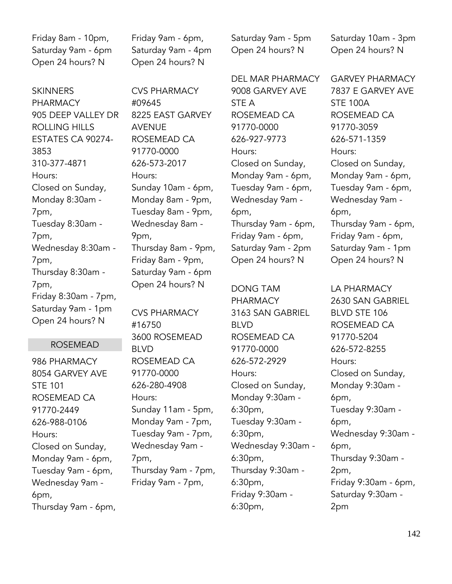Friday 8am - 10pm, Saturday 9am - 6pm Open 24 hours? N

**SKINNERS PHARMACY** 905 DEEP VALLEY DR ROLLING HILLS ESTATES CA 90274- 3853 310-377-4871 Hours: Closed on Sunday, Monday 8:30am - 7pm, Tuesday 8:30am - 7pm, Wednesday 8:30am - 7pm, Thursday 8:30am - 7pm, Friday 8:30am - 7pm, Saturday 9am - 1pm Open 24 hours? N

## ROSEMEAD

986 PHARMACY 8054 GARVEY AVE STE 101 ROSEMEAD CA 91770-2449 626-988-0106 Hours: Closed on Sunday, Monday 9am - 6pm, Tuesday 9am - 6pm, Wednesday 9am - 6pm, Thursday 9am - 6pm, Friday 9am - 6pm, Saturday 9am - 4pm Open 24 hours? N

CVS PHARMACY #09645 8225 EAST GARVEY AVENUE ROSEMEAD CA 91770-0000 626-573-2017 Hours: Sunday 10am - 6pm, Monday 8am - 9pm, Tuesday 8am - 9pm, Wednesday 8am - 9pm, Thursday 8am - 9pm, Friday 8am - 9pm, Saturday 9am - 6pm Open 24 hours? N

CVS PHARMACY #16750 3600 ROSEMEAD BLVD ROSEMEAD CA 91770-0000 626-280-4908 Hours: Sunday 11am - 5pm, Monday 9am - 7pm, Tuesday 9am - 7pm, Wednesday 9am - 7pm, Thursday 9am - 7pm, Friday 9am - 7pm,

Saturday 9am - 5pm Open 24 hours? N

DEL MAR PHARMACY 9008 GARVEY AVE STE A ROSEMEAD CA 91770-0000 626-927-9773 Hours: Closed on Sunday, Monday 9am - 6pm, Tuesday 9am - 6pm, Wednesday 9am - 6pm, Thursday 9am - 6pm, Friday 9am - 6pm, Saturday 9am - 2pm Open 24 hours? N

DONG TAM PHARMACY 3163 SAN GABRIEL BLVD ROSEMEAD CA 91770-0000 626-572-2929 Hours: Closed on Sunday, Monday 9:30am - 6:30pm, Tuesday 9:30am - 6:30pm, Wednesday 9:30am - 6:30pm, Thursday 9:30am - 6:30pm, Friday 9:30am - 6:30pm,

Saturday 10am - 3pm Open 24 hours? N

GARVEY PHARMACY 7837 E GARVEY AVE STE 100A ROSEMEAD CA 91770-3059 626-571-1359 Hours: Closed on Sunday, Monday 9am - 6pm, Tuesday 9am - 6pm, Wednesday 9am - 6pm, Thursday 9am - 6pm, Friday 9am - 6pm, Saturday 9am - 1pm Open 24 hours? N

LA PHARMACY 2630 SAN GABRIEL BLVD STE 106 ROSEMEAD CA 91770-5204 626-572-8255 Hours: Closed on Sunday, Monday 9:30am - 6pm, Tuesday 9:30am - 6pm, Wednesday 9:30am - 6pm, Thursday 9:30am - 2pm, Friday 9:30am - 6pm, Saturday 9:30am - 2pm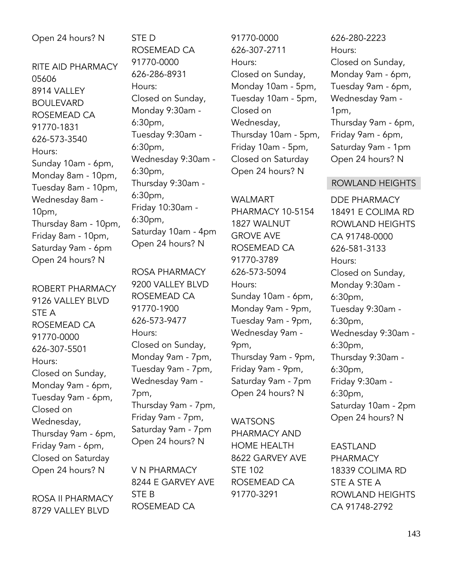## Open 24 hours? N

RITE AID PHARMACY 05606 8914 VALLEY BOULEVARD ROSEMEAD CA 91770-1831 626-573-3540 Hours: Sunday 10am - 6pm, Monday 8am - 10pm, Tuesday 8am - 10pm, Wednesday 8am - 10pm, Thursday 8am - 10pm, Friday 8am - 10pm, Saturday 9am - 6pm Open 24 hours? N

ROBERT PHARMACY 9126 VALLEY BLVD STE A ROSEMEAD CA 91770-0000 626-307-5501 Hours: Closed on Sunday, Monday 9am - 6pm, Tuesday 9am - 6pm, Closed on Wednesday, Thursday 9am - 6pm, Friday 9am - 6pm, Closed on Saturday Open 24 hours? N

ROSA II PHARMACY 8729 VALLEY BLVD

STE D ROSEMEAD CA 91770-0000 626-286-8931 Hours: Closed on Sunday, Monday 9:30am - 6:30pm, Tuesday 9:30am - 6:30pm, Wednesday 9:30am - 6:30pm, Thursday 9:30am - 6:30pm, Friday 10:30am - 6:30pm, Saturday 10am - 4pm Open 24 hours? N

ROSA PHARMACY 9200 VALLEY BLVD ROSEMEAD CA 91770-1900 626-573-9477 Hours: Closed on Sunday, Monday 9am - 7pm, Tuesday 9am - 7pm, Wednesday 9am - 7pm, Thursday 9am - 7pm, Friday 9am - 7pm, Saturday 9am - 7pm Open 24 hours? N

V N PHARMACY 8244 E GARVEY AVE STE B ROSEMEAD CA

91770-0000 626-307-2711 Hours: Closed on Sunday, Monday 10am - 5pm, Tuesday 10am - 5pm, Closed on Wednesday, Thursday 10am - 5pm, Friday 10am - 5pm, Closed on Saturday Open 24 hours? N

WALMART PHARMACY 10-5154 1827 WALNUT GROVE AVE ROSEMEAD CA 91770-3789 626-573-5094 Hours: Sunday 10am - 6pm, Monday 9am - 9pm, Tuesday 9am - 9pm, Wednesday 9am - 9pm, Thursday 9am - 9pm, Friday 9am - 9pm, Saturday 9am - 7pm Open 24 hours? N

**WATSONS** PHARMACY AND HOME HEALTH 8622 GARVEY AVE STE 102 ROSEMEAD CA 91770-3291

# 626-280-2223 Hours: Closed on Sunday, Monday 9am - 6pm, Tuesday 9am - 6pm, Wednesday 9am - 1pm, Thursday 9am - 6pm, Friday 9am - 6pm, Saturday 9am - 1pm Open 24 hours? N

#### ROWLAND HEIGHTS

DDE PHARMACY 18491 E COLIMA RD ROWLAND HEIGHTS CA 91748-0000 626-581-3133 Hours: Closed on Sunday, Monday 9:30am - 6:30pm, Tuesday 9:30am - 6:30pm, Wednesday 9:30am - 6:30pm, Thursday 9:30am - 6:30pm, Friday 9:30am - 6:30pm, Saturday 10am - 2pm Open 24 hours? N

EASTLAND PHARMACY 18339 COLIMA RD STE A STE A ROWLAND HEIGHTS CA 91748-2792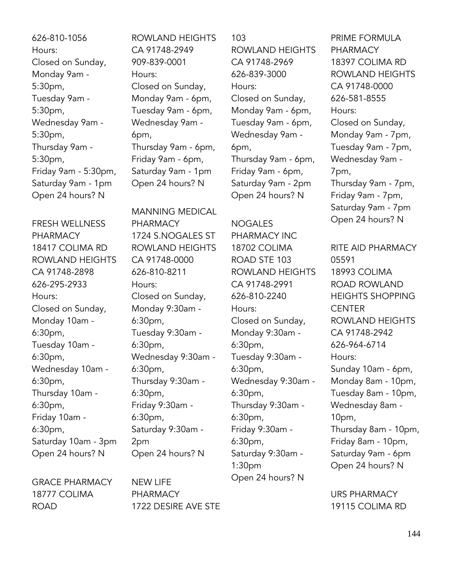626-810-1056 Hours: Closed on Sunday, Monday 9am - 5:30pm, Tuesday 9am - 5:30pm, Wednesday 9am - 5:30pm, Thursday 9am - 5:30pm, Friday 9am - 5:30pm, Saturday 9am - 1pm Open 24 hours? N

FRESH WELLNESS PHARMACY 18417 COLIMA RD ROWLAND HEIGHTS CA 91748-2898 626-295-2933 Hours: Closed on Sunday, Monday 10am - 6:30pm, Tuesday 10am - 6:30pm, Wednesday 10am - 6:30pm, Thursday 10am - 6:30pm, Friday 10am - 6:30pm, Saturday 10am - 3pm Open 24 hours? N

GRACE PHARMACY 18777 COLIMA ROAD

ROWLAND HEIGHTS CA 91748-2949 909-839-0001 Hours: Closed on Sunday, Monday 9am - 6pm, Tuesday 9am - 6pm, Wednesday 9am - 6pm, Thursday 9am - 6pm, Friday 9am - 6pm, Saturday 9am - 1pm Open 24 hours? N

MANNING MEDICAL PHARMACY 1724 S.NOGALES ST ROWLAND HEIGHTS CA 91748-0000 626-810-8211 Hours: Closed on Sunday, Monday 9:30am - 6:30pm, Tuesday 9:30am - 6:30pm, Wednesday 9:30am - 6:30pm, Thursday 9:30am - 6:30pm, Friday 9:30am - 6:30pm, Saturday 9:30am - 2pm Open 24 hours? N

103

ROWLAND HEIGHTS CA 91748-2969 626-839-3000 Hours: Closed on Sunday, Monday 9am - 6pm, Tuesday 9am - 6pm, Wednesday 9am - 6pm, Thursday 9am - 6pm, Friday 9am - 6pm, Saturday 9am - 2pm Open 24 hours? N

NOGALES PHARMACY INC 18702 COLIMA ROAD STE 103 ROWLAND HEIGHTS CA 91748-2991 626-810-2240 Hours: Closed on Sunday, Monday 9:30am - 6:30pm, Tuesday 9:30am - 6:30pm, Wednesday 9:30am - 6:30pm, Thursday 9:30am - 6:30pm, Friday 9:30am - 6:30pm, Saturday 9:30am - 1:30pm Open 24 hours? N

PRIME FORMULA PHARMACY 18397 COLIMA RD ROWLAND HEIGHTS CA 91748-0000 626-581-8555 Hours: Closed on Sunday, Monday 9am - 7pm, Tuesday 9am - 7pm, Wednesday 9am - 7pm, Thursday 9am - 7pm, Friday 9am - 7pm, Saturday 9am - 7pm Open 24 hours? N

RITE AID PHARMACY 05591 18993 COLIMA ROAD ROWLAND HEIGHTS SHOPPING **CENTER** ROWLAND HEIGHTS CA 91748-2942 626-964-6714 Hours: Sunday 10am - 6pm, Monday 8am - 10pm, Tuesday 8am - 10pm, Wednesday 8am - 10pm, Thursday 8am - 10pm, Friday 8am - 10pm, Saturday 9am - 6pm Open 24 hours? N

URS PHARMACY 19115 COLIMA RD

NEW LIFE PHARMACY 1722 DESIRE AVE STE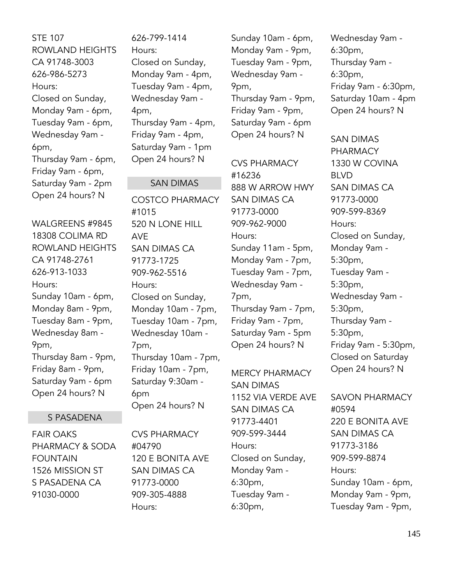STE 107 ROWLAND HEIGHTS CA 91748-3003 626-986-5273 Hours: Closed on Sunday, Monday 9am - 6pm, Tuesday 9am - 6pm, Wednesday 9am - 6pm, Thursday 9am - 6pm, Friday 9am - 6pm, Saturday 9am - 2pm Open 24 hours? N

WALGREENS #9845 18308 COLIMA RD ROWLAND HEIGHTS CA 91748-2761 626-913-1033 Hours: Sunday 10am - 6pm, Monday 8am - 9pm, Tuesday 8am - 9pm, Wednesday 8am - 9pm, Thursday 8am - 9pm, Friday 8am - 9pm, Saturday 9am - 6pm Open 24 hours? N

# S PASADENA

FAIR OAKS PHARMACY & SODA FOUNTAIN 1526 MISSION ST S PASADENA CA 91030-0000

626-799-1414 Hours: Closed on Sunday, Monday 9am - 4pm, Tuesday 9am - 4pm, Wednesday 9am - 4pm, Thursday 9am - 4pm, Friday 9am - 4pm, Saturday 9am - 1pm Open 24 hours? N

### SAN DIMAS

COSTCO PHARMACY #1015 520 N LONE HILL AVE SAN DIMAS CA 91773-1725 909-962-5516 Hours: Closed on Sunday, Monday 10am - 7pm, Tuesday 10am - 7pm, Wednesday 10am - 7pm, Thursday 10am - 7pm, Friday 10am - 7pm, Saturday 9:30am - 6pm Open 24 hours? N

CVS PHARMACY #04790 120 E BONITA AVE SAN DIMAS CA 91773-0000 909-305-4888 Hours:

Sunday 10am - 6pm, Monday 9am - 9pm, Tuesday 9am - 9pm, Wednesday 9am - 9pm, Thursday 9am - 9pm, Friday 9am - 9pm, Saturday 9am - 6pm Open 24 hours? N

CVS PHARMACY #16236 888 W ARROW HWY SAN DIMAS CA 91773-0000 909-962-9000 Hours: Sunday 11am - 5pm, Monday 9am - 7pm, Tuesday 9am - 7pm, Wednesday 9am - 7pm, Thursday 9am - 7pm, Friday 9am - 7pm, Saturday 9am - 5pm Open 24 hours? N

MERCY PHARMACY SAN DIMAS 1152 VIA VERDE AVE SAN DIMAS CA 91773-4401 909-599-3444 Hours: Closed on Sunday, Monday 9am - 6:30pm, Tuesday 9am - 6:30pm,

Wednesday 9am - 6:30pm, Thursday 9am - 6:30pm, Friday 9am - 6:30pm, Saturday 10am - 4pm Open 24 hours? N

SAN DIMAS PHARMACY 1330 W COVINA BLVD SAN DIMAS CA 91773-0000 909-599-8369 Hours: Closed on Sunday, Monday 9am - 5:30pm, Tuesday 9am - 5:30pm, Wednesday 9am - 5:30pm, Thursday 9am - 5:30pm, Friday 9am - 5:30pm, Closed on Saturday Open 24 hours? N

SAVON PHARMACY #0594 220 E BONITA AVE SAN DIMAS CA 91773-3186 909-599-8874 Hours: Sunday 10am - 6pm, Monday 9am - 9pm, Tuesday 9am - 9pm,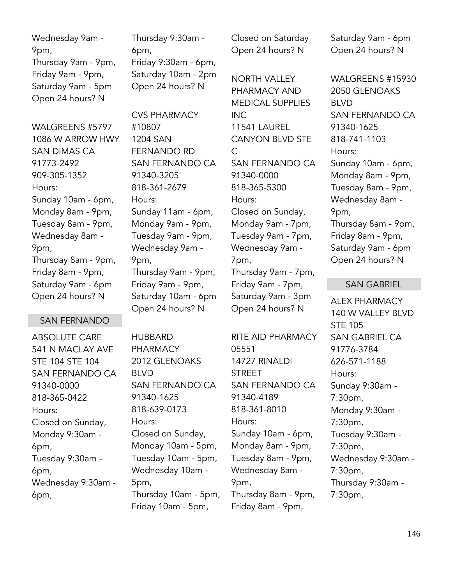Wednesday 9am - 9pm, Thursday 9am - 9pm, Friday 9am - 9pm, Saturday 9am - 5pm Open 24 hours? N

WAI GRFFNS #5797 1086 W ARROW HWY SAN DIMAS CA 91773-2492 909-305-1352 Hours: Sunday 10am - 6pm, Monday 8am - 9pm, Tuesday 8am - 9pm, Wednesday 8am - 9pm, Thursday 8am - 9pm, Friday 8am - 9pm, Saturday 9am - 6pm Open 24 hours? N

# SAN FERNANDO

ABSOLUTE CARE 541 N MACLAY AVE STE 104 STE 104 SAN FERNANDO CA 91340-0000 818-365-0422 Hours: Closed on Sunday, Monday 9:30am - 6pm, Tuesday 9:30am - 6pm, Wednesday 9:30am - 6pm,

Thursday 9:30am - 6pm, Friday 9:30am - 6pm, Saturday 10am - 2pm Open 24 hours? N

CVS PHARMACY #10807 1204 SAN FERNANDO RD SAN FERNANDO CA 91340-3205 818-361-2679 Hours: Sunday 11am - 6pm, Monday 9am - 9pm, Tuesday 9am - 9pm, Wednesday 9am - 9pm, Thursday 9am - 9pm, Friday 9am - 9pm, Saturday 10am - 6pm Open 24 hours? N

HUBBARD PHARMACY 2012 GLENOAKS BLVD SAN FERNANDO CA 91340-1625 818-639-0173 Hours: Closed on Sunday, Monday 10am - 5pm, Tuesday 10am - 5pm, Wednesday 10am - 5pm, Thursday 10am - 5pm, Friday 10am - 5pm,

Closed on Saturday Open 24 hours? N

NORTH VALLEY PHARMACY AND MEDICAL SUPPLIES INC 11541 LAUREL CANYON BLVD STE  $\mathcal{C}$ SAN FERNANDO CA 91340-0000 818-365-5300 Hours: Closed on Sunday, Monday 9am - 7pm, Tuesday 9am - 7pm, Wednesday 9am - 7pm, Thursday 9am - 7pm, Friday 9am - 7pm, Saturday 9am - 3pm Open 24 hours? N

RITE AID PHARMACY 05551 14727 RINALDI STREET SAN FERNANDO CA 91340-4189 818-361-8010 Hours: Sunday 10am - 6pm, Monday 8am - 9pm, Tuesday 8am - 9pm, Wednesday 8am - 9pm, Thursday 8am - 9pm, Friday 8am - 9pm,

Saturday 9am - 6pm Open 24 hours? N

WALGREENS #15930 2050 GLENOAKS BLVD SAN FERNANDO CA 91340-1625 818-741-1103 Hours: Sunday 10am - 6pm, Monday 8am - 9pm, Tuesday 8am - 9pm, Wednesday 8am - 9pm, Thursday 8am - 9pm, Friday 8am - 9pm, Saturday 9am - 6pm Open 24 hours? N

### SAN GABRIEL

ALEX PHARMACY 140 W VALLEY BLVD STE 105 SAN GABRIEL CA 91776-3784 626-571-1188 Hours: Sunday 9:30am - 7:30pm, Monday 9:30am - 7:30pm, Tuesday 9:30am - 7:30pm, Wednesday 9:30am - 7:30pm, Thursday 9:30am - 7:30pm,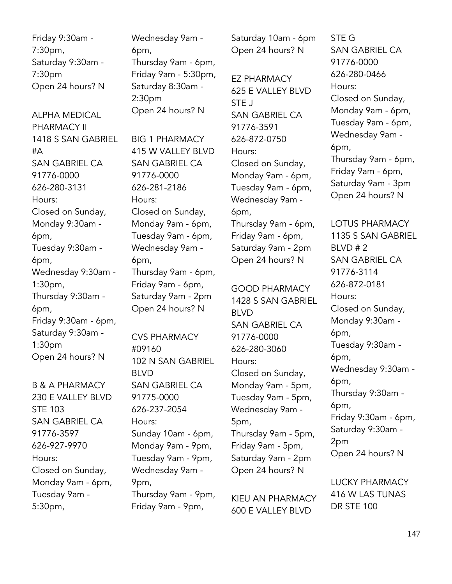Friday 9:30am - 7:30pm, Saturday 9:30am - 7:30pm Open 24 hours? N

ALPHA MEDICAL PHARMACY II 1418 S SAN GABRIEL #A SAN GABRIEL CA 91776-0000 626-280-3131 Hours: Closed on Sunday, Monday 9:30am - 6pm, Tuesday 9:30am - 6pm, Wednesday 9:30am - 1:30pm, Thursday 9:30am - 6pm, Friday 9:30am - 6pm, Saturday 9:30am - 1:30pm Open 24 hours? N

B & A PHARMACY 230 E VALLEY BLVD STE 103 SAN GABRIEL CA 91776-3597 626-927-9970 Hours: Closed on Sunday, Monday 9am - 6pm, Tuesday 9am - 5:30pm,

Wednesday 9am - 6pm, Thursday 9am - 6pm, Friday 9am - 5:30pm, Saturday 8:30am - 2:30pm Open 24 hours? N

BIG 1 PHARMACY 415 W VALLEY BLVD SAN GABRIEL CA 91776-0000 626-281-2186 Hours: Closed on Sunday, Monday 9am - 6pm, Tuesday 9am - 6pm, Wednesday 9am - 6pm, Thursday 9am - 6pm, Friday 9am - 6pm, Saturday 9am - 2pm Open 24 hours? N

CVS PHARMACY #09160 102 N SAN GABRIEL BLVD SAN GABRIEL CA 91775-0000 626-237-2054 Hours: Sunday 10am - 6pm, Monday 9am - 9pm, Tuesday 9am - 9pm, Wednesday 9am - 9pm, Thursday 9am - 9pm, Friday 9am - 9pm,

Saturday 10am - 6pm Open 24 hours? N

EZ PHARMACY 625 E VALLEY BLVD STE J SAN GABRIEL CA 91776-3591 626-872-0750 Hours: Closed on Sunday, Monday 9am - 6pm, Tuesday 9am - 6pm, Wednesday 9am - 6pm, Thursday 9am - 6pm, Friday 9am - 6pm, Saturday 9am - 2pm Open 24 hours? N

GOOD PHARMACY 1428 S SAN GABRIEL BLVD SAN GABRIEL CA 91776-0000 626-280-3060 Hours: Closed on Sunday, Monday 9am - 5pm, Tuesday 9am - 5pm, Wednesday 9am - 5pm, Thursday 9am - 5pm, Friday 9am - 5pm, Saturday 9am - 2pm Open 24 hours? N

KIEU AN PHARMACY 600 E VALLEY BLVD

STE G SAN GABRIEL CA 91776-0000 626-280-0466 Hours: Closed on Sunday, Monday 9am - 6pm, Tuesday 9am - 6pm, Wednesday 9am - 6pm, Thursday 9am - 6pm, Friday 9am - 6pm, Saturday 9am - 3pm Open 24 hours? N

LOTUS PHARMACY 1135 S SAN GABRIEL BLVD # 2 SAN GABRIEL CA 91776-3114 626-872-0181 Hours: Closed on Sunday, Monday 9:30am - 6pm, Tuesday 9:30am - 6pm, Wednesday 9:30am - 6pm, Thursday 9:30am - 6pm, Friday 9:30am - 6pm, Saturday 9:30am - 2pm Open 24 hours? N

LUCKY PHARMACY 416 W LAS TUNAS DR STE 100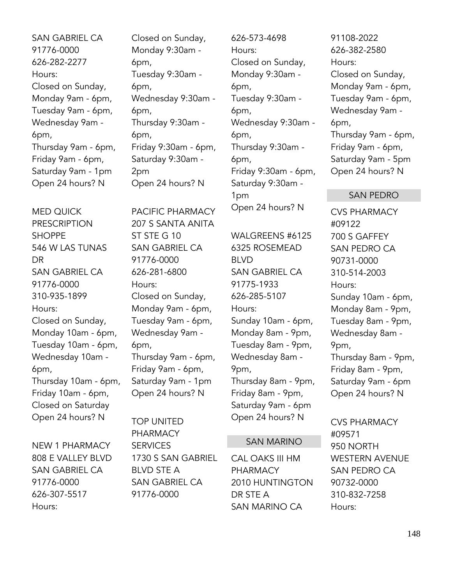SAN GABRIEL CA 91776-0000 626-282-2277 Hours: Closed on Sunday, Monday 9am - 6pm, Tuesday 9am - 6pm, Wednesday 9am - 6pm, Thursday 9am - 6pm, Friday 9am - 6pm, Saturday 9am - 1pm Open 24 hours? N

MED QUICK PRESCRIPTION SHOPPE 546 W LAS TUNAS DR SAN GABRIEL CA 91776-0000 310-935-1899 Hours: Closed on Sunday, Monday 10am - 6pm, Tuesday 10am - 6pm, Wednesday 10am - 6pm, Thursday 10am - 6pm, Friday 10am - 6pm, Closed on Saturday Open 24 hours? N

NEW 1 PHARMACY 808 E VALLEY BLVD SAN GABRIEL CA 91776-0000 626-307-5517 Hours:

Closed on Sunday, Monday 9:30am - 6pm, Tuesday 9:30am - 6pm, Wednesday 9:30am - 6pm, Thursday 9:30am - 6pm, Friday 9:30am - 6pm, Saturday 9:30am - 2pm Open 24 hours? N

PACIFIC PHARMACY 207 S SANTA ANITA ST STE G 10 SAN GABRIEL CA 91776-0000 626-281-6800 Hours: Closed on Sunday, Monday 9am - 6pm, Tuesday 9am - 6pm, Wednesday 9am - 6pm, Thursday 9am - 6pm, Friday 9am - 6pm, Saturday 9am - 1pm Open 24 hours? N

TOP UNITED PHARMACY SERVICES 1730 S SAN GABRIEL BLVD STE A SAN GABRIEL CA 91776-0000

626-573-4698 Hours: Closed on Sunday, Monday 9:30am - 6pm, Tuesday 9:30am - 6pm, Wednesday 9:30am - 6pm, Thursday 9:30am - 6pm, Friday 9:30am - 6pm, Saturday 9:30am - 1pm Open 24 hours? N

WALGREENS #6125 6325 ROSEMEAD BLVD SAN GABRIEL CA 91775-1933 626-285-5107 Hours: Sunday 10am - 6pm, Monday 8am - 9pm, Tuesday 8am - 9pm, Wednesday 8am - 9pm, Thursday 8am - 9pm, Friday 8am - 9pm, Saturday 9am - 6pm Open 24 hours? N

#### SAN MARINO

CAL OAKS III HM PHARMACY 2010 HUNTINGTON DR STE A SAN MARINO CA

91108-2022 626-382-2580 Hours: Closed on Sunday, Monday 9am - 6pm, Tuesday 9am - 6pm, Wednesday 9am - 6pm, Thursday 9am - 6pm, Friday 9am - 6pm, Saturday 9am - 5pm Open 24 hours? N

#### SAN PEDRO

CVS PHARMACY #09122 700 S GAFFEY SAN PEDRO CA 90731-0000 310-514-2003 Hours: Sunday 10am - 6pm, Monday 8am - 9pm, Tuesday 8am - 9pm, Wednesday 8am - 9pm, Thursday 8am - 9pm, Friday 8am - 9pm, Saturday 9am - 6pm Open 24 hours? N

CVS PHARMACY #09571 950 NORTH WESTERN AVENUE SAN PEDRO CA 90732-0000 310-832-7258 Hours: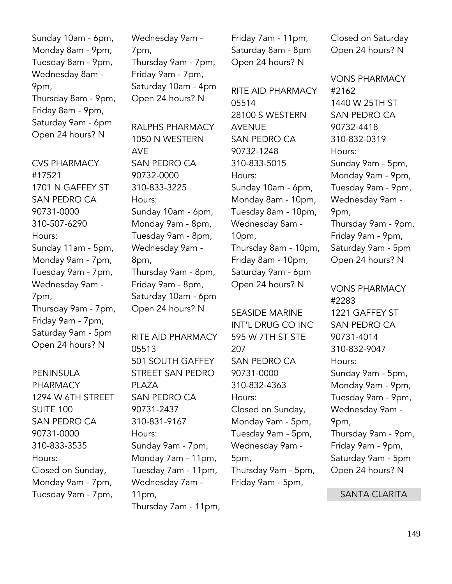Sunday 10am - 6pm, Monday 8am - 9pm, Tuesday 8am - 9pm, Wednesday 8am - 9pm, Thursday 8am - 9pm, Friday 8am - 9pm, Saturday 9am - 6pm Open 24 hours? N

CVS PHARMACY #17521 1701 N GAFFEY ST SAN PEDRO CA 90731-0000 310-507-6290 Hours: Sunday 11am - 5pm, Monday 9am - 7pm, Tuesday 9am - 7pm, Wednesday 9am - 7pm, Thursday 9am - 7pm, Friday 9am - 7pm, Saturday 9am - 5pm Open 24 hours? N

PENINSULA PHARMACY 1294 W 6TH STREET SUITE 100 SAN PEDRO CA 90731-0000 310-833-3535 Hours: Closed on Sunday, Monday 9am - 7pm, Tuesday 9am - 7pm,

Wednesday 9am - 7pm, Thursday 9am - 7pm, Friday 9am - 7pm, Saturday 10am - 4pm Open 24 hours? N

RALPHS PHARMACY 1050 N WESTERN AVE SAN PEDRO CA 90732-0000 310-833-3225 Hours: Sunday 10am - 6pm, Monday 9am - 8pm, Tuesday 9am - 8pm, Wednesday 9am - 8pm, Thursday 9am - 8pm, Friday 9am - 8pm, Saturday 10am - 6pm Open 24 hours? N

RITE AID PHARMACY 05513 501 SOUTH GAFFEY STREET SAN PEDRO PLAZA SAN PEDRO CA 90731-2437 310-831-9167 Hours: Sunday 9am - 7pm, Monday 7am - 11pm, Tuesday 7am - 11pm, Wednesday 7am - 11pm, Thursday 7am - 11pm,

Friday 7am - 11pm, Saturday 8am - 8pm Open 24 hours? N

RITE AID PHARMACY 05514 28100 S WESTERN AVENUE SAN PEDRO CA 90732-1248 310-833-5015 Hours: Sunday 10am - 6pm, Monday 8am - 10pm, Tuesday 8am - 10pm, Wednesday 8am - 10pm, Thursday 8am - 10pm, Friday 8am - 10pm, Saturday 9am - 6pm Open 24 hours? N

SEASIDE MARINE INT'L DRUG CO INC 595 W 7TH ST STE 207 SAN PEDRO CA 90731-0000 310-832-4363 Hours: Closed on Sunday, Monday 9am - 5pm, Tuesday 9am - 5pm, Wednesday 9am - 5pm, Thursday 9am - 5pm, Friday 9am - 5pm,

Closed on Saturday Open 24 hours? N

VONS PHARMACY #2162 1440 W 25TH ST SAN PEDRO CA 90732-4418 310-832-0319 Hours: Sunday 9am - 5pm, Monday 9am - 9pm, Tuesday 9am - 9pm, Wednesday 9am - 9pm, Thursday 9am - 9pm, Friday 9am - 9pm, Saturday 9am - 5pm Open 24 hours? N

VONS PHARMACY #2283 1221 GAFFEY ST SAN PEDRO CA 90731-4014 310-832-9047 Hours: Sunday 9am - 5pm, Monday 9am - 9pm, Tuesday 9am - 9pm, Wednesday 9am - 9pm, Thursday 9am - 9pm, Friday 9am - 9pm, Saturday 9am - 5pm Open 24 hours? N

SANTA CLARITA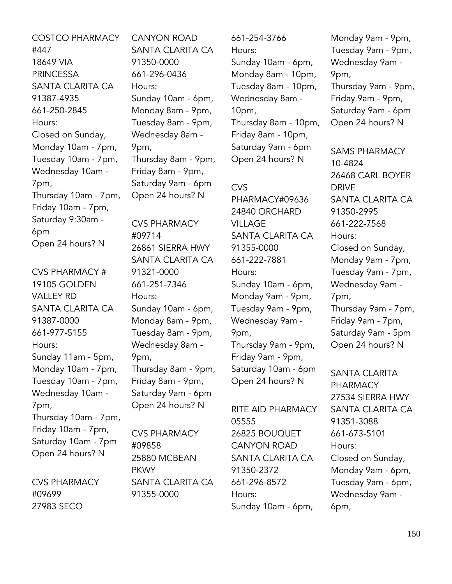COSTCO PHARMACY #447 18649 VIA PRINCESSA SANTA CLARITA CA 91387-4935 661-250-2845 Hours: Closed on Sunday, Monday 10am - 7pm, Tuesday 10am - 7pm, Wednesday 10am - 7pm, Thursday 10am - 7pm, Friday 10am - 7pm, Saturday 9:30am - 6pm Open 24 hours? N

CVS PHARMACY # 19105 GOLDEN VALLEY RD SANTA CLARITA CA 91387-0000 661-977-5155 Hours: Sunday 11am - 5pm, Monday 10am - 7pm, Tuesday 10am - 7pm, Wednesday 10am - 7pm, Thursday 10am - 7pm, Friday 10am - 7pm, Saturday 10am - 7pm Open 24 hours? N

CVS PHARMACY #09699 27983 SECO

CANYON ROAD SANTA CLARITA CA 91350-0000 661-296-0436 Hours: Sunday 10am - 6pm, Monday 8am - 9pm, Tuesday 8am - 9pm, Wednesday 8am - 9pm, Thursday 8am - 9pm, Friday 8am - 9pm, Saturday 9am - 6pm Open 24 hours? N

CVS PHARMACY #09714 26861 SIERRA HWY SANTA CLARITA CA 91321-0000 661-251-7346 Hours: Sunday 10am - 6pm, Monday 8am - 9pm, Tuesday 8am - 9pm, Wednesday 8am - 9pm, Thursday 8am - 9pm, Friday 8am - 9pm, Saturday 9am - 6pm Open 24 hours? N

CVS PHARMACY #09858 25880 MCBEAN PKWY SANTA CLARITA CA 91355-0000

661-254-3766 Hours: Sunday 10am - 6pm, Monday 8am - 10pm, Tuesday 8am - 10pm, Wednesday 8am - 10pm, Thursday 8am - 10pm, Friday 8am - 10pm, Saturday 9am - 6pm Open 24 hours? N

### CVS

PHARMACY#09636 24840 ORCHARD VILLAGE SANTA CLARITA CA 91355-0000 661-222-7881 Hours: Sunday 10am - 6pm, Monday 9am - 9pm, Tuesday 9am - 9pm, Wednesday 9am - 9pm, Thursday 9am - 9pm, Friday 9am - 9pm, Saturday 10am - 6pm Open 24 hours? N

RITE AID PHARMACY 05555 26825 BOUQUET CANYON ROAD SANTA CLARITA CA 91350-2372 661-296-8572 Hours: Sunday 10am - 6pm,

Monday 9am - 9pm, Tuesday 9am - 9pm, Wednesday 9am - 9pm, Thursday 9am - 9pm, Friday 9am - 9pm, Saturday 9am - 6pm Open 24 hours? N

SAMS PHARMACY 10-4824 26468 CARL BOYER DRIVE SANTA CLARITA CA 91350-2995 661-222-7568 Hours: Closed on Sunday, Monday 9am - 7pm, Tuesday 9am - 7pm, Wednesday 9am - 7pm, Thursday 9am - 7pm, Friday 9am - 7pm, Saturday 9am - 5pm Open 24 hours? N

SANTA CLARITA PHARMACY 27534 SIERRA HWY SANTA CLARITA CA 91351-3088 661-673-5101 Hours: Closed on Sunday, Monday 9am - 6pm, Tuesday 9am - 6pm, Wednesday 9am - 6pm,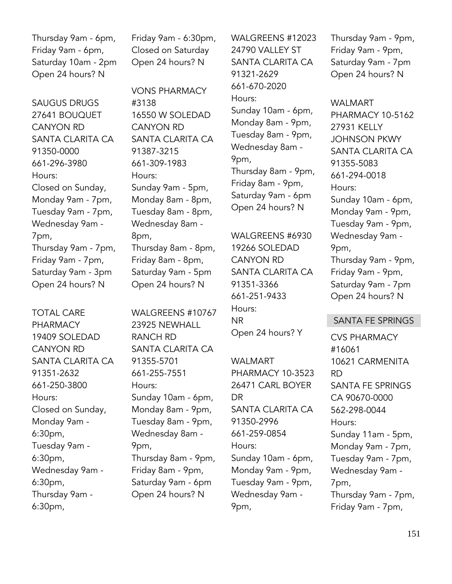Thursday 9am - 6pm, Friday 9am - 6pm, Saturday 10am - 2pm Open 24 hours? N

SAUGUS DRUGS 27641 BOUQUET CANYON RD SANTA CLARITA CA 91350-0000 661-296-3980 Hours: Closed on Sunday, Monday 9am - 7pm, Tuesday 9am - 7pm, Wednesday 9am - 7pm, Thursday 9am - 7pm, Friday 9am - 7pm, Saturday 9am - 3pm Open 24 hours? N

TOTAL CARE PHARMACY 19409 SOLEDAD CANYON RD SANTA CLARITA CA 91351-2632 661-250-3800 Hours: Closed on Sunday, Monday 9am - 6:30pm, Tuesday 9am - 6:30pm, Wednesday 9am - 6:30pm, Thursday 9am - 6:30pm,

Friday 9am - 6:30pm, Closed on Saturday Open 24 hours? N

VONS PHARMACY #3138 16550 W SOLEDAD CANYON RD SANTA CLARITA CA 91387-3215 661-309-1983 Hours: Sunday 9am - 5pm, Monday 8am - 8pm, Tuesday 8am - 8pm, Wednesday 8am - 8pm, Thursday 8am - 8pm, Friday 8am - 8pm, Saturday 9am - 5pm Open 24 hours? N

WALGREENS #10767 23925 NEWHALL RANCH RD SANTA CLARITA CA 91355-5701 661-255-7551 Hours: Sunday 10am - 6pm, Monday 8am - 9pm, Tuesday 8am - 9pm, Wednesday 8am - 9pm, Thursday 8am - 9pm, Friday 8am - 9pm, Saturday 9am - 6pm Open 24 hours? N

WALGREENS #12023 24790 VALLEY ST SANTA CLARITA CA 91321-2629 661-670-2020 Hours: Sunday 10am - 6pm, Monday 8am - 9pm, Tuesday 8am - 9pm, Wednesday 8am - 9pm, Thursday 8am - 9pm, Friday 8am - 9pm, Saturday 9am - 6pm Open 24 hours? N

WALGREENS #6930 19266 SOLEDAD CANYON RD SANTA CLARITA CA 91351-3366 661-251-9433 Hours: NR Open 24 hours? Y

WALMART PHARMACY 10-3523 26471 CARL BOYER DR SANTA CLARITA CA 91350-2996 661-259-0854 Hours: Sunday 10am - 6pm, Monday 9am - 9pm, Tuesday 9am - 9pm, Wednesday 9am - 9pm,

Thursday 9am - 9pm, Friday 9am - 9pm, Saturday 9am - 7pm Open 24 hours? N

WALMART PHARMACY 10-5162 27931 KELLY JOHNSON PKWY SANTA CLARITA CA 91355-5083 661-294-0018 Hours: Sunday 10am - 6pm, Monday 9am - 9pm, Tuesday 9am - 9pm, Wednesday 9am - 9pm, Thursday 9am - 9pm, Friday 9am - 9pm, Saturday 9am - 7pm Open 24 hours? N

#### SANTA FE SPRINGS

CVS PHARMACY #16061 10621 CARMENITA RD SANTA FE SPRINGS CA 90670-0000 562-298-0044 Hours: Sunday 11am - 5pm, Monday 9am - 7pm, Tuesday 9am - 7pm, Wednesday 9am - 7pm, Thursday 9am - 7pm, Friday 9am - 7pm,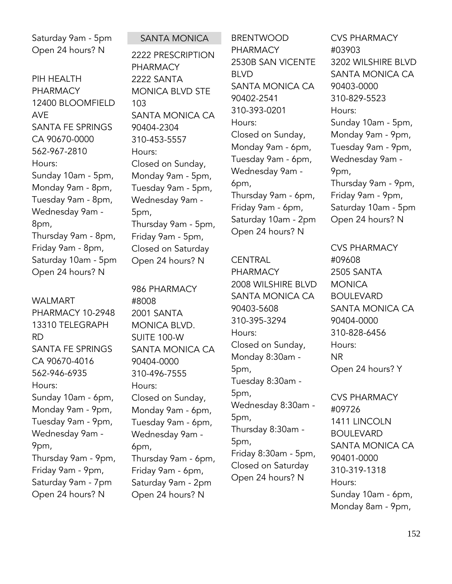Saturday 9am - 5pm Open 24 hours? N

PIH HEALTH PHARMACY 12400 BLOOMFIELD AVE SANTA FE SPRINGS CA 90670-0000 562-967-2810 Hours: Sunday 10am - 5pm, Monday 9am - 8pm, Tuesday 9am - 8pm, Wednesday 9am - 8pm, Thursday 9am - 8pm, Friday 9am - 8pm, Saturday 10am - 5pm Open 24 hours? N

WALMART PHARMACY 10-2948 13310 TELEGRAPH RD SANTA FE SPRINGS CA 90670-4016 562-946-6935 Hours: Sunday 10am - 6pm, Monday 9am - 9pm, Tuesday 9am - 9pm, Wednesday 9am - 9pm, Thursday 9am - 9pm, Friday 9am - 9pm, Saturday 9am - 7pm Open 24 hours? N

SANTA MONICA 2222 PRESCRIPTION PHARMACY 2222 SANTA MONICA BLVD STE 103 SANTA MONICA CA 90404-2304 310-453-5557 Hours: Closed on Sunday, Monday 9am - 5pm, Tuesday 9am - 5pm, Wednesday 9am - 5pm, Thursday 9am - 5pm, Friday 9am - 5pm, Closed on Saturday Open 24 hours? N

986 PHARMACY #8008 2001 SANTA MONICA BLVD. SUITE 100-W SANTA MONICA CA 90404-0000 310-496-7555 Hours: Closed on Sunday, Monday 9am - 6pm, Tuesday 9am - 6pm, Wednesday 9am - 6pm, Thursday 9am - 6pm, Friday 9am - 6pm, Saturday 9am - 2pm Open 24 hours? N

BRENTWOOD PHARMACY 2530B SAN VICENTE BLVD SANTA MONICA CA 90402-2541 310-393-0201 Hours: Closed on Sunday, Monday 9am - 6pm, Tuesday 9am - 6pm, Wednesday 9am - 6pm, Thursday 9am - 6pm, Friday 9am - 6pm, Saturday 10am - 2pm Open 24 hours? N

**CENTRAL** PHARMACY 2008 WILSHIRE BLVD SANTA MONICA CA 90403-5608 310-395-3294 Hours: Closed on Sunday, Monday 8:30am - 5pm, Tuesday 8:30am - 5pm, Wednesday 8:30am - 5pm, Thursday 8:30am - 5pm, Friday 8:30am - 5pm, Closed on Saturday Open 24 hours? N

CVS PHARMACY #03903 3202 WILSHIRE BLVD SANTA MONICA CA 90403-0000 310-829-5523 Hours: Sunday 10am - 5pm, Monday 9am - 9pm, Tuesday 9am - 9pm, Wednesday 9am - 9pm, Thursday 9am - 9pm, Friday 9am - 9pm, Saturday 10am - 5pm Open 24 hours? N

CVS PHARMACY #09608 2505 SANTA **MONICA** BOULEVARD SANTA MONICA CA 90404-0000 310-828-6456 Hours: NR Open 24 hours? Y

CVS PHARMACY #09726 1411 LINCOLN BOULEVARD SANTA MONICA CA 90401-0000 310-319-1318 Hours: Sunday 10am - 6pm, Monday 8am - 9pm,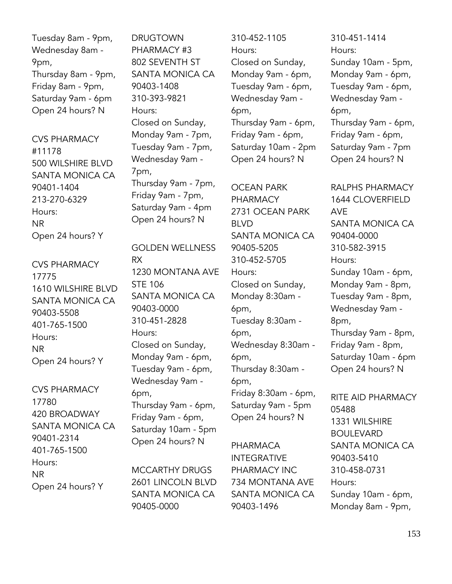Tuesday 8am - 9pm, Wednesday 8am - 9pm, Thursday 8am - 9pm, Friday 8am - 9pm, Saturday 9am - 6pm Open 24 hours? N

CVS PHARMACY #11178 500 WILSHIRE BLVD SANTA MONICA CA 90401-1404 213-270-6329 Hours: NR Open 24 hours? Y

CVS PHARMACY 17775 1610 WILSHIRE BLVD SANTA MONICA CA 90403-5508 401-765-1500 Hours: NR Open 24 hours? Y

CVS PHARMACY 17780 420 BROADWAY SANTA MONICA CA 90401-2314 401-765-1500 Hours: NR Open 24 hours? Y

DRUGTOWN PHARMACY #3 802 SEVENTH ST SANTA MONICA CA 90403-1408 310-393-9821 Hours: Closed on Sunday, Monday 9am - 7pm, Tuesday 9am - 7pm, Wednesday 9am - 7pm, Thursday 9am - 7pm, Friday 9am - 7pm, Saturday 9am - 4pm Open 24 hours? N

GOLDEN WELLNESS RX 1230 MONTANA AVE STE 106 SANTA MONICA CA 90403-0000 310-451-2828 Hours: Closed on Sunday, Monday 9am - 6pm, Tuesday 9am - 6pm, Wednesday 9am - 6pm, Thursday 9am - 6pm, Friday 9am - 6pm, Saturday 10am - 5pm Open 24 hours? N

MCCARTHY DRUGS 2601 LINCOLN BLVD SANTA MONICA CA 90405-0000

310-452-1105 Hours: Closed on Sunday, Monday 9am - 6pm, Tuesday 9am - 6pm, Wednesday 9am - 6pm, Thursday 9am - 6pm, Friday 9am - 6pm, Saturday 10am - 2pm Open 24 hours? N

OCEAN PARK PHARMACY 2731 OCEAN PARK BLVD SANTA MONICA CA 90405-5205 310-452-5705 Hours: Closed on Sunday, Monday 8:30am - 6pm, Tuesday 8:30am - 6pm, Wednesday 8:30am - 6pm, Thursday 8:30am - 6pm, Friday 8:30am - 6pm, Saturday 9am - 5pm Open 24 hours? N

PHARMACA INTEGRATIVE PHARMACY INC 734 MONTANA AVE SANTA MONICA CA 90403-1496

310-451-1414 Hours: Sunday 10am - 5pm, Monday 9am - 6pm, Tuesday 9am - 6pm, Wednesday 9am - 6pm, Thursday 9am - 6pm, Friday 9am - 6pm, Saturday 9am - 7pm Open 24 hours? N

RALPHS PHARMACY 1644 CLOVERFIELD AVE SANTA MONICA CA 90404-0000 310-582-3915 Hours: Sunday 10am - 6pm, Monday 9am - 8pm, Tuesday 9am - 8pm, Wednesday 9am - 8pm, Thursday 9am - 8pm, Friday 9am - 8pm, Saturday 10am - 6pm Open 24 hours? N

RITE AID PHARMACY 05488 1331 WILSHIRE BOULEVARD SANTA MONICA CA 90403-5410 310-458-0731 Hours: Sunday 10am - 6pm, Monday 8am - 9pm,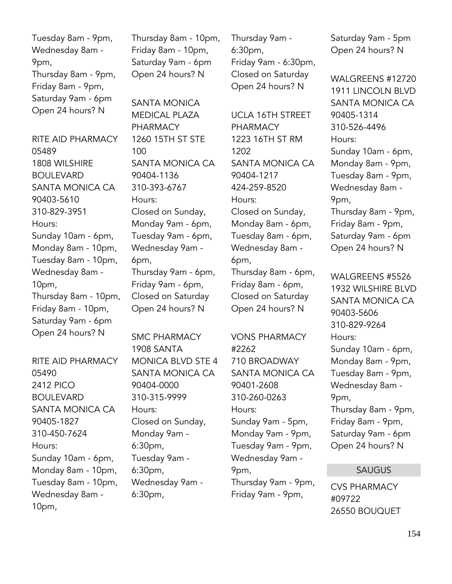Tuesday 8am - 9pm, Wednesday 8am - 9pm, Thursday 8am - 9pm, Friday 8am - 9pm, Saturday 9am - 6pm Open 24 hours? N

RITE AID PHARMACY 05489 1808 WILSHIRE BOULEVARD SANTA MONICA CA 90403-5610 310-829-3951 Hours: Sunday 10am - 6pm, Monday 8am - 10pm, Tuesday 8am - 10pm, Wednesday 8am - 10pm, Thursday 8am - 10pm, Friday 8am - 10pm, Saturday 9am - 6pm Open 24 hours? N

RITE AID PHARMACY 05490 2412 PICO BOULEVARD SANTA MONICA CA 90405-1827 310-450-7624 Hours: Sunday 10am - 6pm, Monday 8am - 10pm, Tuesday 8am - 10pm, Wednesday 8am - 10pm,

Thursday 8am - 10pm, Friday 8am - 10pm, Saturday 9am - 6pm Open 24 hours? N

SANTA MONICA MEDICAL PLAZA PHARMACY 1260 15TH ST STE 100 SANTA MONICA CA 90404-1136 310-393-6767 Hours: Closed on Sunday, Monday 9am - 6pm, Tuesday 9am - 6pm, Wednesday 9am - 6pm, Thursday 9am - 6pm, Friday 9am - 6pm, Closed on Saturday Open 24 hours? N

SMC PHARMACY 1908 SANTA MONICA BLVD STE 4 SANTA MONICA CA 90404-0000 310-315-9999 Hours: Closed on Sunday, Monday 9am - 6:30pm, Tuesday 9am - 6:30pm, Wednesday 9am - 6:30pm,

Thursday 9am - 6:30pm, Friday 9am - 6:30pm, Closed on Saturday Open 24 hours? N

UCLA 16TH STREET PHARMACY 1223 16TH ST RM 1202 SANTA MONICA CA 90404-1217 424-259-8520 Hours: Closed on Sunday, Monday 8am - 6pm, Tuesday 8am - 6pm, Wednesday 8am - 6pm, Thursday 8am - 6pm, Friday 8am - 6pm, Closed on Saturday

VONS PHARMACY #2262 710 BROADWAY SANTA MONICA CA 90401-2608 310-260-0263 Hours: Sunday 9am - 5pm, Monday 9am - 9pm, Tuesday 9am - 9pm, Wednesday 9am - 9pm, Thursday 9am - 9pm, Friday 9am - 9pm,

Open 24 hours? N

Saturday 9am - 5pm Open 24 hours? N

WALGREENS #12720 1911 LINCOLN BLVD SANTA MONICA CA 90405-1314 310-526-4496 Hours: Sunday 10am - 6pm, Monday 8am - 9pm, Tuesday 8am - 9pm, Wednesday 8am - 9pm, Thursday 8am - 9pm, Friday 8am - 9pm, Saturday 9am - 6pm Open 24 hours? N

WALGREENS #5526 1932 WILSHIRE BLVD SANTA MONICA CA 90403-5606 310-829-9264 Hours: Sunday 10am - 6pm, Monday 8am - 9pm, Tuesday 8am - 9pm, Wednesday 8am - 9pm, Thursday 8am - 9pm, Friday 8am - 9pm, Saturday 9am - 6pm Open 24 hours? N

### SAUGUS

CVS PHARMACY #09722 26550 BOUQUET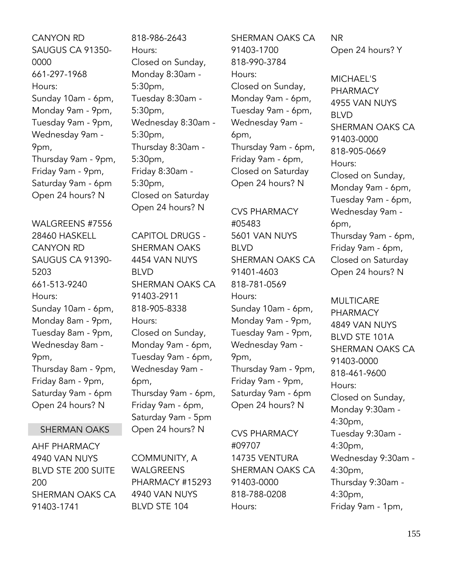- CANYON RD SAUGUS CA 91350- 0000 661-297-1968 Hours: Sunday 10am - 6pm, Monday 9am - 9pm, Tuesday 9am - 9pm, Wednesday 9am - 9pm, Thursday 9am - 9pm, Friday 9am - 9pm, Saturday 9am - 6pm Open 24 hours? N
- WALGREENS #7556 28460 HASKELL CANYON RD SAUGUS CA 91390- 5203 661-513-9240 Hours: Sunday 10am - 6pm, Monday 8am - 9pm, Tuesday 8am - 9pm, Wednesday 8am - 9pm, Thursday 8am - 9pm, Friday 8am - 9pm, Saturday 9am - 6pm Open 24 hours? N

# SHERMAN OAKS

AHF PHARMACY 4940 VAN NUYS BLVD STE 200 SUITE 200 SHERMAN OAKS CA 91403-1741

818-986-2643 Hours: Closed on Sunday, Monday 8:30am - 5:30pm, Tuesday 8:30am - 5:30pm, Wednesday 8:30am - 5:30pm, Thursday 8:30am - 5:30pm, Friday 8:30am - 5:30pm, Closed on Saturday Open 24 hours? N

CAPITOL DRUGS - SHERMAN OAKS 4454 VAN NUYS BLVD SHERMAN OAKS CA 91403-2911 818-905-8338 Hours: Closed on Sunday, Monday 9am - 6pm, Tuesday 9am - 6pm, Wednesday 9am - 6pm, Thursday 9am - 6pm, Friday 9am - 6pm, Saturday 9am - 5pm Open 24 hours? N

COMMUNITY, A WALGREENS PHARMACY #15293 4940 VAN NUYS BLVD STE 104

SHERMAN OAKS CA 91403-1700 818-990-3784 Hours: Closed on Sunday, Monday 9am - 6pm, Tuesday 9am - 6pm, Wednesday 9am - 6pm, Thursday 9am - 6pm, Friday 9am - 6pm, Closed on Saturday Open 24 hours? N

CVS PHARMACY #05483 5601 VAN NUYS BLVD SHERMAN OAKS CA 91401-4603 818-781-0569 Hours: Sunday 10am - 6pm, Monday 9am - 9pm, Tuesday 9am - 9pm, Wednesday 9am - 9pm, Thursday 9am - 9pm, Friday 9am - 9pm, Saturday 9am - 6pm Open 24 hours? N

CVS PHARMACY #09707 14735 VENTURA SHERMAN OAKS CA 91403-0000 818-788-0208 Hours:

NR Open 24 hours? Y

MICHAEL'S PHARMACY 4955 VAN NUYS BLVD SHERMAN OAKS CA 91403-0000 818-905-0669 Hours: Closed on Sunday, Monday 9am - 6pm, Tuesday 9am - 6pm, Wednesday 9am - 6pm, Thursday 9am - 6pm, Friday 9am - 6pm, Closed on Saturday Open 24 hours? N

MULTICARE PHARMACY 4849 VAN NUYS BLVD STE 101A SHERMAN OAKS CA 91403-0000 818-461-9600 Hours: Closed on Sunday, Monday 9:30am - 4:30pm, Tuesday 9:30am - 4:30pm, Wednesday 9:30am - 4:30pm, Thursday 9:30am - 4:30pm, Friday 9am - 1pm,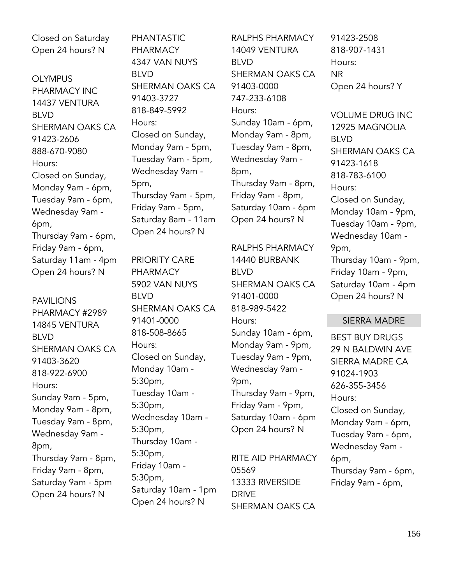Closed on Saturday Open 24 hours? N

OLYMPUS PHARMACY INC 14437 VENTURA BLVD SHERMAN OAKS CA 91423-2606 888-670-9080 Hours: Closed on Sunday, Monday 9am - 6pm, Tuesday 9am - 6pm, Wednesday 9am - 6pm, Thursday 9am - 6pm, Friday 9am - 6pm, Saturday 11am - 4pm Open 24 hours? N

PAVILIONS PHARMACY #2989 14845 VENTURA BLVD SHERMAN OAKS CA 91403-3620 818-922-6900 Hours: Sunday 9am - 5pm, Monday 9am - 8pm, Tuesday 9am - 8pm, Wednesday 9am - 8pm, Thursday 9am - 8pm, Friday 9am - 8pm, Saturday 9am - 5pm Open 24 hours? N

PHANTASTIC PHARMACY 4347 VAN NUYS BLVD SHERMAN OAKS CA 91403-3727 818-849-5992 Hours: Closed on Sunday, Monday 9am - 5pm, Tuesday 9am - 5pm, Wednesday 9am - 5pm, Thursday 9am - 5pm, Friday 9am - 5pm, Saturday 8am - 11am Open 24 hours? N

PRIORITY CARE PHARMACY 5902 VAN NUYS BLVD SHERMAN OAKS CA 91401-0000 818-508-8665 Hours: Closed on Sunday, Monday 10am - 5:30pm, Tuesday 10am - 5:30pm, Wednesday 10am - 5:30pm, Thursday 10am - 5:30pm, Friday 10am - 5:30pm, Saturday 10am - 1pm Open 24 hours? N

RALPHS PHARMACY 14049 VENTURA BLVD SHERMAN OAKS CA 91403-0000 747-233-6108 Hours: Sunday 10am - 6pm, Monday 9am - 8pm, Tuesday 9am - 8pm, Wednesday 9am - 8pm, Thursday 9am - 8pm, Friday 9am - 8pm, Saturday 10am - 6pm Open 24 hours? N

RALPHS PHARMACY 14440 BURBANK BLVD SHERMAN OAKS CA 91401-0000 818-989-5422 Hours: Sunday 10am - 6pm, Monday 9am - 9pm, Tuesday 9am - 9pm, Wednesday 9am - 9pm, Thursday 9am - 9pm, Friday 9am - 9pm, Saturday 10am - 6pm Open 24 hours? N

RITE AID PHARMACY 05569 13333 RIVERSIDE DRIVE SHERMAN OAKS CA

91423-2508 818-907-1431 Hours: NR Open 24 hours? Y

VOLUME DRUG INC 12925 MAGNOLIA BLVD SHERMAN OAKS CA 91423-1618 818-783-6100 Hours: Closed on Sunday, Monday 10am - 9pm, Tuesday 10am - 9pm, Wednesday 10am - 9pm, Thursday 10am - 9pm, Friday 10am - 9pm, Saturday 10am - 4pm Open 24 hours? N

#### SIERRA MADRE

BEST BUY DRUGS 29 N BALDWIN AVE SIERRA MADRE CA 91024-1903 626-355-3456 Hours: Closed on Sunday, Monday 9am - 6pm, Tuesday 9am - 6pm, Wednesday 9am - 6pm, Thursday 9am - 6pm, Friday 9am - 6pm,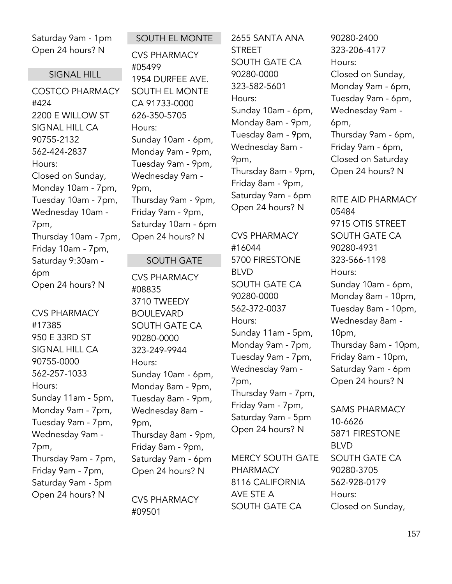Saturday 9am - 1pm Open 24 hours? N

#### SIGNAL HILL

COSTCO PHARMACY #424 2200 E WILLOW ST SIGNAL HILL CA 90755-2132 562-424-2837 Hours: Closed on Sunday, Monday 10am - 7pm, Tuesday 10am - 7pm, Wednesday 10am - 7pm, Thursday 10am - 7pm, Friday 10am - 7pm, Saturday 9:30am - 6pm Open 24 hours? N

CVS PHARMACY #17385 950 E 33RD ST SIGNAL HILL CA 90755-0000 562-257-1033 Hours: Sunday 11am - 5pm, Monday 9am - 7pm, Tuesday 9am - 7pm, Wednesday 9am - 7pm, Thursday 9am - 7pm, Friday 9am - 7pm, Saturday 9am - 5pm Open 24 hours? N

## SOUTH EL MONTE

CVS PHARMACY #05499 1954 DURFEE AVE. SOUTH EL MONTE CA 91733-0000 626-350-5705 Hours: Sunday 10am - 6pm, Monday 9am - 9pm, Tuesday 9am - 9pm, Wednesday 9am - 9pm, Thursday 9am - 9pm, Friday 9am - 9pm, Saturday 10am - 6pm Open 24 hours? N

#### SOUTH GATE

CVS PHARMACY #08835 3710 TWEEDY BOULEVARD SOUTH GATE CA 90280-0000 323-249-9944 Hours: Sunday 10am - 6pm, Monday 8am - 9pm, Tuesday 8am - 9pm, Wednesday 8am - 9pm, Thursday 8am - 9pm, Friday 8am - 9pm, Saturday 9am - 6pm Open 24 hours? N

CVS PHARMACY #09501

2655 SANTA ANA **STRFFT** SOUTH GATE CA 90280-0000 323-582-5601 Hours: Sunday 10am - 6pm, Monday 8am - 9pm, Tuesday 8am - 9pm, Wednesday 8am - 9pm, Thursday 8am - 9pm, Friday 8am - 9pm, Saturday 9am - 6pm Open 24 hours? N

CVS PHARMACY #16044 5700 FIRESTONE BLVD SOUTH GATE CA 90280-0000 562-372-0037 Hours: Sunday 11am - 5pm, Monday 9am - 7pm, Tuesday 9am - 7pm, Wednesday 9am - 7pm, Thursday 9am - 7pm, Friday 9am - 7pm, Saturday 9am - 5pm Open 24 hours? N

MERCY SOUTH GATE PHARMACY 8116 CALIFORNIA AVE STE A SOUTH GATE CA

90280-2400 323-206-4177 Hours: Closed on Sunday, Monday 9am - 6pm, Tuesday 9am - 6pm, Wednesday 9am - 6pm, Thursday 9am - 6pm, Friday 9am - 6pm, Closed on Saturday Open 24 hours? N

RITE AID PHARMACY 05484 9715 OTIS STREET SOUTH GATE CA 90280-4931 323-566-1198 Hours: Sunday 10am - 6pm, Monday 8am - 10pm, Tuesday 8am - 10pm, Wednesday 8am - 10pm, Thursday 8am - 10pm, Friday 8am - 10pm, Saturday 9am - 6pm Open 24 hours? N

SAMS PHARMACY 10-6626 5871 FIRESTONE BLVD SOUTH GATE CA 90280-3705 562-928-0179 Hours: Closed on Sunday,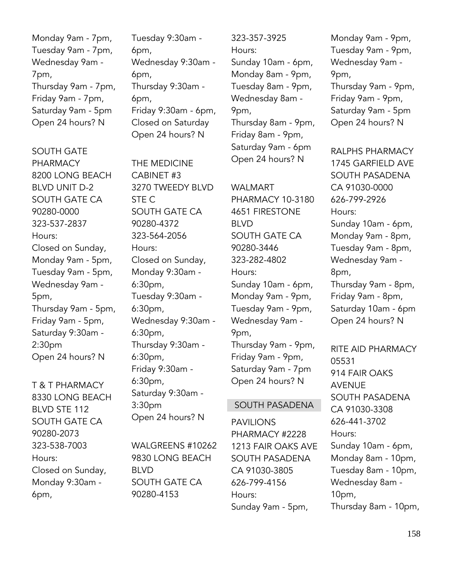Monday 9am - 7pm, Tuesday 9am - 7pm, Wednesday 9am - 7pm, Thursday 9am - 7pm, Friday 9am - 7pm, Saturday 9am - 5pm Open 24 hours? N

SOUTH GATE PHARMACY 8200 LONG BEACH BLVD UNIT D-2 SOUTH GATE CA 90280-0000 323-537-2837 Hours: Closed on Sunday, Monday 9am - 5pm, Tuesday 9am - 5pm, Wednesday 9am - 5pm, Thursday 9am - 5pm, Friday 9am - 5pm, Saturday 9:30am - 2:30pm Open 24 hours? N

T & T PHARMACY 8330 LONG BEACH BLVD STE 112 SOUTH GATE CA 90280-2073 323-538-7003 Hours: Closed on Sunday, Monday 9:30am - 6pm,

Tuesday 9:30am - 6pm, Wednesday 9:30am - 6pm, Thursday 9:30am - 6pm, Friday 9:30am - 6pm, Closed on Saturday Open 24 hours? N

THE MEDICINE CABINET #3 3270 TWEEDY BLVD STE C SOUTH GATE CA 90280-4372 323-564-2056 Hours: Closed on Sunday, Monday 9:30am - 6:30pm, Tuesday 9:30am - 6:30pm, Wednesday 9:30am - 6:30pm, Thursday 9:30am - 6:30pm, Friday 9:30am - 6:30pm, Saturday 9:30am - 3:30pm Open 24 hours? N

WALGREENS #10262 9830 LONG BEACH BLVD SOUTH GATE CA 90280-4153

323-357-3925 Hours: Sunday 10am - 6pm, Monday 8am - 9pm, Tuesday 8am - 9pm, Wednesday 8am - 9pm, Thursday 8am - 9pm, Friday 8am - 9pm, Saturday 9am - 6pm Open 24 hours? N

WALMART PHARMACY 10-3180 4651 FIRESTONE BLVD SOUTH GATE CA 90280-3446 323-282-4802 Hours: Sunday 10am - 6pm, Monday 9am - 9pm, Tuesday 9am - 9pm, Wednesday 9am - 9pm, Thursday 9am - 9pm, Friday 9am - 9pm, Saturday 9am - 7pm Open 24 hours? N

#### SOUTH PASADENA

PAVILIONS PHARMACY #2228 1213 FAIR OAKS AVE SOUTH PASADENA CA 91030-3805 626-799-4156 Hours: Sunday 9am - 5pm,

Monday 9am - 9pm, Tuesday 9am - 9pm, Wednesday 9am - 9pm, Thursday 9am - 9pm, Friday 9am - 9pm, Saturday 9am - 5pm Open 24 hours? N

RALPHS PHARMACY 1745 GARFIFLD AVF SOUTH PASADENA CA 91030-0000 626-799-2926 Hours: Sunday 10am - 6pm, Monday 9am - 8pm, Tuesday 9am - 8pm, Wednesday 9am - 8pm, Thursday 9am - 8pm, Friday 9am - 8pm, Saturday 10am - 6pm Open 24 hours? N

RITE AID PHARMACY 05531 914 FAIR OAKS AVENUE SOUTH PASADENA CA 91030-3308 626-441-3702 Hours: Sunday 10am - 6pm, Monday 8am - 10pm, Tuesday 8am - 10pm, Wednesday 8am - 10pm, Thursday 8am - 10pm,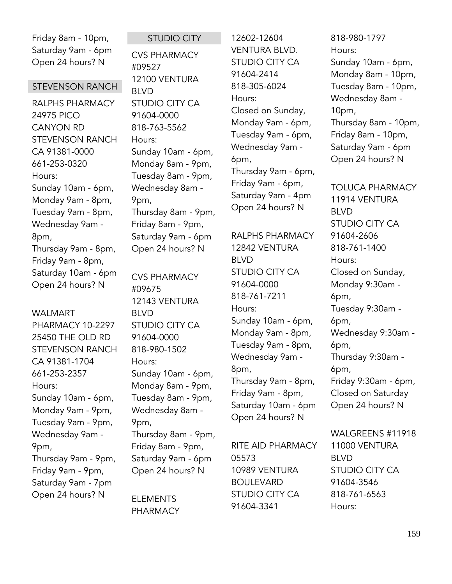Friday 8am - 10pm, Saturday 9am - 6pm Open 24 hours? N

## STEVENSON RANCH

RALPHS PHARMACY 24975 PICO CANYON RD STEVENSON RANCH CA 91381-0000 661-253-0320 Hours: Sunday 10am - 6pm, Monday 9am - 8pm, Tuesday 9am - 8pm, Wednesday 9am - 8pm, Thursday 9am - 8pm, Friday 9am - 8pm, Saturday 10am - 6pm Open 24 hours? N

#### WALMART

PHARMACY 10-2297 25450 THE OLD RD STEVENSON RANCH CA 91381-1704 661-253-2357 Hours: Sunday 10am - 6pm, Monday 9am - 9pm, Tuesday 9am - 9pm, Wednesday 9am - 9pm, Thursday 9am - 9pm, Friday 9am - 9pm, Saturday 9am - 7pm Open 24 hours? N

STUDIO CITY CVS PHARMACY #09527 12100 VENTURA BLVD STUDIO CITY CA 91604-0000 818-763-5562 Hours: Sunday 10am - 6pm, Monday 8am - 9pm, Tuesday 8am - 9pm, Wednesday 8am - 9pm, Thursday 8am - 9pm, Friday 8am - 9pm, Saturday 9am - 6pm Open 24 hours? N

CVS PHARMACY #09675 12143 VENTURA BLVD STUDIO CITY CA 91604-0000 818-980-1502 Hours: Sunday 10am - 6pm, Monday 8am - 9pm, Tuesday 8am - 9pm, Wednesday 8am - 9pm, Thursday 8am - 9pm, Friday 8am - 9pm, Saturday 9am - 6pm Open 24 hours? N

ELEMENTS PHARMACY

12602-12604 VENTURA BLVD. STUDIO CITY CA 91604-2414 818-305-6024 Hours: Closed on Sunday, Monday 9am - 6pm, Tuesday 9am - 6pm, Wednesday 9am - 6pm, Thursday 9am - 6pm, Friday 9am - 6pm, Saturday 9am - 4pm Open 24 hours? N

RALPHS PHARMACY 12842 VENTURA BLVD STUDIO CITY CA 91604-0000 818-761-7211 Hours: Sunday 10am - 6pm, Monday 9am - 8pm, Tuesday 9am - 8pm, Wednesday 9am - 8pm, Thursday 9am - 8pm, Friday 9am - 8pm, Saturday 10am - 6pm Open 24 hours? N

RITE AID PHARMACY 05573 10989 VENTURA BOULEVARD STUDIO CITY CA 91604-3341

818-980-1797 Hours: Sunday 10am - 6pm, Monday 8am - 10pm, Tuesday 8am - 10pm, Wednesday 8am - 10pm, Thursday 8am - 10pm, Friday 8am - 10pm, Saturday 9am - 6pm Open 24 hours? N

TOLUCA PHARMACY 11914 VENTURA BLVD STUDIO CITY CA 91604-2606 818-761-1400 Hours: Closed on Sunday, Monday 9:30am - 6pm, Tuesday 9:30am - 6pm, Wednesday 9:30am - 6pm, Thursday 9:30am - 6pm, Friday 9:30am - 6pm, Closed on Saturday Open 24 hours? N

WALGREENS #11918 11000 VENTURA BLVD STUDIO CITY CA 91604-3546 818-761-6563 Hours: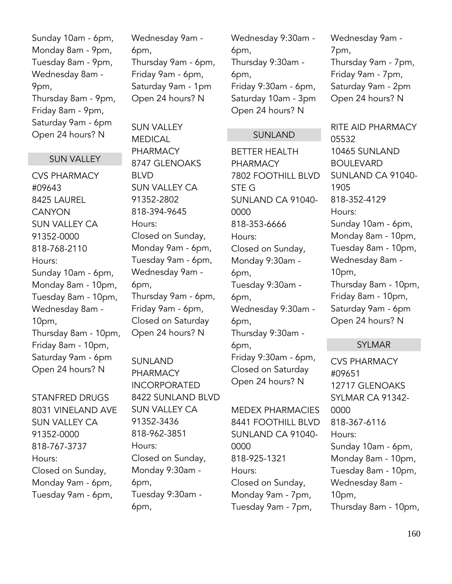Sunday 10am - 6pm, Monday 8am - 9pm, Tuesday 8am - 9pm, Wednesday 8am - 9pm, Thursday 8am - 9pm, Friday 8am - 9pm, Saturday 9am - 6pm Open 24 hours? N

# SUN VALLEY

CVS PHARMACY #09643 8425 LAUREL **CANYON** SUN VALLEY CA 91352-0000 818-768-2110 Hours: Sunday 10am - 6pm, Monday 8am - 10pm, Tuesday 8am - 10pm, Wednesday 8am - 10pm, Thursday 8am - 10pm, Friday 8am - 10pm, Saturday 9am - 6pm Open 24 hours? N

STANFRED DRUGS 8031 VINELAND AVE SUN VALLEY CA 91352-0000 818-767-3737 Hours: Closed on Sunday, Monday 9am - 6pm, Tuesday 9am - 6pm,

Wednesday 9am - 6pm, Thursday 9am - 6pm, Friday 9am - 6pm, Saturday 9am - 1pm Open 24 hours? N

SUN VALLEY MEDICAL **PHARMACY** 8747 GLENOAKS BLVD SUN VALLEY CA 91352-2802 818-394-9645 Hours: Closed on Sunday, Monday 9am - 6pm, Tuesday 9am - 6pm, Wednesday 9am - 6pm, Thursday 9am - 6pm, Friday 9am - 6pm, Closed on Saturday Open 24 hours? N

SUNLAND PHARMACY INCORPORATED 8422 SUNLAND BLVD SUN VALLEY CA 91352-3436 818-962-3851 Hours: Closed on Sunday, Monday 9:30am - 6pm, Tuesday 9:30am - 6pm,

Wednesday 9:30am - 6pm, Thursday 9:30am - 6pm, Friday 9:30am - 6pm, Saturday 10am - 3pm Open 24 hours? N

### SUNLAND

BETTER HEALTH PHARMACY 7802 FOOTHILL BLVD STE G SUNLAND CA 91040- 0000 818-353-6666 Hours: Closed on Sunday, Monday 9:30am - 6pm, Tuesday 9:30am - 6pm, Wednesday 9:30am - 6pm, Thursday 9:30am - 6pm, Friday 9:30am - 6pm, Closed on Saturday Open 24 hours? N

MEDEX PHARMACIES 8441 FOOTHILL BLVD SUNLAND CA 91040- 0000 818-925-1321 Hours: Closed on Sunday, Monday 9am - 7pm, Tuesday 9am - 7pm,

Wednesday 9am - 7pm, Thursday 9am - 7pm, Friday 9am - 7pm, Saturday 9am - 2pm Open 24 hours? N

RITE AID PHARMACY 05532 10465 SUNLAND **BOULEVARD** SUNLAND CA 91040- 1905 818-352-4129 Hours: Sunday 10am - 6pm, Monday 8am - 10pm, Tuesday 8am - 10pm, Wednesday 8am - 10pm, Thursday 8am - 10pm, Friday 8am - 10pm, Saturday 9am - 6pm Open 24 hours? N

#### SYLMAR

CVS PHARMACY #09651 12717 GLENOAKS SYLMAR CA 91342- 0000 818-367-6116 Hours: Sunday 10am - 6pm, Monday 8am - 10pm, Tuesday 8am - 10pm, Wednesday 8am - 10pm, Thursday 8am - 10pm,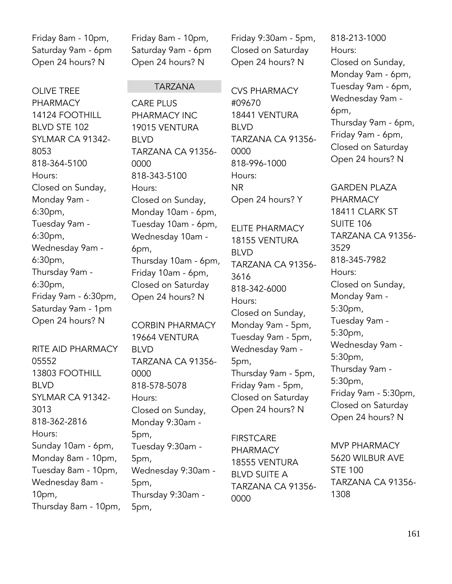Friday 8am - 10pm, Saturday 9am - 6pm Open 24 hours? N

OLIVE TREE PHARMACY 14124 FOOTHILL BLVD STE 102 SYLMAR CA 91342- 8053 818-364-5100 Hours: Closed on Sunday, Monday 9am - 6:30pm, Tuesday 9am - 6:30pm, Wednesday 9am - 6:30pm, Thursday 9am - 6:30pm, Friday 9am - 6:30pm, Saturday 9am - 1pm Open 24 hours? N

RITE AID PHARMACY 05552 13803 FOOTHILL BLVD SYLMAR CA 91342- 3013 818-362-2816 Hours: Sunday 10am - 6pm, Monday 8am - 10pm, Tuesday 8am - 10pm, Wednesday 8am - 10pm, Thursday 8am - 10pm, Friday 8am - 10pm, Saturday 9am - 6pm Open 24 hours? N

# TARZANA

CARE PLUS PHARMACY INC 19015 VENTURA BLVD TARZANA CA 91356- 0000 818-343-5100 Hours: Closed on Sunday, Monday 10am - 6pm, Tuesday 10am - 6pm, Wednesday 10am - 6pm, Thursday 10am - 6pm, Friday 10am - 6pm, Closed on Saturday Open 24 hours? N

CORBIN PHARMACY 19664 VENTURA BLVD TARZANA CA 91356- 0000 818-578-5078 Hours: Closed on Sunday, Monday 9:30am - 5pm, Tuesday 9:30am - 5pm, Wednesday 9:30am - 5pm, Thursday 9:30am - 5pm,

Friday 9:30am - 5pm, Closed on Saturday Open 24 hours? N

CVS PHARMACY #09670 18441 VENTURA BLVD TARZANA CA 91356- 0000 818-996-1000 Hours: NR Open 24 hours? Y

ELITE PHARMACY 18155 VENTURA BLVD TARZANA CA 91356- 3616 818-342-6000 Hours: Closed on Sunday, Monday 9am - 5pm, Tuesday 9am - 5pm, Wednesday 9am - 5pm, Thursday 9am - 5pm, Friday 9am - 5pm, Closed on Saturday Open 24 hours? N

**FIRSTCARE** PHARMACY 18555 VENTURA BLVD SUITE A TARZANA CA 91356- 0000

818-213-1000 Hours: Closed on Sunday, Monday 9am - 6pm, Tuesday 9am - 6pm, Wednesday 9am - 6pm, Thursday 9am - 6pm, Friday 9am - 6pm, Closed on Saturday Open 24 hours? N

GARDEN PLAZA PHARMACY 18411 CLARK ST SUITE 106 TARZANA CA 91356- 3529 818-345-7982 Hours: Closed on Sunday, Monday 9am - 5:30pm, Tuesday 9am - 5:30pm, Wednesday 9am - 5:30pm, Thursday 9am - 5:30pm, Friday 9am - 5:30pm, Closed on Saturday Open 24 hours? N

MVP PHARMACY 5620 WILBUR AVE STE 100 TARZANA CA 91356- 1308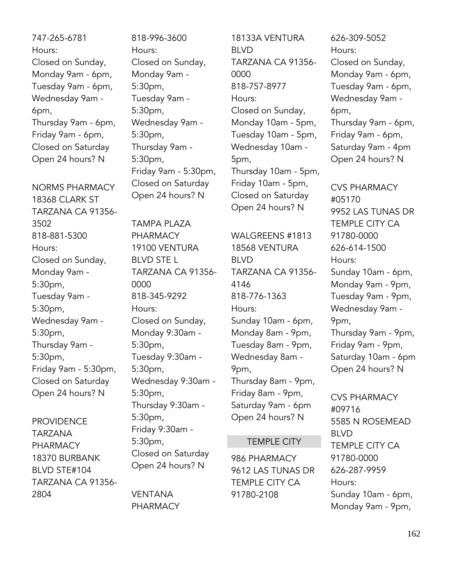747-265-6781 Hours: Closed on Sunday, Monday 9am - 6pm, Tuesday 9am - 6pm, Wednesday 9am - 6pm, Thursday 9am - 6pm, Friday 9am - 6pm, Closed on Saturday Open 24 hours? N

NORMS PHARMACY 18368 CLARK ST TARZANA CA 91356- 3502 818-881-5300 Hours: Closed on Sunday, Monday 9am - 5:30pm, Tuesday 9am - 5:30pm, Wednesday 9am - 5:30pm, Thursday 9am - 5:30pm, Friday 9am - 5:30pm, Closed on Saturday Open 24 hours? N

PROVIDENCE TARZANA PHARMACY 18370 BURBANK BLVD STE#104 TARZANA CA 91356- 2804

818-996-3600 Hours: Closed on Sunday, Monday 9am - 5:30pm, Tuesday 9am - 5:30pm, Wednesday 9am - 5:30pm, Thursday 9am - 5:30pm, Friday 9am - 5:30pm, Closed on Saturday Open 24 hours? N

TAMPA PLAZA PHARMACY 19100 VENTURA BLVD STE L TARZANA CA 91356- 0000 818-345-9292 Hours: Closed on Sunday, Monday 9:30am - 5:30pm, Tuesday 9:30am - 5:30pm, Wednesday 9:30am - 5:30pm, Thursday 9:30am - 5:30pm, Friday 9:30am - 5:30pm, Closed on Saturday Open 24 hours? N

VENTANA PHARMACY

18133A VENTURA BLVD TARZANA CA 91356- 0000 818-757-8977 Hours: Closed on Sunday, Monday 10am - 5pm, Tuesday 10am - 5pm, Wednesday 10am - 5pm, Thursday 10am - 5pm, Friday 10am - 5pm, Closed on Saturday Open 24 hours? N

WALGREENS #1813 18568 VENTURA BLVD TARZANA CA 91356- 4146 818-776-1363 Hours: Sunday 10am - 6pm, Monday 8am - 9pm, Tuesday 8am - 9pm, Wednesday 8am - 9pm, Thursday 8am - 9pm, Friday 8am - 9pm, Saturday 9am - 6pm Open 24 hours? N

# TEMPLE CITY

986 PHARMACY 9612 LAS TUNAS DR TEMPLE CITY CA 91780-2108

626-309-5052 Hours: Closed on Sunday, Monday 9am - 6pm, Tuesday 9am - 6pm, Wednesday 9am - 6pm, Thursday 9am - 6pm, Friday 9am - 6pm, Saturday 9am - 4pm Open 24 hours? N

CVS PHARMACY #05170 9952 LAS TUNAS DR TEMPLE CITY CA 91780-0000 626-614-1500 Hours: Sunday 10am - 6pm, Monday 9am - 9pm, Tuesday 9am - 9pm, Wednesday 9am - 9pm, Thursday 9am - 9pm, Friday 9am - 9pm, Saturday 10am - 6pm Open 24 hours? N

CVS PHARMACY #09716 5585 N ROSEMEAD BLVD TEMPLE CITY CA 91780-0000 626-287-9959 Hours: Sunday 10am - 6pm, Monday 9am - 9pm,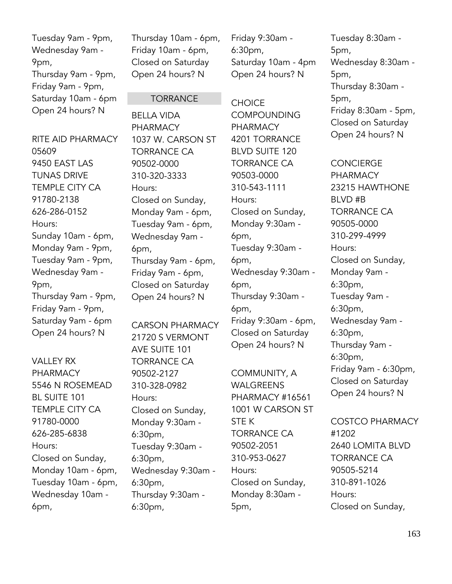Tuesday 9am - 9pm, Wednesday 9am - 9pm, Thursday 9am - 9pm, Friday 9am - 9pm, Saturday 10am - 6pm Open 24 hours? N

RITE AID PHARMACY 05609 9450 EAST LAS TUNAS DRIVE TEMPLE CITY CA 91780-2138 626-286-0152 Hours: Sunday 10am - 6pm, Monday 9am - 9pm, Tuesday 9am - 9pm, Wednesday 9am - 9pm, Thursday 9am - 9pm, Friday 9am - 9pm, Saturday 9am - 6pm Open 24 hours? N

VALLEY RX PHARMACY 5546 N ROSEMEAD BL SUITE 101 TEMPLE CITY CA 91780-0000 626-285-6838 Hours: Closed on Sunday, Monday 10am - 6pm, Tuesday 10am - 6pm, Wednesday 10am - 6pm,

Thursday 10am - 6pm, Friday 10am - 6pm, Closed on Saturday Open 24 hours? N

**TORRANCE** 

1037 W. CARSON ST

TORRANCE CA 90502-0000 310-320-3333

Closed on Sunday, Monday 9am - 6pm, Tuesday 9am - 6pm, Wednesday 9am -

Thursday 9am - 6pm, Friday 9am - 6pm, Closed on Saturday Open 24 hours? N

CARSON PHARMACY 21720 S VERMONT

AVE SUITE 101 TORRANCE CA 90502-2127 310-328-0982

Closed on Sunday, Monday 9:30am -

Tuesday 9:30am -

Wednesday 9:30am -

Thursday 9:30am -

Hours:

6:30pm,

6:30pm,

6:30pm,

6:30pm,

Hours:

6pm,

BELLA VIDA PHARMACY

# 6:30pm, Saturday 10am - 4pm Open 24 hours? N

Friday 9:30am -

**CHOICE** COMPOUNDING PHARMACY 4201 TORRANCE BLVD SUITE 120 TORRANCE CA 90503-0000 310-543-1111 Hours: Closed on Sunday, Monday 9:30am - 6pm, Tuesday 9:30am - 6pm, Wednesday 9:30am - 6pm, Thursday 9:30am - 6pm, Friday 9:30am - 6pm, Closed on Saturday Open 24 hours? N

COMMUNITY, A WALGREENS PHARMACY #16561 1001 W CARSON ST STE K TORRANCE CA 90502-2051 310-953-0627 Hours: Closed on Sunday, Monday 8:30am - 5pm,

Tuesday 8:30am - 5pm, Wednesday 8:30am - 5pm, Thursday 8:30am - 5pm, Friday 8:30am - 5pm, Closed on Saturday Open 24 hours? N

CONCIERGE PHARMACY 23215 HAWTHONE BLVD #B TORRANCE CA 90505-0000 310-299-4999 Hours: Closed on Sunday, Monday 9am - 6:30pm, Tuesday 9am - 6:30pm, Wednesday 9am - 6:30pm, Thursday 9am - 6:30pm, Friday 9am - 6:30pm, Closed on Saturday Open 24 hours? N

COSTCO PHARMACY #1202 2640 LOMITA BLVD TORRANCE CA 90505-5214 310-891-1026 Hours: Closed on Sunday,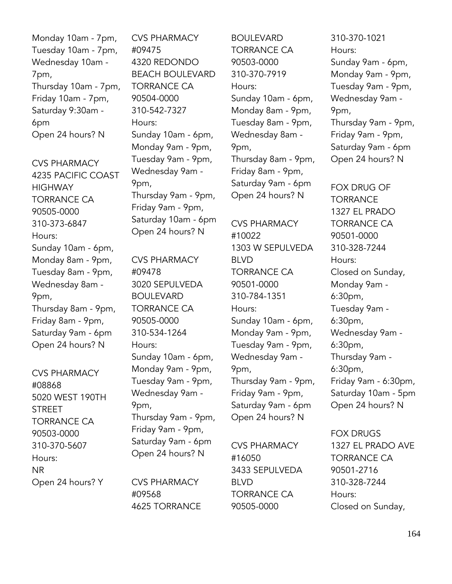Monday 10am - 7pm, Tuesday 10am - 7pm, Wednesday 10am - 7pm, Thursday 10am - 7pm, Friday 10am - 7pm, Saturday 9:30am - 6pm Open 24 hours? N

CVS PHARMACY 4235 PACIFIC COAST **HIGHWAY** TORRANCE CA 90505-0000 310-373-6847 Hours: Sunday 10am - 6pm, Monday 8am - 9pm, Tuesday 8am - 9pm, Wednesday 8am - 9pm, Thursday 8am - 9pm, Friday 8am - 9pm, Saturday 9am - 6pm Open 24 hours? N

CVS PHARMACY #08868 5020 WEST 190TH STREET TORRANCE CA 90503-0000 310-370-5607 Hours: NR Open 24 hours? Y

CVS PHARMACY #09475 4320 REDONDO BEACH BOULEVARD TORRANCE CA 90504-0000 310-542-7327 Hours: Sunday 10am - 6pm, Monday 9am - 9pm, Tuesday 9am - 9pm, Wednesday 9am - 9pm, Thursday 9am - 9pm, Friday 9am - 9pm, Saturday 10am - 6pm Open 24 hours? N

CVS PHARMACY #09478 3020 SEPULVEDA BOULEVARD TORRANCE CA 90505-0000 310-534-1264 Hours: Sunday 10am - 6pm, Monday 9am - 9pm, Tuesday 9am - 9pm, Wednesday 9am - 9pm, Thursday 9am - 9pm, Friday 9am - 9pm, Saturday 9am - 6pm Open 24 hours? N

CVS PHARMACY #09568 4625 TORRANCE

BOULEVARD TORRANCE CA 90503-0000 310-370-7919 Hours: Sunday 10am - 6pm, Monday 8am - 9pm, Tuesday 8am - 9pm, Wednesday 8am - 9pm, Thursday 8am - 9pm, Friday 8am - 9pm, Saturday 9am - 6pm Open 24 hours? N

CVS PHARMACY #10022 1303 W SEPULVEDA BLVD TORRANCE CA 90501-0000 310-784-1351 Hours: Sunday 10am - 6pm, Monday 9am - 9pm, Tuesday 9am - 9pm, Wednesday 9am - 9pm, Thursday 9am - 9pm, Friday 9am - 9pm, Saturday 9am - 6pm Open 24 hours? N

CVS PHARMACY #16050 3433 SEPULVEDA BLVD TORRANCE CA 90505-0000

310-370-1021 Hours: Sunday 9am - 6pm, Monday 9am - 9pm, Tuesday 9am - 9pm, Wednesday 9am - 9pm, Thursday 9am - 9pm, Friday 9am - 9pm, Saturday 9am - 6pm Open 24 hours? N

FOX DRUG OF **TORRANCE** 1327 EL PRADO TORRANCE CA 90501-0000 310-328-7244 Hours: Closed on Sunday, Monday 9am - 6:30pm, Tuesday 9am - 6:30pm, Wednesday 9am - 6:30pm, Thursday 9am - 6:30pm, Friday 9am - 6:30pm, Saturday 10am - 5pm Open 24 hours? N

FOX DRUGS 1327 EL PRADO AVE TORRANCE CA 90501-2716 310-328-7244 Hours: Closed on Sunday,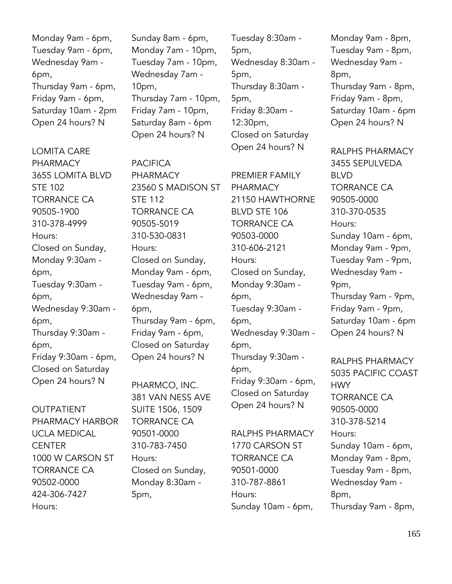Monday 9am - 6pm, Tuesday 9am - 6pm, Wednesday 9am - 6pm, Thursday 9am - 6pm, Friday 9am - 6pm, Saturday 10am - 2pm Open 24 hours? N

LOMITA CARE PHARMACY 3655 LOMITA BLVD STE 102 TORRANCE CA 90505-1900 310-378-4999 Hours: Closed on Sunday, Monday 9:30am - 6pm, Tuesday 9:30am - 6pm, Wednesday 9:30am - 6pm, Thursday 9:30am - 6pm, Friday 9:30am - 6pm, Closed on Saturday Open 24 hours? N

OUTPATIENT PHARMACY HARBOR UCLA MEDICAL **CENTER** 1000 W CARSON ST TORRANCE CA 90502-0000 424-306-7427 Hours:

Sunday 8am - 6pm, Monday 7am - 10pm, Tuesday 7am - 10pm, Wednesday 7am - 10pm, Thursday 7am - 10pm, Friday 7am - 10pm, Saturday 8am - 6pm Open 24 hours? N

PACIFICA PHARMACY 23560 S MADISON ST STE 112 TORRANCE CA 90505-5019 310-530-0831 Hours: Closed on Sunday, Monday 9am - 6pm, Tuesday 9am - 6pm, Wednesday 9am - 6pm, Thursday 9am - 6pm, Friday 9am - 6pm, Closed on Saturday Open 24 hours? N

PHARMCO, INC. 381 VAN NESS AVE SUITE 1506, 1509 TORRANCE CA 90501-0000 310-783-7450 Hours: Closed on Sunday, Monday 8:30am - 5pm,

Tuesday 8:30am - 5pm, Wednesday 8:30am - 5pm, Thursday 8:30am - 5pm, Friday 8:30am - 12:30pm, Closed on Saturday Open 24 hours? N

PREMIER FAMILY PHARMACY 21150 HAWTHORNE BLVD STE 106 TORRANCE CA 90503-0000 310-606-2121 Hours: Closed on Sunday, Monday 9:30am - 6pm, Tuesday 9:30am - 6pm, Wednesday 9:30am - 6pm, Thursday 9:30am - 6pm, Friday 9:30am - 6pm, Closed on Saturday Open 24 hours? N

RALPHS PHARMACY 1770 CARSON ST TORRANCE CA 90501-0000 310-787-8861 Hours: Sunday 10am - 6pm,

Monday 9am - 8pm, Tuesday 9am - 8pm, Wednesday 9am - 8pm, Thursday 9am - 8pm, Friday 9am - 8pm, Saturday 10am - 6pm Open 24 hours? N

RALPHS PHARMACY 3455 SEPULVEDA BLVD TORRANCE CA 90505-0000 310-370-0535 Hours: Sunday 10am - 6pm, Monday 9am - 9pm, Tuesday 9am - 9pm, Wednesday 9am - 9pm, Thursday 9am - 9pm, Friday 9am - 9pm, Saturday 10am - 6pm Open 24 hours? N

RALPHS PHARMACY 5035 PACIFIC COAST HWY TORRANCE CA 90505-0000 310-378-5214 Hours: Sunday 10am - 6pm, Monday 9am - 8pm, Tuesday 9am - 8pm, Wednesday 9am - 8pm, Thursday 9am - 8pm,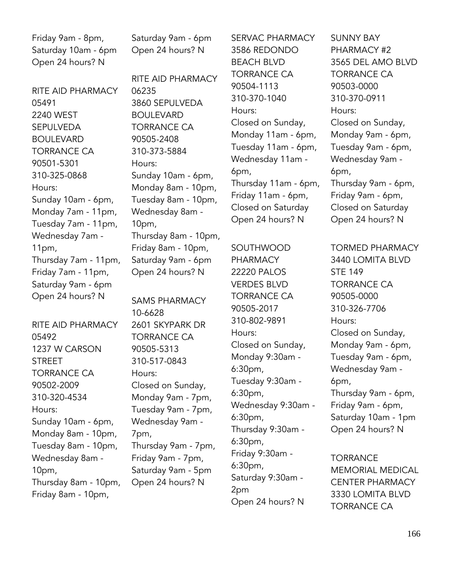Friday 9am - 8pm, Saturday 10am - 6pm Open 24 hours? N

RITE AID PHARMACY 05491 2240 WEST SEPULVEDA BOULEVARD TORRANCE CA 90501-5301 310-325-0868 Hours: Sunday 10am - 6pm, Monday 7am - 11pm, Tuesday 7am - 11pm, Wednesday 7am - 11pm, Thursday 7am - 11pm, Friday 7am - 11pm, Saturday 9am - 6pm Open 24 hours? N

RITE AID PHARMACY 05492 1237 W CARSON STREET TORRANCE CA 90502-2009 310-320-4534 Hours: Sunday 10am - 6pm, Monday 8am - 10pm, Tuesday 8am - 10pm, Wednesday 8am - 10pm, Thursday 8am - 10pm, Friday 8am - 10pm,

Saturday 9am - 6pm Open 24 hours? N

RITE AID PHARMACY 06235 3860 SEPULVEDA BOULEVARD TORRANCE CA 90505-2408 310-373-5884 Hours: Sunday 10am - 6pm, Monday 8am - 10pm, Tuesday 8am - 10pm, Wednesday 8am - 10pm, Thursday 8am - 10pm, Friday 8am - 10pm, Saturday 9am - 6pm Open 24 hours? N

SAMS PHARMACY 10-6628 2601 SKYPARK DR TORRANCE CA 90505-5313 310-517-0843 Hours: Closed on Sunday, Monday 9am - 7pm, Tuesday 9am - 7pm, Wednesday 9am - 7pm, Thursday 9am - 7pm, Friday 9am - 7pm, Saturday 9am - 5pm Open 24 hours? N

SERVAC PHARMACY 3586 REDONDO BEACH BLVD TORRANCE CA 90504-1113 310-370-1040 Hours: Closed on Sunday, Monday 11am - 6pm, Tuesday 11am - 6pm, Wednesday 11am - 6pm, Thursday 11am - 6pm, Friday 11am - 6pm, Closed on Saturday Open 24 hours? N

SOUTHWOOD PHARMACY 22220 PALOS VERDES BLVD TORRANCE CA 90505-2017 310-802-9891 Hours: Closed on Sunday, Monday 9:30am - 6:30pm, Tuesday 9:30am - 6:30pm, Wednesday 9:30am - 6:30pm, Thursday 9:30am - 6:30pm, Friday 9:30am - 6:30pm, Saturday 9:30am - 2pm Open 24 hours? N

SUNNY BAY PHARMACY #2 3565 DEL AMO BLVD TORRANCE CA 90503-0000 310-370-0911 Hours: Closed on Sunday, Monday 9am - 6pm, Tuesday 9am - 6pm, Wednesday 9am - 6pm, Thursday 9am - 6pm, Friday 9am - 6pm, Closed on Saturday Open 24 hours? N

TORMED PHARMACY 3440 LOMITA BLVD STE 149 TORRANCE CA 90505-0000 310-326-7706 Hours: Closed on Sunday, Monday 9am - 6pm, Tuesday 9am - 6pm, Wednesday 9am - 6pm, Thursday 9am - 6pm, Friday 9am - 6pm, Saturday 10am - 1pm Open 24 hours? N

**TORRANCE** MEMORIAL MEDICAL CENTER PHARMACY 3330 LOMITA BLVD TORRANCE CA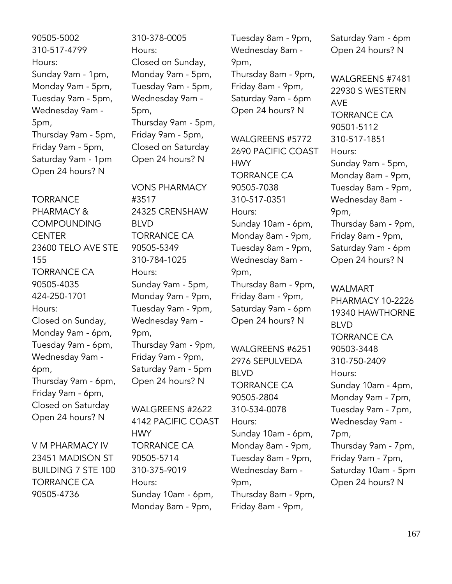90505-5002 310-517-4799 Hours: Sunday 9am - 1pm, Monday 9am - 5pm, Tuesday 9am - 5pm, Wednesday 9am - 5pm, Thursday 9am - 5pm, Friday 9am - 5pm, Saturday 9am - 1pm Open 24 hours? N

**TORRANCE** PHARMACY & **COMPOUNDING CENTER** 23600 TELO AVE STE 155 TORRANCE CA 90505-4035 424-250-1701 Hours: Closed on Sunday, Monday 9am - 6pm, Tuesday 9am - 6pm, Wednesday 9am - 6pm, Thursday 9am - 6pm, Friday 9am - 6pm, Closed on Saturday Open 24 hours? N

V M PHARMACY IV 23451 MADISON ST BUILDING 7 STE 100 TORRANCE CA 90505-4736

310-378-0005 Hours: Closed on Sunday, Monday 9am - 5pm, Tuesday 9am - 5pm, Wednesday 9am - 5pm, Thursday 9am - 5pm, Friday 9am - 5pm, Closed on Saturday Open 24 hours? N

VONS PHARMACY #3517 24325 CRENSHAW BLVD TORRANCE CA 90505-5349 310-784-1025 Hours: Sunday 9am - 5pm, Monday 9am - 9pm, Tuesday 9am - 9pm, Wednesday 9am - 9pm, Thursday 9am - 9pm, Friday 9am - 9pm, Saturday 9am - 5pm Open 24 hours? N

WALGREENS #2622 4142 PACIFIC COAST HWY TORRANCE CA 90505-5714 310-375-9019 Hours: Sunday 10am - 6pm, Monday 8am - 9pm,

Tuesday 8am - 9pm, Wednesday 8am - 9pm, Thursday 8am - 9pm,

Friday 8am - 9pm, Saturday 9am - 6pm Open 24 hours? N

WALGREENS #5772 2690 PACIFIC COAST **HWY** TORRANCE CA 90505-7038 310-517-0351 Hours: Sunday 10am - 6pm, Monday 8am - 9pm, Tuesday 8am - 9pm, Wednesday 8am - 9pm, Thursday 8am - 9pm, Friday 8am - 9pm, Saturday 9am - 6pm Open 24 hours? N

WALGREENS #6251 2976 SEPULVEDA BLVD TORRANCE CA 90505-2804 310-534-0078 Hours: Sunday 10am - 6pm, Monday 8am - 9pm, Tuesday 8am - 9pm, Wednesday 8am - 9pm, Thursday 8am - 9pm, Friday 8am - 9pm,

Saturday 9am - 6pm Open 24 hours? N

WALGREENS #7481 22930 S WESTERN AVE TORRANCE CA 90501-5112 310-517-1851 Hours: Sunday 9am - 5pm, Monday 8am - 9pm, Tuesday 8am - 9pm, Wednesday 8am - 9pm, Thursday 8am - 9pm, Friday 8am - 9pm, Saturday 9am - 6pm Open 24 hours? N

WALMART PHARMACY 10-2226 19340 HAWTHORNE BLVD TORRANCE CA 90503-3448 310-750-2409 Hours: Sunday 10am - 4pm, Monday 9am - 7pm, Tuesday 9am - 7pm, Wednesday 9am - 7pm, Thursday 9am - 7pm, Friday 9am - 7pm, Saturday 10am - 5pm Open 24 hours? N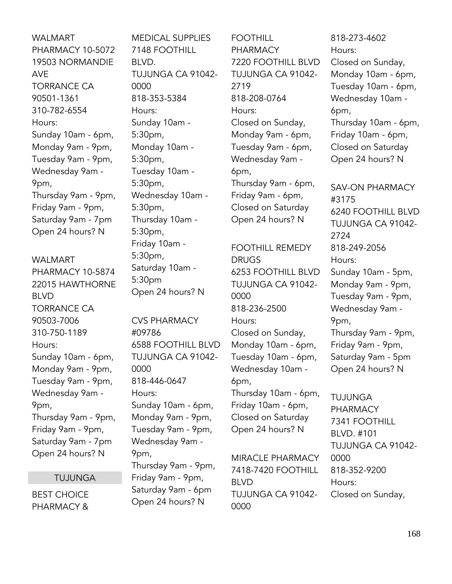WALMART PHARMACY 10-5072 19503 NORMANDIE AVE TORRANCE CA 90501-1361 310-782-6554 Hours: Sunday 10am - 6pm, Monday 9am - 9pm, Tuesday 9am - 9pm, Wednesday 9am - 9pm, Thursday 9am - 9pm, Friday 9am - 9pm, Saturday 9am - 7pm Open 24 hours? N

WALMART PHARMACY 10-5874 22015 HAWTHORNE BLVD TORRANCE CA 90503-7006 310-750-1189 Hours: Sunday 10am - 6pm, Monday 9am - 9pm, Tuesday 9am - 9pm, Wednesday 9am - 9pm, Thursday 9am - 9pm, Friday 9am - 9pm, Saturday 9am - 7pm Open 24 hours? N

TUJUNGA

BEST CHOICE PHARMACY & MEDICAL SUPPLIES 7148 FOOTHILL BLVD. TUJUNGA CA 91042- 0000 818-353-5384 Hours: Sunday 10am - 5:30pm, Monday 10am - 5:30pm, Tuesday 10am - 5:30pm, Wednesday 10am - 5:30pm, Thursday 10am - 5:30pm, Friday 10am - 5:30pm, Saturday 10am - 5:30pm Open 24 hours? N

CVS PHARMACY #09786 6588 FOOTHILL BLVD TUJUNGA CA 91042- 0000 818-446-0647 Hours: Sunday 10am - 6pm, Monday 9am - 9pm, Tuesday 9am - 9pm, Wednesday 9am - 9pm, Thursday 9am - 9pm, Friday 9am - 9pm, Saturday 9am - 6pm Open 24 hours? N

FOOTHILL PHARMACY 7220 FOOTHILL BLVD TUJUNGA CA 91042- 2719 818-208-0764 Hours: Closed on Sunday, Monday 9am - 6pm, Tuesday 9am - 6pm, Wednesday 9am - 6pm, Thursday 9am - 6pm, Friday 9am - 6pm, Closed on Saturday Open 24 hours? N

FOOTHILL REMEDY DRUGS 6253 FOOTHILL BLVD TUJUNGA CA 91042- 0000 818-236-2500 Hours: Closed on Sunday, Monday 10am - 6pm, Tuesday 10am - 6pm, Wednesday 10am - 6pm, Thursday 10am - 6pm, Friday 10am - 6pm, Closed on Saturday Open 24 hours? N

MIRACLE PHARMACY 7418-7420 FOOTHILL BLVD TUJUNGA CA 91042- 0000

818-273-4602 Hours: Closed on Sunday, Monday 10am - 6pm, Tuesday 10am - 6pm, Wednesday 10am - 6pm, Thursday 10am - 6pm, Friday 10am - 6pm, Closed on Saturday Open 24 hours? N

SAV-ON PHARMACY #3175 6240 FOOTHILL BLVD TUJUNGA CA 91042- 2724 818-249-2056 Hours: Sunday 10am - 5pm, Monday 9am - 9pm, Tuesday 9am - 9pm, Wednesday 9am - 9pm, Thursday 9am - 9pm, Friday 9am - 9pm, Saturday 9am - 5pm Open 24 hours? N

TUJUNGA PHARMACY 7341 FOOTHILL BLVD. #101 TUJUNGA CA 91042- 0000 818-352-9200 Hours: Closed on Sunday,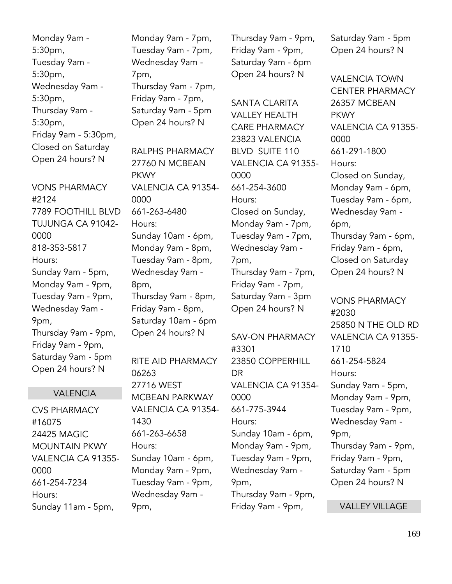Monday 9am - 5:30pm, Tuesday 9am - 5:30pm, Wednesday 9am - 5:30pm, Thursday 9am - 5:30pm, Friday 9am - 5:30pm, Closed on Saturday Open 24 hours? N

VONS PHARMACY #2124 7789 FOOTHILL BLVD TUJUNGA CA 91042- 0000 818-353-5817 Hours: Sunday 9am - 5pm, Monday 9am - 9pm, Tuesday 9am - 9pm, Wednesday 9am - 9pm, Thursday 9am - 9pm, Friday 9am - 9pm, Saturday 9am - 5pm Open 24 hours? N

## VALENCIA

CVS PHARMACY #16075 24425 MAGIC MOUNTAIN PKWY VALENCIA CA 91355- 0000 661-254-7234 Hours: Sunday 11am - 5pm,

Monday 9am - 7pm, Tuesday 9am - 7pm, Wednesday 9am - 7pm, Thursday 9am - 7pm, Friday 9am - 7pm, Saturday 9am - 5pm Open 24 hours? N

RALPHS PHARMACY 27760 N MCBEAN PKWY VALENCIA CA 91354- 0000 661-263-6480 Hours: Sunday 10am - 6pm, Monday 9am - 8pm, Tuesday 9am - 8pm, Wednesday 9am - 8pm, Thursday 9am - 8pm, Friday 9am - 8pm, Saturday 10am - 6pm Open 24 hours? N

RITE AID PHARMACY 06263 27716 WEST MCBEAN PARKWAY VALENCIA CA 91354- 1430 661-263-6658 Hours: Sunday 10am - 6pm, Monday 9am - 9pm, Tuesday 9am - 9pm, Wednesday 9am - 9pm,

Thursday 9am - 9pm, Friday 9am - 9pm, Saturday 9am - 6pm Open 24 hours? N

SANTA CLARITA VALLEY HEALTH CARE PHARMACY 23823 VALENCIA BLVD SUITE 110 VALENCIA CA 91355- 0000 661-254-3600 Hours: Closed on Sunday, Monday 9am - 7pm, Tuesday 9am - 7pm, Wednesday 9am - 7pm, Thursday 9am - 7pm, Friday 9am - 7pm, Saturday 9am - 3pm Open 24 hours? N

SAV-ON PHARMACY #3301 23850 COPPERHILL DR VALENCIA CA 91354- 0000 661-775-3944 Hours: Sunday 10am - 6pm, Monday 9am - 9pm, Tuesday 9am - 9pm, Wednesday 9am - 9pm, Thursday 9am - 9pm, Friday 9am - 9pm,

Saturday 9am - 5pm Open 24 hours? N

VALENCIA TOWN CENTER PHARMACY 26357 MCBEAN **PKWY** VALENCIA CA 91355- 0000 661-291-1800 Hours: Closed on Sunday, Monday 9am - 6pm, Tuesday 9am - 6pm, Wednesday 9am - 6pm, Thursday 9am - 6pm, Friday 9am - 6pm, Closed on Saturday Open 24 hours? N

VONS PHARMACY #2030 25850 N THE OLD RD VALENCIA CA 91355- 1710 661-254-5824 Hours: Sunday 9am - 5pm, Monday 9am - 9pm, Tuesday 9am - 9pm, Wednesday 9am - 9pm, Thursday 9am - 9pm, Friday 9am - 9pm, Saturday 9am - 5pm Open 24 hours? N

VALLEY VILLAGE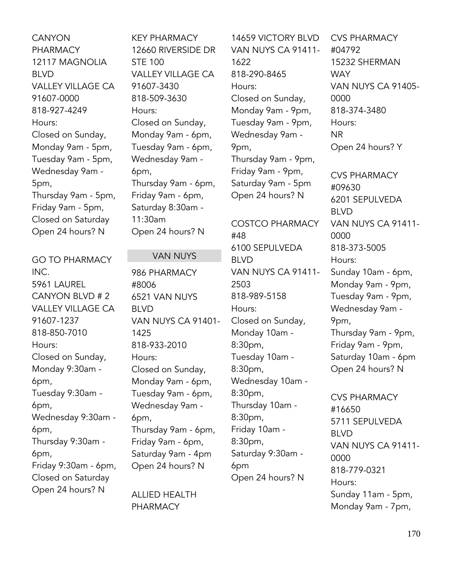CANYON PHARMACY 12117 MAGNOLIA BLVD VALLEY VILLAGE CA 91607-0000 818-927-4249 Hours: Closed on Sunday, Monday 9am - 5pm, Tuesday 9am - 5pm, Wednesday 9am - 5pm, Thursday 9am - 5pm, Friday 9am - 5pm, Closed on Saturday Open 24 hours? N

GO TO PHARMACY INC. 5961 LAUREL CANYON BLVD # 2 VALLEY VILLAGE CA 91607-1237 818-850-7010 Hours: Closed on Sunday, Monday 9:30am - 6pm, Tuesday 9:30am - 6pm, Wednesday 9:30am - 6pm, Thursday 9:30am - 6pm, Friday 9:30am - 6pm, Closed on Saturday Open 24 hours? N

KEY PHARMACY 12660 RIVERSIDE DR STE 100 VALLEY VILLAGE CA 91607-3430 818-509-3630 Hours: Closed on Sunday, Monday 9am - 6pm, Tuesday 9am - 6pm, Wednesday 9am - 6pm, Thursday 9am - 6pm, Friday 9am - 6pm, Saturday 8:30am - 11:30am Open 24 hours? N

## VAN NUYS

986 PHARMACY #8006 6521 VAN NUYS BLVD VAN NUYS CA 91401- 1425 818-933-2010 Hours: Closed on Sunday, Monday 9am - 6pm, Tuesday 9am - 6pm, Wednesday 9am - 6pm, Thursday 9am - 6pm, Friday 9am - 6pm, Saturday 9am - 4pm Open 24 hours? N

ALLIED HEALTH PHARMACY

14659 VICTORY BLVD VAN NUYS CA 91411- 1622 818-290-8465 Hours: Closed on Sunday, Monday 9am - 9pm, Tuesday 9am - 9pm, Wednesday 9am - 9pm, Thursday 9am - 9pm, Friday 9am - 9pm, Saturday 9am - 5pm Open 24 hours? N

COSTCO PHARMACY #48 6100 SEPULVEDA BLVD VAN NUYS CA 91411- 2503 818-989-5158 Hours: Closed on Sunday, Monday 10am - 8:30pm, Tuesday 10am - 8:30pm, Wednesday 10am - 8:30pm, Thursday 10am - 8:30pm, Friday 10am - 8:30pm, Saturday 9:30am - 6pm Open 24 hours? N

CVS PHARMACY #04792 15232 SHERMAN **WAY** VAN NUYS CA 91405- 0000 818-374-3480 Hours: NR Open 24 hours? Y

CVS PHARMACY #09630 6201 SEPULVEDA BLVD VAN NUYS CA 91411- 0000 818-373-5005 Hours: Sunday 10am - 6pm, Monday 9am - 9pm, Tuesday 9am - 9pm, Wednesday 9am - 9pm, Thursday 9am - 9pm, Friday 9am - 9pm, Saturday 10am - 6pm Open 24 hours? N

CVS PHARMACY #16650 5711 SEPULVEDA BLVD VAN NUYS CA 91411- 0000 818-779-0321 Hours: Sunday 11am - 5pm, Monday 9am - 7pm,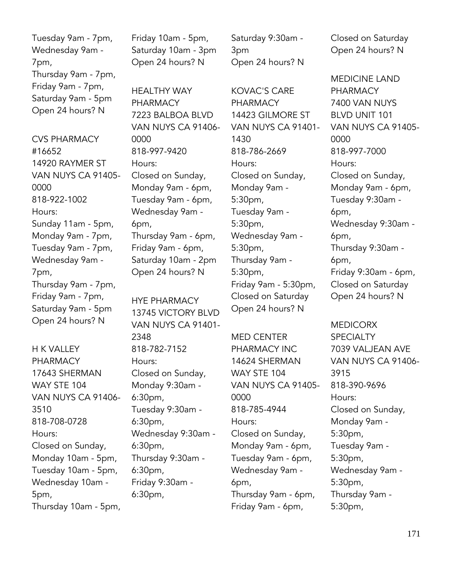Tuesday 9am - 7pm, Wednesday 9am - 7pm, Thursday 9am - 7pm, Friday 9am - 7pm, Saturday 9am - 5pm Open 24 hours? N

CVS PHARMACY #16652 14920 RAYMER ST VAN NUYS CA 91405- 0000 818-922-1002 Hours: Sunday 11am - 5pm, Monday 9am - 7pm, Tuesday 9am - 7pm, Wednesday 9am - 7pm, Thursday 9am - 7pm, Friday 9am - 7pm, Saturday 9am - 5pm Open 24 hours? N

H K VALLEY PHARMACY 17643 SHERMAN WAY STE 104 VAN NUYS CA 91406- 3510 818-708-0728 Hours: Closed on Sunday, Monday 10am - 5pm, Tuesday 10am - 5pm, Wednesday 10am - 5pm, Thursday 10am - 5pm, Friday 10am - 5pm, Saturday 10am - 3pm Open 24 hours? N

HEALTHY WAY PHARMACY 7223 BALBOA BLVD VAN NUYS CA 91406- 0000 818-997-9420 Hours: Closed on Sunday, Monday 9am - 6pm, Tuesday 9am - 6pm, Wednesday 9am - 6pm, Thursday 9am - 6pm, Friday 9am - 6pm, Saturday 10am - 2pm Open 24 hours? N

HYE PHARMACY 13745 VICTORY BLVD VAN NUYS CA 91401- 2348 818-782-7152 Hours: Closed on Sunday, Monday 9:30am - 6:30pm, Tuesday 9:30am - 6:30pm, Wednesday 9:30am - 6:30pm, Thursday 9:30am - 6:30pm, Friday 9:30am - 6:30pm,

Saturday 9:30am - 3pm Open 24 hours? N

KOVAC'S CARE PHARMACY 14423 GILMORE ST VAN NUYS CA 91401- 1430 818-786-2669 Hours: Closed on Sunday, Monday 9am - 5:30pm, Tuesday 9am - 5:30pm, Wednesday 9am - 5:30pm, Thursday 9am - 5:30pm, Friday 9am - 5:30pm, Closed on Saturday Open 24 hours? N

MED CENTER PHARMACY INC 14624 SHERMAN WAY STE 104 VAN NUYS CA 91405- 0000 818-785-4944 Hours: Closed on Sunday, Monday 9am - 6pm, Tuesday 9am - 6pm, Wednesday 9am - 6pm, Thursday 9am - 6pm, Friday 9am - 6pm,

Closed on Saturday Open 24 hours? N

MEDICINE LAND PHARMACY 7400 VAN NUYS BLVD UNIT 101 VAN NUYS CA 91405- 0000 818-997-7000 Hours: Closed on Sunday, Monday 9am - 6pm, Tuesday 9:30am - 6pm, Wednesday 9:30am - 6pm, Thursday 9:30am - 6pm, Friday 9:30am - 6pm, Closed on Saturday Open 24 hours? N

MEDICORX **SPECIALTY** 7039 VALJEAN AVE VAN NUYS CA 91406- 3915 818-390-9696 Hours: Closed on Sunday, Monday 9am - 5:30pm, Tuesday 9am - 5:30pm, Wednesday 9am - 5:30pm, Thursday 9am - 5:30pm,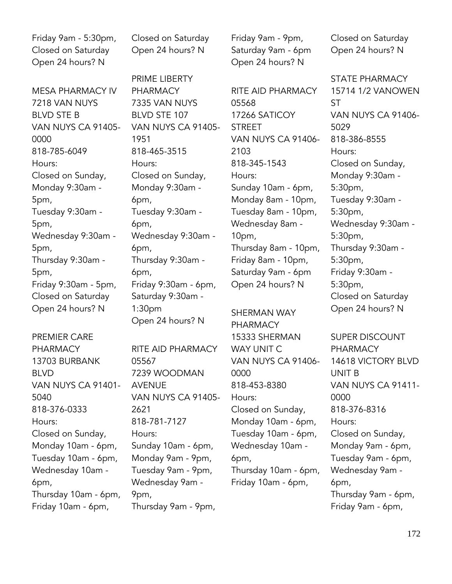Friday 9am - 5:30pm, Closed on Saturday Open 24 hours? N

MESA PHARMACY IV 7218 VAN NUYS BLVD STE B VAN NUYS CA 91405- 0000 818-785-6049 Hours: Closed on Sunday, Monday 9:30am - 5pm, Tuesday 9:30am - 5pm, Wednesday 9:30am - 5pm, Thursday 9:30am - 5pm, Friday 9:30am - 5pm, Closed on Saturday Open 24 hours? N

PREMIER CARE PHARMACY 13703 BURBANK BLVD VAN NUYS CA 91401- 5040 818-376-0333 Hours: Closed on Sunday, Monday 10am - 6pm, Tuesday 10am - 6pm, Wednesday 10am - 6pm, Thursday 10am - 6pm, Friday 10am - 6pm,

Closed on Saturday Open 24 hours? N

PRIME LIBERTY PHARMACY 7335 VAN NUYS BLVD STE 107 VAN NUYS CA 91405- 1951 818-465-3515 Hours: Closed on Sunday, Monday 9:30am - 6pm, Tuesday 9:30am - 6pm, Wednesday 9:30am - 6pm, Thursday 9:30am - 6pm, Friday 9:30am - 6pm, Saturday 9:30am - 1:30pm Open 24 hours? N

RITE AID PHARMACY 05567 7239 WOODMAN AVENUE VAN NUYS CA 91405- 2621 818-781-7127 Hours: Sunday 10am - 6pm, Monday 9am - 9pm, Tuesday 9am - 9pm, Wednesday 9am - 9pm, Thursday 9am - 9pm,

Friday 9am - 9pm, Saturday 9am - 6pm Open 24 hours? N

RITE AID PHARMACY 05568 17266 SATICOY **STREET** VAN NUYS CA 91406- 2103 818-345-1543 Hours: Sunday 10am - 6pm, Monday 8am - 10pm, Tuesday 8am - 10pm, Wednesday 8am - 10pm, Thursday 8am - 10pm, Friday 8am - 10pm, Saturday 9am - 6pm Open 24 hours? N

SHERMAN WAY PHARMACY 15333 SHERMAN WAY UNIT C VAN NUYS CA 91406- 0000 818-453-8380 Hours: Closed on Sunday, Monday 10am - 6pm, Tuesday 10am - 6pm, Wednesday 10am - 6pm, Thursday 10am - 6pm, Friday 10am - 6pm,

Closed on Saturday Open 24 hours? N

STATE PHARMACY 15714 1/2 VANOWEN ST VAN NUYS CA 91406- 5029 818-386-8555 Hours: Closed on Sunday, Monday 9:30am - 5:30pm, Tuesday 9:30am - 5:30pm, Wednesday 9:30am - 5:30pm, Thursday 9:30am - 5:30pm, Friday 9:30am - 5:30pm, Closed on Saturday Open 24 hours? N

SUPER DISCOUNT PHARMACY 14618 VICTORY BLVD UNIT B VAN NUYS CA 91411- 0000 818-376-8316 Hours: Closed on Sunday, Monday 9am - 6pm, Tuesday 9am - 6pm, Wednesday 9am - 6pm, Thursday 9am - 6pm, Friday 9am - 6pm,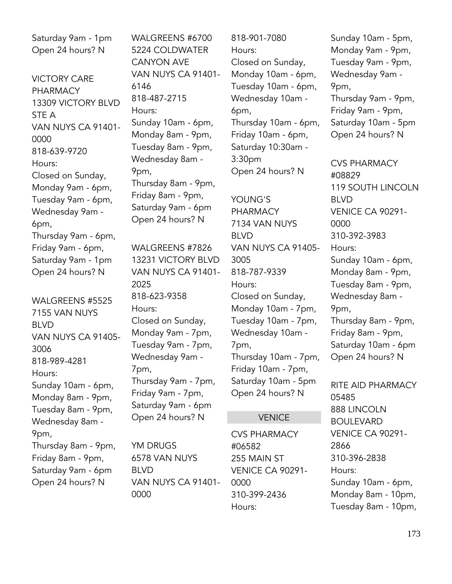Saturday 9am - 1pm Open 24 hours? N

VICTORY CARE PHARMACY 13309 VICTORY BLVD STE A VAN NUYS CA 91401- 0000 818-639-9720 Hours: Closed on Sunday, Monday 9am - 6pm, Tuesday 9am - 6pm, Wednesday 9am - 6pm, Thursday 9am - 6pm, Friday 9am - 6pm, Saturday 9am - 1pm Open 24 hours? N

WALGREENS #5525 7155 VAN NUYS BLVD VAN NUYS CA 91405- 3006 818-989-4281 Hours: Sunday 10am - 6pm, Monday 8am - 9pm, Tuesday 8am - 9pm, Wednesday 8am - 9pm, Thursday 8am - 9pm, Friday 8am - 9pm, Saturday 9am - 6pm Open 24 hours? N

WALGREENS #6700 5224 COLDWATER CANYON AVE VAN NUYS CA 91401- 6146 818-487-2715 Hours: Sunday 10am - 6pm, Monday 8am - 9pm, Tuesday 8am - 9pm, Wednesday 8am - 9pm, Thursday 8am - 9pm, Friday 8am - 9pm, Saturday 9am - 6pm Open 24 hours? N

WALGREENS #7826 13231 VICTORY BLVD VAN NUYS CA 91401- 2025 818-623-9358 Hours: Closed on Sunday, Monday 9am - 7pm, Tuesday 9am - 7pm, Wednesday 9am - 7pm, Thursday 9am - 7pm, Friday 9am - 7pm, Saturday 9am - 6pm Open 24 hours? N

YM DRUGS 6578 VAN NUYS BLVD VAN NUYS CA 91401- 0000

818-901-7080 Hours: Closed on Sunday, Monday 10am - 6pm, Tuesday 10am - 6pm, Wednesday 10am - 6pm, Thursday 10am - 6pm, Friday 10am - 6pm, Saturday 10:30am - 3:30pm Open 24 hours? N

YOUNG'S PHARMACY 7134 VAN NUYS BLVD VAN NUYS CA 91405- 3005 818-787-9339 Hours: Closed on Sunday, Monday 10am - 7pm, Tuesday 10am - 7pm, Wednesday 10am - 7pm, Thursday 10am - 7pm, Friday 10am - 7pm, Saturday 10am - 5pm Open 24 hours? N

# VENICE

CVS PHARMACY #06582 255 MAIN ST VENICE CA 90291- 0000 310-399-2436 Hours:

Sunday 10am - 5pm, Monday 9am - 9pm, Tuesday 9am - 9pm, Wednesday 9am - 9pm, Thursday 9am - 9pm, Friday 9am - 9pm, Saturday 10am - 5pm Open 24 hours? N

CVS PHARMACY #08829 119 SOUTH LINCOLN BLVD VENICE CA 90291- 0000 310-392-3983 Hours: Sunday 10am - 6pm, Monday 8am - 9pm, Tuesday 8am - 9pm, Wednesday 8am - 9pm, Thursday 8am - 9pm, Friday 8am - 9pm, Saturday 10am - 6pm Open 24 hours? N

RITE AID PHARMACY 05485 888 LINCOLN BOULEVARD VENICE CA 90291- 2866 310-396-2838 Hours: Sunday 10am - 6pm, Monday 8am - 10pm, Tuesday 8am - 10pm,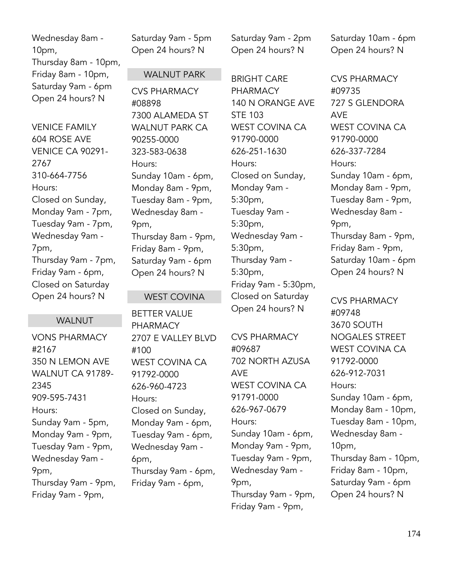Wednesday 8am - 10pm, Thursday 8am - 10pm, Friday 8am - 10pm, Saturday 9am - 6pm Open 24 hours? N

VENICE FAMILY 604 ROSE AVE VENICE CA 90291- 2767 310-664-7756 Hours: Closed on Sunday, Monday 9am - 7pm, Tuesday 9am - 7pm, Wednesday 9am - 7pm, Thursday 9am - 7pm, Friday 9am - 6pm, Closed on Saturday Open 24 hours? N

# WALNUT

VONS PHARMACY #2167 350 N LEMON AVE WALNUT CA 91789- 2345 909-595-7431 Hours: Sunday 9am - 5pm, Monday 9am - 9pm, Tuesday 9am - 9pm, Wednesday 9am - 9pm, Thursday 9am - 9pm, Friday 9am - 9pm,

Saturday 9am - 5pm Open 24 hours? N

# WALNUT PARK

CVS PHARMACY #08898 7300 ALAMEDA ST WALNUT PARK CA 90255-0000 323-583-0638 Hours: Sunday 10am - 6pm, Monday 8am - 9pm, Tuesday 8am - 9pm, Wednesday 8am - 9pm, Thursday 8am - 9pm, Friday 8am - 9pm, Saturday 9am - 6pm Open 24 hours? N

## WEST COVINA

BETTER VALUE PHARMACY 2707 E VALLEY BLVD #100 WEST COVINA CA 91792-0000 626-960-4723 Hours: Closed on Sunday, Monday 9am - 6pm, Tuesday 9am - 6pm, Wednesday 9am - 6pm, Thursday 9am - 6pm, Friday 9am - 6pm,

Saturday 9am - 2pm Open 24 hours? N

BRIGHT CARE PHARMACY 140 N ORANGE AVE STE 103 WEST COVINA CA 91790-0000 626-251-1630 Hours: Closed on Sunday, Monday 9am - 5:30pm, Tuesday 9am - 5:30pm, Wednesday 9am - 5:30pm, Thursday 9am - 5:30pm, Friday 9am - 5:30pm, Closed on Saturday Open 24 hours? N

CVS PHARMACY #09687 702 NORTH AZUSA AVE WEST COVINA CA 91791-0000 626-967-0679 Hours: Sunday 10am - 6pm, Monday 9am - 9pm, Tuesday 9am - 9pm, Wednesday 9am - 9pm, Thursday 9am - 9pm, Friday 9am - 9pm,

Saturday 10am - 6pm Open 24 hours? N

CVS PHARMACY #09735 727 S GLENDORA AVE WEST COVINA CA 91790-0000 626-337-7284 Hours: Sunday 10am - 6pm, Monday 8am - 9pm, Tuesday 8am - 9pm, Wednesday 8am - 9pm, Thursday 8am - 9pm, Friday 8am - 9pm, Saturday 10am - 6pm Open 24 hours? N

CVS PHARMACY #09748 3670 SOUTH NOGALES STREET WEST COVINA CA 91792-0000 626-912-7031 Hours: Sunday 10am - 6pm, Monday 8am - 10pm, Tuesday 8am - 10pm, Wednesday 8am - 10pm, Thursday 8am - 10pm, Friday 8am - 10pm, Saturday 9am - 6pm Open 24 hours? N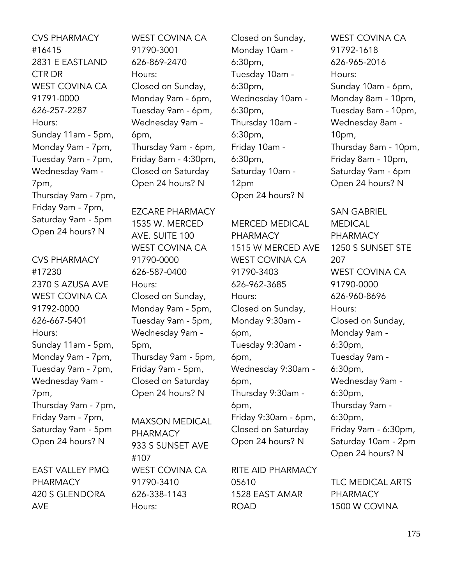CVS PHARMACY #16415 2831 E EASTLAND CTR DR WEST COVINA CA 91791-0000 626-257-2287 Hours: Sunday 11am - 5pm, Monday 9am - 7pm, Tuesday 9am - 7pm, Wednesday 9am - 7pm, Thursday 9am - 7pm, Friday 9am - 7pm, Saturday 9am - 5pm Open 24 hours? N

CVS PHARMACY #17230 2370 S AZUSA AVE WEST COVINA CA 91792-0000 626-667-5401 Hours: Sunday 11am - 5pm, Monday 9am - 7pm, Tuesday 9am - 7pm, Wednesday 9am - 7pm, Thursday 9am - 7pm, Friday 9am - 7pm, Saturday 9am - 5pm Open 24 hours? N

EAST VALLEY PMQ PHARMACY 420 S GLENDORA AVE

WEST COVINA CA 91790-3001 626-869-2470 Hours: Closed on Sunday, Monday 9am - 6pm, Tuesday 9am - 6pm, Wednesday 9am - 6pm, Thursday 9am - 6pm, Friday 8am - 4:30pm, Closed on Saturday Open 24 hours? N

EZCARE PHARMACY 1535 W. MERCED AVE. SUITE 100 WEST COVINA CA 91790-0000 626-587-0400 Hours: Closed on Sunday, Monday 9am - 5pm, Tuesday 9am - 5pm, Wednesday 9am - 5pm, Thursday 9am - 5pm, Friday 9am - 5pm, Closed on Saturday Open 24 hours? N

MAXSON MEDICAL PHARMACY 933 S SUNSET AVE #107 WEST COVINA CA 91790-3410 626-338-1143 Hours:

Closed on Sunday, Monday 10am - 6:30pm, Tuesday 10am - 6:30pm, Wednesday 10am - 6:30pm, Thursday 10am - 6:30pm, Friday 10am - 6:30pm, Saturday 10am - 12pm Open 24 hours? N

MERCED MEDICAL PHARMACY 1515 W MERCED AVE WEST COVINA CA 91790-3403 626-962-3685 Hours: Closed on Sunday, Monday 9:30am - 6pm, Tuesday 9:30am - 6pm, Wednesday 9:30am - 6pm, Thursday 9:30am - 6pm, Friday 9:30am - 6pm, Closed on Saturday Open 24 hours? N

RITE AID PHARMACY 05610 1528 EAST AMAR ROAD

WEST COVINA CA 91792-1618 626-965-2016 Hours: Sunday 10am - 6pm, Monday 8am - 10pm, Tuesday 8am - 10pm, Wednesday 8am - 10pm, Thursday 8am - 10pm, Friday 8am - 10pm, Saturday 9am - 6pm Open 24 hours? N

SAN GABRIEL MEDICAL PHARMACY 1250 S SUNSET STE 207 WEST COVINA CA 91790-0000 626-960-8696 Hours: Closed on Sunday, Monday 9am - 6:30pm, Tuesday 9am - 6:30pm, Wednesday 9am - 6:30pm, Thursday 9am - 6:30pm, Friday 9am - 6:30pm, Saturday 10am - 2pm Open 24 hours? N

TLC MEDICAL ARTS PHARMACY 1500 W COVINA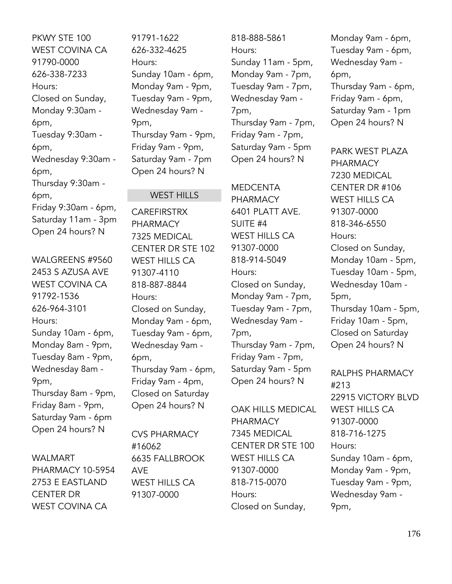PKWY STE 100 WEST COVINA CA 91790-0000 626-338-7233 Hours: Closed on Sunday, Monday 9:30am - 6pm, Tuesday 9:30am - 6pm, Wednesday 9:30am - 6pm, Thursday 9:30am - 6pm, Friday 9:30am - 6pm, Saturday 11am - 3pm Open 24 hours? N

WALGREENS #9560 2453 S AZUSA AVE WEST COVINA CA 91792-1536 626-964-3101 Hours: Sunday 10am - 6pm, Monday 8am - 9pm, Tuesday 8am - 9pm, Wednesday 8am - 9pm, Thursday 8am - 9pm, Friday 8am - 9pm, Saturday 9am - 6pm Open 24 hours? N

WALMART PHARMACY 10-5954 2753 E EASTLAND CENTER DR WEST COVINA CA

91791-1622 626-332-4625 Hours: Sunday 10am - 6pm, Monday 9am - 9pm, Tuesday 9am - 9pm, Wednesday 9am - 9pm, Thursday 9am - 9pm, Friday 9am - 9pm, Saturday 9am - 7pm Open 24 hours? N

# WEST HILLS

CAREFIRSTRX PHARMACY 7325 MEDICAL CENTER DR STE 102 WEST HILLS CA 91307-4110 818-887-8844 Hours: Closed on Sunday, Monday 9am - 6pm, Tuesday 9am - 6pm, Wednesday 9am - 6pm, Thursday 9am - 6pm, Friday 9am - 4pm, Closed on Saturday Open 24 hours? N

CVS PHARMACY #16062 6635 FALLBROOK AVE WEST HILLS CA 91307-0000

818-888-5861 Hours: Sunday 11am - 5pm, Monday 9am - 7pm, Tuesday 9am - 7pm, Wednesday 9am - 7pm, Thursday 9am - 7pm, Friday 9am - 7pm, Saturday 9am - 5pm Open 24 hours? N

MEDCENTA

PHARMACY 6401 PLATT AVE. SUITE #4 WEST HILLS CA 91307-0000 818-914-5049 Hours: Closed on Sunday, Monday 9am - 7pm, Tuesday 9am - 7pm, Wednesday 9am - 7pm, Thursday 9am - 7pm, Friday 9am - 7pm, Saturday 9am - 5pm Open 24 hours? N

OAK HILLS MEDICAL PHARMACY 7345 MEDICAL CENTER DR STE 100 WEST HILLS CA 91307-0000 818-715-0070 Hours: Closed on Sunday,

Monday 9am - 6pm, Tuesday 9am - 6pm, Wednesday 9am - 6pm, Thursday 9am - 6pm, Friday 9am - 6pm, Saturday 9am - 1pm Open 24 hours? N

PARK WEST PLAZA PHARMACY 7230 MEDICAL CENTER DR #106 WEST HILLS CA 91307-0000 818-346-6550 Hours: Closed on Sunday, Monday 10am - 5pm, Tuesday 10am - 5pm, Wednesday 10am - 5pm, Thursday 10am - 5pm, Friday 10am - 5pm, Closed on Saturday Open 24 hours? N

RALPHS PHARMACY #213 22915 VICTORY BLVD WEST HILLS CA 91307-0000 818-716-1275 Hours: Sunday 10am - 6pm, Monday 9am - 9pm, Tuesday 9am - 9pm, Wednesday 9am - 9pm,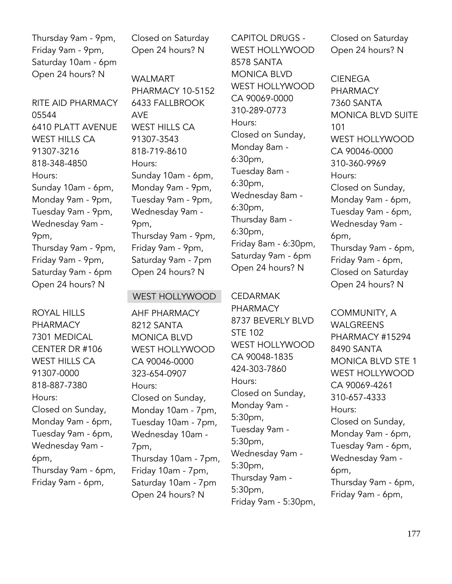Thursday 9am - 9pm, Friday 9am - 9pm, Saturday 10am - 6pm Open 24 hours? N

RITE AID PHARMACY 05544 6410 PLATT AVENUE WEST HILLS CA 91307-3216 818-348-4850 Hours: Sunday 10am - 6pm, Monday 9am - 9pm, Tuesday 9am - 9pm, Wednesday 9am - 9pm, Thursday 9am - 9pm, Friday 9am - 9pm, Saturday 9am - 6pm Open 24 hours? N

ROYAL HILLS PHARMACY 7301 MEDICAL CENTER DR #106 WEST HILLS CA 91307-0000 818-887-7380 Hours: Closed on Sunday, Monday 9am - 6pm, Tuesday 9am - 6pm, Wednesday 9am - 6pm, Thursday 9am - 6pm, Friday 9am - 6pm,

Closed on Saturday Open 24 hours? N

WALMART PHARMACY 10-5152 6433 FALLBROOK AVE WEST HILLS CA 91307-3543 818-719-8610 Hours: Sunday 10am - 6pm, Monday 9am - 9pm, Tuesday 9am - 9pm, Wednesday 9am - 9pm, Thursday 9am - 9pm, Friday 9am - 9pm, Saturday 9am - 7pm Open 24 hours? N

#### WEST HOLLYWOOD

AHF PHARMACY 8212 SANTA MONICA BLVD WEST HOLLYWOOD CA 90046-0000 323-654-0907 Hours: Closed on Sunday, Monday 10am - 7pm, Tuesday 10am - 7pm, Wednesday 10am - 7pm, Thursday 10am - 7pm, Friday 10am - 7pm, Saturday 10am - 7pm Open 24 hours? N

CAPITOL DRUGS - WEST HOLLYWOOD 8578 SANTA MONICA BLVD WEST HOLLYWOOD CA 90069-0000 310-289-0773 Hours: Closed on Sunday, Monday 8am - 6:30pm, Tuesday 8am - 6:30pm, Wednesday 8am - 6:30pm, Thursday 8am - 6:30pm, Friday 8am - 6:30pm, Saturday 9am - 6pm Open 24 hours? N

CEDARMAK

PHARMACY 8737 BEVERLY BLVD STE 102 WEST HOLLYWOOD CA 90048-1835 424-303-7860 Hours: Closed on Sunday, Monday 9am - 5:30pm, Tuesday 9am - 5:30pm, Wednesday 9am - 5:30pm, Thursday 9am - 5:30pm, Friday 9am - 5:30pm,

Closed on Saturday Open 24 hours? N

CIENEGA PHARMACY 7360 SANTA MONICA BLVD SUITE 101 WEST HOLLYWOOD CA 90046-0000 310-360-9969 Hours: Closed on Sunday, Monday 9am - 6pm, Tuesday 9am - 6pm, Wednesday 9am - 6pm, Thursday 9am - 6pm, Friday 9am - 6pm, Closed on Saturday Open 24 hours? N

COMMUNITY, A WALGREENS PHARMACY #15294 8490 SANTA MONICA BLVD STE 1 WEST HOLLYWOOD CA 90069-4261 310-657-4333 Hours: Closed on Sunday, Monday 9am - 6pm, Tuesday 9am - 6pm, Wednesday 9am - 6pm, Thursday 9am - 6pm, Friday 9am - 6pm,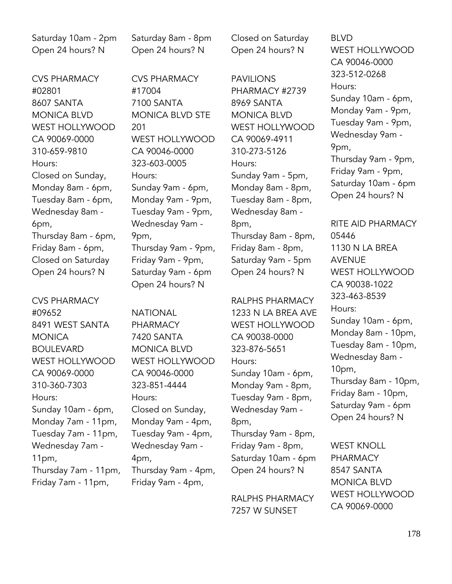Saturday 10am - 2pm Open 24 hours? N

CVS PHARMACY #02801 8607 SANTA MONICA BLVD WEST HOLLYWOOD. CA 90069-0000 310-659-9810 Hours: Closed on Sunday, Monday 8am - 6pm, Tuesday 8am - 6pm, Wednesday 8am - 6pm, Thursday 8am - 6pm, Friday 8am - 6pm, Closed on Saturday Open 24 hours? N

CVS PHARMACY #09652 8491 WEST SANTA **MONICA** BOULEVARD WEST HOLLYWOOD CA 90069-0000 310-360-7303 Hours: Sunday 10am - 6pm, Monday 7am - 11pm, Tuesday 7am - 11pm, Wednesday 7am - 11pm, Thursday 7am - 11pm, Friday 7am - 11pm,

Saturday 8am - 8pm Open 24 hours? N

CVS PHARMACY #17004 7100 SANTA MONICA BLVD STE 201 WEST HOLLYWOOD CA 90046-0000 323-603-0005 Hours: Sunday 9am - 6pm, Monday 9am - 9pm, Tuesday 9am - 9pm, Wednesday 9am - 9pm, Thursday 9am - 9pm, Friday 9am - 9pm, Saturday 9am - 6pm Open 24 hours? N

NATIONAL PHARMACY 7420 SANTA MONICA BLVD WEST HOLLYWOOD CA 90046-0000 323-851-4444 Hours: Closed on Sunday, Monday 9am - 4pm, Tuesday 9am - 4pm, Wednesday 9am - 4pm, Thursday 9am - 4pm, Friday 9am - 4pm,

Closed on Saturday Open 24 hours? N

PAVILIONS PHARMACY #2739 8969 SANTA MONICA BLVD WEST HOLLYWOOD CA 90069-4911 310-273-5126 Hours: Sunday 9am - 5pm, Monday 8am - 8pm, Tuesday 8am - 8pm, Wednesday 8am - 8pm, Thursday 8am - 8pm, Friday 8am - 8pm, Saturday 9am - 5pm Open 24 hours? N

RALPHS PHARMACY 1233 N LA BREA AVE WEST HOLLYWOOD CA 90038-0000 323-876-5651 Hours: Sunday 10am - 6pm, Monday 9am - 8pm, Tuesday 9am - 8pm, Wednesday 9am - 8pm, Thursday 9am - 8pm, Friday 9am - 8pm, Saturday 10am - 6pm Open 24 hours? N

RALPHS PHARMACY 7257 W SUNSET

BLVD WEST HOLLYWOOD CA 90046-0000 323-512-0268 Hours: Sunday 10am - 6pm, Monday 9am - 9pm, Tuesday 9am - 9pm, Wednesday 9am - 9pm, Thursday 9am - 9pm, Friday 9am - 9pm, Saturday 10am - 6pm Open 24 hours? N

RITE AID PHARMACY 05446 1130 N LA BREA AVENUE WEST HOLLYWOOD CA 90038-1022 323-463-8539 Hours: Sunday 10am - 6pm, Monday 8am - 10pm, Tuesday 8am - 10pm, Wednesday 8am - 10pm, Thursday 8am - 10pm, Friday 8am - 10pm, Saturday 9am - 6pm Open 24 hours? N

WEST KNOLL **PHARMACY** 8547 SANTA MONICA BLVD WEST HOLLYWOOD CA 90069-0000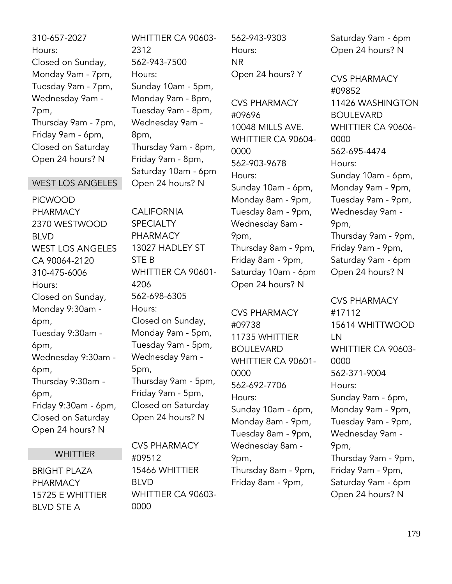310-657-2027 Hours: Closed on Sunday, Monday 9am - 7pm, Tuesday 9am - 7pm, Wednesday 9am - 7pm, Thursday 9am - 7pm, Friday 9am - 6pm, Closed on Saturday Open 24 hours? N

#### WEST LOS ANGELES

PICWOOD PHARMACY 2370 WESTWOOD BLVD WEST LOS ANGELES CA 90064-2120 310-475-6006 Hours: Closed on Sunday, Monday 9:30am - 6pm, Tuesday 9:30am - 6pm, Wednesday 9:30am - 6pm, Thursday 9:30am - 6pm, Friday 9:30am - 6pm, Closed on Saturday Open 24 hours? N

#### **WHITTIER**

BRIGHT PLAZA PHARMACY 15725 E WHITTIER BLVD STE A

WHITTIER CA 90603- 2312 562-943-7500 Hours: Sunday 10am - 5pm, Monday 9am - 8pm, Tuesday 9am - 8pm, Wednesday 9am - 8pm, Thursday 9am - 8pm, Friday 9am - 8pm, Saturday 10am - 6pm Open 24 hours? N

CALIFORNIA **SPECIALTY** PHARMACY 13027 HADLEY ST STE B WHITTIER CA 90601- 4206 562-698-6305 Hours: Closed on Sunday, Monday 9am - 5pm, Tuesday 9am - 5pm, Wednesday 9am - 5pm, Thursday 9am - 5pm, Friday 9am - 5pm, Closed on Saturday Open 24 hours? N

CVS PHARMACY #09512 15466 WHITTIER BLVD WHITTIER CA 90603- 0000

562-943-9303 Hours: NR Open 24 hours? Y

CVS PHARMACY #09696 10048 MILLS AVE. WHITTIER CA 90604- 0000 562-903-9678 Hours: Sunday 10am - 6pm, Monday 8am - 9pm, Tuesday 8am - 9pm, Wednesday 8am - 9pm, Thursday 8am - 9pm, Friday 8am - 9pm, Saturday 10am - 6pm Open 24 hours? N

CVS PHARMACY #09738 11735 WHITTIER BOULEVARD WHITTIER CA 90601- 0000 562-692-7706 Hours: Sunday 10am - 6pm, Monday 8am - 9pm, Tuesday 8am - 9pm, Wednesday 8am - 9pm, Thursday 8am - 9pm, Friday 8am - 9pm,

Saturday 9am - 6pm Open 24 hours? N

CVS PHARMACY #09852 11426 WASHINGTON **BOULEVARD** WHITTIER CA 90606- 0000 562-695-4474 Hours: Sunday 10am - 6pm, Monday 9am - 9pm, Tuesday 9am - 9pm, Wednesday 9am - 9pm, Thursday 9am - 9pm, Friday 9am - 9pm, Saturday 9am - 6pm Open 24 hours? N

CVS PHARMACY #17112 15614 WHITTWOOD LN WHITTIER CA 90603- 0000 562-371-9004 Hours: Sunday 9am - 6pm, Monday 9am - 9pm, Tuesday 9am - 9pm, Wednesday 9am - 9pm, Thursday 9am - 9pm, Friday 9am - 9pm, Saturday 9am - 6pm Open 24 hours? N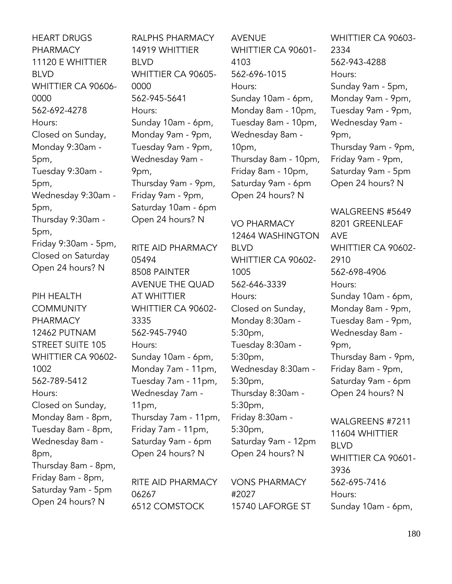HEART DRUGS PHARMACY 11120 E WHITTIER BLVD WHITTIER CA 90606- 0000 562-692-4278 Hours: Closed on Sunday, Monday 9:30am - 5pm, Tuesday 9:30am - 5pm, Wednesday 9:30am - 5pm, Thursday 9:30am - 5pm, Friday 9:30am - 5pm, Closed on Saturday Open 24 hours? N

PIH HEALTH **COMMUNITY** PHARMACY 12462 PUTNAM STREET SUITE 105 WHITTIER CA 90602- 1002 562-789-5412 Hours: Closed on Sunday, Monday 8am - 8pm, Tuesday 8am - 8pm, Wednesday 8am - 8pm, Thursday 8am - 8pm, Friday 8am - 8pm, Saturday 9am - 5pm Open 24 hours? N

RALPHS PHARMACY 14919 WHITTIER BLVD WHITTIER CA 90605- 0000 562-945-5641 Hours: Sunday 10am - 6pm, Monday 9am - 9pm, Tuesday 9am - 9pm, Wednesday 9am - 9pm, Thursday 9am - 9pm, Friday 9am - 9pm, Saturday 10am - 6pm Open 24 hours? N

RITE AID PHARMACY 05494 8508 PAINTER AVENUE THE QUAD AT WHITTIER WHITTIER CA 90602- 3335 562-945-7940 Hours: Sunday 10am - 6pm, Monday 7am - 11pm, Tuesday 7am - 11pm, Wednesday 7am - 11pm, Thursday 7am - 11pm, Friday 7am - 11pm, Saturday 9am - 6pm Open 24 hours? N

RITE AID PHARMACY 06267 6512 COMSTOCK

AVENUE WHITTIER CA 90601- 4103 562-696-1015 Hours: Sunday 10am - 6pm, Monday 8am - 10pm, Tuesday 8am - 10pm, Wednesday 8am - 10pm, Thursday 8am - 10pm, Friday 8am - 10pm, Saturday 9am - 6pm Open 24 hours? N

VO PHARMACY 12464 WASHINGTON BLVD WHITTIER CA 90602- 1005 562-646-3339 Hours: Closed on Sunday, Monday 8:30am - 5:30pm, Tuesday 8:30am - 5:30pm, Wednesday 8:30am - 5:30pm, Thursday 8:30am - 5:30pm, Friday 8:30am - 5:30pm, Saturday 9am - 12pm

VONS PHARMACY #2027

Open 24 hours? N

15740 LAFORGE ST

WHITTIER CA 90603- 2334 562-943-4288 Hours: Sunday 9am - 5pm, Monday 9am - 9pm, Tuesday 9am - 9pm, Wednesday 9am - 9pm, Thursday 9am - 9pm, Friday 9am - 9pm, Saturday 9am - 5pm Open 24 hours? N

WALGREENS #5649 8201 GREENLEAF AVE WHITTIER CA 90602- 2910 562-698-4906 Hours: Sunday 10am - 6pm, Monday 8am - 9pm, Tuesday 8am - 9pm, Wednesday 8am - 9pm, Thursday 8am - 9pm, Friday 8am - 9pm, Saturday 9am - 6pm Open 24 hours? N

WALGREENS #7211 11604 WHITTIER BLVD WHITTIER CA 90601- 3936 562-695-7416 Hours: Sunday 10am - 6pm,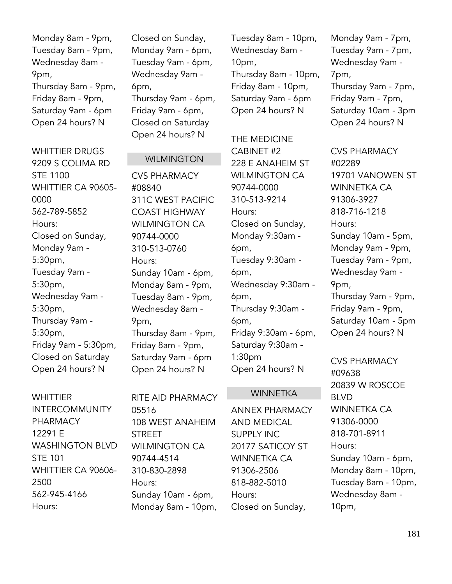Monday 8am - 9pm, Tuesday 8am - 9pm, Wednesday 8am - 9pm, Thursday 8am - 9pm, Friday 8am - 9pm, Saturday 9am - 6pm Open 24 hours? N

WHITTIER DRUGS 9209 S COLIMA RD STE 1100 WHITTIER CA 90605- 0000 562-789-5852 Hours: Closed on Sunday, Monday 9am - 5:30pm, Tuesday 9am - 5:30pm, Wednesday 9am - 5:30pm, Thursday 9am - 5:30pm, Friday 9am - 5:30pm, Closed on Saturday Open 24 hours? N

**WHITTIFR** INTERCOMMUNITY PHARMACY 12291 E WASHINGTON BLVD STE 101 WHITTIER CA 90606- 2500 562-945-4166 Hours:

Closed on Sunday, Monday 9am - 6pm, Tuesday 9am - 6pm, Wednesday 9am - 6pm, Thursday 9am - 6pm, Friday 9am - 6pm, Closed on Saturday Open 24 hours? N

# **WILMINGTON**

CVS PHARMACY #08840 311C WEST PACIFIC COAST HIGHWAY WII MINGTON CA 90744-0000 310-513-0760 Hours: Sunday 10am - 6pm, Monday 8am - 9pm, Tuesday 8am - 9pm, Wednesday 8am - 9pm, Thursday 8am - 9pm, Friday 8am - 9pm, Saturday 9am - 6pm Open 24 hours? N

RITE AID PHARMACY 05516 108 WEST ANAHEIM STREET WILMINGTON CA 90744-4514 310-830-2898 Hours: Sunday 10am - 6pm, Monday 8am - 10pm,

Tuesday 8am - 10pm, Wednesday 8am - 10pm, Thursday 8am - 10pm, Friday 8am - 10pm, Saturday 9am - 6pm Open 24 hours? N

THE MEDICINE CABINET #2 228 E ANAHEIM ST WILMINGTON CA 90744-0000 310-513-9214 Hours: Closed on Sunday, Monday 9:30am - 6pm, Tuesday 9:30am - 6pm, Wednesday 9:30am - 6pm, Thursday 9:30am - 6pm, Friday 9:30am - 6pm, Saturday 9:30am - 1:30pm Open 24 hours? N

#### WINNETKA

ANNEX PHARMACY AND MEDICAL SUPPLY INC 20177 SATICOY ST WINNETKA CA 91306-2506 818-882-5010 Hours: Closed on Sunday,

Monday 9am - 7pm, Tuesday 9am - 7pm, Wednesday 9am - 7pm, Thursday 9am - 7pm, Friday 9am - 7pm, Saturday 10am - 3pm Open 24 hours? N

CVS PHARMACY #02289 19701 VANOWEN ST WINNETKA CA 91306-3927 818-716-1218 Hours: Sunday 10am - 5pm, Monday 9am - 9pm, Tuesday 9am - 9pm, Wednesday 9am - 9pm, Thursday 9am - 9pm, Friday 9am - 9pm, Saturday 10am - 5pm Open 24 hours? N

CVS PHARMACY #09638 20839 W ROSCOE BLVD WINNETKA CA 91306-0000 818-701-8911 Hours: Sunday 10am - 6pm, Monday 8am - 10pm, Tuesday 8am - 10pm, Wednesday 8am - 10pm,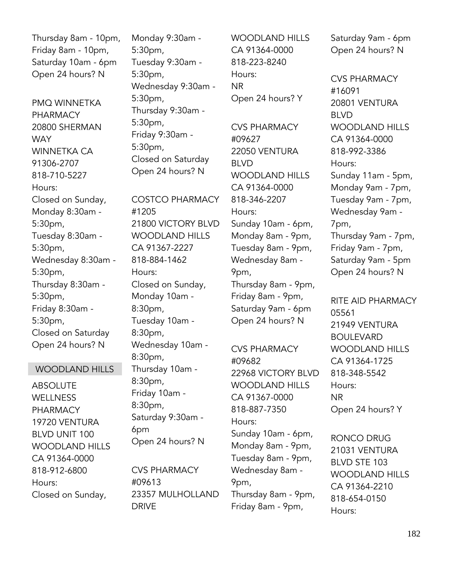Thursday 8am - 10pm, Friday 8am - 10pm, Saturday 10am - 6pm Open 24 hours? N

PMQ WINNETKA PHARMACY 20800 SHERMAN **WAY** WINNETKA CA 91306-2707 818-710-5227 Hours: Closed on Sunday, Monday 8:30am - 5:30pm, Tuesday 8:30am - 5:30pm, Wednesday 8:30am - 5:30pm, Thursday 8:30am - 5:30pm, Friday 8:30am - 5:30pm, Closed on Saturday Open 24 hours? N

# WOODLAND HILLS

ABSOLUTE WELLNESS PHARMACY 19720 VENTURA BLVD UNIT 100 WOODLAND HILLS CA 91364-0000 818-912-6800 Hours: Closed on Sunday,

Monday 9:30am - 5:30pm, Tuesday 9:30am - 5:30pm, Wednesday 9:30am - 5:30pm, Thursday 9:30am - 5:30pm, Friday 9:30am - 5:30pm, Closed on Saturday Open 24 hours? N

COSTCO PHARMACY #1205 21800 VICTORY BLVD WOODLAND HILLS CA 91367-2227 818-884-1462 Hours: Closed on Sunday, Monday 10am - 8:30pm, Tuesday 10am - 8:30pm, Wednesday 10am - 8:30pm, Thursday 10am - 8:30pm, Friday 10am - 8:30pm, Saturday 9:30am - 6pm Open 24 hours? N

CVS PHARMACY #09613 23357 MULHOLLAND DRIVE

WOODLAND HILLS CA 91364-0000 818-223-8240 Hours: NR Open 24 hours? Y

CVS PHARMACY #09627 22050 VENTURA BLVD WOODLAND HILLS CA 91364-0000 818-346-2207 Hours: Sunday 10am - 6pm, Monday 8am - 9pm, Tuesday 8am - 9pm, Wednesday 8am - 9pm, Thursday 8am - 9pm, Friday 8am - 9pm, Saturday 9am - 6pm Open 24 hours? N

CVS PHARMACY #09682 22968 VICTORY BLVD WOODLAND HILLS CA 91367-0000 818-887-7350 Hours: Sunday 10am - 6pm, Monday 8am - 9pm, Tuesday 8am - 9pm, Wednesday 8am - 9pm, Thursday 8am - 9pm, Friday 8am - 9pm,

Saturday 9am - 6pm Open 24 hours? N

CVS PHARMACY #16091 20801 VENTURA BLVD WOODLAND HILLS CA 91364-0000 818-992-3386 Hours: Sunday 11am - 5pm, Monday 9am - 7pm, Tuesday 9am - 7pm, Wednesday 9am - 7pm, Thursday 9am - 7pm, Friday 9am - 7pm, Saturday 9am - 5pm Open 24 hours? N

RITE AID PHARMACY 05561 21949 VENTURA BOULEVARD WOODLAND HILLS CA 91364-1725 818-348-5542 Hours: NR Open 24 hours? Y

RONCO DRUG 21031 VENTURA BLVD STE 103 WOODLAND HILLS CA 91364-2210 818-654-0150 Hours: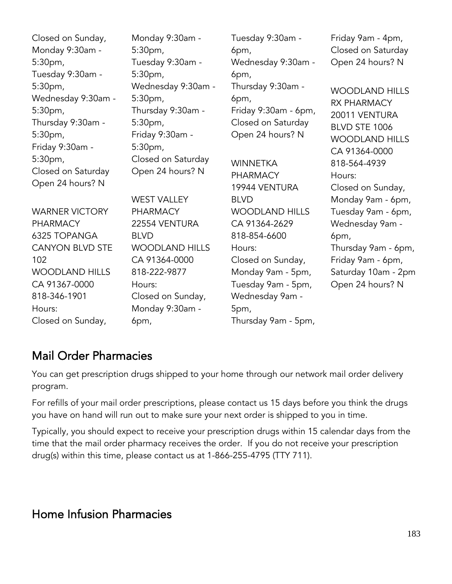| Closed on Sunday,<br>Monday 9:30am -<br>5:30pm,<br>Tuesday 9:30am -                                                | Monday 9:30am -<br>5:30 <sub>pm</sub><br>Tuesday 9:30am -<br>5:30pm,                                      | Tuesday 9:30am -<br>6pm,<br>Wednesday 9:30am -<br>6pm,                                                     | Friday 9am - 4pm,<br>Closed on Saturday<br>Open 24 hours? N                                                             |
|--------------------------------------------------------------------------------------------------------------------|-----------------------------------------------------------------------------------------------------------|------------------------------------------------------------------------------------------------------------|-------------------------------------------------------------------------------------------------------------------------|
| 5:30pm,<br>Wednesday 9:30am -<br>5:30pm,<br>Thursday 9:30am -<br>5:30pm,<br>Friday 9:30am -                        | Wednesday 9:30am -<br>5:30pm,<br>Thursday 9:30am -<br>5:30pm,<br>Friday 9:30am -<br>5:30pm,               | Thursday 9:30am -<br>6pm,<br>Friday 9:30am - 6pm,<br>Closed on Saturday<br>Open 24 hours? N                | <b>WOODLAND HILLS</b><br><b>RX PHARMACY</b><br>20011 VENTURA<br>BLVD STE 1006<br><b>WOODLAND HILLS</b><br>CA 91364-0000 |
| 5:30pm,<br>Closed on Saturday<br>Open 24 hours? N                                                                  | Closed on Saturday<br>Open 24 hours? N<br><b>WEST VALLEY</b>                                              | <b>WINNETKA</b><br><b>PHARMACY</b><br>19944 VENTURA<br><b>BLVD</b>                                         | 818-564-4939<br>Hours:<br>Closed on Sunday,<br>Monday 9am - 6pm,                                                        |
| <b>WARNER VICTORY</b><br><b>PHARMACY</b><br>6325 TOPANGA<br><b>CANYON BLVD STE</b><br>102<br><b>WOODLAND HILLS</b> | <b>PHARMACY</b><br>22554 VENTURA<br><b>BLVD</b><br><b>WOODLAND HILLS</b><br>CA 91364-0000<br>818-222-9877 | <b>WOODLAND HILLS</b><br>CA 91364-2629<br>818-854-6600<br>Hours:<br>Closed on Sunday,<br>Monday 9am - 5pm, | Tuesday 9am - 6pm,<br>Wednesday 9am -<br>6pm,<br>Thursday 9am - 6pm,<br>Friday 9am - 6pm,<br>Saturday 10am - 2pm        |
| CA 91367-0000<br>818-346-1901<br>Hours:<br>Closed on Sunday,                                                       | Hours:<br>Closed on Sunday,<br>Monday 9:30am -<br>6pm,                                                    | Tuesday 9am - 5pm,<br>Wednesday 9am -<br>5pm,<br>Thursday 9am - 5pm,                                       | Open 24 hours? N                                                                                                        |

# Mail Order Pharmacies

You can get prescription drugs shipped to your home through our network mail order delivery program.

For refills of your mail order prescriptions, please contact us 15 days before you think the drugs you have on hand will run out to make sure your next order is shipped to you in time.

Typically, you should expect to receive your prescription drugs within 15 calendar days from the time that the mail order pharmacy receives the order. If you do not receive your prescription drug(s) within this time, please contact us at 1-866-255-4795 (TTY 711).

# Home Infusion Pharmacies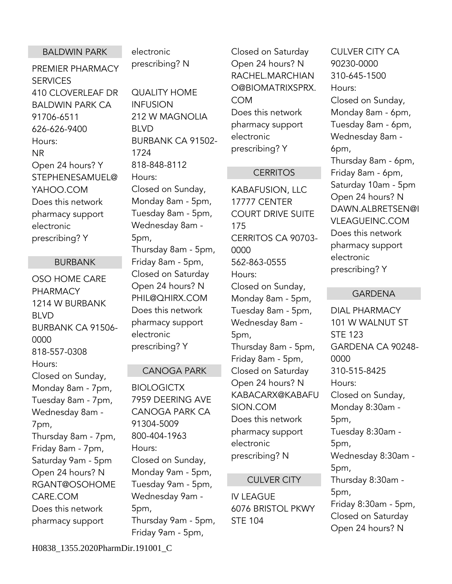# BALDWIN PARK

PREMIER PHARMACY **SERVICES** 410 CLOVERLEAF DR BALDWIN PARK CA 91706-6511 626-626-9400 Hours: NR Open 24 hours? Y STEPHENESAMUEL@ YAHOO.COM Does this network pharmacy support electronic prescribing? Y

# BURBANK

OSO HOME CARE PHARMACY 1214 W BURBANK BLVD BURBANK CA 91506- 0000 818-557-0308 Hours: Closed on Sunday, Monday 8am - 7pm, Tuesday 8am - 7pm, Wednesday 8am - 7pm, Thursday 8am - 7pm, Friday 8am - 7pm, Saturday 9am - 5pm Open 24 hours? N RGANT@OSOHOME CARE.COM Does this network pharmacy support

electronic prescribing? N

QUALITY HOME INFUSION 212 W MAGNOLIA BLVD BURBANK CA 91502- 1724 818-848-8112 Hours: Closed on Sunday, Monday 8am - 5pm, Tuesday 8am - 5pm, Wednesday 8am - 5pm, Thursday 8am - 5pm, Friday 8am - 5pm, Closed on Saturday Open 24 hours? N PHIL@QHIRX.COM Does this network pharmacy support electronic prescribing? Y

# CANOGA PARK

**BIOLOGICTX** 7959 DEERING AVE CANOGA PARK CA 91304-5009 800-404-1963 Hours: Closed on Sunday, Monday 9am - 5pm, Tuesday 9am - 5pm, Wednesday 9am - 5pm, Thursday 9am - 5pm, Friday 9am - 5pm,

Closed on Saturday Open 24 hours? N RACHEL.MARCHIAN O@BIOMATRIXSPRX. COM Does this network pharmacy support electronic prescribing? Y

# **CERRITOS**

KABAFUSION, LLC 17777 CENTER COURT DRIVE SUITE 175 CERRITOS CA 90703- 0000 562-863-0555 Hours: Closed on Sunday, Monday 8am - 5pm, Tuesday 8am - 5pm, Wednesday 8am - 5pm, Thursday 8am - 5pm, Friday 8am - 5pm, Closed on Saturday Open 24 hours? N KABACARX@KABAFU SION.COM Does this network pharmacy support electronic prescribing? N

# CULVER CITY

IV LEAGUE 6076 BRISTOL PKWY STE 104

CULVER CITY CA 90230-0000 310-645-1500 Hours: Closed on Sunday, Monday 8am - 6pm, Tuesday 8am - 6pm, Wednesday 8am - 6pm, Thursday 8am - 6pm, Friday 8am - 6pm, Saturday 10am - 5pm Open 24 hours? N DAWN.ALBRETSEN@I VLEAGUEINC.COM Does this network pharmacy support electronic prescribing? Y

# GARDENA

DIAL PHARMACY 101 W WALNUT ST STE 123 GARDENA CA 90248- 0000 310-515-8425 Hours: Closed on Sunday, Monday 8:30am - 5pm, Tuesday 8:30am - 5pm, Wednesday 8:30am - 5pm, Thursday 8:30am - 5pm, Friday 8:30am - 5pm, Closed on Saturday Open 24 hours? N

H0838\_1355.2020PharmDir.191001\_C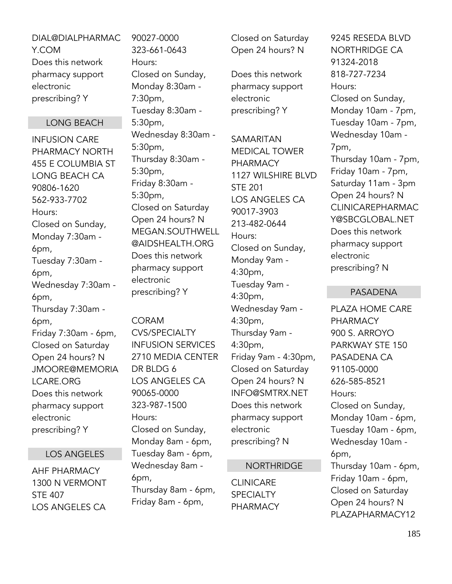DIAL@DIALPHARMAC Y.COM Does this network pharmacy support electronic prescribing? Y

# LONG BEACH

INFUSION CARE PHARMACY NORTH 455 E COLUMBIA ST LONG BEACH CA 90806-1620 562-933-7702 Hours: Closed on Sunday, Monday 7:30am - 6pm, Tuesday 7:30am - 6pm, Wednesday 7:30am - 6pm, Thursday 7:30am - 6pm, Friday 7:30am - 6pm, Closed on Saturday Open 24 hours? N JMOORE@MEMORIA LCARE.ORG Does this network pharmacy support electronic prescribing? Y

#### LOS ANGELES

AHF PHARMACY 1300 N VERMONT STE 407 LOS ANGELES CA

90027-0000 323-661-0643 Hours: Closed on Sunday, Monday 8:30am - 7:30pm, Tuesday 8:30am - 5:30pm, Wednesday 8:30am - 5:30pm, Thursday 8:30am - 5:30pm, Friday 8:30am - 5:30pm, Closed on Saturday Open 24 hours? N MEGAN.SOUTHWELL @AIDSHEALTH.ORG Does this network pharmacy support electronic prescribing? Y

CORAM CVS/SPECIALTY INFUSION SERVICES 2710 MEDIA CENTER DR BLDG 6 LOS ANGELES CA 90065-0000 323-987-1500 Hours: Closed on Sunday, Monday 8am - 6pm, Tuesday 8am - 6pm, Wednesday 8am - 6pm, Thursday 8am - 6pm, Friday 8am - 6pm,

Closed on Saturday Open 24 hours? N

Does this network pharmacy support electronic prescribing? Y

SAMARITAN MEDICAL TOWER PHARMACY 1127 WILSHIRE BLVD STE 201 LOS ANGELES CA 90017-3903 213-482-0644 Hours: Closed on Sunday, Monday 9am - 4:30pm, Tuesday 9am - 4:30pm, Wednesday 9am - 4:30pm, Thursday 9am - 4:30pm, Friday 9am - 4:30pm, Closed on Saturday Open 24 hours? N INFO@SMTRX.NET Does this network pharmacy support electronic prescribing? N

#### NORTHRIDGE

**CLINICARE SPECIALTY** PHARMACY

9245 RESEDA BLVD NORTHRIDGE CA 91324-2018 818-727-7234 Hours: Closed on Sunday, Monday 10am - 7pm, Tuesday 10am - 7pm, Wednesday 10am - 7pm, Thursday 10am - 7pm, Friday 10am - 7pm, Saturday 11am - 3pm Open 24 hours? N CLINICAREPHARMAC Y@SBCGLOBAL.NET Does this network pharmacy support electronic prescribing? N

#### PASADENA

PLAZA HOME CARE PHARMACY 900 S. ARROYO PARKWAY STE 150 PASADENA CA 91105-0000 626-585-8521 Hours: Closed on Sunday, Monday 10am - 6pm, Tuesday 10am - 6pm, Wednesday 10am - 6pm, Thursday 10am - 6pm, Friday 10am - 6pm, Closed on Saturday Open 24 hours? N PLAZAPHARMACY12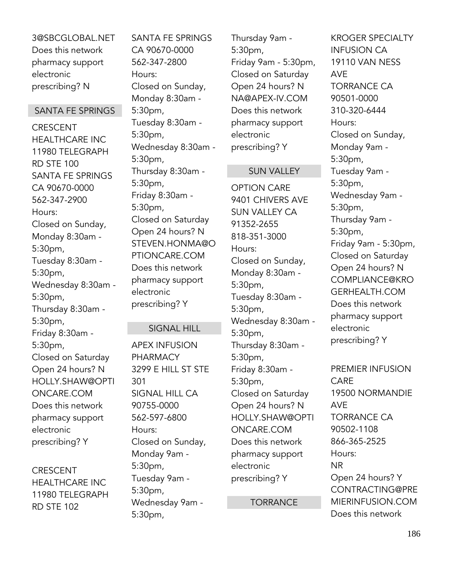3@SBCGLOBAL.NET Does this network pharmacy support electronic prescribing? N

## SANTA FE SPRINGS

**CRESCENT** HEALTHCARE INC 11980 TELEGRAPH RD STE 100 SANTA FE SPRINGS CA 90670-0000 562-347-2900 Hours: Closed on Sunday, Monday 8:30am - 5:30pm, Tuesday 8:30am - 5:30pm, Wednesday 8:30am - 5:30pm, Thursday 8:30am - 5:30pm, Friday 8:30am - 5:30pm, Closed on Saturday Open 24 hours? N HOLLY.SHAW@OPTI ONCARE.COM Does this network pharmacy support electronic prescribing? Y

CRESCENT HEALTHCARE INC 11980 TELEGRAPH RD STE 102

SANTA FE SPRINGS CA 90670-0000 562-347-2800 Hours: Closed on Sunday, Monday 8:30am - 5:30pm, Tuesday 8:30am - 5:30pm, Wednesday 8:30am - 5:30pm, Thursday 8:30am - 5:30pm, Friday 8:30am - 5:30pm, Closed on Saturday Open 24 hours? N STEVEN.HONMA@O PTIONCARE.COM Does this network pharmacy support electronic prescribing? Y

#### SIGNAL HILL

APEX INFUSION PHARMACY 3299 E HILL ST STE 301 SIGNAL HILL CA 90755-0000 562-597-6800 Hours: Closed on Sunday, Monday 9am - 5:30pm, Tuesday 9am - 5:30pm, Wednesday 9am - 5:30pm,

Thursday 9am - 5:30pm, Friday 9am - 5:30pm, Closed on Saturday Open 24 hours? N NA@APEX-IV.COM Does this network pharmacy support electronic prescribing? Y

#### SUN VALLEY

OPTION CARE 9401 CHIVERS AVE SUN VALLEY CA 91352-2655 818-351-3000 Hours: Closed on Sunday, Monday 8:30am - 5:30pm, Tuesday 8:30am - 5:30pm, Wednesday 8:30am - 5:30pm, Thursday 8:30am - 5:30pm, Friday 8:30am - 5:30pm, Closed on Saturday Open 24 hours? N HOLLY.SHAW@OPTI ONCARE.COM Does this network pharmacy support electronic prescribing? Y

**TORRANCE** 

KROGER SPECIALTY INFUSION CA 19110 VAN NESS AVE TORRANCE CA 90501-0000 310-320-6444 Hours: Closed on Sunday, Monday 9am - 5:30pm, Tuesday 9am - 5:30pm, Wednesday 9am - 5:30pm, Thursday 9am - 5:30pm, Friday 9am - 5:30pm, Closed on Saturday Open 24 hours? N COMPLIANCE@KRO GERHEALTH.COM Does this network pharmacy support electronic prescribing? Y

PREMIER INFUSION CARE 19500 NORMANDIE AVE TORRANCE CA 90502-1108 866-365-2525 Hours: NR Open 24 hours? Y CONTRACTING@PRE MIERINFUSION.COM Does this network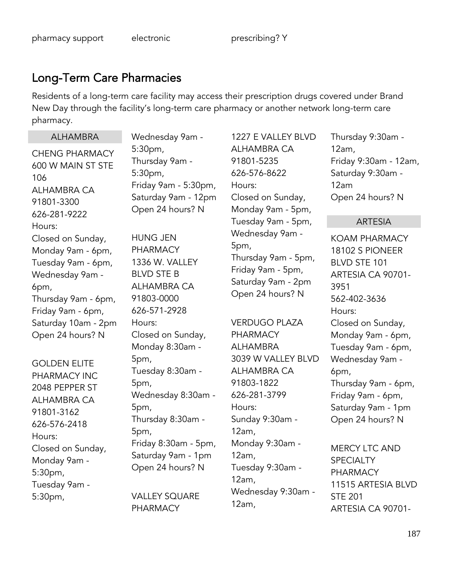# Long-Term Care Pharmacies

Residents of a long-term care facility may access their prescription drugs covered under Brand New Day through the facility's long-term care pharmacy or another network long-term care pharmacy.

# CHENG PHARMACY 600 W MAIN ST STE 106 ALHAMBRA CA 91801-3300 626-281-9222 Hours: Closed on Sunday, Monday 9am - 6pm, Tuesday 9am - 6pm, Wednesday 9am - 6pm, Thursday 9am - 6pm, Friday 9am - 6pm, Saturday 10am - 2pm Open 24 hours? N

ALHAMBRA

GOLDEN ELITE PHARMACY INC 2048 PEPPER ST ALHAMBRA CA 91801-3162 626-576-2418 Hours: Closed on Sunday, Monday 9am - 5:30pm, Tuesday 9am - 5:30pm,

Wednesday 9am - 5:30pm, Thursday 9am - 5:30pm, Friday 9am - 5:30pm, Saturday 9am - 12pm Open 24 hours? N

HUNG JEN PHARMACY 1336 W. VALLEY BLVD STE B ALHAMBRA CA 91803-0000 626-571-2928 Hours: Closed on Sunday, Monday 8:30am - 5pm, Tuesday 8:30am - 5pm, Wednesday 8:30am - 5pm, Thursday 8:30am - 5pm, Friday 8:30am - 5pm, Saturday 9am - 1pm Open 24 hours? N

VALLEY SQUARE PHARMACY

1227 E VALLEY BLVD ALHAMBRA CA 91801-5235 626-576-8622 Hours: Closed on Sunday, Monday 9am - 5pm, Tuesday 9am - 5pm, Wednesday 9am - 5pm, Thursday 9am - 5pm, Friday 9am - 5pm, Saturday 9am - 2pm Open 24 hours? N

VERDUGO PLAZA PHARMACY AI HAMBRA 3039 W VALLEY BLVD ALHAMBRA CA 91803-1822 626-281-3799 Hours: Sunday 9:30am - 12am, Monday 9:30am - 12am, Tuesday 9:30am - 12am, Wednesday 9:30am - 12am,

Thursday 9:30am - 12am, Friday 9:30am - 12am, Saturday 9:30am - 12am Open 24 hours? N

# ARTESIA

KOAM PHARMACY 18102 S PIONEER BLVD STE 101 ARTESIA CA 90701- 3951 562-402-3636 Hours: Closed on Sunday, Monday 9am - 6pm, Tuesday 9am - 6pm, Wednesday 9am - 6pm, Thursday 9am - 6pm, Friday 9am - 6pm, Saturday 9am - 1pm Open 24 hours? N

MERCY LTC AND **SPECIALTY** PHARMACY 11515 ARTESIA BLVD STE 201 ARTESIA CA 90701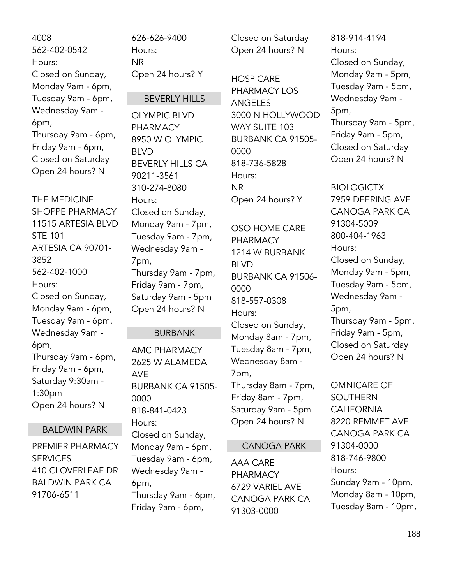4008 562-402-0542 Hours: Closed on Sunday, Monday 9am - 6pm, Tuesday 9am - 6pm, Wednesday 9am - 6pm, Thursday 9am - 6pm, Friday 9am - 6pm, Closed on Saturday Open 24 hours? N

THE MEDICINE SHOPPE PHARMACY 11515 ARTESIA BLVD STE 101 ARTESIA CA 90701- 3852 562-402-1000 Hours: Closed on Sunday, Monday 9am - 6pm, Tuesday 9am - 6pm, Wednesday 9am - 6pm, Thursday 9am - 6pm, Friday 9am - 6pm, Saturday 9:30am - 1:30pm Open 24 hours? N

# BALDWIN PARK

PREMIER PHARMACY **SERVICES** 410 CLOVERLEAF DR BALDWIN PARK CA 91706-6511

626-626-9400 Hours: NR Open 24 hours? Y

## BEVERLY HILLS

OLYMPIC BLVD PHARMACY 8950 W OLYMPIC BLVD BEVERLY HILLS CA 90211-3561 310-274-8080 Hours: Closed on Sunday, Monday 9am - 7pm, Tuesday 9am - 7pm, Wednesday 9am - 7pm, Thursday 9am - 7pm, Friday 9am - 7pm, Saturday 9am - 5pm Open 24 hours? N

#### BURBANK

AMC PHARMACY 2625 W ALAMEDA AVE BURBANK CA 91505- 0000 818-841-0423 Hours: Closed on Sunday, Monday 9am - 6pm, Tuesday 9am - 6pm, Wednesday 9am - 6pm, Thursday 9am - 6pm, Friday 9am - 6pm,

Closed on Saturday Open 24 hours? N

**HOSPICARE** PHARMACY LOS ANGELES 3000 N HOLLYWOOD WAY SUITE 103 BURBANK CA 91505- 0000 818-736-5828 Hours: NR Open 24 hours? Y

OSO HOME CARE PHARMACY 1214 W BURBANK BLVD BURBANK CA 91506- 0000 818-557-0308 Hours: Closed on Sunday, Monday 8am - 7pm, Tuesday 8am - 7pm, Wednesday 8am - 7pm, Thursday 8am - 7pm, Friday 8am - 7pm, Saturday 9am - 5pm Open 24 hours? N

#### CANOGA PARK

AAA CARE PHARMACY 6729 VARIEL AVE CANOGA PARK CA 91303-0000

818-914-4194 Hours: Closed on Sunday, Monday 9am - 5pm, Tuesday 9am - 5pm, Wednesday 9am - 5pm, Thursday 9am - 5pm, Friday 9am - 5pm, Closed on Saturday Open 24 hours? N

BIOLOGICTX 7959 DEERING AVE CANOGA PARK CA 91304-5009 800-404-1963 Hours: Closed on Sunday, Monday 9am - 5pm, Tuesday 9am - 5pm, Wednesday 9am - 5pm, Thursday 9am - 5pm, Friday 9am - 5pm, Closed on Saturday Open 24 hours? N

OMNICARE OF SOUTHERN CALIFORNIA 8220 REMMET AVE CANOGA PARK CA 91304-0000 818-746-9800 Hours: Sunday 9am - 10pm, Monday 8am - 10pm, Tuesday 8am - 10pm,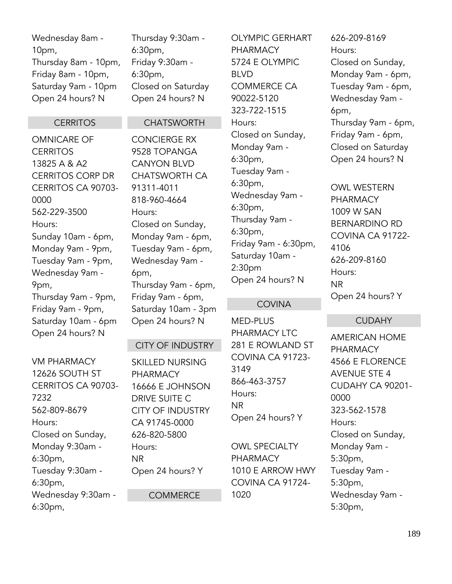# Wednesday 8am - 10pm, Thursday 8am - 10pm, Friday 8am - 10pm, Saturday 9am - 10pm Open 24 hours? N

Thursday 9:30am - 6:30pm, Friday 9:30am - 6:30pm, Closed on Saturday Open 24 hours? N

# **CERRITOS**

OMNICARE OF **CERRITOS** 13825 A & A2 CERRITOS CORP DR CERRITOS CA 90703- 0000 562-229-3500 Hours: Sunday 10am - 6pm, Monday 9am - 9pm, Tuesday 9am - 9pm, Wednesday 9am - 9pm, Thursday 9am - 9pm, Friday 9am - 9pm, Saturday 10am - 6pm Open 24 hours? N

# **CHATSWORTH**

CONCIERGE RX 9528 TOPANGA CANYON BLVD CHATSWORTH CA 91311-4011 818-960-4664 Hours: Closed on Sunday, Monday 9am - 6pm, Tuesday 9am - 6pm, Wednesday 9am - 6pm, Thursday 9am - 6pm, Friday 9am - 6pm, Saturday 10am - 3pm Open 24 hours? N

# CITY OF INDUSTRY

VM PHARMACY 12626 SOUTH ST CERRITOS CA 90703- 7232 562-809-8679 Hours: Closed on Sunday, Monday 9:30am - 6:30pm, Tuesday 9:30am - 6:30pm, Wednesday 9:30am - 6:30pm,

SKILLED NURSING PHARMACY 16666 E JOHNSON DRIVE SUITE C CITY OF INDUSTRY CA 91745-0000 626-820-5800 Hours: NR Open 24 hours? Y

**COMMERCE** 

OLYMPIC GERHART PHARMACY 5724 E OLYMPIC BLVD COMMERCE CA 90022-5120 323-722-1515 Hours: Closed on Sunday, Monday 9am - 6:30pm, Tuesday 9am - 6:30pm, Wednesday 9am - 6:30pm, Thursday 9am - 6:30pm, Friday 9am - 6:30pm, Saturday 10am - 2:30pm Open 24 hours? N

# **COVINA**

MED-PLUS PHARMACY LTC 281 E ROWLAND ST COVINA CA 91723- 3149 866-463-3757 Hours: NR Open 24 hours? Y

OWL SPECIALTY PHARMACY 1010 E ARROW HWY COVINA CA 91724- 1020

626-209-8169 Hours: Closed on Sunday, Monday 9am - 6pm, Tuesday 9am - 6pm, Wednesday 9am - 6pm, Thursday 9am - 6pm, Friday 9am - 6pm, Closed on Saturday Open 24 hours? N

OWL WESTERN PHARMACY 1009 W SAN BERNARDINO RD COVINA CA 91722- 4106 626-209-8160 Hours: NR Open 24 hours? Y

# **CUDAHY**

AMERICAN HOME PHARMACY 4566 E FLORENCE AVENUE STE 4 CUDAHY CA 90201- 0000 323-562-1578 Hours: Closed on Sunday, Monday 9am - 5:30pm, Tuesday 9am - 5:30pm, Wednesday 9am - 5:30pm,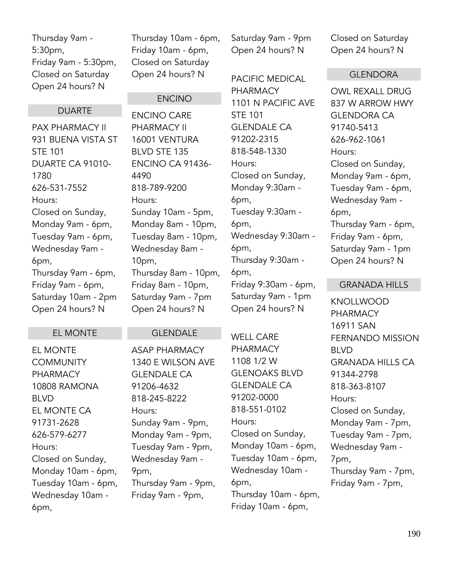Thursday 9am - 5:30pm, Friday 9am - 5:30pm, Closed on Saturday Open 24 hours? N

#### DUARTE

PAX PHARMACY II 931 BUENA VISTA ST STE 101 DUARTE CA 91010- 1780 626-531-7552 Hours: Closed on Sunday, Monday 9am - 6pm, Tuesday 9am - 6pm, Wednesday 9am - 6pm, Thursday 9am - 6pm, Friday 9am - 6pm, Saturday 10am - 2pm Open 24 hours? N

Thursday 10am - 6pm, Friday 10am - 6pm, Closed on Saturday Open 24 hours? N

ENCINO

ENCINO CA 91436-

Sunday 10am - 5pm, Monday 8am - 10pm, Tuesday 8am - 10pm, Wednesday 8am -

ENCINO CARE PHARMACY II 16001 VENTURA BLVD STE 135

818-789-9200

4490

Hours:

10pm,

Saturday 9am - 9pm Open 24 hours? N

PACIFIC MEDICAL PHARMACY 1101 N PACIFIC AVE STE 101 GLENDALE CA 91202-2315 818-548-1330 Hours: Closed on Sunday, Monday 9:30am - 6pm, Tuesday 9:30am - 6pm, Wednesday 9:30am - 6pm, Thursday 9:30am - 6pm, Friday 9:30am - 6pm, Saturday 9am - 1pm Open 24 hours? N

WELL CARE PHARMACY 1108 1/2 W GLENOAKS BLVD GLENDALE CA 91202-0000 818-551-0102 Hours: Closed on Sunday, Monday 10am - 6pm, Tuesday 10am - 6pm, Wednesday 10am - 6pm, Thursday 10am - 6pm, Friday 10am - 6pm,

Closed on Saturday Open 24 hours? N

#### GLENDORA

OWL REXALL DRUG 837 W ARROW HWY GLENDORA CA 91740-5413 626-962-1061 Hours: Closed on Sunday, Monday 9am - 6pm, Tuesday 9am - 6pm, Wednesday 9am - 6pm, Thursday 9am - 6pm, Friday 9am - 6pm, Saturday 9am - 1pm Open 24 hours? N

#### GRANADA HILLS

KNOLLWOOD PHARMACY 16911 SAN FERNANDO MISSION BLVD GRANADA HILLS CA 91344-2798 818-363-8107 Hours: Closed on Sunday, Monday 9am - 7pm, Tuesday 9am - 7pm, Wednesday 9am - 7pm, Thursday 9am - 7pm, Friday 9am - 7pm,

#### EL MONTE

EL MONTE **COMMUNITY** PHARMACY 10808 RAMONA BLVD EL MONTE CA 91731-2628 626-579-6277 Hours: Closed on Sunday, Monday 10am - 6pm, Tuesday 10am - 6pm, Wednesday 10am - 6pm,

# GLENDALE

Thursday 8am - 10pm, Friday 8am - 10pm, Saturday 9am - 7pm Open 24 hours? N

ASAP PHARMACY 1340 E WILSON AVE GLENDALE CA 91206-4632 818-245-8222 Hours: Sunday 9am - 9pm, Monday 9am - 9pm, Tuesday 9am - 9pm, Wednesday 9am - 9pm, Thursday 9am - 9pm, Friday 9am - 9pm,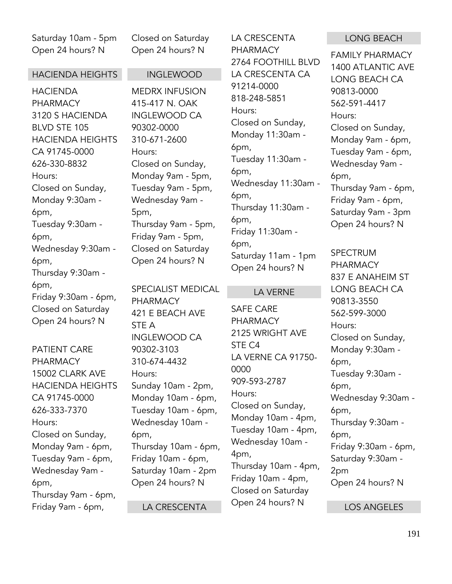Saturday 10am - 5pm Open 24 hours? N

#### HACIENDA HEIGHTS

HACIENDA PHARMACY 3120 S HACIENDA BLVD STE 105 HACIENDA HEIGHTS CA 91745-0000 626-330-8832 Hours: Closed on Sunday, Monday 9:30am - 6pm, Tuesday 9:30am - 6pm, Wednesday 9:30am - 6pm, Thursday 9:30am - 6pm, Friday 9:30am - 6pm, Closed on Saturday Open 24 hours? N

PATIENT CARE **PHARMACY** 15002 CLARK AVE HACIENDA HEIGHTS CA 91745-0000 626-333-7370 Hours: Closed on Sunday, Monday 9am - 6pm, Tuesday 9am - 6pm, Wednesday 9am - 6pm, Thursday 9am - 6pm, Friday 9am - 6pm,

Closed on Saturday Open 24 hours? N

#### INGLEWOOD

MEDRX INFUSION 415-417 N. OAK INGLEWOOD CA 90302-0000 310-671-2600 Hours: Closed on Sunday, Monday 9am - 5pm, Tuesday 9am - 5pm, Wednesday 9am - 5pm, Thursday 9am - 5pm, Friday 9am - 5pm, Closed on Saturday Open 24 hours? N

SPECIALIST MEDICAL PHARMACY 421 E BEACH AVE STE A INGLEWOOD CA 90302-3103 310-674-4432 Hours: Sunday 10am - 2pm, Monday 10am - 6pm, Tuesday 10am - 6pm, Wednesday 10am - 6pm, Thursday 10am - 6pm, Friday 10am - 6pm, Saturday 10am - 2pm Open 24 hours? N

LA CRESCENTA

LA CRESCENTA PHARMACY 2764 FOOTHILL BLVD LA CRESCENTA CA 91214-0000 818-248-5851 Hours: Closed on Sunday, Monday 11:30am - 6pm, Tuesday 11:30am - 6pm, Wednesday 11:30am - 6pm, Thursday 11:30am - 6pm, Friday 11:30am - 6pm, Saturday 11am - 1pm Open 24 hours? N

#### LA VERNE

SAFE CARE PHARMACY 2125 WRIGHT AVE STE C4 LA VERNE CA 91750- 0000 909-593-2787 Hours: Closed on Sunday, Monday 10am - 4pm, Tuesday 10am - 4pm, Wednesday 10am - 4pm, Thursday 10am - 4pm, Friday 10am - 4pm, Closed on Saturday Open 24 hours? N

#### LONG BEACH

FAMILY PHARMACY 1400 ATLANTIC AVE LONG BEACH CA 90813-0000 562-591-4417 Hours: Closed on Sunday, Monday 9am - 6pm, Tuesday 9am - 6pm, Wednesday 9am - 6pm, Thursday 9am - 6pm, Friday 9am - 6pm, Saturday 9am - 3pm Open 24 hours? N

SPECTRUM PHARMACY 837 E ANAHEIM ST LONG BEACH CA 90813-3550 562-599-3000 Hours: Closed on Sunday, Monday 9:30am - 6pm, Tuesday 9:30am - 6pm, Wednesday 9:30am - 6pm, Thursday 9:30am - 6pm, Friday 9:30am - 6pm, Saturday 9:30am - 2pm Open 24 hours? N

LOS ANGELES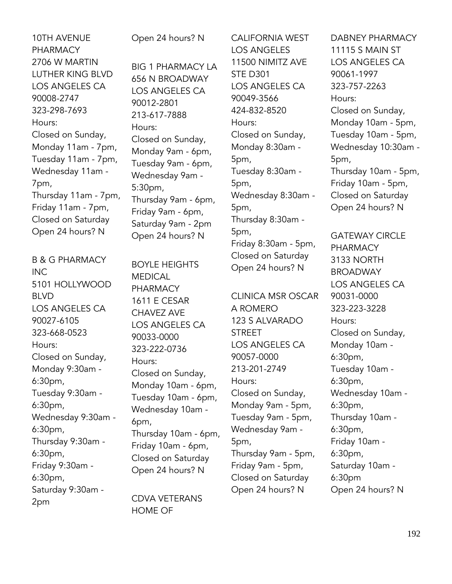10TH AVENUE PHARMACY 2706 W MARTIN LUTHER KING BLVD LOS ANGELES CA 90008-2747 323-298-7693 Hours: Closed on Sunday, Monday 11am - 7pm, Tuesday 11am - 7pm, Wednesday 11am - 7pm, Thursday 11am - 7pm, Friday 11am - 7pm, Closed on Saturday Open 24 hours? N

B & G PHARMACY INC 5101 HOLLYWOOD BLVD LOS ANGELES CA 90027-6105 323-668-0523 Hours: Closed on Sunday, Monday 9:30am - 6:30pm, Tuesday 9:30am - 6:30pm, Wednesday 9:30am - 6:30pm, Thursday 9:30am - 6:30pm, Friday 9:30am - 6:30pm, Saturday 9:30am - 2pm

Open 24 hours? N

BIG 1 PHARMACY LA 656 N BROADWAY LOS ANGELES CA 90012-2801 213-617-7888 Hours: Closed on Sunday, Monday 9am - 6pm, Tuesday 9am - 6pm, Wednesday 9am - 5:30pm, Thursday 9am - 6pm, Friday 9am - 6pm, Saturday 9am - 2pm Open 24 hours? N

BOYLE HEIGHTS MEDICAL PHARMACY 1611 E CESAR CHAVEZ AVE LOS ANGELES CA 90033-0000 323-222-0736 Hours: Closed on Sunday, Monday 10am - 6pm, Tuesday 10am - 6pm, Wednesday 10am - 6pm, Thursday 10am - 6pm, Friday 10am - 6pm, Closed on Saturday Open 24 hours? N

CDVA VETERANS HOME OF

CALIFORNIA WEST LOS ANGELES 11500 NIMITZ AVE STE D301 LOS ANGELES CA 90049-3566 424-832-8520 Hours: Closed on Sunday, Monday 8:30am - 5pm, Tuesday 8:30am - 5pm, Wednesday 8:30am - 5pm, Thursday 8:30am - 5pm, Friday 8:30am - 5pm, Closed on Saturday Open 24 hours? N

CLINICA MSR OSCAR A ROMERO 123 S ALVARADO **STREET** LOS ANGELES CA 90057-0000 213-201-2749 Hours: Closed on Sunday, Monday 9am - 5pm, Tuesday 9am - 5pm, Wednesday 9am - 5pm, Thursday 9am - 5pm, Friday 9am - 5pm, Closed on Saturday Open 24 hours? N

DABNEY PHARMACY 11115 S MAIN ST LOS ANGELES CA 90061-1997 323-757-2263 Hours: Closed on Sunday, Monday 10am - 5pm, Tuesday 10am - 5pm, Wednesday 10:30am - 5pm, Thursday 10am - 5pm, Friday 10am - 5pm, Closed on Saturday Open 24 hours? N

GATEWAY CIRCLE PHARMACY 3133 NORTH BROADWAY LOS ANGELES CA 90031-0000 323-223-3228 Hours: Closed on Sunday, Monday 10am - 6:30pm, Tuesday 10am - 6:30pm, Wednesday 10am - 6:30pm, Thursday 10am - 6:30pm, Friday 10am - 6:30pm, Saturday 10am - 6:30pm Open 24 hours? N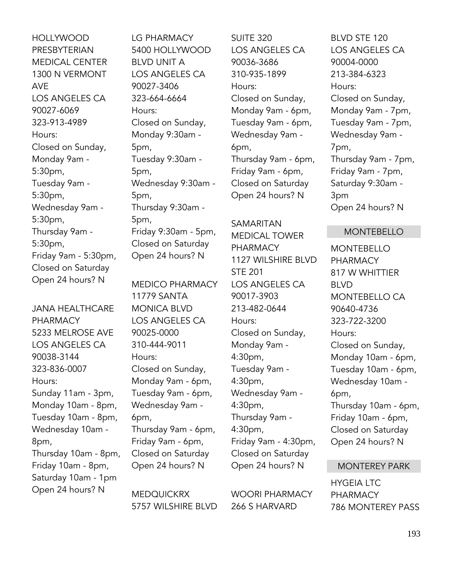HOLLYWOOD PRESBYTERIAN MEDICAL CENTER 1300 N VERMONT AVE LOS ANGELES CA 90027-6069 323-913-4989 Hours: Closed on Sunday, Monday 9am - 5:30pm, Tuesday 9am - 5:30pm, Wednesday 9am - 5:30pm, Thursday 9am - 5:30pm, Friday 9am - 5:30pm, Closed on Saturday Open 24 hours? N

JANA HEALTHCARE PHARMACY 5233 MELROSE AVE LOS ANGELES CA 90038-3144 323-836-0007 Hours: Sunday 11am - 3pm, Monday 10am - 8pm, Tuesday 10am - 8pm, Wednesday 10am - 8pm, Thursday 10am - 8pm, Friday 10am - 8pm, Saturday 10am - 1pm Open 24 hours? N

LG PHARMACY 5400 HOLLYWOOD BLVD UNIT A LOS ANGELES CA 90027-3406 323-664-6664 Hours: Closed on Sunday, Monday 9:30am - 5pm, Tuesday 9:30am - 5pm, Wednesday 9:30am - 5pm, Thursday 9:30am - 5pm, Friday 9:30am - 5pm, Closed on Saturday Open 24 hours? N

MEDICO PHARMACY 11779 SANTA MONICA BLVD LOS ANGELES CA 90025-0000 310-444-9011 Hours: Closed on Sunday, Monday 9am - 6pm, Tuesday 9am - 6pm, Wednesday 9am - 6pm, Thursday 9am - 6pm, Friday 9am - 6pm, Closed on Saturday Open 24 hours? N

MEDQUICKRX 5757 WILSHIRE BLVD SUITE 320 LOS ANGELES CA 90036-3686 310-935-1899 Hours: Closed on Sunday, Monday 9am - 6pm, Tuesday 9am - 6pm, Wednesday 9am - 6pm, Thursday 9am - 6pm, Friday 9am - 6pm, Closed on Saturday Open 24 hours? N

#### SAMARITAN

MEDICAL TOWER PHARMACY 1127 WILSHIRE BLVD STE 201 LOS ANGELES CA 90017-3903 213-482-0644 Hours: Closed on Sunday, Monday 9am - 4:30pm, Tuesday 9am - 4:30pm, Wednesday 9am - 4:30pm, Thursday 9am - 4:30pm, Friday 9am - 4:30pm, Closed on Saturday Open 24 hours? N

WOORI PHARMACY 266 S HARVARD

BLVD STE 120 LOS ANGELES CA 90004-0000 213-384-6323 Hours: Closed on Sunday, Monday 9am - 7pm, Tuesday 9am - 7pm, Wednesday 9am - 7pm, Thursday 9am - 7pm, Friday 9am - 7pm, Saturday 9:30am - 3pm Open 24 hours? N

#### MONTEBELLO

MONTEBELLO PHARMACY 817 W WHITTIER BLVD MONTEBELLO CA 90640-4736 323-722-3200 Hours: Closed on Sunday, Monday 10am - 6pm, Tuesday 10am - 6pm, Wednesday 10am - 6pm, Thursday 10am - 6pm, Friday 10am - 6pm, Closed on Saturday Open 24 hours? N

# MONTEREY PARK

HYGEIA LTC PHARMACY 786 MONTEREY PASS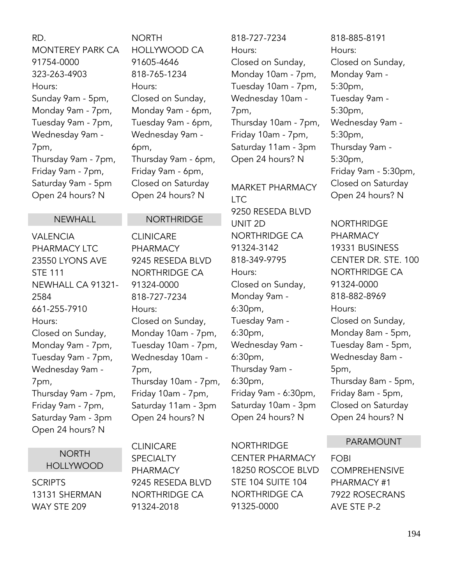RD. MONTEREY PARK CA 91754-0000 323-263-4903 Hours: Sunday 9am - 5pm, Monday 9am - 7pm, Tuesday 9am - 7pm, Wednesday 9am - 7pm, Thursday 9am - 7pm, Friday 9am - 7pm, Saturday 9am - 5pm Open 24 hours? N

# NEWHALL

VALENCIA PHARMACY LTC 23550 LYONS AVE STE 111 NEWHALL CA 91321- 2584 661-255-7910 Hours: Closed on Sunday, Monday 9am - 7pm, Tuesday 9am - 7pm, Wednesday 9am - 7pm, Thursday 9am - 7pm, Friday 9am - 7pm, Saturday 9am - 3pm Open 24 hours? N

> **NORTH** HOLLYWOOD

**SCRIPTS** 13131 SHERMAN WAY STE 209

NORTH HOLLYWOOD CA 91605-4646 818-765-1234 Hours: Closed on Sunday, Monday 9am - 6pm, Tuesday 9am - 6pm, Wednesday 9am - 6pm, Thursday 9am - 6pm, Friday 9am - 6pm, Closed on Saturday Open 24 hours? N

### NORTHRIDGE

CLINICARE PHARMACY 9245 RESEDA BLVD NORTHRIDGE CA 91324-0000 818-727-7234 Hours: Closed on Sunday, Monday 10am - 7pm, Tuesday 10am - 7pm, Wednesday 10am - 7pm, Thursday 10am - 7pm, Friday 10am - 7pm, Saturday 11am - 3pm Open 24 hours? N

CLINICARE **SPECIALTY** PHARMACY 9245 RESEDA BLVD NORTHRIDGE CA 91324-2018

818-727-7234 Hours: Closed on Sunday, Monday 10am - 7pm, Tuesday 10am - 7pm, Wednesday 10am - 7pm, Thursday 10am - 7pm, Friday 10am - 7pm, Saturday 11am - 3pm Open 24 hours? N

MARKET PHARMACY **LTC** 9250 RESEDA BLVD UNIT 2D NORTHRIDGE CA 91324-3142 818-349-9795 Hours: Closed on Sunday, Monday 9am - 6:30pm, Tuesday 9am - 6:30pm, Wednesday 9am - 6:30pm, Thursday 9am - 6:30pm, Friday 9am - 6:30pm, Saturday 10am - 3pm Open 24 hours? N

**NORTHRIDGE** CENTER PHARMACY 18250 ROSCOE BLVD STE 104 SUITE 104 NORTHRIDGE CA 91325-0000

818-885-8191 Hours: Closed on Sunday, Monday 9am - 5:30pm, Tuesday 9am - 5:30pm, Wednesday 9am - 5:30pm, Thursday 9am - 5:30pm, Friday 9am - 5:30pm, Closed on Saturday Open 24 hours? N

**NORTHRIDGE** PHARMACY 19331 BUSINESS CENTER DR. STE. 100 NORTHRIDGE CA 91324-0000 818-882-8969 Hours: Closed on Sunday, Monday 8am - 5pm, Tuesday 8am - 5pm, Wednesday 8am - 5pm, Thursday 8am - 5pm, Friday 8am - 5pm, Closed on Saturday Open 24 hours? N

# PARAMOUNT

FOBI COMPREHENSIVE PHARMACY #1 7922 ROSECRANS AVE STE P-2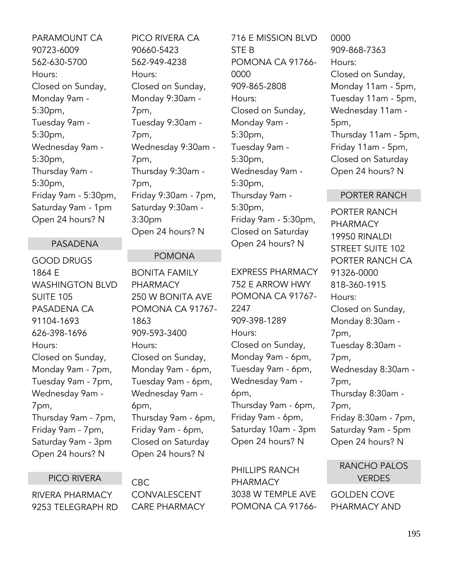PARAMOUNT CA 90723-6009 562-630-5700 Hours: Closed on Sunday, Monday 9am - 5:30pm, Tuesday 9am - 5:30pm, Wednesday 9am - 5:30pm, Thursday 9am - 5:30pm, Friday 9am - 5:30pm, Saturday 9am - 1pm Open 24 hours? N

#### PASADENA

GOOD DRUGS 1864 E WASHINGTON BLVD SUITE 105 PASADENA CA 91104-1693 626-398-1696 Hours: Closed on Sunday, Monday 9am - 7pm, Tuesday 9am - 7pm, Wednesday 9am - 7pm, Thursday 9am - 7pm, Friday 9am - 7pm, Saturday 9am - 3pm Open 24 hours? N

#### PICO RIVERA

RIVERA PHARMACY 9253 TELEGRAPH RD PICO RIVERA CA 90660-5423 562-949-4238 Hours: Closed on Sunday, Monday 9:30am - 7pm, Tuesday 9:30am - 7pm, Wednesday 9:30am - 7pm, Thursday 9:30am - 7pm, Friday 9:30am - 7pm, Saturday 9:30am - 3:30pm Open 24 hours? N

# POMONA

BONITA FAMILY PHARMACY 250 W BONITA AVE POMONA CA 91767- 1863 909-593-3400 Hours: Closed on Sunday, Monday 9am - 6pm, Tuesday 9am - 6pm, Wednesday 9am - 6pm, Thursday 9am - 6pm, Friday 9am - 6pm, Closed on Saturday Open 24 hours? N

CBC CONVALESCENT CARE PHARMACY 716 E MISSION BLVD STE B POMONA CA 91766- 0000 909-865-2808 Hours: Closed on Sunday, Monday 9am - 5:30pm, Tuesday 9am - 5:30pm, Wednesday 9am - 5:30pm, Thursday 9am - 5:30pm, Friday 9am - 5:30pm, Closed on Saturday Open 24 hours? N

EXPRESS PHARMACY 752 E ARROW HWY POMONA CA 91767- 2247 909-398-1289 Hours: Closed on Sunday, Monday 9am - 6pm, Tuesday 9am - 6pm, Wednesday 9am - 6pm, Thursday 9am - 6pm, Friday 9am - 6pm, Saturday 10am - 3pm Open 24 hours? N

PHILLIPS RANCH PHARMACY 3038 W TEMPLE AVE POMONA CA 91766-

0000 909-868-7363 Hours: Closed on Sunday, Monday 11am - 5pm, Tuesday 11am - 5pm, Wednesday 11am - 5pm, Thursday 11am - 5pm, Friday 11am - 5pm, Closed on Saturday Open 24 hours? N

#### PORTER RANCH

PORTER RANCH PHARMACY 19950 RINALDI STREET SUITE 102 PORTER RANCH CA 91326-0000 818-360-1915 Hours: Closed on Sunday, Monday 8:30am - 7pm, Tuesday 8:30am - 7pm, Wednesday 8:30am - 7pm, Thursday 8:30am - 7pm, Friday 8:30am - 7pm, Saturday 9am - 5pm Open 24 hours? N

RANCHO PALOS **VERDES** 

GOLDEN COVE PHARMACY AND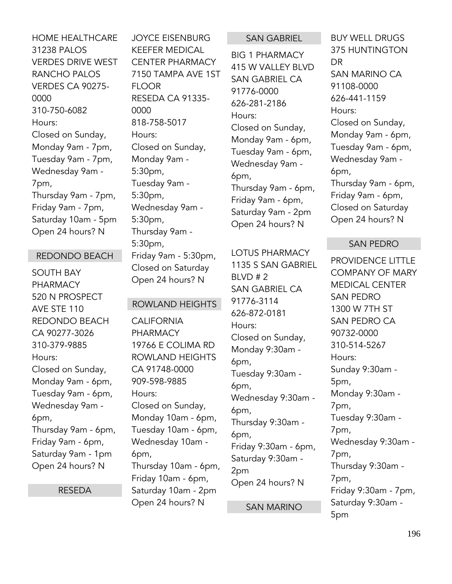HOME HEALTHCARE 31238 PALOS VERDES DRIVE WEST RANCHO PALOS VERDES CA 90275- 0000 310-750-6082 Hours: Closed on Sunday, Monday 9am - 7pm, Tuesday 9am - 7pm, Wednesday 9am - 7pm, Thursday 9am - 7pm, Friday 9am - 7pm, Saturday 10am - 5pm Open 24 hours? N

### REDONDO BEACH

SOUTH BAY PHARMACY 520 N PROSPECT AVE STE 110 REDONDO BEACH CA 90277-3026 310-379-9885 Hours: Closed on Sunday, Monday 9am - 6pm, Tuesday 9am - 6pm, Wednesday 9am - 6pm, Thursday 9am - 6pm, Friday 9am - 6pm, Saturday 9am - 1pm Open 24 hours? N

RESEDA

JOYCE EISENBURG KEEFER MEDICAL CENTER PHARMACY 7150 TAMPA AVE 1ST FLOOR RESEDA CA 91335- 0000 818-758-5017 Hours: Closed on Sunday, Monday 9am - 5:30pm, Tuesday 9am - 5:30pm, Wednesday 9am - 5:30pm, Thursday 9am - 5:30pm, Friday 9am - 5:30pm, Closed on Saturday

# ROWLAND HEIGHTS

Open 24 hours? N

**CALIFORNIA** PHARMACY 19766 E COLIMA RD ROWLAND HEIGHTS CA 91748-0000 909-598-9885 Hours: Closed on Sunday, Monday 10am - 6pm, Tuesday 10am - 6pm, Wednesday 10am - 6pm, Thursday 10am - 6pm, Friday 10am - 6pm, Saturday 10am - 2pm Open 24 hours? N

#### SAN GABRIEL

BIG 1 PHARMACY 415 W VALLEY BLVD SAN GABRIEL CA 91776-0000 626-281-2186 Hours: Closed on Sunday, Monday 9am - 6pm, Tuesday 9am - 6pm, Wednesday 9am - 6pm, Thursday 9am - 6pm, Friday 9am - 6pm, Saturday 9am - 2pm Open 24 hours? N

LOTUS PHARMACY 1135 S SAN GABRIEL BLVD # 2 SAN GABRIEL CA 91776-3114 626-872-0181 Hours: Closed on Sunday, Monday 9:30am - 6pm, Tuesday 9:30am - 6pm, Wednesday 9:30am - 6pm, Thursday 9:30am - 6pm, Friday 9:30am - 6pm, Saturday 9:30am - 2pm Open 24 hours? N

SAN MARINO

BUY WELL DRUGS 375 HUNTINGTON DR SAN MARINO CA 91108-0000 626-441-1159 Hours: Closed on Sunday, Monday 9am - 6pm, Tuesday 9am - 6pm, Wednesday 9am - 6pm, Thursday 9am - 6pm, Friday 9am - 6pm, Closed on Saturday Open 24 hours? N

# SAN PEDRO

PROVIDENCE LITTLE COMPANY OF MARY MEDICAL CENTER SAN PEDRO 1300 W 7TH ST SAN PEDRO CA 90732-0000 310-514-5267 Hours: Sunday 9:30am - 5pm, Monday 9:30am - 7pm, Tuesday 9:30am - 7pm, Wednesday 9:30am - 7pm, Thursday 9:30am - 7pm, Friday 9:30am - 7pm, Saturday 9:30am - 5pm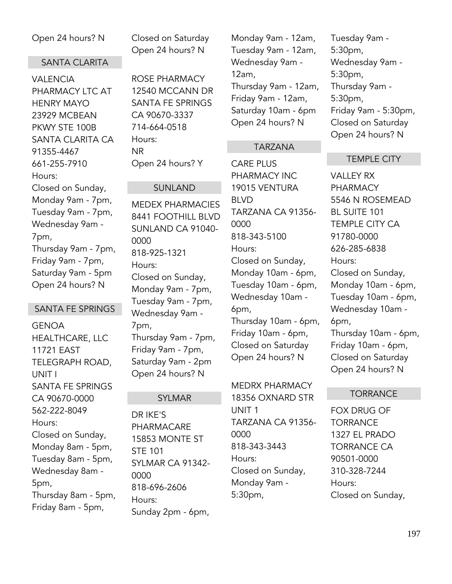# Open 24 hours? N

#### SANTA CLARITA

VALENCIA PHARMACY LTC AT HENRY MAYO 23929 MCBEAN PKWY STE 100B SANTA CLARITA CA 91355-4467 661-255-7910 Hours: Closed on Sunday, Monday 9am - 7pm, Tuesday 9am - 7pm, Wednesday 9am - 7pm, Thursday 9am - 7pm, Friday 9am - 7pm, Saturday 9am - 5pm Open 24 hours? N

# SANTA FE SPRINGS

GENOA HEALTHCARE, LLC 11721 EAST TELEGRAPH ROAD, UNIT I SANTA FE SPRINGS CA 90670-0000 562-222-8049 Hours: Closed on Sunday, Monday 8am - 5pm, Tuesday 8am - 5pm, Wednesday 8am - 5pm, Thursday 8am - 5pm, Friday 8am - 5pm,

Closed on Saturday Open 24 hours? N

ROSE PHARMACY 12540 MCCANN DR SANTA FE SPRINGS CA 90670-3337 714-664-0518 Hours: NR Open 24 hours? Y

### SUNLAND

MEDEX PHARMACIES 8441 FOOTHILL BLVD SUNLAND CA 91040- 0000 818-925-1321 Hours: Closed on Sunday, Monday 9am - 7pm, Tuesday 9am - 7pm, Wednesday 9am - 7pm, Thursday 9am - 7pm, Friday 9am - 7pm, Saturday 9am - 2pm Open 24 hours? N

# SYLMAR

DR IKE'S PHARMACARE 15853 MONTE ST STE 101 SYLMAR CA 91342- 0000 818-696-2606 Hours: Sunday 2pm - 6pm,

Monday 9am - 12am, Tuesday 9am - 12am, Wednesday 9am - 12am, Thursday 9am - 12am, Friday 9am - 12am, Saturday 10am - 6pm Open 24 hours? N

# TARZANA

CARE PLUS PHARMACY INC 19015 VENTURA BLVD TARZANA CA 91356- 0000 818-343-5100 Hours: Closed on Sunday, Monday 10am - 6pm, Tuesday 10am - 6pm, Wednesday 10am - 6pm, Thursday 10am - 6pm, Friday 10am - 6pm, Closed on Saturday Open 24 hours? N

MEDRX PHARMACY 18356 OXNARD STR UNIT 1 TARZANA CA 91356- 0000 818-343-3443 Hours: Closed on Sunday, Monday 9am - 5:30pm,

Tuesday 9am - 5:30pm, Wednesday 9am - 5:30pm, Thursday 9am - 5:30pm, Friday 9am - 5:30pm, Closed on Saturday Open 24 hours? N

# TEMPLE CITY

VALLEY RX PHARMACY 5546 N ROSEMEAD BL SUITE 101 TEMPLE CITY CA 91780-0000 626-285-6838 Hours: Closed on Sunday, Monday 10am - 6pm, Tuesday 10am - 6pm, Wednesday 10am - 6pm, Thursday 10am - 6pm, Friday 10am - 6pm, Closed on Saturday Open 24 hours? N

# **TORRANCE**

FOX DRUG OF **TORRANCE** 1327 EL PRADO TORRANCE CA 90501-0000 310-328-7244 Hours: Closed on Sunday,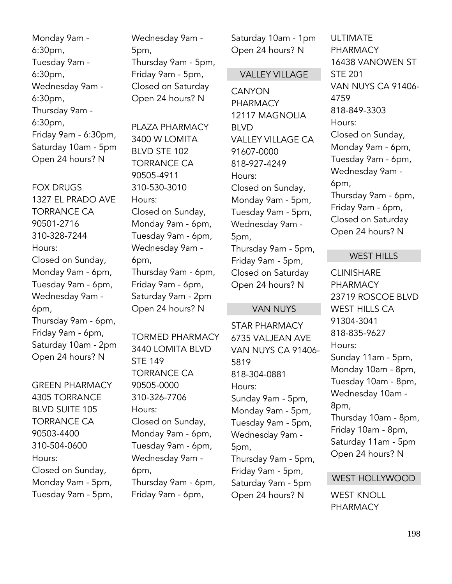Monday 9am - 6:30pm, Tuesday 9am - 6:30pm, Wednesday 9am - 6:30pm, Thursday 9am - 6:30pm, Friday 9am - 6:30pm, Saturday 10am - 5pm Open 24 hours? N

FOX DRUGS 1327 EL PRADO AVE TORRANCE CA 90501-2716 310-328-7244 Hours: Closed on Sunday, Monday 9am - 6pm, Tuesday 9am - 6pm, Wednesday 9am - 6pm, Thursday 9am - 6pm, Friday 9am - 6pm, Saturday 10am - 2pm Open 24 hours? N

GREEN PHARMACY 4305 TORRANCE BLVD SUITE 105 TORRANCE CA 90503-4400 310-504-0600 Hours: Closed on Sunday, Monday 9am - 5pm, Tuesday 9am - 5pm, Wednesday 9am - 5pm, Thursday 9am - 5pm, Friday 9am - 5pm, Closed on Saturday Open 24 hours? N

PI AZA PHARMACY 3400 W LOMITA BLVD STE 102 TORRANCE CA 90505-4911 310-530-3010 Hours: Closed on Sunday, Monday 9am - 6pm, Tuesday 9am - 6pm, Wednesday 9am - 6pm, Thursday 9am - 6pm, Friday 9am - 6pm, Saturday 9am - 2pm Open 24 hours? N

TORMED PHARMACY 3440 LOMITA BLVD STE 149 TORRANCE CA 90505-0000 310-326-7706 Hours: Closed on Sunday, Monday 9am - 6pm, Tuesday 9am - 6pm, Wednesday 9am - 6pm, Thursday 9am - 6pm, Friday 9am - 6pm,

Saturday 10am - 1pm Open 24 hours? N

#### VALLEY VILLAGE

**CANYON** PHARMACY 12117 MAGNOLIA BLVD VALLEY VILLAGE CA 91607-0000 818-927-4249 Hours: Closed on Sunday, Monday 9am - 5pm, Tuesday 9am - 5pm, Wednesday 9am - 5pm, Thursday 9am - 5pm, Friday 9am - 5pm, Closed on Saturday Open 24 hours? N

#### VAN NUYS

STAR PHARMACY 6735 VALJEAN AVE VAN NUYS CA 91406- 5819 818-304-0881 Hours: Sunday 9am - 5pm, Monday 9am - 5pm, Tuesday 9am - 5pm, Wednesday 9am - 5pm, Thursday 9am - 5pm, Friday 9am - 5pm, Saturday 9am - 5pm Open 24 hours? N

ULTIMATE PHARMACY 16438 VANOWEN ST STE 201 VAN NUYS CA 91406- 4759 818-849-3303 Hours: Closed on Sunday, Monday 9am - 6pm, Tuesday 9am - 6pm, Wednesday 9am - 6pm, Thursday 9am - 6pm, Friday 9am - 6pm, Closed on Saturday Open 24 hours? N

#### WEST HILLS

**CLINISHARE** PHARMACY 23719 ROSCOE BLVD WEST HILLS CA 91304-3041 818-835-9627 Hours: Sunday 11am - 5pm, Monday 10am - 8pm, Tuesday 10am - 8pm, Wednesday 10am - 8pm, Thursday 10am - 8pm, Friday 10am - 8pm, Saturday 11am - 5pm Open 24 hours? N

#### WEST HOLLYWOOD

WEST KNOLL PHARMACY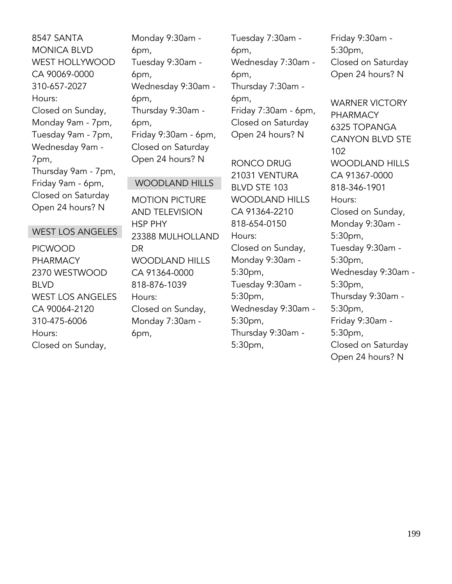8547 SANTA MONICA BLVD WEST HOLLYWOOD CA 90069-0000 310-657-2027 Hours: Closed on Sunday, Monday 9am - 7pm, Tuesday 9am - 7pm, Wednesday 9am - 7pm, Thursday 9am - 7pm, Friday 9am - 6pm, Closed on Saturday Open 24 hours? N

# Monday 9:30am - 6pm, Tuesday 9:30am - 6pm, Wednesday 9:30am - 6pm, Thursday 9:30am - 6pm, Friday 9:30am - 6pm, Closed on Saturday Open 24 hours? N

WOODLAND HILLS

MOTION PICTURE

Tuesday 7:30am - 6pm, Wednesday 7:30am - 6pm, Thursday 7:30am - 6pm, Friday 7:30am - 6pm, Closed on Saturday Open 24 hours? N

RONCO DRUG 21031 VENTURA BLVD STE 103 WOODLAND HILLS CA 91364-2210 818-654-0150 Hours: Closed on Sunday, Monday 9:30am - 5:30pm, Tuesday 9:30am - 5:30pm, Wednesday 9:30am - 5:30pm, Thursday 9:30am - 5:30pm,

Friday 9:30am - 5:30pm, Closed on Saturday Open 24 hours? N

WARNER VICTORY PHARMACY 6325 TOPANGA CANYON BLVD STE 102 WOODLAND HILLS CA 91367-0000 818-346-1901 Hours: Closed on Sunday, Monday 9:30am - 5:30pm, Tuesday 9:30am - 5:30pm, Wednesday 9:30am - 5:30pm, Thursday 9:30am - 5:30pm, Friday 9:30am - 5:30pm, Closed on Saturday Open 24 hours? N

# WEST LOS ANGELES

PICWOOD PHARMACY 2370 WESTWOOD BLVD WEST LOS ANGELES CA 90064-2120 310-475-6006 Hours: Closed on Sunday,

AND TELEVISION HSP PHY 23388 MULHOLLAND DR WOODLAND HILLS CA 91364-0000 818-876-1039 Hours: Closed on Sunday, Monday 7:30am - 6pm,